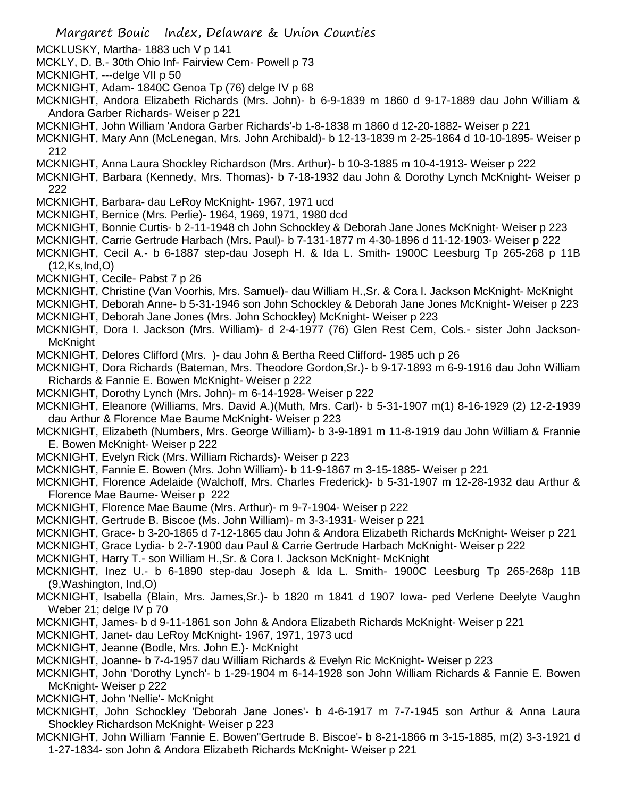- MCKLUSKY, Martha- 1883 uch V p 141
- MCKLY, D. B.- 30th Ohio Inf- Fairview Cem- Powell p 73
- MCKNIGHT, ---delge VII p 50
- MCKNIGHT, Adam- 1840C Genoa Tp (76) delge IV p 68
- MCKNIGHT, Andora Elizabeth Richards (Mrs. John)- b 6-9-1839 m 1860 d 9-17-1889 dau John William & Andora Garber Richards- Weiser p 221
- MCKNIGHT, John William 'Andora Garber Richards'-b 1-8-1838 m 1860 d 12-20-1882- Weiser p 221
- MCKNIGHT, Mary Ann (McLenegan, Mrs. John Archibald)- b 12-13-1839 m 2-25-1864 d 10-10-1895- Weiser p 212
- MCKNIGHT, Anna Laura Shockley Richardson (Mrs. Arthur)- b 10-3-1885 m 10-4-1913- Weiser p 222
- MCKNIGHT, Barbara (Kennedy, Mrs. Thomas)- b 7-18-1932 dau John & Dorothy Lynch McKnight- Weiser p 222
- MCKNIGHT, Barbara- dau LeRoy McKnight- 1967, 1971 ucd
- MCKNIGHT, Bernice (Mrs. Perlie)- 1964, 1969, 1971, 1980 dcd
- MCKNIGHT, Bonnie Curtis- b 2-11-1948 ch John Schockley & Deborah Jane Jones McKnight- Weiser p 223
- MCKNIGHT, Carrie Gertrude Harbach (Mrs. Paul)- b 7-131-1877 m 4-30-1896 d 11-12-1903- Weiser p 222
- MCKNIGHT, Cecil A.- b 6-1887 step-dau Joseph H. & Ida L. Smith- 1900C Leesburg Tp 265-268 p 11B (12,Ks,Ind,O)
- MCKNIGHT, Cecile- Pabst 7 p 26
- MCKNIGHT, Christine (Van Voorhis, Mrs. Samuel)- dau William H.,Sr. & Cora I. Jackson McKnight- McKnight
- MCKNIGHT, Deborah Anne- b 5-31-1946 son John Schockley & Deborah Jane Jones McKnight- Weiser p 223
- MCKNIGHT, Deborah Jane Jones (Mrs. John Schockley) McKnight- Weiser p 223
- MCKNIGHT, Dora I. Jackson (Mrs. William)- d 2-4-1977 (76) Glen Rest Cem, Cols.- sister John Jackson-McKnight
- MCKNIGHT, Delores Clifford (Mrs. )- dau John & Bertha Reed Clifford- 1985 uch p 26
- MCKNIGHT, Dora Richards (Bateman, Mrs. Theodore Gordon,Sr.)- b 9-17-1893 m 6-9-1916 dau John William Richards & Fannie E. Bowen McKnight- Weiser p 222
- MCKNIGHT, Dorothy Lynch (Mrs. John)- m 6-14-1928- Weiser p 222
- MCKNIGHT, Eleanore (Williams, Mrs. David A.)(Muth, Mrs. Carl)- b 5-31-1907 m(1) 8-16-1929 (2) 12-2-1939 dau Arthur & Florence Mae Baume McKnight- Weiser p 223
- MCKNIGHT, Elizabeth (Numbers, Mrs. George William)- b 3-9-1891 m 11-8-1919 dau John William & Frannie E. Bowen McKnight- Weiser p 222
- MCKNIGHT, Evelyn Rick (Mrs. William Richards)- Weiser p 223
- MCKNIGHT, Fannie E. Bowen (Mrs. John William)- b 11-9-1867 m 3-15-1885- Weiser p 221
- MCKNIGHT, Florence Adelaide (Walchoff, Mrs. Charles Frederick)- b 5-31-1907 m 12-28-1932 dau Arthur & Florence Mae Baume- Weiser p 222
- MCKNIGHT, Florence Mae Baume (Mrs. Arthur)- m 9-7-1904- Weiser p 222
- MCKNIGHT, Gertrude B. Biscoe (Ms. John William)- m 3-3-1931- Weiser p 221
- MCKNIGHT, Grace- b 3-20-1865 d 7-12-1865 dau John & Andora Elizabeth Richards McKnight- Weiser p 221
- MCKNIGHT, Grace Lydia- b 2-7-1900 dau Paul & Carrie Gertrude Harbach McKnight- Weiser p 222
- MCKNIGHT, Harry T.- son William H.,Sr. & Cora I. Jackson McKnight- McKnight
- MCKNIGHT, Inez U.- b 6-1890 step-dau Joseph & Ida L. Smith- 1900C Leesburg Tp 265-268p 11B (9,Washington, Ind,O)
- MCKNIGHT, Isabella (Blain, Mrs. James,Sr.)- b 1820 m 1841 d 1907 Iowa- ped Verlene Deelyte Vaughn Weber 21; delge IV p 70
- MCKNIGHT, James- b d 9-11-1861 son John & Andora Elizabeth Richards McKnight- Weiser p 221
- MCKNIGHT, Janet- dau LeRoy McKnight- 1967, 1971, 1973 ucd
- MCKNIGHT, Jeanne (Bodle, Mrs. John E.)- McKnight
- MCKNIGHT, Joanne- b 7-4-1957 dau William Richards & Evelyn Ric McKnight- Weiser p 223
- MCKNIGHT, John 'Dorothy Lynch'- b 1-29-1904 m 6-14-1928 son John William Richards & Fannie E. Bowen McKnight- Weiser p 222
- MCKNIGHT, John 'Nellie'- McKnight
- MCKNIGHT, John Schockley 'Deborah Jane Jones'- b 4-6-1917 m 7-7-1945 son Arthur & Anna Laura Shockley Richardson McKnight- Weiser p 223
- MCKNIGHT, John William 'Fannie E. Bowen''Gertrude B. Biscoe'- b 8-21-1866 m 3-15-1885, m(2) 3-3-1921 d 1-27-1834- son John & Andora Elizabeth Richards McKnight- Weiser p 221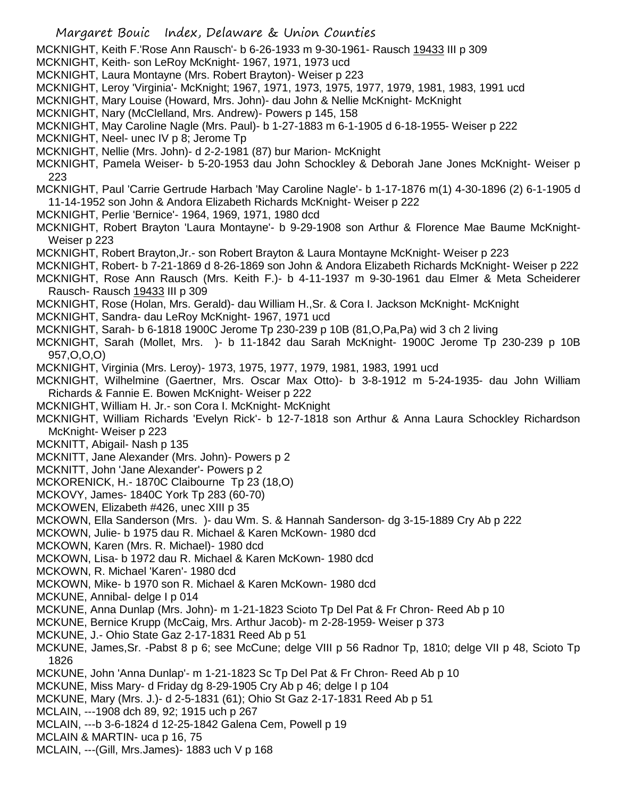MCKNIGHT, Keith F.'Rose Ann Rausch'- b 6-26-1933 m 9-30-1961- Rausch 19433 III p 309

- MCKNIGHT, Keith- son LeRoy McKnight- 1967, 1971, 1973 ucd
- MCKNIGHT, Laura Montayne (Mrs. Robert Brayton)- Weiser p 223
- MCKNIGHT, Leroy 'Virginia'- McKnight; 1967, 1971, 1973, 1975, 1977, 1979, 1981, 1983, 1991 ucd
- MCKNIGHT, Mary Louise (Howard, Mrs. John)- dau John & Nellie McKnight- McKnight
- MCKNIGHT, Nary (McClelland, Mrs. Andrew)- Powers p 145, 158
- MCKNIGHT, May Caroline Nagle (Mrs. Paul)- b 1-27-1883 m 6-1-1905 d 6-18-1955- Weiser p 222
- MCKNIGHT, Neel- unec IV p 8; Jerome Tp
- MCKNIGHT, Nellie (Mrs. John)- d 2-2-1981 (87) bur Marion- McKnight

MCKNIGHT, Pamela Weiser- b 5-20-1953 dau John Schockley & Deborah Jane Jones McKnight- Weiser p 223

MCKNIGHT, Paul 'Carrie Gertrude Harbach 'May Caroline Nagle'- b 1-17-1876 m(1) 4-30-1896 (2) 6-1-1905 d 11-14-1952 son John & Andora Elizabeth Richards McKnight- Weiser p 222

MCKNIGHT, Perlie 'Bernice'- 1964, 1969, 1971, 1980 dcd

MCKNIGHT, Robert Brayton 'Laura Montayne'- b 9-29-1908 son Arthur & Florence Mae Baume McKnight-Weiser p 223

- MCKNIGHT, Robert Brayton,Jr.- son Robert Brayton & Laura Montayne McKnight- Weiser p 223
- MCKNIGHT, Robert- b 7-21-1869 d 8-26-1869 son John & Andora Elizabeth Richards McKnight- Weiser p 222
- MCKNIGHT, Rose Ann Rausch (Mrs. Keith F.)- b 4-11-1937 m 9-30-1961 dau Elmer & Meta Scheiderer Rausch- Rausch 19433 III p 309
- MCKNIGHT, Rose (Holan, Mrs. Gerald)- dau William H.,Sr. & Cora I. Jackson McKnight- McKnight
- MCKNIGHT, Sandra- dau LeRoy McKnight- 1967, 1971 ucd
- MCKNIGHT, Sarah- b 6-1818 1900C Jerome Tp 230-239 p 10B (81,O,Pa,Pa) wid 3 ch 2 living
- MCKNIGHT, Sarah (Mollet, Mrs. )- b 11-1842 dau Sarah McKnight- 1900C Jerome Tp 230-239 p 10B 957,O,O,O)
- MCKNIGHT, Virginia (Mrs. Leroy)- 1973, 1975, 1977, 1979, 1981, 1983, 1991 ucd
- MCKNIGHT, Wilhelmine (Gaertner, Mrs. Oscar Max Otto)- b 3-8-1912 m 5-24-1935- dau John William Richards & Fannie E. Bowen McKnight- Weiser p 222
- MCKNIGHT, William H. Jr.- son Cora I. McKnight- McKnight
- MCKNIGHT, William Richards 'Evelyn Rick'- b 12-7-1818 son Arthur & Anna Laura Schockley Richardson McKnight- Weiser p 223
- MCKNITT, Abigail- Nash p 135
- MCKNITT, Jane Alexander (Mrs. John)- Powers p 2
- MCKNITT, John 'Jane Alexander'- Powers p 2
- MCKORENICK, H.- 1870C Claibourne Tp 23 (18,O)
- MCKOVY, James- 1840C York Tp 283 (60-70)
- MCKOWEN, Elizabeth #426, unec XIII p 35
- MCKOWN, Ella Sanderson (Mrs. )- dau Wm. S. & Hannah Sanderson- dg 3-15-1889 Cry Ab p 222
- MCKOWN, Julie- b 1975 dau R. Michael & Karen McKown- 1980 dcd
- MCKOWN, Karen (Mrs. R. Michael)- 1980 dcd
- MCKOWN, Lisa- b 1972 dau R. Michael & Karen McKown- 1980 dcd
- MCKOWN, R. Michael 'Karen'- 1980 dcd
- MCKOWN, Mike- b 1970 son R. Michael & Karen McKown- 1980 dcd
- MCKUNE, Annibal- delge I p 014
- MCKUNE, Anna Dunlap (Mrs. John)- m 1-21-1823 Scioto Tp Del Pat & Fr Chron- Reed Ab p 10
- MCKUNE, Bernice Krupp (McCaig, Mrs. Arthur Jacob)- m 2-28-1959- Weiser p 373
- MCKUNE, J.- Ohio State Gaz 2-17-1831 Reed Ab p 51
- MCKUNE, James,Sr. -Pabst 8 p 6; see McCune; delge VIII p 56 Radnor Tp, 1810; delge VII p 48, Scioto Tp 1826
- MCKUNE, John 'Anna Dunlap'- m 1-21-1823 Sc Tp Del Pat & Fr Chron- Reed Ab p 10
- MCKUNE, Miss Mary- d Friday dg 8-29-1905 Cry Ab p 46; delge I p 104
- MCKUNE, Mary (Mrs. J.)- d 2-5-1831 (61); Ohio St Gaz 2-17-1831 Reed Ab p 51
- MCLAIN, ---1908 dch 89, 92; 1915 uch p 267
- MCLAIN, ---b 3-6-1824 d 12-25-1842 Galena Cem, Powell p 19
- MCLAIN & MARTIN- uca p 16, 75
- MCLAIN, ---(Gill, Mrs.James)- 1883 uch V p 168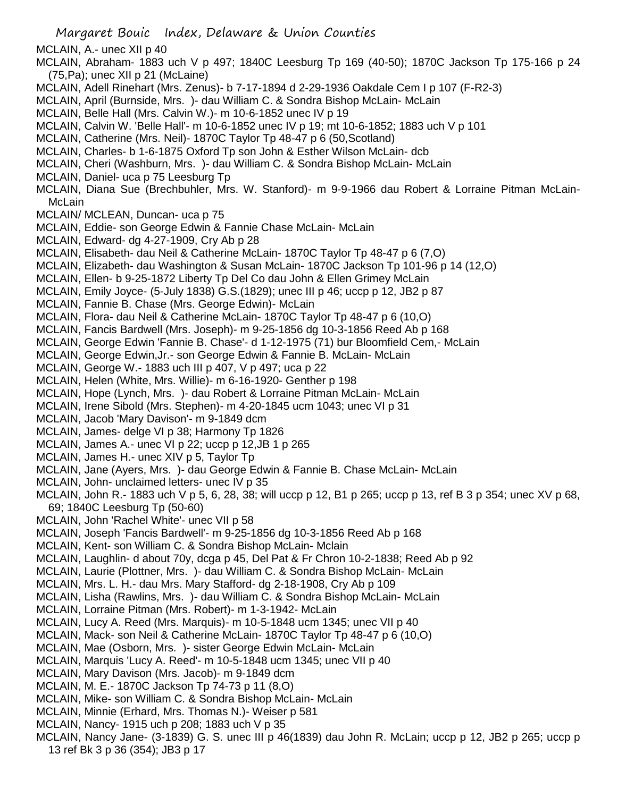Margaret Bouic Index, Delaware & Union Counties MCLAIN, A.- unec XII p 40 MCLAIN, Abraham- 1883 uch V p 497; 1840C Leesburg Tp 169 (40-50); 1870C Jackson Tp 175-166 p 24 (75,Pa); unec XII p 21 (McLaine) MCLAIN, Adell Rinehart (Mrs. Zenus)- b 7-17-1894 d 2-29-1936 Oakdale Cem I p 107 (F-R2-3) MCLAIN, April (Burnside, Mrs. )- dau William C. & Sondra Bishop McLain- McLain MCLAIN, Belle Hall (Mrs. Calvin W.)- m 10-6-1852 unec IV p 19 MCLAIN, Calvin W. 'Belle Hall'- m 10-6-1852 unec IV p 19; mt 10-6-1852; 1883 uch V p 101 MCLAIN, Catherine (Mrs. Neil)- 1870C Taylor Tp 48-47 p 6 (50,Scotland) MCLAIN, Charles- b 1-6-1875 Oxford Tp son John & Esther Wilson McLain- dcb MCLAIN, Cheri (Washburn, Mrs. )- dau William C. & Sondra Bishop McLain- McLain MCLAIN, Daniel- uca p 75 Leesburg Tp MCLAIN, Diana Sue (Brechbuhler, Mrs. W. Stanford)- m 9-9-1966 dau Robert & Lorraine Pitman McLain-McLain MCLAIN/ MCLEAN, Duncan- uca p 75 MCLAIN, Eddie- son George Edwin & Fannie Chase McLain- McLain MCLAIN, Edward- dg 4-27-1909, Cry Ab p 28 MCLAIN, Elisabeth- dau Neil & Catherine McLain- 1870C Taylor Tp 48-47 p 6 (7,O) MCLAIN, Elizabeth- dau Washington & Susan McLain- 1870C Jackson Tp 101-96 p 14 (12,O) MCLAIN, Ellen- b 9-25-1872 Liberty Tp Del Co dau John & Ellen Grimey McLain MCLAIN, Emily Joyce- (5-July 1838) G.S.(1829); unec III p 46; uccp p 12, JB2 p 87 MCLAIN, Fannie B. Chase (Mrs. George Edwin)- McLain MCLAIN, Flora- dau Neil & Catherine McLain- 1870C Taylor Tp 48-47 p 6 (10,O) MCLAIN, Fancis Bardwell (Mrs. Joseph)- m 9-25-1856 dg 10-3-1856 Reed Ab p 168 MCLAIN, George Edwin 'Fannie B. Chase'- d 1-12-1975 (71) bur Bloomfield Cem,- McLain MCLAIN, George Edwin,Jr.- son George Edwin & Fannie B. McLain- McLain MCLAIN, George W.- 1883 uch III p 407, V p 497; uca p 22 MCLAIN, Helen (White, Mrs. Willie)- m 6-16-1920- Genther p 198 MCLAIN, Hope (Lynch, Mrs. )- dau Robert & Lorraine Pitman McLain- McLain MCLAIN, Irene Sibold (Mrs. Stephen)- m 4-20-1845 ucm 1043; unec VI p 31 MCLAIN, Jacob 'Mary Davison'- m 9-1849 dcm MCLAIN, James- delge VI p 38; Harmony Tp 1826 MCLAIN, James A.- unec VI p 22; uccp p 12,JB 1 p 265 MCLAIN, James H.- unec XIV p 5, Taylor Tp MCLAIN, Jane (Ayers, Mrs. )- dau George Edwin & Fannie B. Chase McLain- McLain MCLAIN, John- unclaimed letters- unec IV p 35 MCLAIN, John R.- 1883 uch V p 5, 6, 28, 38; will uccp p 12, B1 p 265; uccp p 13, ref B 3 p 354; unec XV p 68, 69; 1840C Leesburg Tp (50-60) MCLAIN, John 'Rachel White'- unec VII p 58 MCLAIN, Joseph 'Fancis Bardwell'- m 9-25-1856 dg 10-3-1856 Reed Ab p 168 MCLAIN, Kent- son William C. & Sondra Bishop McLain- Mclain MCLAIN, Laughlin- d about 70y, dcga p 45, Del Pat & Fr Chron 10-2-1838; Reed Ab p 92 MCLAIN, Laurie (Plottner, Mrs. )- dau William C. & Sondra Bishop McLain- McLain MCLAIN, Mrs. L. H.- dau Mrs. Mary Stafford- dg 2-18-1908, Cry Ab p 109 MCLAIN, Lisha (Rawlins, Mrs. )- dau William C. & Sondra Bishop McLain- McLain MCLAIN, Lorraine Pitman (Mrs. Robert)- m 1-3-1942- McLain MCLAIN, Lucy A. Reed (Mrs. Marquis)- m 10-5-1848 ucm 1345; unec VII p 40 MCLAIN, Mack- son Neil & Catherine McLain- 1870C Taylor Tp 48-47 p 6 (10,O) MCLAIN, Mae (Osborn, Mrs. )- sister George Edwin McLain- McLain MCLAIN, Marquis 'Lucy A. Reed'- m 10-5-1848 ucm 1345; unec VII p 40 MCLAIN, Mary Davison (Mrs. Jacob)- m 9-1849 dcm MCLAIN, M. E.- 1870C Jackson Tp 74-73 p 11 (8,O) MCLAIN, Mike- son William C. & Sondra Bishop McLain- McLain MCLAIN, Minnie (Erhard, Mrs. Thomas N.)- Weiser p 581 MCLAIN, Nancy- 1915 uch p 208; 1883 uch V p 35 MCLAIN, Nancy Jane- (3-1839) G. S. unec III p 46(1839) dau John R. McLain; uccp p 12, JB2 p 265; uccp p 13 ref Bk 3 p 36 (354); JB3 p 17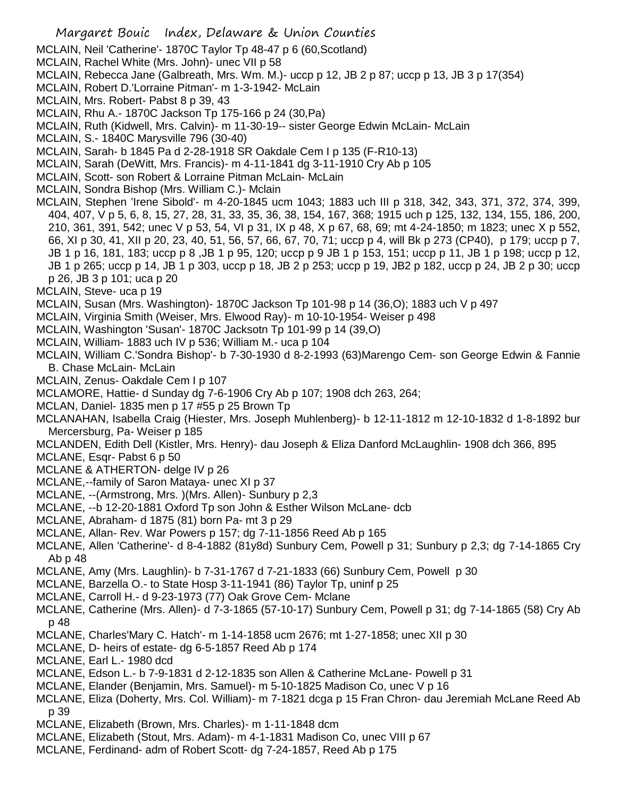- Margaret Bouic Index, Delaware & Union Counties MCLAIN, Neil 'Catherine'- 1870C Taylor Tp 48-47 p 6 (60,Scotland) MCLAIN, Rachel White (Mrs. John)- unec VII p 58 MCLAIN, Rebecca Jane (Galbreath, Mrs. Wm. M.)- uccp p 12, JB 2 p 87; uccp p 13, JB 3 p 17(354) MCLAIN, Robert D.'Lorraine Pitman'- m 1-3-1942- McLain MCLAIN, Mrs. Robert- Pabst 8 p 39, 43 MCLAIN, Rhu A.- 1870C Jackson Tp 175-166 p 24 (30,Pa) MCLAIN, Ruth (Kidwell, Mrs. Calvin)- m 11-30-19-- sister George Edwin McLain- McLain MCLAIN, S.- 1840C Marysville 796 (30-40) MCLAIN, Sarah- b 1845 Pa d 2-28-1918 SR Oakdale Cem I p 135 (F-R10-13) MCLAIN, Sarah (DeWitt, Mrs. Francis)- m 4-11-1841 dg 3-11-1910 Cry Ab p 105 MCLAIN, Scott- son Robert & Lorraine Pitman McLain- McLain MCLAIN, Sondra Bishop (Mrs. William C.)- Mclain MCLAIN, Stephen 'Irene Sibold'- m 4-20-1845 ucm 1043; 1883 uch III p 318, 342, 343, 371, 372, 374, 399, 404, 407, V p 5, 6, 8, 15, 27, 28, 31, 33, 35, 36, 38, 154, 167, 368; 1915 uch p 125, 132, 134, 155, 186, 200, 210, 361, 391, 542; unec V p 53, 54, VI p 31, IX p 48, X p 67, 68, 69; mt 4-24-1850; m 1823; unec X p 552, 66, XI p 30, 41, XII p 20, 23, 40, 51, 56, 57, 66, 67, 70, 71; uccp p 4, will Bk p 273 (CP40), p 179; uccp p 7, JB 1 p 16, 181, 183; uccp p 8 ,JB 1 p 95, 120; uccp p 9 JB 1 p 153, 151; uccp p 11, JB 1 p 198; uccp p 12, JB 1 p 265; uccp p 14, JB 1 p 303, uccp p 18, JB 2 p 253; uccp p 19, JB2 p 182, uccp p 24, JB 2 p 30; uccp p 26, JB 3 p 101; uca p 20 MCLAIN, Steve- uca p 19 MCLAIN, Susan (Mrs. Washington)- 1870C Jackson Tp 101-98 p 14 (36,O); 1883 uch V p 497 MCLAIN, Virginia Smith (Weiser, Mrs. Elwood Ray)- m 10-10-1954- Weiser p 498 MCLAIN, Washington 'Susan'- 1870C Jacksotn Tp 101-99 p 14 (39,O) MCLAIN, William- 1883 uch IV p 536; William M.- uca p 104 MCLAIN, William C.'Sondra Bishop'- b 7-30-1930 d 8-2-1993 (63)Marengo Cem- son George Edwin & Fannie B. Chase McLain- McLain MCLAIN, Zenus- Oakdale Cem I p 107 MCLAMORE, Hattie- d Sunday dg 7-6-1906 Cry Ab p 107; 1908 dch 263, 264; MCLAN, Daniel- 1835 men p 17 #55 p 25 Brown Tp MCLANAHAN, Isabella Craig (Hiester, Mrs. Joseph Muhlenberg)- b 12-11-1812 m 12-10-1832 d 1-8-1892 bur Mercersburg, Pa- Weiser p 185 MCLANDEN, Edith Dell (Kistler, Mrs. Henry)- dau Joseph & Eliza Danford McLaughlin- 1908 dch 366, 895 MCLANE, Esqr- Pabst 6 p 50 MCLANE & ATHERTON- delge IV p 26 MCLANE,--family of Saron Mataya- unec XI p 37 MCLANE, --(Armstrong, Mrs. )(Mrs. Allen)- Sunbury p 2,3 MCLANE, --b 12-20-1881 Oxford Tp son John & Esther Wilson McLane- dcb MCLANE, Abraham- d 1875 (81) born Pa- mt 3 p 29 MCLANE, Allan- Rev. War Powers p 157; dg 7-11-1856 Reed Ab p 165 MCLANE, Allen 'Catherine'- d 8-4-1882 (81y8d) Sunbury Cem, Powell p 31; Sunbury p 2,3; dg 7-14-1865 Cry Ab p 48 MCLANE, Amy (Mrs. Laughlin)- b 7-31-1767 d 7-21-1833 (66) Sunbury Cem, Powell p 30 MCLANE, Barzella O.- to State Hosp 3-11-1941 (86) Taylor Tp, uninf p 25 MCLANE, Carroll H.- d 9-23-1973 (77) Oak Grove Cem- Mclane MCLANE, Catherine (Mrs. Allen)- d 7-3-1865 (57-10-17) Sunbury Cem, Powell p 31; dg 7-14-1865 (58) Cry Ab p 48 MCLANE, Charles'Mary C. Hatch'- m 1-14-1858 ucm 2676; mt 1-27-1858; unec XII p 30 MCLANE, D- heirs of estate- dg 6-5-1857 Reed Ab p 174 MCLANE, Earl L.- 1980 dcd MCLANE, Edson L.- b 7-9-1831 d 2-12-1835 son Allen & Catherine McLane- Powell p 31 MCLANE, Elander (Benjamin, Mrs. Samuel)- m 5-10-1825 Madison Co, unec V p 16 MCLANE, Eliza (Doherty, Mrs. Col. William)- m 7-1821 dcga p 15 Fran Chron- dau Jeremiah McLane Reed Ab p 39 MCLANE, Elizabeth (Brown, Mrs. Charles)- m 1-11-1848 dcm MCLANE, Elizabeth (Stout, Mrs. Adam)- m 4-1-1831 Madison Co, unec VIII p 67
- MCLANE, Ferdinand- adm of Robert Scott- dg 7-24-1857, Reed Ab p 175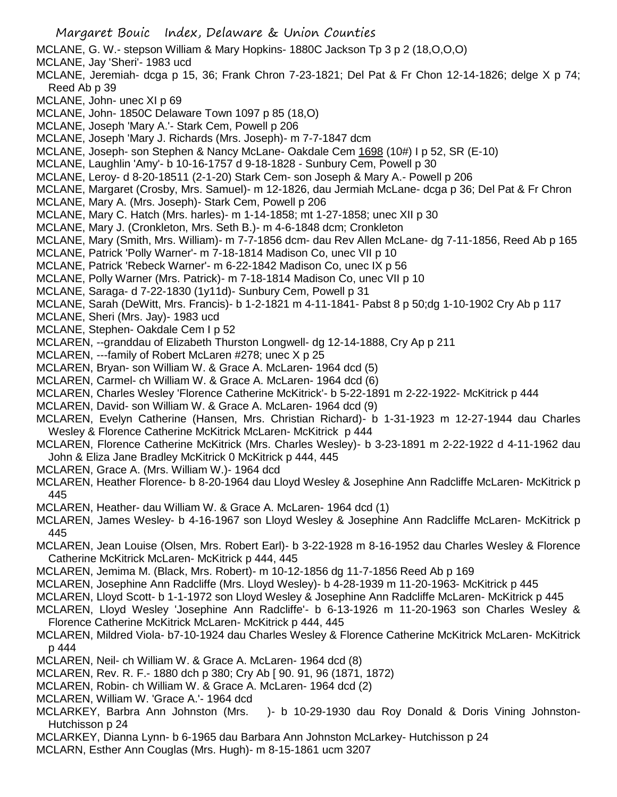- Margaret Bouic Index, Delaware & Union Counties MCLANE, G. W.- stepson William & Mary Hopkins- 1880C Jackson Tp 3 p 2 (18,O,O,O) MCLANE, Jay 'Sheri'- 1983 ucd MCLANE, Jeremiah- dcga p 15, 36; Frank Chron 7-23-1821; Del Pat & Fr Chon 12-14-1826; delge X p 74; Reed Ab p 39 MCLANE, John- unec XI p 69 MCLANE, John- 1850C Delaware Town 1097 p 85 (18,O) MCLANE, Joseph 'Mary A.'- Stark Cem, Powell p 206 MCLANE, Joseph 'Mary J. Richards (Mrs. Joseph)- m 7-7-1847 dcm MCLANE, Joseph- son Stephen & Nancy McLane- Oakdale Cem 1698 (10#) I p 52, SR (E-10) MCLANE, Laughlin 'Amy'- b 10-16-1757 d 9-18-1828 - Sunbury Cem, Powell p 30 MCLANE, Leroy- d 8-20-18511 (2-1-20) Stark Cem- son Joseph & Mary A.- Powell p 206 MCLANE, Margaret (Crosby, Mrs. Samuel)- m 12-1826, dau Jermiah McLane- dcga p 36; Del Pat & Fr Chron MCLANE, Mary A. (Mrs. Joseph)- Stark Cem, Powell p 206 MCLANE, Mary C. Hatch (Mrs. harles)- m 1-14-1858; mt 1-27-1858; unec XII p 30 MCLANE, Mary J. (Cronkleton, Mrs. Seth B.)- m 4-6-1848 dcm; Cronkleton MCLANE, Mary (Smith, Mrs. William)- m 7-7-1856 dcm- dau Rev Allen McLane- dg 7-11-1856, Reed Ab p 165 MCLANE, Patrick 'Polly Warner'- m 7-18-1814 Madison Co, unec VII p 10 MCLANE, Patrick 'Rebeck Warner'- m 6-22-1842 Madison Co, unec IX p 56 MCLANE, Polly Warner (Mrs. Patrick)- m 7-18-1814 Madison Co, unec VII p 10 MCLANE, Saraga- d 7-22-1830 (1y11d)- Sunbury Cem, Powell p 31 MCLANE, Sarah (DeWitt, Mrs. Francis)- b 1-2-1821 m 4-11-1841- Pabst 8 p 50;dg 1-10-1902 Cry Ab p 117 MCLANE, Sheri (Mrs. Jay)- 1983 ucd MCLANE, Stephen- Oakdale Cem I p 52 MCLAREN, --granddau of Elizabeth Thurston Longwell- dg 12-14-1888, Cry Ap p 211 MCLAREN, ---family of Robert McLaren #278; unec X p 25 MCLAREN, Bryan- son William W. & Grace A. McLaren- 1964 dcd (5) MCLAREN, Carmel- ch William W. & Grace A. McLaren- 1964 dcd (6) MCLAREN, Charles Wesley 'Florence Catherine McKitrick'- b 5-22-1891 m 2-22-1922- McKitrick p 444 MCLAREN, David- son William W. & Grace A. McLaren- 1964 dcd (9) MCLAREN, Evelyn Catherine (Hansen, Mrs. Christian Richard)- b 1-31-1923 m 12-27-1944 dau Charles Wesley & Florence Catherine McKitrick McLaren- McKitrick p 444 MCLAREN, Florence Catherine McKitrick (Mrs. Charles Wesley)- b 3-23-1891 m 2-22-1922 d 4-11-1962 dau John & Eliza Jane Bradley McKitrick 0 McKitrick p 444, 445 MCLAREN, Grace A. (Mrs. William W.)- 1964 dcd MCLAREN, Heather Florence- b 8-20-1964 dau Lloyd Wesley & Josephine Ann Radcliffe McLaren- McKitrick p 445 MCLAREN, Heather- dau William W. & Grace A. McLaren- 1964 dcd (1) MCLAREN, James Wesley- b 4-16-1967 son Lloyd Wesley & Josephine Ann Radcliffe McLaren- McKitrick p 445 MCLAREN, Jean Louise (Olsen, Mrs. Robert Earl)- b 3-22-1928 m 8-16-1952 dau Charles Wesley & Florence Catherine McKitrick McLaren- McKitrick p 444, 445 MCLAREN, Jemima M. (Black, Mrs. Robert)- m 10-12-1856 dg 11-7-1856 Reed Ab p 169 MCLAREN, Josephine Ann Radcliffe (Mrs. Lloyd Wesley)- b 4-28-1939 m 11-20-1963- McKitrick p 445 MCLAREN, Lloyd Scott- b 1-1-1972 son Lloyd Wesley & Josephine Ann Radcliffe McLaren- McKitrick p 445 MCLAREN, Lloyd Wesley 'Josephine Ann Radcliffe'- b 6-13-1926 m 11-20-1963 son Charles Wesley & Florence Catherine McKitrick McLaren- McKitrick p 444, 445 MCLAREN, Mildred Viola- b7-10-1924 dau Charles Wesley & Florence Catherine McKitrick McLaren- McKitrick p 444 MCLAREN, Neil- ch William W. & Grace A. McLaren- 1964 dcd (8) MCLAREN, Rev. R. F.- 1880 dch p 380; Cry Ab [ 90. 91, 96 (1871, 1872) MCLAREN, Robin- ch William W. & Grace A. McLaren- 1964 dcd (2) MCLAREN, William W. 'Grace A.'- 1964 dcd MCLARKEY, Barbra Ann Johnston (Mrs. )- b 10-29-1930 dau Roy Donald & Doris Vining Johnston-Hutchisson p 24 MCLARKEY, Dianna Lynn- b 6-1965 dau Barbara Ann Johnston McLarkey- Hutchisson p 24
- MCLARN, Esther Ann Couglas (Mrs. Hugh)- m 8-15-1861 ucm 3207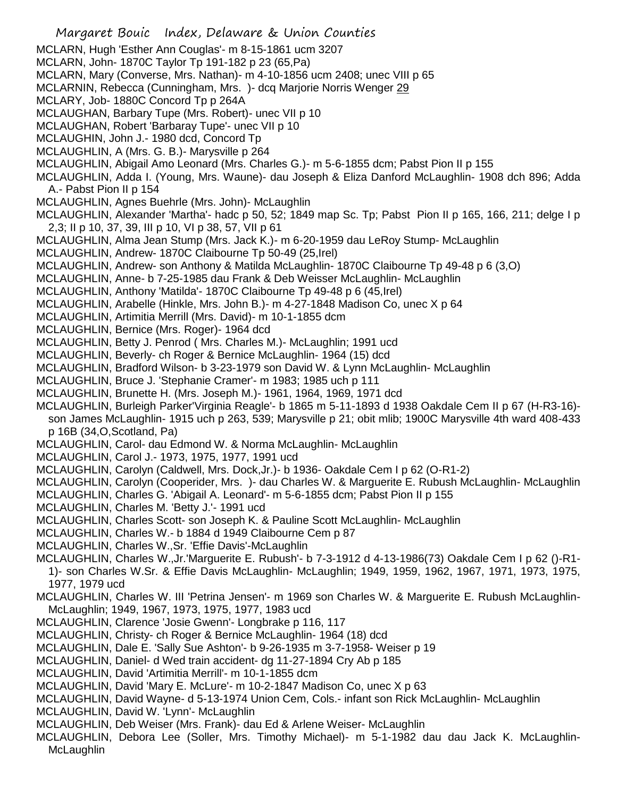Margaret Bouic Index, Delaware & Union Counties MCLARN, Hugh 'Esther Ann Couglas'- m 8-15-1861 ucm 3207 MCLARN, John- 1870C Taylor Tp 191-182 p 23 (65,Pa) MCLARN, Mary (Converse, Mrs. Nathan)- m 4-10-1856 ucm 2408; unec VIII p 65 MCLARNIN, Rebecca (Cunningham, Mrs.) - dcq Marjorie Norris Wenger 29 MCLARY, Job- 1880C Concord Tp p 264A MCLAUGHAN, Barbary Tupe (Mrs. Robert)- unec VII p 10 MCLAUGHAN, Robert 'Barbaray Tupe'- unec VII p 10 MCLAUGHIN, John J.- 1980 dcd, Concord Tp MCLAUGHLIN, A (Mrs. G. B.)- Marysville p 264 MCLAUGHLIN, Abigail Amo Leonard (Mrs. Charles G.)- m 5-6-1855 dcm; Pabst Pion II p 155 MCLAUGHLIN, Adda I. (Young, Mrs. Waune)- dau Joseph & Eliza Danford McLaughlin- 1908 dch 896; Adda A.- Pabst Pion II p 154 MCLAUGHLIN, Agnes Buehrle (Mrs. John)- McLaughlin MCLAUGHLIN, Alexander 'Martha'- hadc p 50, 52; 1849 map Sc. Tp; Pabst Pion II p 165, 166, 211; delge I p 2,3; II p 10, 37, 39, III p 10, VI p 38, 57, VII p 61 MCLAUGHLIN, Alma Jean Stump (Mrs. Jack K.)- m 6-20-1959 dau LeRoy Stump- McLaughlin MCLAUGHLIN, Andrew- 1870C Claibourne Tp 50-49 (25,Irel) MCLAUGHLIN, Andrew- son Anthony & Matilda McLaughlin- 1870C Claibourne Tp 49-48 p 6 (3,O) MCLAUGHLIN, Anne- b 7-25-1985 dau Frank & Deb Weisser McLaughlin- McLaughlin MCLAUGHLIN, Anthony 'Matilda'- 1870C Claibourne Tp 49-48 p 6 (45,Irel) MCLAUGHLIN, Arabelle (Hinkle, Mrs. John B.)- m 4-27-1848 Madison Co, unec X p 64 MCLAUGHLIN, Artimitia Merrill (Mrs. David)- m 10-1-1855 dcm MCLAUGHLIN, Bernice (Mrs. Roger)- 1964 dcd MCLAUGHLIN, Betty J. Penrod ( Mrs. Charles M.)- McLaughlin; 1991 ucd MCLAUGHLIN, Beverly- ch Roger & Bernice McLaughlin- 1964 (15) dcd MCLAUGHLIN, Bradford Wilson- b 3-23-1979 son David W. & Lynn McLaughlin- McLaughlin MCLAUGHLIN, Bruce J. 'Stephanie Cramer'- m 1983; 1985 uch p 111 MCLAUGHLIN, Brunette H. (Mrs. Joseph M.)- 1961, 1964, 1969, 1971 dcd MCLAUGHLIN, Burleigh Parker'Virginia Reagle'- b 1865 m 5-11-1893 d 1938 Oakdale Cem II p 67 (H-R3-16) son James McLaughlin- 1915 uch p 263, 539; Marysville p 21; obit mlib; 1900C Marysville 4th ward 408-433 p 16B (34,O,Scotland, Pa) MCLAUGHLIN, Carol- dau Edmond W. & Norma McLaughlin- McLaughlin MCLAUGHLIN, Carol J.- 1973, 1975, 1977, 1991 ucd MCLAUGHLIN, Carolyn (Caldwell, Mrs. Dock,Jr.)- b 1936- Oakdale Cem I p 62 (O-R1-2) MCLAUGHLIN, Carolyn (Cooperider, Mrs. )- dau Charles W. & Marguerite E. Rubush McLaughlin- McLaughlin MCLAUGHLIN, Charles G. 'Abigail A. Leonard'- m 5-6-1855 dcm; Pabst Pion II p 155 MCLAUGHLIN, Charles M. 'Betty J.'- 1991 ucd MCLAUGHLIN, Charles Scott- son Joseph K. & Pauline Scott McLaughlin- McLaughlin MCLAUGHLIN, Charles W.- b 1884 d 1949 Claibourne Cem p 87 MCLAUGHLIN, Charles W.,Sr. 'Effie Davis'-McLaughlin MCLAUGHLIN, Charles W.,Jr.'Marguerite E. Rubush'- b 7-3-1912 d 4-13-1986(73) Oakdale Cem I p 62 ()-R1- 1)- son Charles W.Sr. & Effie Davis McLaughlin- McLaughlin; 1949, 1959, 1962, 1967, 1971, 1973, 1975, 1977, 1979 ucd MCLAUGHLIN, Charles W. III 'Petrina Jensen'- m 1969 son Charles W. & Marguerite E. Rubush McLaughlin-McLaughlin; 1949, 1967, 1973, 1975, 1977, 1983 ucd MCLAUGHLIN, Clarence 'Josie Gwenn'- Longbrake p 116, 117 MCLAUGHLIN, Christy- ch Roger & Bernice McLaughlin- 1964 (18) dcd MCLAUGHLIN, Dale E. 'Sally Sue Ashton'- b 9-26-1935 m 3-7-1958- Weiser p 19 MCLAUGHLIN, Daniel- d Wed train accident- dg 11-27-1894 Cry Ab p 185 MCLAUGHLIN, David 'Artimitia Merrill'- m 10-1-1855 dcm MCLAUGHLIN, David 'Mary E. McLure'- m 10-2-1847 Madison Co, unec X p 63 MCLAUGHLIN, David Wayne- d 5-13-1974 Union Cem, Cols.- infant son Rick McLaughlin- McLaughlin MCLAUGHLIN, David W. 'Lynn'- McLaughlin MCLAUGHLIN, Deb Weiser (Mrs. Frank)- dau Ed & Arlene Weiser- McLaughlin MCLAUGHLIN, Debora Lee (Soller, Mrs. Timothy Michael)- m 5-1-1982 dau dau Jack K. McLaughlin-**McLaughlin**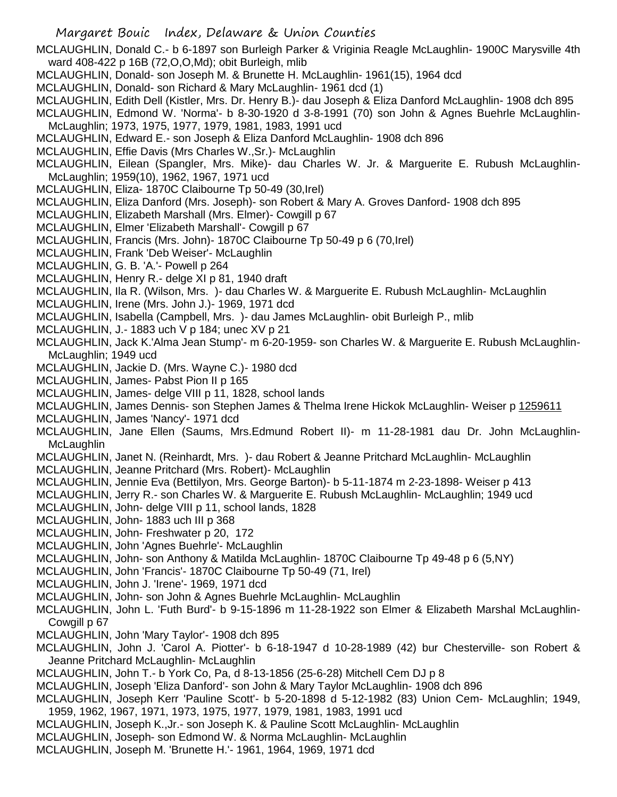MCLAUGHLIN, Donald C.- b 6-1897 son Burleigh Parker & Vriginia Reagle McLaughlin- 1900C Marysville 4th ward 408-422 p 16B (72,O,O,Md); obit Burleigh, mlib

- MCLAUGHLIN, Donald- son Joseph M. & Brunette H. McLaughlin- 1961(15), 1964 dcd
- MCLAUGHLIN, Donald- son Richard & Mary McLaughlin- 1961 dcd (1)
- MCLAUGHLIN, Edith Dell (Kistler, Mrs. Dr. Henry B.)- dau Joseph & Eliza Danford McLaughlin- 1908 dch 895

MCLAUGHLIN, Edmond W. 'Norma'- b 8-30-1920 d 3-8-1991 (70) son John & Agnes Buehrle McLaughlin-McLaughlin; 1973, 1975, 1977, 1979, 1981, 1983, 1991 ucd

- MCLAUGHLIN, Edward E.- son Joseph & Eliza Danford McLaughlin- 1908 dch 896
- MCLAUGHLIN, Effie Davis (Mrs Charles W.,Sr.)- McLaughlin

MCLAUGHLIN, Eilean (Spangler, Mrs. Mike)- dau Charles W. Jr. & Marguerite E. Rubush McLaughlin-McLaughlin; 1959(10), 1962, 1967, 1971 ucd

- MCLAUGHLIN, Eliza- 1870C Claibourne Tp 50-49 (30,Irel)
- MCLAUGHLIN, Eliza Danford (Mrs. Joseph)- son Robert & Mary A. Groves Danford- 1908 dch 895
- MCLAUGHLIN, Elizabeth Marshall (Mrs. Elmer)- Cowgill p 67
- MCLAUGHLIN, Elmer 'Elizabeth Marshall'- Cowgill p 67
- MCLAUGHLIN, Francis (Mrs. John)- 1870C Claibourne Tp 50-49 p 6 (70,Irel)
- MCLAUGHLIN, Frank 'Deb Weiser'- McLaughlin
- MCLAUGHLIN, G. B. 'A.'- Powell p 264
- MCLAUGHLIN, Henry R.- delge XI p 81, 1940 draft
- MCLAUGHLIN, Ila R. (Wilson, Mrs. )- dau Charles W. & Marguerite E. Rubush McLaughlin- McLaughlin
- MCLAUGHLIN, Irene (Mrs. John J.)- 1969, 1971 dcd
- MCLAUGHLIN, Isabella (Campbell, Mrs. )- dau James McLaughlin- obit Burleigh P., mlib
- MCLAUGHLIN, J.- 1883 uch V p 184; unec XV p 21
- MCLAUGHLIN, Jack K.'Alma Jean Stump'- m 6-20-1959- son Charles W. & Marguerite E. Rubush McLaughlin-McLaughlin; 1949 ucd
- MCLAUGHLIN, Jackie D. (Mrs. Wayne C.)- 1980 dcd
- MCLAUGHLIN, James- Pabst Pion II p 165
- MCLAUGHLIN, James- delge VIII p 11, 1828, school lands
- MCLAUGHLIN, James Dennis- son Stephen James & Thelma Irene Hickok McLaughlin- Weiser p 1259611
- MCLAUGHLIN, James 'Nancy'- 1971 dcd
- MCLAUGHLIN, Jane Ellen (Saums, Mrs.Edmund Robert II)- m 11-28-1981 dau Dr. John McLaughlin-**McLaughlin**
- MCLAUGHLIN, Janet N. (Reinhardt, Mrs. )- dau Robert & Jeanne Pritchard McLaughlin- McLaughlin
- MCLAUGHLIN, Jeanne Pritchard (Mrs. Robert)- McLaughlin
- MCLAUGHLIN, Jennie Eva (Bettilyon, Mrs. George Barton)- b 5-11-1874 m 2-23-1898- Weiser p 413
- MCLAUGHLIN, Jerry R.- son Charles W. & Marguerite E. Rubush McLaughlin- McLaughlin; 1949 ucd
- MCLAUGHLIN, John- delge VIII p 11, school lands, 1828
- MCLAUGHLIN, John- 1883 uch III p 368
- MCLAUGHLIN, John- Freshwater p 20, 172
- MCLAUGHLIN, John 'Agnes Buehrle'- McLaughlin
- MCLAUGHLIN, John- son Anthony & Matilda McLaughlin- 1870C Claibourne Tp 49-48 p 6 (5,NY)
- MCLAUGHLIN, John 'Francis'- 1870C Claibourne Tp 50-49 (71, Irel)
- MCLAUGHLIN, John J. 'Irene'- 1969, 1971 dcd
- MCLAUGHLIN, John- son John & Agnes Buehrle McLaughlin- McLaughlin
- MCLAUGHLIN, John L. 'Futh Burd'- b 9-15-1896 m 11-28-1922 son Elmer & Elizabeth Marshal McLaughlin-Cowgill p 67
- MCLAUGHLIN, John 'Mary Taylor'- 1908 dch 895
- MCLAUGHLIN, John J. 'Carol A. Piotter'- b 6-18-1947 d 10-28-1989 (42) bur Chesterville- son Robert & Jeanne Pritchard McLaughlin- McLaughlin
- MCLAUGHLIN, John T.- b York Co, Pa, d 8-13-1856 (25-6-28) Mitchell Cem DJ p 8
- MCLAUGHLIN, Joseph 'Eliza Danford'- son John & Mary Taylor McLaughlin- 1908 dch 896
- MCLAUGHLIN, Joseph Kerr 'Pauline Scott'- b 5-20-1898 d 5-12-1982 (83) Union Cem- McLaughlin; 1949, 1959, 1962, 1967, 1971, 1973, 1975, 1977, 1979, 1981, 1983, 1991 ucd
- MCLAUGHLIN, Joseph K.,Jr.- son Joseph K. & Pauline Scott McLaughlin- McLaughlin
- MCLAUGHLIN, Joseph- son Edmond W. & Norma McLaughlin- McLaughlin
- MCLAUGHLIN, Joseph M. 'Brunette H.'- 1961, 1964, 1969, 1971 dcd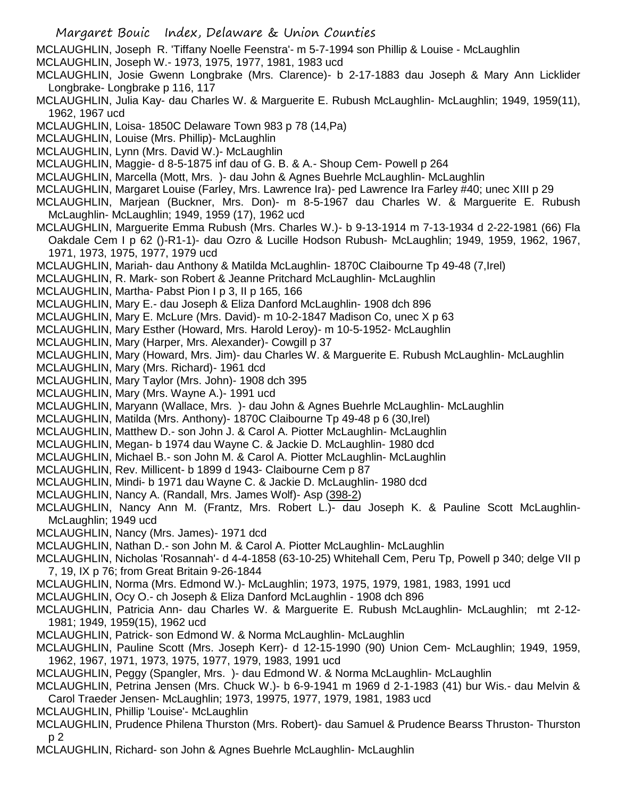MCLAUGHLIN, Joseph R. 'Tiffany Noelle Feenstra'- m 5-7-1994 son Phillip & Louise - McLaughlin

- MCLAUGHLIN, Joseph W.- 1973, 1975, 1977, 1981, 1983 ucd
- MCLAUGHLIN, Josie Gwenn Longbrake (Mrs. Clarence)- b 2-17-1883 dau Joseph & Mary Ann Licklider Longbrake- Longbrake p 116, 117
- MCLAUGHLIN, Julia Kay- dau Charles W. & Marguerite E. Rubush McLaughlin- McLaughlin; 1949, 1959(11), 1962, 1967 ucd
- MCLAUGHLIN, Loisa- 1850C Delaware Town 983 p 78 (14,Pa)
- MCLAUGHLIN, Louise (Mrs. Phillip)- McLaughlin
- MCLAUGHLIN, Lynn (Mrs. David W.)- McLaughlin
- MCLAUGHLIN, Maggie- d 8-5-1875 inf dau of G. B. & A.- Shoup Cem- Powell p 264
- MCLAUGHLIN, Marcella (Mott, Mrs. )- dau John & Agnes Buehrle McLaughlin- McLaughlin
- MCLAUGHLIN, Margaret Louise (Farley, Mrs. Lawrence Ira)- ped Lawrence Ira Farley #40; unec XIII p 29
- MCLAUGHLIN, Marjean (Buckner, Mrs. Don)- m 8-5-1967 dau Charles W. & Marguerite E. Rubush McLaughlin- McLaughlin; 1949, 1959 (17), 1962 ucd
- MCLAUGHLIN, Marguerite Emma Rubush (Mrs. Charles W.)- b 9-13-1914 m 7-13-1934 d 2-22-1981 (66) Fla Oakdale Cem I p 62 ()-R1-1)- dau Ozro & Lucille Hodson Rubush- McLaughlin; 1949, 1959, 1962, 1967, 1971, 1973, 1975, 1977, 1979 ucd
- MCLAUGHLIN, Mariah- dau Anthony & Matilda McLaughlin- 1870C Claibourne Tp 49-48 (7,Irel)
- MCLAUGHLIN, R. Mark- son Robert & Jeanne Pritchard McLaughlin- McLaughlin
- MCLAUGHLIN, Martha- Pabst Pion I p 3, II p 165, 166
- MCLAUGHLIN, Mary E.- dau Joseph & Eliza Danford McLaughlin- 1908 dch 896
- MCLAUGHLIN, Mary E. McLure (Mrs. David)- m 10-2-1847 Madison Co, unec X p 63
- MCLAUGHLIN, Mary Esther (Howard, Mrs. Harold Leroy)- m 10-5-1952- McLaughlin
- MCLAUGHLIN, Mary (Harper, Mrs. Alexander)- Cowgill p 37
- MCLAUGHLIN, Mary (Howard, Mrs. Jim)- dau Charles W. & Marguerite E. Rubush McLaughlin- McLaughlin
- MCLAUGHLIN, Mary (Mrs. Richard)- 1961 dcd
- MCLAUGHLIN, Mary Taylor (Mrs. John)- 1908 dch 395
- MCLAUGHLIN, Mary (Mrs. Wayne A.)- 1991 ucd
- MCLAUGHLIN, Maryann (Wallace, Mrs. )- dau John & Agnes Buehrle McLaughlin- McLaughlin
- MCLAUGHLIN, Matilda (Mrs. Anthony)- 1870C Claibourne Tp 49-48 p 6 (30,Irel)
- MCLAUGHLIN, Matthew D.- son John J. & Carol A. Piotter McLaughlin- McLaughlin
- MCLAUGHLIN, Megan- b 1974 dau Wayne C. & Jackie D. McLaughlin- 1980 dcd
- MCLAUGHLIN, Michael B.- son John M. & Carol A. Piotter McLaughlin- McLaughlin
- MCLAUGHLIN, Rev. Millicent- b 1899 d 1943- Claibourne Cem p 87
- MCLAUGHLIN, Mindi- b 1971 dau Wayne C. & Jackie D. McLaughlin- 1980 dcd
- MCLAUGHLIN, Nancy A. (Randall, Mrs. James Wolf)- Asp (398-2)
- MCLAUGHLIN, Nancy Ann M. (Frantz, Mrs. Robert L.)- dau Joseph K. & Pauline Scott McLaughlin-McLaughlin; 1949 ucd
- MCLAUGHLIN, Nancy (Mrs. James)- 1971 dcd
- MCLAUGHLIN, Nathan D.- son John M. & Carol A. Piotter McLaughlin- McLaughlin
- MCLAUGHLIN, Nicholas 'Rosannah'- d 4-4-1858 (63-10-25) Whitehall Cem, Peru Tp, Powell p 340; delge VII p 7, 19, IX p 76; from Great Britain 9-26-1844
- MCLAUGHLIN, Norma (Mrs. Edmond W.)- McLaughlin; 1973, 1975, 1979, 1981, 1983, 1991 ucd
- MCLAUGHLIN, Ocy O.- ch Joseph & Eliza Danford McLaughlin 1908 dch 896
- MCLAUGHLIN, Patricia Ann- dau Charles W. & Marguerite E. Rubush McLaughlin- McLaughlin; mt 2-12- 1981; 1949, 1959(15), 1962 ucd
- MCLAUGHLIN, Patrick- son Edmond W. & Norma McLaughlin- McLaughlin
- MCLAUGHLIN, Pauline Scott (Mrs. Joseph Kerr)- d 12-15-1990 (90) Union Cem- McLaughlin; 1949, 1959, 1962, 1967, 1971, 1973, 1975, 1977, 1979, 1983, 1991 ucd
- MCLAUGHLIN, Peggy (Spangler, Mrs. )- dau Edmond W. & Norma McLaughlin- McLaughlin
- MCLAUGHLIN, Petrina Jensen (Mrs. Chuck W.)- b 6-9-1941 m 1969 d 2-1-1983 (41) bur Wis.- dau Melvin & Carol Traeder Jensen- McLaughlin; 1973, 19975, 1977, 1979, 1981, 1983 ucd
- MCLAUGHLIN, Phillip 'Louise'- McLaughlin
- MCLAUGHLIN, Prudence Philena Thurston (Mrs. Robert)- dau Samuel & Prudence Bearss Thruston- Thurston p 2
- MCLAUGHLIN, Richard- son John & Agnes Buehrle McLaughlin- McLaughlin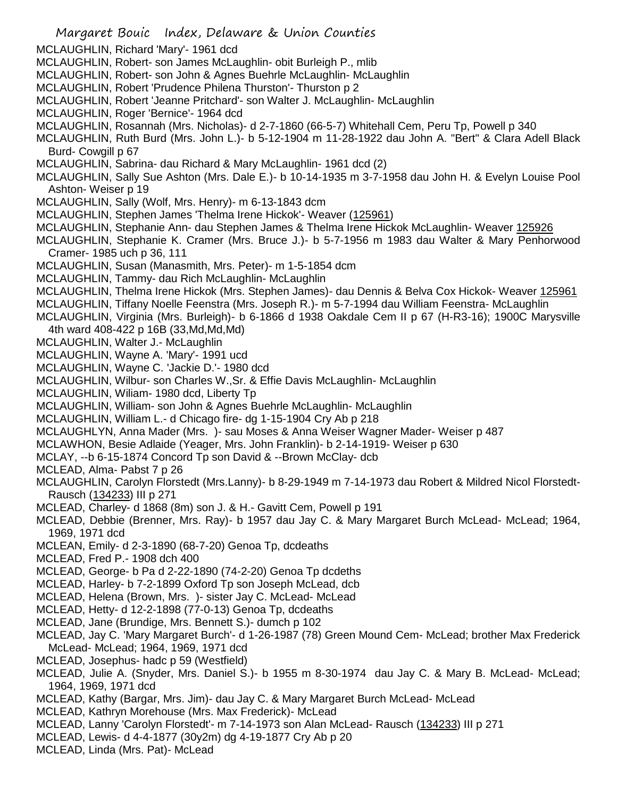- Margaret Bouic Index, Delaware & Union Counties MCLAUGHLIN, Richard 'Mary'- 1961 dcd MCLAUGHLIN, Robert- son James McLaughlin- obit Burleigh P., mlib MCLAUGHLIN, Robert- son John & Agnes Buehrle McLaughlin- McLaughlin MCLAUGHLIN, Robert 'Prudence Philena Thurston'- Thurston p 2 MCLAUGHLIN, Robert 'Jeanne Pritchard'- son Walter J. McLaughlin- McLaughlin MCLAUGHLIN, Roger 'Bernice'- 1964 dcd MCLAUGHLIN, Rosannah (Mrs. Nicholas)- d 2-7-1860 (66-5-7) Whitehall Cem, Peru Tp, Powell p 340 MCLAUGHLIN, Ruth Burd (Mrs. John L.)- b 5-12-1904 m 11-28-1922 dau John A. "Bert" & Clara Adell Black Burd- Cowgill p 67 MCLAUGHLIN, Sabrina- dau Richard & Mary McLaughlin- 1961 dcd (2) MCLAUGHLIN, Sally Sue Ashton (Mrs. Dale E.)- b 10-14-1935 m 3-7-1958 dau John H. & Evelyn Louise Pool Ashton- Weiser p 19 MCLAUGHLIN, Sally (Wolf, Mrs. Henry)- m 6-13-1843 dcm MCLAUGHLIN, Stephen James 'Thelma Irene Hickok'- Weaver (125961) MCLAUGHLIN, Stephanie Ann- dau Stephen James & Thelma Irene Hickok McLaughlin- Weaver 125926 MCLAUGHLIN, Stephanie K. Cramer (Mrs. Bruce J.)- b 5-7-1956 m 1983 dau Walter & Mary Penhorwood Cramer- 1985 uch p 36, 111 MCLAUGHLIN, Susan (Manasmith, Mrs. Peter)- m 1-5-1854 dcm MCLAUGHLIN, Tammy- dau Rich McLaughlin- McLaughlin MCLAUGHLIN, Thelma Irene Hickok (Mrs. Stephen James)- dau Dennis & Belva Cox Hickok- Weaver 125961 MCLAUGHLIN, Tiffany Noelle Feenstra (Mrs. Joseph R.)- m 5-7-1994 dau William Feenstra- McLaughlin MCLAUGHLIN, Virginia (Mrs. Burleigh)- b 6-1866 d 1938 Oakdale Cem II p 67 (H-R3-16); 1900C Marysville 4th ward 408-422 p 16B (33,Md,Md,Md) MCLAUGHLIN, Walter J.- McLaughlin MCLAUGHLIN, Wayne A. 'Mary'- 1991 ucd MCLAUGHLIN, Wayne C. 'Jackie D.'- 1980 dcd MCLAUGHLIN, Wilbur- son Charles W.,Sr. & Effie Davis McLaughlin- McLaughlin MCLAUGHLIN, Wiliam- 1980 dcd, Liberty Tp MCLAUGHLIN, William- son John & Agnes Buehrle McLaughlin- McLaughlin MCLAUGHLIN, William L.- d Chicago fire- dg 1-15-1904 Cry Ab p 218 MCLAUGHLYN, Anna Mader (Mrs. )- sau Moses & Anna Weiser Wagner Mader- Weiser p 487 MCLAWHON, Besie Adlaide (Yeager, Mrs. John Franklin)- b 2-14-1919- Weiser p 630 MCLAY, --b 6-15-1874 Concord Tp son David & --Brown McClay- dcb MCLEAD, Alma- Pabst 7 p 26 MCLAUGHLIN, Carolyn Florstedt (Mrs.Lanny)- b 8-29-1949 m 7-14-1973 dau Robert & Mildred Nicol Florstedt-Rausch (134233) III p 271 MCLEAD, Charley- d 1868 (8m) son J. & H.- Gavitt Cem, Powell p 191 MCLEAD, Debbie (Brenner, Mrs. Ray)- b 1957 dau Jay C. & Mary Margaret Burch McLead- McLead; 1964, 1969, 1971 dcd MCLEAN, Emily- d 2-3-1890 (68-7-20) Genoa Tp, dcdeaths MCLEAD, Fred P.- 1908 dch 400 MCLEAD, George- b Pa d 2-22-1890 (74-2-20) Genoa Tp dcdeths MCLEAD, Harley- b 7-2-1899 Oxford Tp son Joseph McLead, dcb MCLEAD, Helena (Brown, Mrs. )- sister Jay C. McLead- McLead MCLEAD, Hetty- d 12-2-1898 (77-0-13) Genoa Tp, dcdeaths MCLEAD, Jane (Brundige, Mrs. Bennett S.)- dumch p 102 MCLEAD, Jay C. 'Mary Margaret Burch'- d 1-26-1987 (78) Green Mound Cem- McLead; brother Max Frederick McLead- McLead; 1964, 1969, 1971 dcd MCLEAD, Josephus- hadc p 59 (Westfield) MCLEAD, Julie A. (Snyder, Mrs. Daniel S.)- b 1955 m 8-30-1974 dau Jay C. & Mary B. McLead- McLead;
- 1964, 1969, 1971 dcd
- MCLEAD, Kathy (Bargar, Mrs. Jim)- dau Jay C. & Mary Margaret Burch McLead- McLead
- MCLEAD, Kathryn Morehouse (Mrs. Max Frederick)- McLead
- MCLEAD, Lanny 'Carolyn Florstedt'- m 7-14-1973 son Alan McLead- Rausch (134233) III p 271
- MCLEAD, Lewis- d 4-4-1877 (30y2m) dg 4-19-1877 Cry Ab p 20
- MCLEAD, Linda (Mrs. Pat)- McLead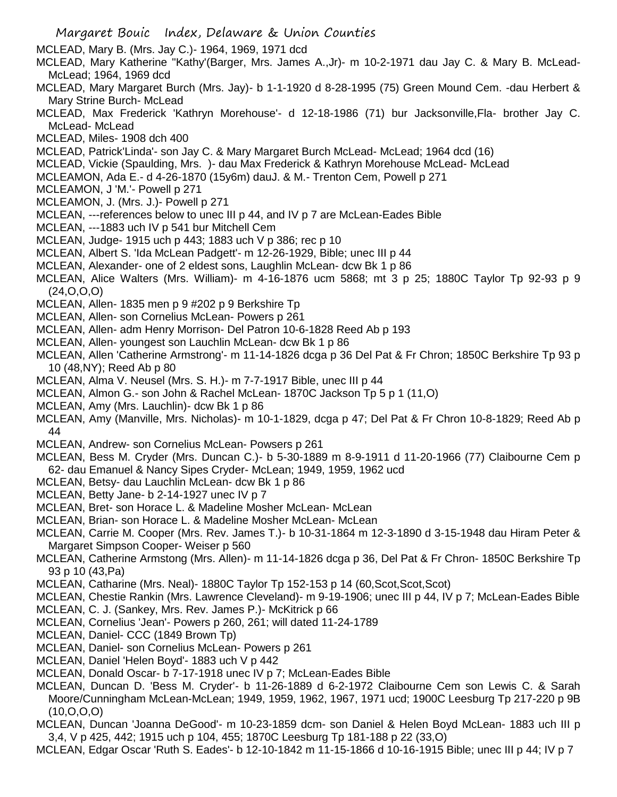- Margaret Bouic Index, Delaware & Union Counties MCLEAD, Mary B. (Mrs. Jay C.)- 1964, 1969, 1971 dcd MCLEAD, Mary Katherine "Kathy'(Barger, Mrs. James A.,Jr)- m 10-2-1971 dau Jay C. & Mary B. McLead-McLead; 1964, 1969 dcd MCLEAD, Mary Margaret Burch (Mrs. Jay)- b 1-1-1920 d 8-28-1995 (75) Green Mound Cem. -dau Herbert & Mary Strine Burch- McLead MCLEAD, Max Frederick 'Kathryn Morehouse'- d 12-18-1986 (71) bur Jacksonville,Fla- brother Jay C. McLead- McLead MCLEAD, Miles- 1908 dch 400 MCLEAD, Patrick'Linda'- son Jay C. & Mary Margaret Burch McLead- McLead; 1964 dcd (16) MCLEAD, Vickie (Spaulding, Mrs. )- dau Max Frederick & Kathryn Morehouse McLead- McLead MCLEAMON, Ada E.- d 4-26-1870 (15y6m) dauJ. & M.- Trenton Cem, Powell p 271 MCLEAMON, J 'M.'- Powell p 271 MCLEAMON, J. (Mrs. J.)- Powell p 271 MCLEAN, ---references below to unec III p 44, and IV p 7 are McLean-Eades Bible MCLEAN, ---1883 uch IV p 541 bur Mitchell Cem MCLEAN, Judge- 1915 uch p 443; 1883 uch V p 386; rec p 10 MCLEAN, Albert S. 'Ida McLean Padgett'- m 12-26-1929, Bible; unec III p 44 MCLEAN, Alexander- one of 2 eldest sons, Laughlin McLean- dcw Bk 1 p 86 MCLEAN, Alice Walters (Mrs. William)- m 4-16-1876 ucm 5868; mt 3 p 25; 1880C Taylor Tp 92-93 p 9 (24,O,O,O) MCLEAN, Allen- 1835 men p 9 #202 p 9 Berkshire Tp MCLEAN, Allen- son Cornelius McLean- Powers p 261 MCLEAN, Allen- adm Henry Morrison- Del Patron 10-6-1828 Reed Ab p 193 MCLEAN, Allen- youngest son Lauchlin McLean- dcw Bk 1 p 86 MCLEAN, Allen 'Catherine Armstrong'- m 11-14-1826 dcga p 36 Del Pat & Fr Chron; 1850C Berkshire Tp 93 p 10 (48,NY); Reed Ab p 80 MCLEAN, Alma V. Neusel (Mrs. S. H.)- m 7-7-1917 Bible, unec III p 44 MCLEAN, Almon G.- son John & Rachel McLean- 1870C Jackson Tp 5 p 1 (11,O) MCLEAN, Amy (Mrs. Lauchlin)- dcw Bk 1 p 86 MCLEAN, Amy (Manville, Mrs. Nicholas)- m 10-1-1829, dcga p 47; Del Pat & Fr Chron 10-8-1829; Reed Ab p 44 MCLEAN, Andrew- son Cornelius McLean- Powsers p 261 MCLEAN, Bess M. Cryder (Mrs. Duncan C.)- b 5-30-1889 m 8-9-1911 d 11-20-1966 (77) Claibourne Cem p 62- dau Emanuel & Nancy Sipes Cryder- McLean; 1949, 1959, 1962 ucd MCLEAN, Betsy- dau Lauchlin McLean- dcw Bk 1 p 86 MCLEAN, Betty Jane- b 2-14-1927 unec IV p 7 MCLEAN, Bret- son Horace L. & Madeline Mosher McLean- McLean MCLEAN, Brian- son Horace L. & Madeline Mosher McLean- McLean MCLEAN, Carrie M. Cooper (Mrs. Rev. James T.)- b 10-31-1864 m 12-3-1890 d 3-15-1948 dau Hiram Peter & Margaret Simpson Cooper- Weiser p 560 MCLEAN, Catherine Armstong (Mrs. Allen)- m 11-14-1826 dcga p 36, Del Pat & Fr Chron- 1850C Berkshire Tp 93 p 10 (43,Pa) MCLEAN, Catharine (Mrs. Neal)- 1880C Taylor Tp 152-153 p 14 (60,Scot,Scot,Scot) MCLEAN, Chestie Rankin (Mrs. Lawrence Cleveland)- m 9-19-1906; unec III p 44, IV p 7; McLean-Eades Bible MCLEAN, C. J. (Sankey, Mrs. Rev. James P.)- McKitrick p 66 MCLEAN, Cornelius 'Jean'- Powers p 260, 261; will dated 11-24-1789 MCLEAN, Daniel- CCC (1849 Brown Tp) MCLEAN, Daniel- son Cornelius McLean- Powers p 261 MCLEAN, Daniel 'Helen Boyd'- 1883 uch V p 442 MCLEAN, Donald Oscar- b 7-17-1918 unec IV p 7; McLean-Eades Bible MCLEAN, Duncan D. 'Bess M. Cryder'- b 11-26-1889 d 6-2-1972 Claibourne Cem son Lewis C. & Sarah Moore/Cunningham McLean-McLean; 1949, 1959, 1962, 1967, 1971 ucd; 1900C Leesburg Tp 217-220 p 9B
- (10,O,O,O) MCLEAN, Duncan 'Joanna DeGood'- m 10-23-1859 dcm- son Daniel & Helen Boyd McLean- 1883 uch III p 3,4, V p 425, 442; 1915 uch p 104, 455; 1870C Leesburg Tp 181-188 p 22 (33,O)
- MCLEAN, Edgar Oscar 'Ruth S. Eades'- b 12-10-1842 m 11-15-1866 d 10-16-1915 Bible; unec III p 44; IV p 7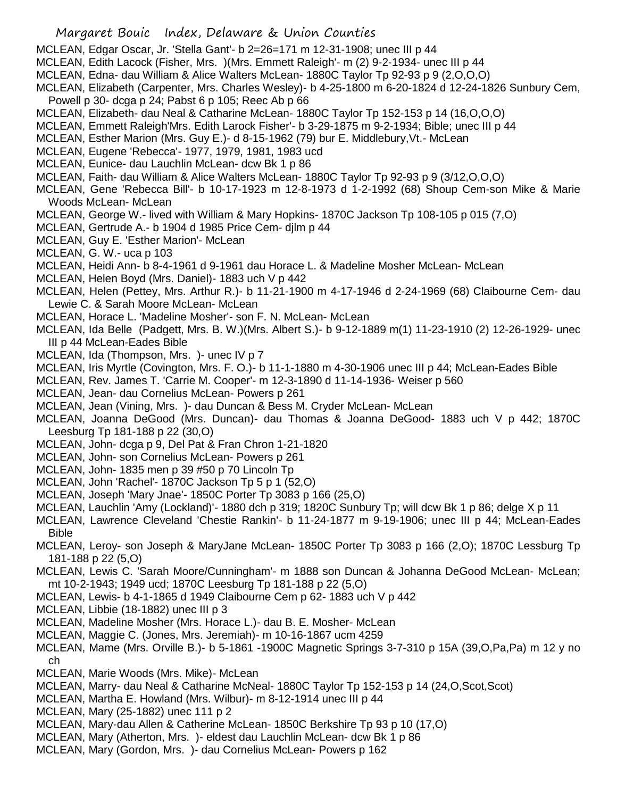- MCLEAN, Edgar Oscar, Jr. 'Stella Gant'- b 2=26=171 m 12-31-1908; unec III p 44
- MCLEAN, Edith Lacock (Fisher, Mrs. )(Mrs. Emmett Raleigh'- m (2) 9-2-1934- unec III p 44
- MCLEAN, Edna- dau William & Alice Walters McLean- 1880C Taylor Tp 92-93 p 9 (2,O,O,O)
- MCLEAN, Elizabeth (Carpenter, Mrs. Charles Wesley)- b 4-25-1800 m 6-20-1824 d 12-24-1826 Sunbury Cem, Powell p 30- dcga p 24; Pabst 6 p 105; Reec Ab p 66
- MCLEAN, Elizabeth- dau Neal & Catharine McLean- 1880C Taylor Tp 152-153 p 14 (16,O,O,O)
- MCLEAN, Emmett Raleigh'Mrs. Edith Larock Fisher'- b 3-29-1875 m 9-2-1934; Bible; unec III p 44
- MCLEAN, Esther Marion (Mrs. Guy E.)- d 8-15-1962 (79) bur E. Middlebury,Vt.- McLean
- MCLEAN, Eugene 'Rebecca'- 1977, 1979, 1981, 1983 ucd
- MCLEAN, Eunice- dau Lauchlin McLean- dcw Bk 1 p 86
- MCLEAN, Faith- dau William & Alice Walters McLean- 1880C Taylor Tp 92-93 p 9 (3/12,O,O,O)
- MCLEAN, Gene 'Rebecca Bill'- b 10-17-1923 m 12-8-1973 d 1-2-1992 (68) Shoup Cem-son Mike & Marie Woods McLean- McLean
- MCLEAN, George W.- lived with William & Mary Hopkins- 1870C Jackson Tp 108-105 p 015 (7,O)
- MCLEAN, Gertrude A.- b 1904 d 1985 Price Cem- djlm p 44
- MCLEAN, Guy E. 'Esther Marion'- McLean
- MCLEAN, G. W.- uca p 103
- MCLEAN, Heidi Ann- b 8-4-1961 d 9-1961 dau Horace L. & Madeline Mosher McLean- McLean
- MCLEAN, Helen Boyd (Mrs. Daniel)- 1883 uch V p 442
- MCLEAN, Helen (Pettey, Mrs. Arthur R.)- b 11-21-1900 m 4-17-1946 d 2-24-1969 (68) Claibourne Cem- dau Lewie C. & Sarah Moore McLean- McLean
- MCLEAN, Horace L. 'Madeline Mosher'- son F. N. McLean- McLean
- MCLEAN, Ida Belle (Padgett, Mrs. B. W.)(Mrs. Albert S.)- b 9-12-1889 m(1) 11-23-1910 (2) 12-26-1929- unec III p 44 McLean-Eades Bible
- MCLEAN, Ida (Thompson, Mrs. )- unec IV p 7
- MCLEAN, Iris Myrtle (Covington, Mrs. F. O.)- b 11-1-1880 m 4-30-1906 unec III p 44; McLean-Eades Bible
- MCLEAN, Rev. James T. 'Carrie M. Cooper'- m 12-3-1890 d 11-14-1936- Weiser p 560
- MCLEAN, Jean- dau Cornelius McLean- Powers p 261
- MCLEAN, Jean (Vining, Mrs. )- dau Duncan & Bess M. Cryder McLean- McLean
- MCLEAN, Joanna DeGood (Mrs. Duncan)- dau Thomas & Joanna DeGood- 1883 uch V p 442; 1870C Leesburg Tp 181-188 p 22 (30,O)
- MCLEAN, John- dcga p 9, Del Pat & Fran Chron 1-21-1820
- MCLEAN, John- son Cornelius McLean- Powers p 261
- MCLEAN, John- 1835 men p 39 #50 p 70 Lincoln Tp
- MCLEAN, John 'Rachel'- 1870C Jackson Tp 5 p 1 (52,O)
- MCLEAN, Joseph 'Mary Jnae'- 1850C Porter Tp 3083 p 166 (25,O)
- MCLEAN, Lauchlin 'Amy (Lockland)'- 1880 dch p 319; 1820C Sunbury Tp; will dcw Bk 1 p 86; delge X p 11
- MCLEAN, Lawrence Cleveland 'Chestie Rankin'- b 11-24-1877 m 9-19-1906; unec III p 44; McLean-Eades Bible
- MCLEAN, Leroy- son Joseph & MaryJane McLean- 1850C Porter Tp 3083 p 166 (2,O); 1870C Lessburg Tp 181-188 p 22 (5,O)
- MCLEAN, Lewis C. 'Sarah Moore/Cunningham'- m 1888 son Duncan & Johanna DeGood McLean- McLean; mt 10-2-1943; 1949 ucd; 1870C Leesburg Tp 181-188 p 22 (5,O)
- MCLEAN, Lewis- b 4-1-1865 d 1949 Claibourne Cem p 62- 1883 uch V p 442
- MCLEAN, Libbie (18-1882) unec III p 3
- MCLEAN, Madeline Mosher (Mrs. Horace L.)- dau B. E. Mosher- McLean
- MCLEAN, Maggie C. (Jones, Mrs. Jeremiah)- m 10-16-1867 ucm 4259
- MCLEAN, Mame (Mrs. Orville B.)- b 5-1861 -1900C Magnetic Springs 3-7-310 p 15A (39,O,Pa,Pa) m 12 y no ch
- MCLEAN, Marie Woods (Mrs. Mike)- McLean
- MCLEAN, Marry- dau Neal & Catharine McNeal- 1880C Taylor Tp 152-153 p 14 (24,O,Scot,Scot)
- MCLEAN, Martha E. Howland (Mrs. Wilbur)- m 8-12-1914 unec III p 44
- MCLEAN, Mary (25-1882) unec 111 p 2
- MCLEAN, Mary-dau Allen & Catherine McLean- 1850C Berkshire Tp 93 p 10 (17,O)
- MCLEAN, Mary (Atherton, Mrs. )- eldest dau Lauchlin McLean- dcw Bk 1 p 86
- MCLEAN, Mary (Gordon, Mrs. )- dau Cornelius McLean- Powers p 162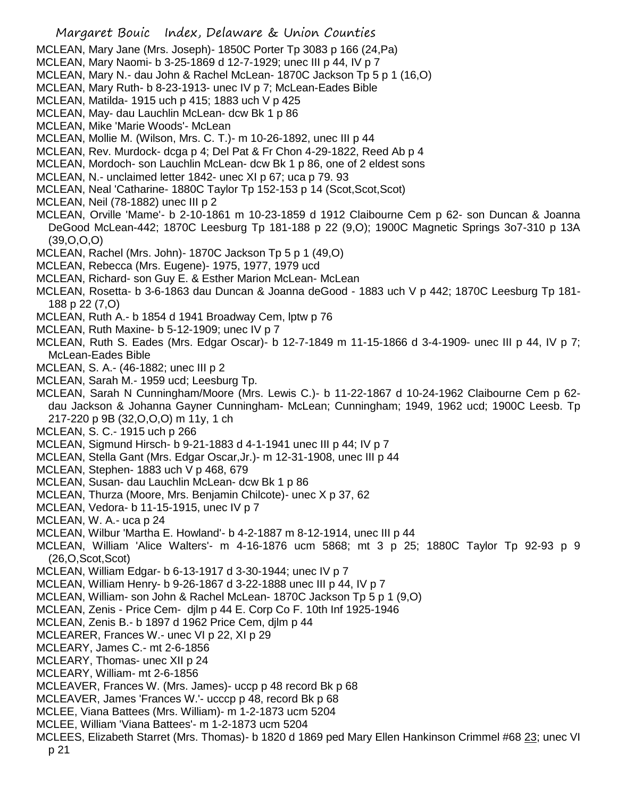- Margaret Bouic Index, Delaware & Union Counties
- MCLEAN, Mary Jane (Mrs. Joseph)- 1850C Porter Tp 3083 p 166 (24,Pa)
- MCLEAN, Mary Naomi- b 3-25-1869 d 12-7-1929; unec III p 44, IV p 7
- MCLEAN, Mary N.- dau John & Rachel McLean- 1870C Jackson Tp 5 p 1 (16,O)
- MCLEAN, Mary Ruth- b 8-23-1913- unec IV p 7; McLean-Eades Bible
- MCLEAN, Matilda- 1915 uch p 415; 1883 uch V p 425
- MCLEAN, May- dau Lauchlin McLean- dcw Bk 1 p 86
- MCLEAN, Mike 'Marie Woods'- McLean
- MCLEAN, Mollie M. (Wilson, Mrs. C. T.)- m 10-26-1892, unec III p 44
- MCLEAN, Rev. Murdock- dcga p 4; Del Pat & Fr Chon 4-29-1822, Reed Ab p 4
- MCLEAN, Mordoch- son Lauchlin McLean- dcw Bk 1 p 86, one of 2 eldest sons
- MCLEAN, N.- unclaimed letter 1842- unec XI p 67; uca p 79. 93
- MCLEAN, Neal 'Catharine- 1880C Taylor Tp 152-153 p 14 (Scot,Scot,Scot)
- MCLEAN, Neil (78-1882) unec III p 2
- MCLEAN, Orville 'Mame'- b 2-10-1861 m 10-23-1859 d 1912 Claibourne Cem p 62- son Duncan & Joanna DeGood McLean-442; 1870C Leesburg Tp 181-188 p 22 (9,O); 1900C Magnetic Springs 3o7-310 p 13A (39,O,O,O)
- MCLEAN, Rachel (Mrs. John)- 1870C Jackson Tp 5 p 1 (49,O)
- MCLEAN, Rebecca (Mrs. Eugene)- 1975, 1977, 1979 ucd
- MCLEAN, Richard- son Guy E. & Esther Marion McLean- McLean
- MCLEAN, Rosetta- b 3-6-1863 dau Duncan & Joanna deGood 1883 uch V p 442; 1870C Leesburg Tp 181- 188 p 22 (7,O)
- MCLEAN, Ruth A.- b 1854 d 1941 Broadway Cem, lptw p 76
- MCLEAN, Ruth Maxine- b 5-12-1909; unec IV p 7
- MCLEAN, Ruth S. Eades (Mrs. Edgar Oscar)- b 12-7-1849 m 11-15-1866 d 3-4-1909- unec III p 44, IV p 7; McLean-Eades Bible
- MCLEAN, S. A.- (46-1882; unec III p 2
- MCLEAN, Sarah M.- 1959 ucd; Leesburg Tp.
- MCLEAN, Sarah N Cunningham/Moore (Mrs. Lewis C.)- b 11-22-1867 d 10-24-1962 Claibourne Cem p 62 dau Jackson & Johanna Gayner Cunningham- McLean; Cunningham; 1949, 1962 ucd; 1900C Leesb. Tp 217-220 p 9B (32,O,O,O) m 11y, 1 ch
- MCLEAN, S. C.- 1915 uch p 266
- MCLEAN, Sigmund Hirsch- b 9-21-1883 d 4-1-1941 unec III p 44; IV p 7
- MCLEAN, Stella Gant (Mrs. Edgar Oscar,Jr.)- m 12-31-1908, unec III p 44
- MCLEAN, Stephen- 1883 uch V p 468, 679
- MCLEAN, Susan- dau Lauchlin McLean- dcw Bk 1 p 86
- MCLEAN, Thurza (Moore, Mrs. Benjamin Chilcote)- unec X p 37, 62
- MCLEAN, Vedora- b 11-15-1915, unec IV p 7
- MCLEAN, W. A.- uca p 24
- MCLEAN, Wilbur 'Martha E. Howland'- b 4-2-1887 m 8-12-1914, unec III p 44
- MCLEAN, William 'Alice Walters'- m 4-16-1876 ucm 5868; mt 3 p 25; 1880C Taylor Tp 92-93 p 9 (26,O,Scot,Scot)
- MCLEAN, William Edgar- b 6-13-1917 d 3-30-1944; unec IV p 7
- MCLEAN, William Henry- b 9-26-1867 d 3-22-1888 unec III p 44, IV p 7
- MCLEAN, William- son John & Rachel McLean- 1870C Jackson Tp 5 p 1 (9,O)
- MCLEAN, Zenis Price Cem- djlm p 44 E. Corp Co F. 10th Inf 1925-1946
- MCLEAN, Zenis B.- b 1897 d 1962 Price Cem, djlm p 44
- MCLEARER, Frances W.- unec VI p 22, XI p 29
- MCLEARY, James C.- mt 2-6-1856
- MCLEARY, Thomas- unec XII p 24
- MCLEARY, William- mt 2-6-1856
- MCLEAVER, Frances W. (Mrs. James)- uccp p 48 record Bk p 68
- MCLEAVER, James 'Frances W.'- ucccp p 48, record Bk p 68
- MCLEE, Viana Battees (Mrs. William)- m 1-2-1873 ucm 5204
- MCLEE, William 'Viana Battees'- m 1-2-1873 ucm 5204
- MCLEES, Elizabeth Starret (Mrs. Thomas)- b 1820 d 1869 ped Mary Ellen Hankinson Crimmel #68 23; unec VI p 21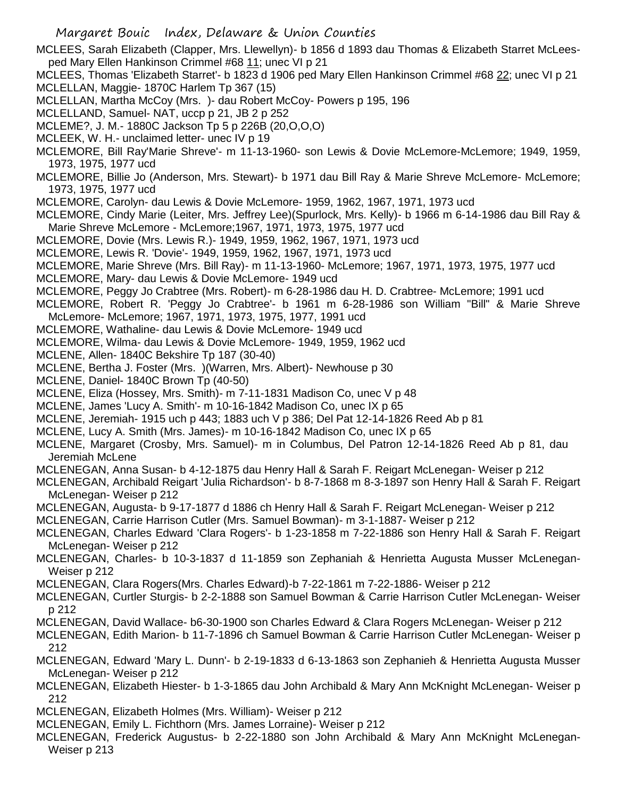MCLEES, Sarah Elizabeth (Clapper, Mrs. Llewellyn)- b 1856 d 1893 dau Thomas & Elizabeth Starret McLeesped Mary Ellen Hankinson Crimmel #68 11; unec VI p 21

MCLEES, Thomas 'Elizabeth Starret'- b 1823 d 1906 ped Mary Ellen Hankinson Crimmel #68 22; unec VI p 21 MCLELLAN, Maggie- 1870C Harlem Tp 367 (15)

MCLELLAN, Martha McCoy (Mrs. )- dau Robert McCoy- Powers p 195, 196

MCLELLAND, Samuel- NAT, uccp p 21, JB 2 p 252

MCLEME?, J. M.- 1880C Jackson Tp 5 p 226B (20,O,O,O)

MCLEEK, W. H.- unclaimed letter- unec IV p 19

MCLEMORE, Bill Ray'Marie Shreve'- m 11-13-1960- son Lewis & Dovie McLemore-McLemore; 1949, 1959, 1973, 1975, 1977 ucd

MCLEMORE, Billie Jo (Anderson, Mrs. Stewart)- b 1971 dau Bill Ray & Marie Shreve McLemore- McLemore; 1973, 1975, 1977 ucd

MCLEMORE, Carolyn- dau Lewis & Dovie McLemore- 1959, 1962, 1967, 1971, 1973 ucd

MCLEMORE, Cindy Marie (Leiter, Mrs. Jeffrey Lee)(Spurlock, Mrs. Kelly)- b 1966 m 6-14-1986 dau Bill Ray & Marie Shreve McLemore - McLemore;1967, 1971, 1973, 1975, 1977 ucd

MCLEMORE, Dovie (Mrs. Lewis R.)- 1949, 1959, 1962, 1967, 1971, 1973 ucd

MCLEMORE, Lewis R. 'Dovie'- 1949, 1959, 1962, 1967, 1971, 1973 ucd

MCLEMORE, Marie Shreve (Mrs. Bill Ray)- m 11-13-1960- McLemore; 1967, 1971, 1973, 1975, 1977 ucd

MCLEMORE, Mary- dau Lewis & Dovie McLemore- 1949 ucd

MCLEMORE, Peggy Jo Crabtree (Mrs. Robert)- m 6-28-1986 dau H. D. Crabtree- McLemore; 1991 ucd

MCLEMORE, Robert R. 'Peggy Jo Crabtree'- b 1961 m 6-28-1986 son William "Bill" & Marie Shreve McLemore- McLemore; 1967, 1971, 1973, 1975, 1977, 1991 ucd

MCLEMORE, Wathaline- dau Lewis & Dovie McLemore- 1949 ucd

MCLEMORE, Wilma- dau Lewis & Dovie McLemore- 1949, 1959, 1962 ucd

MCLENE, Allen- 1840C Bekshire Tp 187 (30-40)

MCLENE, Bertha J. Foster (Mrs. )(Warren, Mrs. Albert)- Newhouse p 30

MCLENE, Daniel- 1840C Brown Tp (40-50)

MCLENE, Eliza (Hossey, Mrs. Smith)- m 7-11-1831 Madison Co, unec V p 48

MCLENE, James 'Lucy A. Smith'- m 10-16-1842 Madison Co, unec IX p 65

MCLENE, Jeremiah- 1915 uch p 443; 1883 uch V p 386; Del Pat 12-14-1826 Reed Ab p 81

MCLENE, Lucy A. Smith (Mrs. James)- m 10-16-1842 Madison Co, unec IX p 65

MCLENE, Margaret (Crosby, Mrs. Samuel)- m in Columbus, Del Patron 12-14-1826 Reed Ab p 81, dau Jeremiah McLene

MCLENEGAN, Anna Susan- b 4-12-1875 dau Henry Hall & Sarah F. Reigart McLenegan- Weiser p 212

MCLENEGAN, Archibald Reigart 'Julia Richardson'- b 8-7-1868 m 8-3-1897 son Henry Hall & Sarah F. Reigart McLenegan- Weiser p 212

MCLENEGAN, Augusta- b 9-17-1877 d 1886 ch Henry Hall & Sarah F. Reigart McLenegan- Weiser p 212

MCLENEGAN, Carrie Harrison Cutler (Mrs. Samuel Bowman)- m 3-1-1887- Weiser p 212

MCLENEGAN, Charles Edward 'Clara Rogers'- b 1-23-1858 m 7-22-1886 son Henry Hall & Sarah F. Reigart McLenegan- Weiser p 212

MCLENEGAN, Charles- b 10-3-1837 d 11-1859 son Zephaniah & Henrietta Augusta Musser McLenegan-Weiser p 212

MCLENEGAN, Clara Rogers(Mrs. Charles Edward)-b 7-22-1861 m 7-22-1886- Weiser p 212

MCLENEGAN, Curtler Sturgis- b 2-2-1888 son Samuel Bowman & Carrie Harrison Cutler McLenegan- Weiser p 212

MCLENEGAN, David Wallace- b6-30-1900 son Charles Edward & Clara Rogers McLenegan- Weiser p 212

MCLENEGAN, Edith Marion- b 11-7-1896 ch Samuel Bowman & Carrie Harrison Cutler McLenegan- Weiser p 212

MCLENEGAN, Edward 'Mary L. Dunn'- b 2-19-1833 d 6-13-1863 son Zephanieh & Henrietta Augusta Musser McLenegan- Weiser p 212

MCLENEGAN, Elizabeth Hiester- b 1-3-1865 dau John Archibald & Mary Ann McKnight McLenegan- Weiser p 212

MCLENEGAN, Elizabeth Holmes (Mrs. William)- Weiser p 212

MCLENEGAN, Emily L. Fichthorn (Mrs. James Lorraine)- Weiser p 212

MCLENEGAN, Frederick Augustus- b 2-22-1880 son John Archibald & Mary Ann McKnight McLenegan-Weiser p 213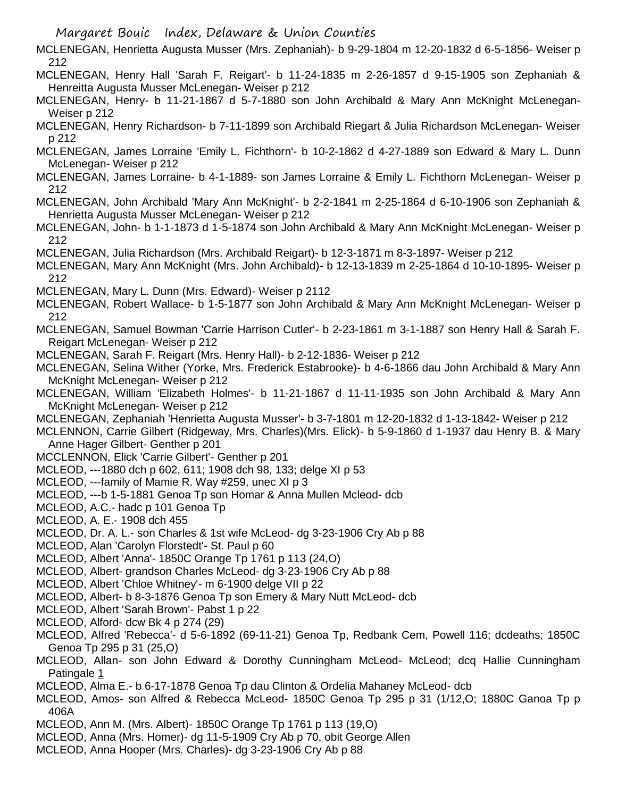MCLENEGAN, Henrietta Augusta Musser (Mrs. Zephaniah)- b 9-29-1804 m 12-20-1832 d 6-5-1856- Weiser p 212

- MCLENEGAN, Henry Hall 'Sarah F. Reigart'- b 11-24-1835 m 2-26-1857 d 9-15-1905 son Zephaniah & Henreitta Augusta Musser McLenegan- Weiser p 212
- MCLENEGAN, Henry- b 11-21-1867 d 5-7-1880 son John Archibald & Mary Ann McKnight McLenegan-Weiser p 212
- MCLENEGAN, Henry Richardson- b 7-11-1899 son Archibald Riegart & Julia Richardson McLenegan- Weiser p 212
- MCLENEGAN, James Lorraine 'Emily L. Fichthorn'- b 10-2-1862 d 4-27-1889 son Edward & Mary L. Dunn McLenegan- Weiser p 212
- MCLENEGAN, James Lorraine- b 4-1-1889- son James Lorraine & Emily L. Fichthorn McLenegan- Weiser p 212
- MCLENEGAN, John Archibald 'Mary Ann McKnight'- b 2-2-1841 m 2-25-1864 d 6-10-1906 son Zephaniah & Henrietta Augusta Musser McLenegan- Weiser p 212
- MCLENEGAN, John- b 1-1-1873 d 1-5-1874 son John Archibald & Mary Ann McKnight McLenegan- Weiser p 212
- MCLENEGAN, Julia Richardson (Mrs. Archibald Reigart)- b 12-3-1871 m 8-3-1897- Weiser p 212
- MCLENEGAN, Mary Ann McKnight (Mrs. John Archibald)- b 12-13-1839 m 2-25-1864 d 10-10-1895- Weiser p 212
- MCLENEGAN, Mary L. Dunn (Mrs. Edward)- Weiser p 2112
- MCLENEGAN, Robert Wallace- b 1-5-1877 son John Archibald & Mary Ann McKnight McLenegan- Weiser p 212
- MCLENEGAN, Samuel Bowman 'Carrie Harrison Cutler'- b 2-23-1861 m 3-1-1887 son Henry Hall & Sarah F. Reigart McLenegan- Weiser p 212
- MCLENEGAN, Sarah F. Reigart (Mrs. Henry Hall)- b 2-12-1836- Weiser p 212
- MCLENEGAN, Selina Wither (Yorke, Mrs. Frederick Estabrooke)- b 4-6-1866 dau John Archibald & Mary Ann McKnight McLenegan- Weiser p 212
- MCLENEGAN, William 'Elizabeth Holmes'- b 11-21-1867 d 11-11-1935 son John Archibald & Mary Ann McKnight McLenegan- Weiser p 212
- MCLENEGAN, Zephaniah 'Henrietta Augusta Musser'- b 3-7-1801 m 12-20-1832 d 1-13-1842- Weiser p 212
- MCLENNON, Carrie Gilbert (Ridgeway, Mrs. Charles)(Mrs. Elick)- b 5-9-1860 d 1-1937 dau Henry B. & Mary Anne Hager Gilbert- Genther p 201
- MCCLENNON, Elick 'Carrie Gilbert'- Genther p 201
- MCLEOD, ---1880 dch p 602, 611; 1908 dch 98, 133; delge XI p 53
- MCLEOD, ---family of Mamie R. Way #259, unec XI p 3
- MCLEOD, ---b 1-5-1881 Genoa Tp son Homar & Anna Mullen Mcleod- dcb
- MCLEOD, A.C.- hadc p 101 Genoa Tp
- MCLEOD, A. E.- 1908 dch 455
- MCLEOD, Dr. A. L.- son Charles & 1st wife McLeod- dg 3-23-1906 Cry Ab p 88
- MCLEOD, Alan 'Carolyn Florstedt'- St. Paul p 60
- MCLEOD, Albert 'Anna'- 1850C Orange Tp 1761 p 113 (24,O)
- MCLEOD, Albert- grandson Charles McLeod- dg 3-23-1906 Cry Ab p 88
- MCLEOD, Albert 'Chloe Whitney'- m 6-1900 delge VII p 22
- MCLEOD, Albert- b 8-3-1876 Genoa Tp son Emery & Mary Nutt McLeod- dcb
- MCLEOD, Albert 'Sarah Brown'- Pabst 1 p 22
- MCLEOD, Alford- dcw Bk 4 p 274 (29)
- MCLEOD, Alfred 'Rebecca'- d 5-6-1892 (69-11-21) Genoa Tp, Redbank Cem, Powell 116; dcdeaths; 1850C Genoa Tp 295 p 31 (25,O)
- MCLEOD, Allan- son John Edward & Dorothy Cunningham McLeod- McLeod; dcq Hallie Cunningham Patingale 1
- MCLEOD, Alma E.- b 6-17-1878 Genoa Tp dau Clinton & Ordelia Mahaney McLeod- dcb
- MCLEOD, Amos- son Alfred & Rebecca McLeod- 1850C Genoa Tp 295 p 31 (1/12,O; 1880C Ganoa Tp p 406A
- MCLEOD, Ann M. (Mrs. Albert)- 1850C Orange Tp 1761 p 113 (19,O)
- MCLEOD, Anna (Mrs. Homer)- dg 11-5-1909 Cry Ab p 70, obit George Allen
- MCLEOD, Anna Hooper (Mrs. Charles)- dg 3-23-1906 Cry Ab p 88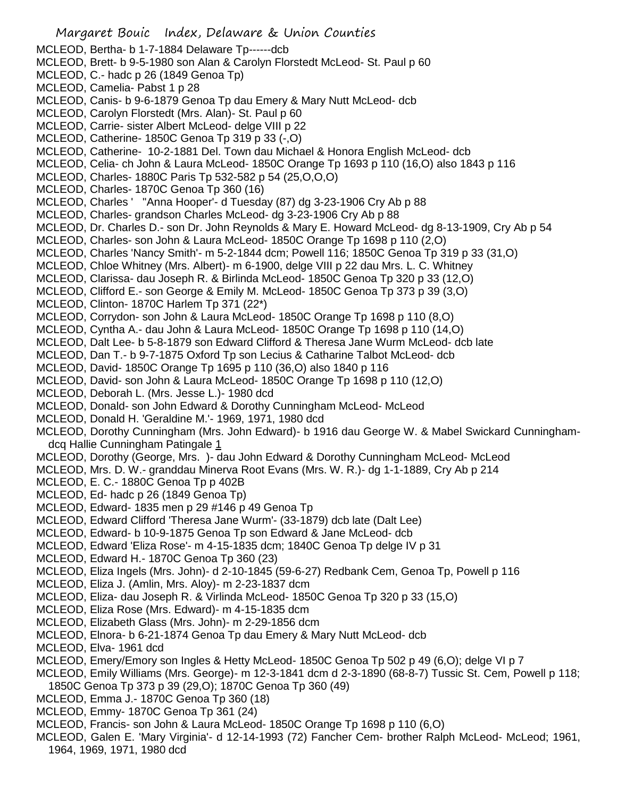- Margaret Bouic Index, Delaware & Union Counties MCLEOD, Bertha- b 1-7-1884 Delaware Tp------dcb MCLEOD, Brett- b 9-5-1980 son Alan & Carolyn Florstedt McLeod- St. Paul p 60 MCLEOD, C.- hadc p 26 (1849 Genoa Tp) MCLEOD, Camelia- Pabst 1 p 28 MCLEOD, Canis- b 9-6-1879 Genoa Tp dau Emery & Mary Nutt McLeod- dcb MCLEOD, Carolyn Florstedt (Mrs. Alan)- St. Paul p 60 MCLEOD, Carrie- sister Albert McLeod- delge VIII p 22 MCLEOD, Catherine- 1850C Genoa Tp 319 p 33 (-,O) MCLEOD, Catherine- 10-2-1881 Del. Town dau Michael & Honora English McLeod- dcb MCLEOD, Celia- ch John & Laura McLeod- 1850C Orange Tp 1693 p 110 (16,O) also 1843 p 116 MCLEOD, Charles- 1880C Paris Tp 532-582 p 54 (25,O,O,O) MCLEOD, Charles- 1870C Genoa Tp 360 (16) MCLEOD, Charles ' ''Anna Hooper'- d Tuesday (87) dg 3-23-1906 Cry Ab p 88 MCLEOD, Charles- grandson Charles McLeod- dg 3-23-1906 Cry Ab p 88 MCLEOD, Dr. Charles D.- son Dr. John Reynolds & Mary E. Howard McLeod- dg 8-13-1909, Cry Ab p 54 MCLEOD, Charles- son John & Laura McLeod- 1850C Orange Tp 1698 p 110 (2,O) MCLEOD, Charles 'Nancy Smith'- m 5-2-1844 dcm; Powell 116; 1850C Genoa Tp 319 p 33 (31,O) MCLEOD, Chloe Whitney (Mrs. Albert)- m 6-1900, delge VIII p 22 dau Mrs. L. C. Whitney MCLEOD, Clarissa- dau Joseph R. & Birlinda McLeod- 1850C Genoa Tp 320 p 33 (12,O) MCLEOD, Clifford E.- son George & Emily M. McLeod- 1850C Genoa Tp 373 p 39 (3,O) MCLEOD, Clinton- 1870C Harlem Tp 371 (22\*) MCLEOD, Corrydon- son John & Laura McLeod- 1850C Orange Tp 1698 p 110 (8,O) MCLEOD, Cyntha A.- dau John & Laura McLeod- 1850C Orange Tp 1698 p 110 (14,O) MCLEOD, Dalt Lee- b 5-8-1879 son Edward Clifford & Theresa Jane Wurm McLeod- dcb late MCLEOD, Dan T.- b 9-7-1875 Oxford Tp son Lecius & Catharine Talbot McLeod- dcb MCLEOD, David- 1850C Orange Tp 1695 p 110 (36,O) also 1840 p 116 MCLEOD, David- son John & Laura McLeod- 1850C Orange Tp 1698 p 110 (12,O) MCLEOD, Deborah L. (Mrs. Jesse L.)- 1980 dcd MCLEOD, Donald- son John Edward & Dorothy Cunningham McLeod- McLeod MCLEOD, Donald H. 'Geraldine M.'- 1969, 1971, 1980 dcd MCLEOD, Dorothy Cunningham (Mrs. John Edward)- b 1916 dau George W. & Mabel Swickard Cunninghamdcq Hallie Cunningham Patingale 1 MCLEOD, Dorothy (George, Mrs. )- dau John Edward & Dorothy Cunningham McLeod- McLeod MCLEOD, Mrs. D. W.- granddau Minerva Root Evans (Mrs. W. R.)- dg 1-1-1889, Cry Ab p 214 MCLEOD, E. C.- 1880C Genoa Tp p 402B MCLEOD, Ed- hadc p 26 (1849 Genoa Tp) MCLEOD, Edward- 1835 men p 29 #146 p 49 Genoa Tp MCLEOD, Edward Clifford 'Theresa Jane Wurm'- (33-1879) dcb late (Dalt Lee) MCLEOD, Edward- b 10-9-1875 Genoa Tp son Edward & Jane McLeod- dcb MCLEOD, Edward 'Eliza Rose'- m 4-15-1835 dcm; 1840C Genoa Tp delge IV p 31 MCLEOD, Edward H.- 1870C Genoa Tp 360 (23) MCLEOD, Eliza Ingels (Mrs. John)- d 2-10-1845 (59-6-27) Redbank Cem, Genoa Tp, Powell p 116 MCLEOD, Eliza J. (Amlin, Mrs. Aloy)- m 2-23-1837 dcm MCLEOD, Eliza- dau Joseph R. & Virlinda McLeod- 1850C Genoa Tp 320 p 33 (15,O) MCLEOD, Eliza Rose (Mrs. Edward)- m 4-15-1835 dcm MCLEOD, Elizabeth Glass (Mrs. John)- m 2-29-1856 dcm MCLEOD, Elnora- b 6-21-1874 Genoa Tp dau Emery & Mary Nutt McLeod- dcb MCLEOD, Elva- 1961 dcd MCLEOD, Emery/Emory son Ingles & Hetty McLeod- 1850C Genoa Tp 502 p 49 (6,O); delge VI p 7 MCLEOD, Emily Williams (Mrs. George)- m 12-3-1841 dcm d 2-3-1890 (68-8-7) Tussic St. Cem, Powell p 118; 1850C Genoa Tp 373 p 39 (29,O); 1870C Genoa Tp 360 (49) MCLEOD, Emma J.- 1870C Genoa Tp 360 (18) MCLEOD, Emmy- 1870C Genoa Tp 361 (24)
- MCLEOD, Francis- son John & Laura McLeod- 1850C Orange Tp 1698 p 110 (6,O)
- MCLEOD, Galen E. 'Mary Virginia'- d 12-14-1993 (72) Fancher Cem- brother Ralph McLeod- McLeod; 1961, 1964, 1969, 1971, 1980 dcd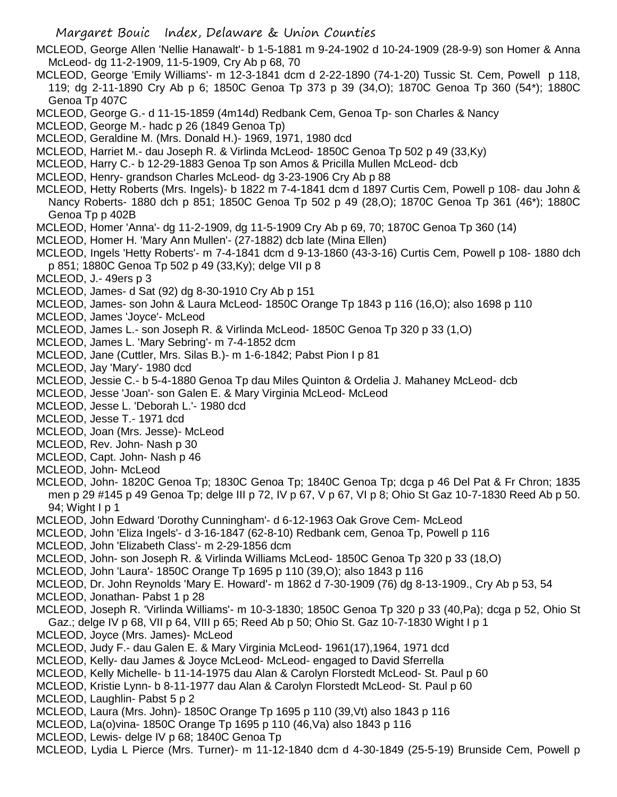MCLEOD, George Allen 'Nellie Hanawalt'- b 1-5-1881 m 9-24-1902 d 10-24-1909 (28-9-9) son Homer & Anna McLeod- dg 11-2-1909, 11-5-1909, Cry Ab p 68, 70

- MCLEOD, George 'Emily Williams'- m 12-3-1841 dcm d 2-22-1890 (74-1-20) Tussic St. Cem, Powell p 118, 119; dg 2-11-1890 Cry Ab p 6; 1850C Genoa Tp 373 p 39 (34,O); 1870C Genoa Tp 360 (54\*); 1880C Genoa Tp 407C
- MCLEOD, George G.- d 11-15-1859 (4m14d) Redbank Cem, Genoa Tp- son Charles & Nancy
- MCLEOD, George M.- hadc p 26 (1849 Genoa Tp)
- MCLEOD, Geraldine M. (Mrs. Donald H.)- 1969, 1971, 1980 dcd
- MCLEOD, Harriet M.- dau Joseph R. & Virlinda McLeod- 1850C Genoa Tp 502 p 49 (33,Ky)
- MCLEOD, Harry C.- b 12-29-1883 Genoa Tp son Amos & Pricilla Mullen McLeod- dcb
- MCLEOD, Henry- grandson Charles McLeod- dg 3-23-1906 Cry Ab p 88
- MCLEOD, Hetty Roberts (Mrs. Ingels)- b 1822 m 7-4-1841 dcm d 1897 Curtis Cem, Powell p 108- dau John & Nancy Roberts- 1880 dch p 851; 1850C Genoa Tp 502 p 49 (28,O); 1870C Genoa Tp 361 (46\*); 1880C Genoa Tp p 402B
- MCLEOD, Homer 'Anna'- dg 11-2-1909, dg 11-5-1909 Cry Ab p 69, 70; 1870C Genoa Tp 360 (14)
- MCLEOD, Homer H. 'Mary Ann Mullen'- (27-1882) dcb late (Mina Ellen)
- MCLEOD, Ingels 'Hetty Roberts'- m 7-4-1841 dcm d 9-13-1860 (43-3-16) Curtis Cem, Powell p 108- 1880 dch p 851; 1880C Genoa Tp 502 p 49 (33,Ky); delge VII p 8
- MCLEOD, J.- 49ers p 3
- MCLEOD, James- d Sat (92) dg 8-30-1910 Cry Ab p 151
- MCLEOD, James- son John & Laura McLeod- 1850C Orange Tp 1843 p 116 (16,O); also 1698 p 110
- MCLEOD, James 'Joyce'- McLeod
- MCLEOD, James L.- son Joseph R. & Virlinda McLeod- 1850C Genoa Tp 320 p 33 (1,O)
- MCLEOD, James L. 'Mary Sebring'- m 7-4-1852 dcm
- MCLEOD, Jane (Cuttler, Mrs. Silas B.)- m 1-6-1842; Pabst Pion I p 81
- MCLEOD, Jay 'Mary'- 1980 dcd
- MCLEOD, Jessie C.- b 5-4-1880 Genoa Tp dau Miles Quinton & Ordelia J. Mahaney McLeod- dcb
- MCLEOD, Jesse 'Joan'- son Galen E. & Mary Virginia McLeod- McLeod
- MCLEOD, Jesse L. 'Deborah L.'- 1980 dcd
- MCLEOD, Jesse T.- 1971 dcd
- MCLEOD, Joan (Mrs. Jesse)- McLeod
- MCLEOD, Rev. John- Nash p 30
- MCLEOD, Capt. John- Nash p 46
- MCLEOD, John- McLeod
- MCLEOD, John- 1820C Genoa Tp; 1830C Genoa Tp; 1840C Genoa Tp; dcga p 46 Del Pat & Fr Chron; 1835 men p 29 #145 p 49 Genoa Tp; delge III p 72, IV p 67, V p 67, VI p 8; Ohio St Gaz 10-7-1830 Reed Ab p 50. 94; Wight I p 1
- MCLEOD, John Edward 'Dorothy Cunningham'- d 6-12-1963 Oak Grove Cem- McLeod
- MCLEOD, John 'Eliza Ingels'- d 3-16-1847 (62-8-10) Redbank cem, Genoa Tp, Powell p 116
- MCLEOD, John 'Elizabeth Class'- m 2-29-1856 dcm
- MCLEOD, John- son Joseph R. & Virlinda Williams McLeod- 1850C Genoa Tp 320 p 33 (18,O)
- MCLEOD, John 'Laura'- 1850C Orange Tp 1695 p 110 (39,O); also 1843 p 116
- MCLEOD, Dr. John Reynolds 'Mary E. Howard'- m 1862 d 7-30-1909 (76) dg 8-13-1909., Cry Ab p 53, 54
- MCLEOD, Jonathan- Pabst 1 p 28
- MCLEOD, Joseph R. 'Virlinda Williams'- m 10-3-1830; 1850C Genoa Tp 320 p 33 (40,Pa); dcga p 52, Ohio St Gaz.; delge IV p 68, VII p 64, VIII p 65; Reed Ab p 50; Ohio St. Gaz 10-7-1830 Wight I p 1
- MCLEOD, Joyce (Mrs. James)- McLeod
- MCLEOD, Judy F.- dau Galen E. & Mary Virginia McLeod- 1961(17),1964, 1971 dcd
- MCLEOD, Kelly- dau James & Joyce McLeod- McLeod- engaged to David Sferrella
- MCLEOD, Kelly Michelle- b 11-14-1975 dau Alan & Carolyn Florstedt McLeod- St. Paul p 60
- MCLEOD, Kristie Lynn- b 8-11-1977 dau Alan & Carolyn Florstedt McLeod- St. Paul p 60
- MCLEOD, Laughlin- Pabst 5 p 2
- MCLEOD, Laura (Mrs. John)- 1850C Orange Tp 1695 p 110 (39,Vt) also 1843 p 116
- MCLEOD, La(o)vina- 1850C Orange Tp 1695 p 110 (46,Va) also 1843 p 116
- MCLEOD, Lewis- delge IV p 68; 1840C Genoa Tp
- MCLEOD, Lydia L Pierce (Mrs. Turner)- m 11-12-1840 dcm d 4-30-1849 (25-5-19) Brunside Cem, Powell p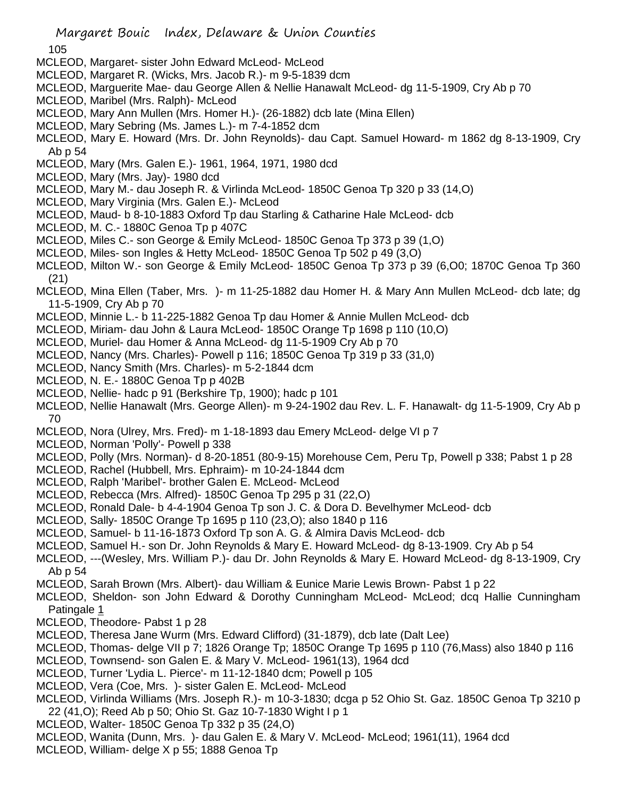105

- MCLEOD, Margaret- sister John Edward McLeod- McLeod
- MCLEOD, Margaret R. (Wicks, Mrs. Jacob R.)- m 9-5-1839 dcm
- MCLEOD, Marguerite Mae- dau George Allen & Nellie Hanawalt McLeod- dg 11-5-1909, Cry Ab p 70
- MCLEOD, Maribel (Mrs. Ralph)- McLeod
- MCLEOD, Mary Ann Mullen (Mrs. Homer H.)- (26-1882) dcb late (Mina Ellen)
- MCLEOD, Mary Sebring (Ms. James L.)- m 7-4-1852 dcm
- MCLEOD, Mary E. Howard (Mrs. Dr. John Reynolds)- dau Capt. Samuel Howard- m 1862 dg 8-13-1909, Cry Ab p 54
- MCLEOD, Mary (Mrs. Galen E.)- 1961, 1964, 1971, 1980 dcd
- MCLEOD, Mary (Mrs. Jay)- 1980 dcd
- MCLEOD, Mary M.- dau Joseph R. & Virlinda McLeod- 1850C Genoa Tp 320 p 33 (14,O)
- MCLEOD, Mary Virginia (Mrs. Galen E.)- McLeod
- MCLEOD, Maud- b 8-10-1883 Oxford Tp dau Starling & Catharine Hale McLeod- dcb
- MCLEOD, M. C.- 1880C Genoa Tp p 407C
- MCLEOD, Miles C.- son George & Emily McLeod- 1850C Genoa Tp 373 p 39 (1,O)
- MCLEOD, Miles- son Ingles & Hetty McLeod- 1850C Genoa Tp 502 p 49 (3,O)
- MCLEOD, Milton W.- son George & Emily McLeod- 1850C Genoa Tp 373 p 39 (6,O0; 1870C Genoa Tp 360 (21)
- MCLEOD, Mina Ellen (Taber, Mrs. )- m 11-25-1882 dau Homer H. & Mary Ann Mullen McLeod- dcb late; dg 11-5-1909, Cry Ab p 70
- MCLEOD, Minnie L.- b 11-225-1882 Genoa Tp dau Homer & Annie Mullen McLeod- dcb
- MCLEOD, Miriam- dau John & Laura McLeod- 1850C Orange Tp 1698 p 110 (10,O)
- MCLEOD, Muriel- dau Homer & Anna McLeod- dg 11-5-1909 Cry Ab p 70
- MCLEOD, Nancy (Mrs. Charles)- Powell p 116; 1850C Genoa Tp 319 p 33 (31,0)
- MCLEOD, Nancy Smith (Mrs. Charles)- m 5-2-1844 dcm
- MCLEOD, N. E.- 1880C Genoa Tp p 402B
- MCLEOD, Nellie- hadc p 91 (Berkshire Tp, 1900); hadc p 101
- MCLEOD, Nellie Hanawalt (Mrs. George Allen)- m 9-24-1902 dau Rev. L. F. Hanawalt- dg 11-5-1909, Cry Ab p 70
- MCLEOD, Nora (Ulrey, Mrs. Fred)- m 1-18-1893 dau Emery McLeod- delge VI p 7
- MCLEOD, Norman 'Polly'- Powell p 338
- MCLEOD, Polly (Mrs. Norman)- d 8-20-1851 (80-9-15) Morehouse Cem, Peru Tp, Powell p 338; Pabst 1 p 28
- MCLEOD, Rachel (Hubbell, Mrs. Ephraim)- m 10-24-1844 dcm
- MCLEOD, Ralph 'Maribel'- brother Galen E. McLeod- McLeod
- MCLEOD, Rebecca (Mrs. Alfred)- 1850C Genoa Tp 295 p 31 (22,O)
- MCLEOD, Ronald Dale- b 4-4-1904 Genoa Tp son J. C. & Dora D. Bevelhymer McLeod- dcb
- MCLEOD, Sally- 1850C Orange Tp 1695 p 110 (23,O); also 1840 p 116
- MCLEOD, Samuel- b 11-16-1873 Oxford Tp son A. G. & Almira Davis McLeod- dcb
- MCLEOD, Samuel H.- son Dr. John Reynolds & Mary E. Howard McLeod- dg 8-13-1909. Cry Ab p 54
- MCLEOD, ---(Wesley, Mrs. William P.)- dau Dr. John Reynolds & Mary E. Howard McLeod- dg 8-13-1909, Cry Ab p 54
- MCLEOD, Sarah Brown (Mrs. Albert)- dau William & Eunice Marie Lewis Brown- Pabst 1 p 22
- MCLEOD, Sheldon- son John Edward & Dorothy Cunningham McLeod- McLeod; dcq Hallie Cunningham Patingale 1
- MCLEOD, Theodore- Pabst 1 p 28
- MCLEOD, Theresa Jane Wurm (Mrs. Edward Clifford) (31-1879), dcb late (Dalt Lee)
- MCLEOD, Thomas- delge VII p 7; 1826 Orange Tp; 1850C Orange Tp 1695 p 110 (76,Mass) also 1840 p 116
- MCLEOD, Townsend- son Galen E. & Mary V. McLeod- 1961(13), 1964 dcd
- MCLEOD, Turner 'Lydia L. Pierce'- m 11-12-1840 dcm; Powell p 105
- MCLEOD, Vera (Coe, Mrs. )- sister Galen E. McLeod- McLeod
- MCLEOD, Virlinda Williams (Mrs. Joseph R.)- m 10-3-1830; dcga p 52 Ohio St. Gaz. 1850C Genoa Tp 3210 p 22 (41,O); Reed Ab p 50; Ohio St. Gaz 10-7-1830 Wight I p 1
- MCLEOD, Walter- 1850C Genoa Tp 332 p 35 (24,O)
- MCLEOD, Wanita (Dunn, Mrs. )- dau Galen E. & Mary V. McLeod- McLeod; 1961(11), 1964 dcd
- MCLEOD, William- delge X p 55; 1888 Genoa Tp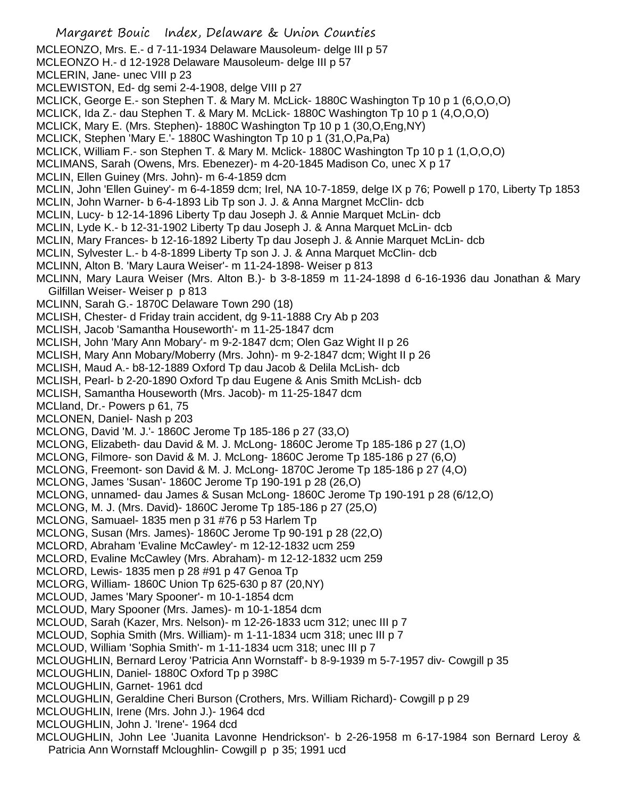Margaret Bouic Index, Delaware & Union Counties MCLEONZO, Mrs. E.- d 7-11-1934 Delaware Mausoleum- delge III p 57 MCLEONZO H.- d 12-1928 Delaware Mausoleum- delge III p 57 MCLERIN, Jane- unec VIII p 23 MCLEWISTON, Ed- dg semi 2-4-1908, delge VIII p 27 MCLICK, George E.- son Stephen T. & Mary M. McLick- 1880C Washington Tp 10 p 1 (6,O,O,O) MCLICK, Ida Z.- dau Stephen T. & Mary M. McLick- 1880C Washington Tp 10 p 1 (4,O,O,O) MCLICK, Mary E. (Mrs. Stephen)- 1880C Washington Tp 10 p 1 (30,O,Eng,NY) MCLICK, Stephen 'Mary E.'- 1880C Washington Tp 10 p 1 (31,O,Pa,Pa) MCLICK, William F.- son Stephen T. & Mary M. Mclick- 1880C Washington Tp 10 p 1 (1,O,O,O) MCLIMANS, Sarah (Owens, Mrs. Ebenezer)- m 4-20-1845 Madison Co, unec X p 17 MCLIN, Ellen Guiney (Mrs. John)- m 6-4-1859 dcm MCLIN, John 'Ellen Guiney'- m 6-4-1859 dcm; Irel, NA 10-7-1859, delge IX p 76; Powell p 170, Liberty Tp 1853 MCLIN, John Warner- b 6-4-1893 Lib Tp son J. J. & Anna Margnet McClin- dcb MCLIN, Lucy- b 12-14-1896 Liberty Tp dau Joseph J. & Annie Marquet McLin- dcb MCLIN, Lyde K.- b 12-31-1902 Liberty Tp dau Joseph J. & Anna Marquet McLin- dcb MCLIN, Mary Frances- b 12-16-1892 Liberty Tp dau Joseph J. & Annie Marquet McLin- dcb MCLIN, Sylvester L.- b 4-8-1899 Liberty Tp son J. J. & Anna Marquet McClin- dcb MCLINN, Alton B. 'Mary Laura Weiser'- m 11-24-1898- Weiser p 813 MCLINN, Mary Laura Weiser (Mrs. Alton B.)- b 3-8-1859 m 11-24-1898 d 6-16-1936 dau Jonathan & Mary Gilfillan Weiser- Weiser p p 813 MCLINN, Sarah G.- 1870C Delaware Town 290 (18) MCLISH, Chester- d Friday train accident, dg 9-11-1888 Cry Ab p 203 MCLISH, Jacob 'Samantha Houseworth'- m 11-25-1847 dcm MCLISH, John 'Mary Ann Mobary'- m 9-2-1847 dcm; Olen Gaz Wight II p 26 MCLISH, Mary Ann Mobary/Moberry (Mrs. John)- m 9-2-1847 dcm; Wight II p 26 MCLISH, Maud A.- b8-12-1889 Oxford Tp dau Jacob & Delila McLish- dcb MCLISH, Pearl- b 2-20-1890 Oxford Tp dau Eugene & Anis Smith McLish- dcb MCLISH, Samantha Houseworth (Mrs. Jacob)- m 11-25-1847 dcm MCLland, Dr.- Powers p 61, 75 MCLONEN, Daniel- Nash p 203 MCLONG, David 'M. J.'- 1860C Jerome Tp 185-186 p 27 (33,O) MCLONG, Elizabeth- dau David & M. J. McLong- 1860C Jerome Tp 185-186 p 27 (1,O) MCLONG, Filmore- son David & M. J. McLong- 1860C Jerome Tp 185-186 p 27 (6,O) MCLONG, Freemont- son David & M. J. McLong- 1870C Jerome Tp 185-186 p 27 (4,O) MCLONG, James 'Susan'- 1860C Jerome Tp 190-191 p 28 (26,O) MCLONG, unnamed- dau James & Susan McLong- 1860C Jerome Tp 190-191 p 28 (6/12,O) MCLONG, M. J. (Mrs. David)- 1860C Jerome Tp 185-186 p 27 (25,O) MCLONG, Samuael- 1835 men p 31 #76 p 53 Harlem Tp MCLONG, Susan (Mrs. James)- 1860C Jerome Tp 90-191 p 28 (22,O) MCLORD, Abraham 'Evaline McCawley'- m 12-12-1832 ucm 259 MCLORD, Evaline McCawley (Mrs. Abraham)- m 12-12-1832 ucm 259 MCLORD, Lewis- 1835 men p 28 #91 p 47 Genoa Tp MCLORG, William- 1860C Union Tp 625-630 p 87 (20,NY) MCLOUD, James 'Mary Spooner'- m 10-1-1854 dcm MCLOUD, Mary Spooner (Mrs. James)- m 10-1-1854 dcm MCLOUD, Sarah (Kazer, Mrs. Nelson)- m 12-26-1833 ucm 312; unec III p 7 MCLOUD, Sophia Smith (Mrs. William)- m 1-11-1834 ucm 318; unec III p 7 MCLOUD, William 'Sophia Smith'- m 1-11-1834 ucm 318; unec III p 7 MCLOUGHLIN, Bernard Leroy 'Patricia Ann Wornstaff'- b 8-9-1939 m 5-7-1957 div- Cowgill p 35 MCLOUGHLIN, Daniel- 1880C Oxford Tp p 398C MCLOUGHLIN, Garnet- 1961 dcd MCLOUGHLIN, Geraldine Cheri Burson (Crothers, Mrs. William Richard)- Cowgill p p 29 MCLOUGHLIN, Irene (Mrs. John J.)- 1964 dcd MCLOUGHLIN, John J. 'Irene'- 1964 dcd MCLOUGHLIN, John Lee 'Juanita Lavonne Hendrickson'- b 2-26-1958 m 6-17-1984 son Bernard Leroy & Patricia Ann Wornstaff Mcloughlin- Cowgill p p 35; 1991 ucd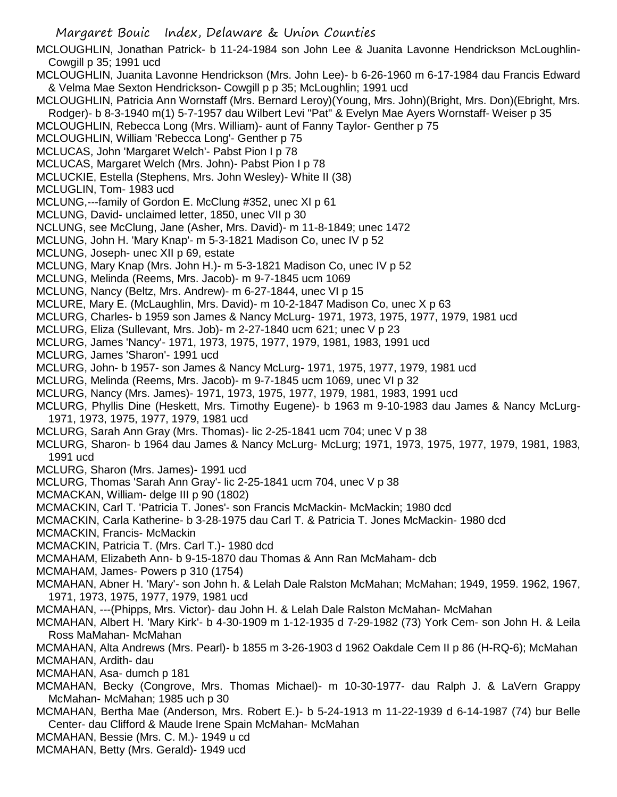MCLOUGHLIN, Jonathan Patrick- b 11-24-1984 son John Lee & Juanita Lavonne Hendrickson McLoughlin-Cowgill p 35; 1991 ucd

MCLOUGHLIN, Juanita Lavonne Hendrickson (Mrs. John Lee)- b 6-26-1960 m 6-17-1984 dau Francis Edward & Velma Mae Sexton Hendrickson- Cowgill p p 35; McLoughlin; 1991 ucd

MCLOUGHLIN, Patricia Ann Wornstaff (Mrs. Bernard Leroy)(Young, Mrs. John)(Bright, Mrs. Don)(Ebright, Mrs. Rodger)- b 8-3-1940 m(1) 5-7-1957 dau Wilbert Levi "Pat" & Evelyn Mae Ayers Wornstaff- Weiser p 35

MCLOUGHLIN, Rebecca Long (Mrs. William)- aunt of Fanny Taylor- Genther p 75

MCLOUGHLIN, William 'Rebecca Long'- Genther p 75

MCLUCAS, John 'Margaret Welch'- Pabst Pion I p 78

MCLUCAS, Margaret Welch (Mrs. John)- Pabst Pion I p 78

MCLUCKIE, Estella (Stephens, Mrs. John Wesley)- White II (38)

MCLUGLIN, Tom- 1983 ucd

MCLUNG,---family of Gordon E. McClung #352, unec XI p 61

MCLUNG, David- unclaimed letter, 1850, unec VII p 30

NCLUNG, see McClung, Jane (Asher, Mrs. David)- m 11-8-1849; unec 1472

MCLUNG, John H. 'Mary Knap'- m 5-3-1821 Madison Co, unec IV p 52

MCLUNG, Joseph- unec XII p 69, estate

MCLUNG, Mary Knap (Mrs. John H.)- m 5-3-1821 Madison Co, unec IV p 52

MCLUNG, Melinda (Reems, Mrs. Jacob)- m 9-7-1845 ucm 1069

MCLUNG, Nancy (Beltz, Mrs. Andrew)- m 6-27-1844, unec VI p 15

MCLURE, Mary E. (McLaughlin, Mrs. David)- m 10-2-1847 Madison Co, unec X p 63

MCLURG, Charles- b 1959 son James & Nancy McLurg- 1971, 1973, 1975, 1977, 1979, 1981 ucd

MCLURG, Eliza (Sullevant, Mrs. Job)- m 2-27-1840 ucm 621; unec V p 23

MCLURG, James 'Nancy'- 1971, 1973, 1975, 1977, 1979, 1981, 1983, 1991 ucd

MCLURG, James 'Sharon'- 1991 ucd

MCLURG, John- b 1957- son James & Nancy McLurg- 1971, 1975, 1977, 1979, 1981 ucd

MCLURG, Melinda (Reems, Mrs. Jacob)- m 9-7-1845 ucm 1069, unec VI p 32

MCLURG, Nancy (Mrs. James)- 1971, 1973, 1975, 1977, 1979, 1981, 1983, 1991 ucd

MCLURG, Phyllis Dine (Heskett, Mrs. Timothy Eugene)- b 1963 m 9-10-1983 dau James & Nancy McLurg-1971, 1973, 1975, 1977, 1979, 1981 ucd

MCLURG, Sarah Ann Gray (Mrs. Thomas)- lic 2-25-1841 ucm 704; unec V p 38

MCLURG, Sharon- b 1964 dau James & Nancy McLurg- McLurg; 1971, 1973, 1975, 1977, 1979, 1981, 1983, 1991 ucd

MCLURG, Sharon (Mrs. James)- 1991 ucd

MCLURG, Thomas 'Sarah Ann Gray'- lic 2-25-1841 ucm 704, unec V p 38

MCMACKAN, William- delge III p 90 (1802)

MCMACKIN, Carl T. 'Patricia T. Jones'- son Francis McMackin- McMackin; 1980 dcd

MCMACKIN, Carla Katherine- b 3-28-1975 dau Carl T. & Patricia T. Jones McMackin- 1980 dcd

MCMACKIN, Francis- McMackin

MCMACKIN, Patricia T. (Mrs. Carl T.)- 1980 dcd

MCMAHAM, Elizabeth Ann- b 9-15-1870 dau Thomas & Ann Ran McMaham- dcb

MCMAHAM, James- Powers p 310 (1754)

MCMAHAN, Abner H. 'Mary'- son John h. & Lelah Dale Ralston McMahan; McMahan; 1949, 1959. 1962, 1967, 1971, 1973, 1975, 1977, 1979, 1981 ucd

MCMAHAN, ---(Phipps, Mrs. Victor)- dau John H. & Lelah Dale Ralston McMahan- McMahan

MCMAHAN, Albert H. 'Mary Kirk'- b 4-30-1909 m 1-12-1935 d 7-29-1982 (73) York Cem- son John H. & Leila Ross MaMahan- McMahan

MCMAHAN, Alta Andrews (Mrs. Pearl)- b 1855 m 3-26-1903 d 1962 Oakdale Cem II p 86 (H-RQ-6); McMahan MCMAHAN, Ardith- dau

MCMAHAN, Asa- dumch p 181

MCMAHAN, Becky (Congrove, Mrs. Thomas Michael)- m 10-30-1977- dau Ralph J. & LaVern Grappy McMahan- McMahan; 1985 uch p 30

MCMAHAN, Bertha Mae (Anderson, Mrs. Robert E.)- b 5-24-1913 m 11-22-1939 d 6-14-1987 (74) bur Belle Center- dau Clifford & Maude Irene Spain McMahan- McMahan

MCMAHAN, Bessie (Mrs. C. M.)- 1949 u cd

MCMAHAN, Betty (Mrs. Gerald)- 1949 ucd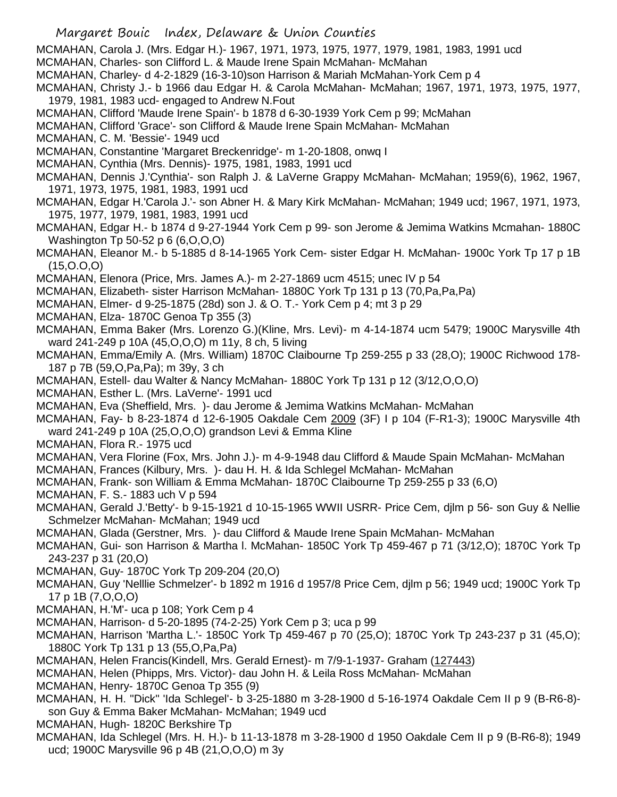MCMAHAN, Carola J. (Mrs. Edgar H.)- 1967, 1971, 1973, 1975, 1977, 1979, 1981, 1983, 1991 ucd

- MCMAHAN, Charles- son Clifford L. & Maude Irene Spain McMahan- McMahan
- MCMAHAN, Charley- d 4-2-1829 (16-3-10)son Harrison & Mariah McMahan-York Cem p 4

MCMAHAN, Christy J.- b 1966 dau Edgar H. & Carola McMahan- McMahan; 1967, 1971, 1973, 1975, 1977, 1979, 1981, 1983 ucd- engaged to Andrew N.Fout

MCMAHAN, Clifford 'Maude Irene Spain'- b 1878 d 6-30-1939 York Cem p 99; McMahan

MCMAHAN, Clifford 'Grace'- son Clifford & Maude Irene Spain McMahan- McMahan

MCMAHAN, C. M. 'Bessie'- 1949 ucd

MCMAHAN, Constantine 'Margaret Breckenridge'- m 1-20-1808, onwq I

- MCMAHAN, Cynthia (Mrs. Dennis)- 1975, 1981, 1983, 1991 ucd
- MCMAHAN, Dennis J.'Cynthia'- son Ralph J. & LaVerne Grappy McMahan- McMahan; 1959(6), 1962, 1967, 1971, 1973, 1975, 1981, 1983, 1991 ucd
- MCMAHAN, Edgar H.'Carola J.'- son Abner H. & Mary Kirk McMahan- McMahan; 1949 ucd; 1967, 1971, 1973, 1975, 1977, 1979, 1981, 1983, 1991 ucd
- MCMAHAN, Edgar H.- b 1874 d 9-27-1944 York Cem p 99- son Jerome & Jemima Watkins Mcmahan- 1880C Washington Tp 50-52 p 6 (6,O,O,O)
- MCMAHAN, Eleanor M.- b 5-1885 d 8-14-1965 York Cem- sister Edgar H. McMahan- 1900c York Tp 17 p 1B  $(15, 0.0, 0)$

MCMAHAN, Elenora (Price, Mrs. James A.)- m 2-27-1869 ucm 4515; unec IV p 54

- MCMAHAN, Elizabeth- sister Harrison McMahan- 1880C York Tp 131 p 13 (70,Pa,Pa,Pa)
- MCMAHAN, Elmer- d 9-25-1875 (28d) son J. & O. T.- York Cem p 4; mt 3 p 29
- MCMAHAN, Elza- 1870C Genoa Tp 355 (3)
- MCMAHAN, Emma Baker (Mrs. Lorenzo G.)(Kline, Mrs. Levi)- m 4-14-1874 ucm 5479; 1900C Marysville 4th ward 241-249 p 10A (45,O,O,O) m 11y, 8 ch, 5 living
- MCMAHAN, Emma/Emily A. (Mrs. William) 1870C Claibourne Tp 259-255 p 33 (28,O); 1900C Richwood 178- 187 p 7B (59,O,Pa,Pa); m 39y, 3 ch
- MCMAHAN, Estell- dau Walter & Nancy McMahan- 1880C York Tp 131 p 12 (3/12,O,O,O)
- MCMAHAN, Esther L. (Mrs. LaVerne'- 1991 ucd
- MCMAHAN, Eva (Sheffield, Mrs. )- dau Jerome & Jemima Watkins McMahan- McMahan
- MCMAHAN, Fay- b 8-23-1874 d 12-6-1905 Oakdale Cem 2009 (3F) I p 104 (F-R1-3); 1900C Marysville 4th ward 241-249 p 10A (25,O,O,O) grandson Levi & Emma Kline
- MCMAHAN, Flora R.- 1975 ucd
- MCMAHAN, Vera Florine (Fox, Mrs. John J.)- m 4-9-1948 dau Clifford & Maude Spain McMahan- McMahan
- MCMAHAN, Frances (Kilbury, Mrs. )- dau H. H. & Ida Schlegel McMahan- McMahan
- MCMAHAN, Frank- son William & Emma McMahan- 1870C Claibourne Tp 259-255 p 33 (6,O)
- MCMAHAN, F. S.- 1883 uch V p 594
- MCMAHAN, Gerald J.'Betty'- b 9-15-1921 d 10-15-1965 WWII USRR- Price Cem, djlm p 56- son Guy & Nellie Schmelzer McMahan- McMahan; 1949 ucd
- MCMAHAN, Glada (Gerstner, Mrs. )- dau Clifford & Maude Irene Spain McMahan- McMahan
- MCMAHAN, Gui- son Harrison & Martha l. McMahan- 1850C York Tp 459-467 p 71 (3/12,O); 1870C York Tp 243-237 p 31 (20,O)
- MCMAHAN, Guy- 1870C York Tp 209-204 (20,O)
- MCMAHAN, Guy 'Nelllie Schmelzer'- b 1892 m 1916 d 1957/8 Price Cem, djlm p 56; 1949 ucd; 1900C York Tp 17 p 1B (7,O,O,O)
- MCMAHAN, H.'M'- uca p 108; York Cem p 4
- MCMAHAN, Harrison- d 5-20-1895 (74-2-25) York Cem p 3; uca p 99
- MCMAHAN, Harrison 'Martha L.'- 1850C York Tp 459-467 p 70 (25,O); 1870C York Tp 243-237 p 31 (45,O); 1880C York Tp 131 p 13 (55,O,Pa,Pa)
- MCMAHAN, Helen Francis(Kindell, Mrs. Gerald Ernest)- m 7/9-1-1937- Graham (127443)
- MCMAHAN, Helen (Phipps, Mrs. Victor)- dau John H. & Leila Ross McMahan- McMahan
- MCMAHAN, Henry- 1870C Genoa Tp 355 (9)
- MCMAHAN, H. H. "Dick" 'Ida Schlegel'- b 3-25-1880 m 3-28-1900 d 5-16-1974 Oakdale Cem II p 9 (B-R6-8) son Guy & Emma Baker McMahan- McMahan; 1949 ucd
- MCMAHAN, Hugh- 1820C Berkshire Tp
- MCMAHAN, Ida Schlegel (Mrs. H. H.)- b 11-13-1878 m 3-28-1900 d 1950 Oakdale Cem II p 9 (B-R6-8); 1949 ucd; 1900C Marysville 96 p 4B (21,O,O,O) m 3y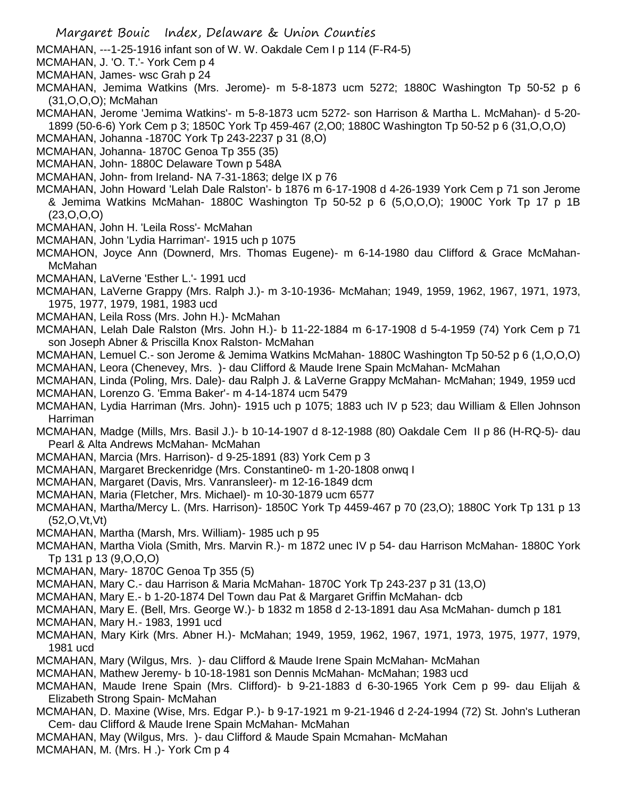- MCMAHAN, ---1-25-1916 infant son of W. W. Oakdale Cem I p 114 (F-R4-5)
- MCMAHAN, J. 'O. T.'- York Cem p 4
- MCMAHAN, James- wsc Grah p 24
- MCMAHAN, Jemima Watkins (Mrs. Jerome)- m 5-8-1873 ucm 5272; 1880C Washington Tp 50-52 p 6 (31,O,O,O); McMahan
- MCMAHAN, Jerome 'Jemima Watkins'- m 5-8-1873 ucm 5272- son Harrison & Martha L. McMahan)- d 5-20- 1899 (50-6-6) York Cem p 3; 1850C York Tp 459-467 (2,O0; 1880C Washington Tp 50-52 p 6 (31,O,O,O)
- MCMAHAN, Johanna -1870C York Tp 243-2237 p 31 (8,O)
- MCMAHAN, Johanna- 1870C Genoa Tp 355 (35)
- MCMAHAN, John- 1880C Delaware Town p 548A
- MCMAHAN, John- from Ireland- NA 7-31-1863; delge IX p 76
- MCMAHAN, John Howard 'Lelah Dale Ralston'- b 1876 m 6-17-1908 d 4-26-1939 York Cem p 71 son Jerome & Jemima Watkins McMahan- 1880C Washington Tp 50-52 p 6 (5,O,O,O); 1900C York Tp 17 p 1B (23,O,O,O)
- MCMAHAN, John H. 'Leila Ross'- McMahan
- MCMAHAN, John 'Lydia Harriman'- 1915 uch p 1075
- MCMAHON, Joyce Ann (Downerd, Mrs. Thomas Eugene)- m 6-14-1980 dau Clifford & Grace McMahan-McMahan
- MCMAHAN, LaVerne 'Esther L.'- 1991 ucd
- MCMAHAN, LaVerne Grappy (Mrs. Ralph J.)- m 3-10-1936- McMahan; 1949, 1959, 1962, 1967, 1971, 1973, 1975, 1977, 1979, 1981, 1983 ucd
- MCMAHAN, Leila Ross (Mrs. John H.)- McMahan
- MCMAHAN, Lelah Dale Ralston (Mrs. John H.)- b 11-22-1884 m 6-17-1908 d 5-4-1959 (74) York Cem p 71 son Joseph Abner & Priscilla Knox Ralston- McMahan
- MCMAHAN, Lemuel C.- son Jerome & Jemima Watkins McMahan- 1880C Washington Tp 50-52 p 6 (1,O,O,O) MCMAHAN, Leora (Chenevey, Mrs. )- dau Clifford & Maude Irene Spain McMahan- McMahan
- MCMAHAN, Linda (Poling, Mrs. Dale)- dau Ralph J. & LaVerne Grappy McMahan- McMahan; 1949, 1959 ucd MCMAHAN, Lorenzo G. 'Emma Baker'- m 4-14-1874 ucm 5479
- MCMAHAN, Lydia Harriman (Mrs. John)- 1915 uch p 1075; 1883 uch IV p 523; dau William & Ellen Johnson Harriman
- MCMAHAN, Madge (Mills, Mrs. Basil J.)- b 10-14-1907 d 8-12-1988 (80) Oakdale Cem II p 86 (H-RQ-5)- dau Pearl & Alta Andrews McMahan- McMahan
- MCMAHAN, Marcia (Mrs. Harrison)- d 9-25-1891 (83) York Cem p 3
- MCMAHAN, Margaret Breckenridge (Mrs. Constantine0- m 1-20-1808 onwq I
- MCMAHAN, Margaret (Davis, Mrs. Vanransleer)- m 12-16-1849 dcm
- MCMAHAN, Maria (Fletcher, Mrs. Michael)- m 10-30-1879 ucm 6577
- MCMAHAN, Martha/Mercy L. (Mrs. Harrison)- 1850C York Tp 4459-467 p 70 (23,O); 1880C York Tp 131 p 13 (52,O,Vt,Vt)
- MCMAHAN, Martha (Marsh, Mrs. William)- 1985 uch p 95
- MCMAHAN, Martha Viola (Smith, Mrs. Marvin R.)- m 1872 unec IV p 54- dau Harrison McMahan- 1880C York Tp 131 p 13 (9,O,O,O)
- MCMAHAN, Mary- 1870C Genoa Tp 355 (5)
- MCMAHAN, Mary C.- dau Harrison & Maria McMahan- 1870C York Tp 243-237 p 31 (13,O)
- MCMAHAN, Mary E.- b 1-20-1874 Del Town dau Pat & Margaret Griffin McMahan- dcb
- MCMAHAN, Mary E. (Bell, Mrs. George W.)- b 1832 m 1858 d 2-13-1891 dau Asa McMahan- dumch p 181
- MCMAHAN, Mary H.- 1983, 1991 ucd
- MCMAHAN, Mary Kirk (Mrs. Abner H.)- McMahan; 1949, 1959, 1962, 1967, 1971, 1973, 1975, 1977, 1979, 1981 ucd
- MCMAHAN, Mary (Wilgus, Mrs. )- dau Clifford & Maude Irene Spain McMahan- McMahan
- MCMAHAN, Mathew Jeremy- b 10-18-1981 son Dennis McMahan- McMahan; 1983 ucd
- MCMAHAN, Maude Irene Spain (Mrs. Clifford)- b 9-21-1883 d 6-30-1965 York Cem p 99- dau Elijah & Elizabeth Strong Spain- McMahan
- MCMAHAN, D. Maxine (Wise, Mrs. Edgar P.)- b 9-17-1921 m 9-21-1946 d 2-24-1994 (72) St. John's Lutheran Cem- dau Clifford & Maude Irene Spain McMahan- McMahan
- MCMAHAN, May (Wilgus, Mrs. )- dau Clifford & Maude Spain Mcmahan- McMahan MCMAHAN, M. (Mrs. H .)- York Cm p 4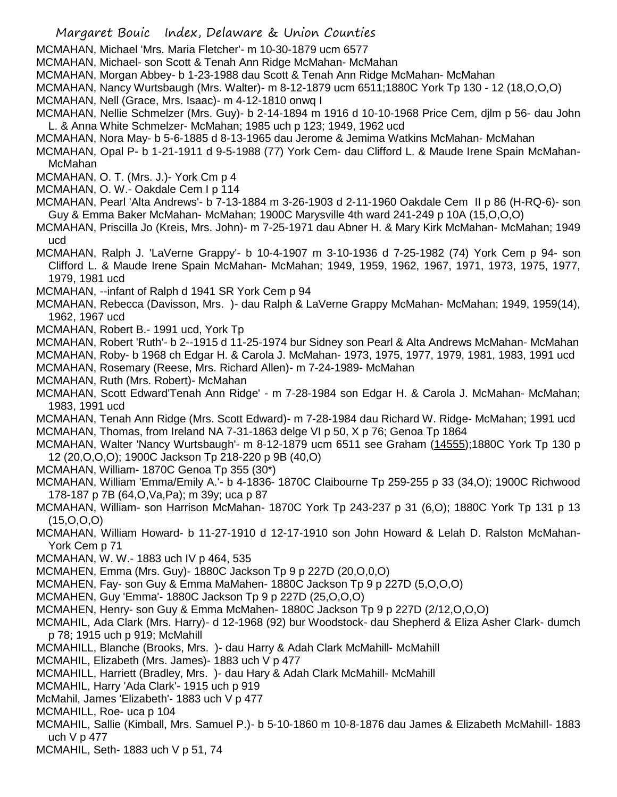MCMAHAN, Michael 'Mrs. Maria Fletcher'- m 10-30-1879 ucm 6577

MCMAHAN, Michael- son Scott & Tenah Ann Ridge McMahan- McMahan

MCMAHAN, Morgan Abbey- b 1-23-1988 dau Scott & Tenah Ann Ridge McMahan- McMahan

MCMAHAN, Nancy Wurtsbaugh (Mrs. Walter)- m 8-12-1879 ucm 6511;1880C York Tp 130 - 12 (18,O,O,O) MCMAHAN, Nell (Grace, Mrs. Isaac)- m 4-12-1810 onwq I

MCMAHAN, Nellie Schmelzer (Mrs. Guy)- b 2-14-1894 m 1916 d 10-10-1968 Price Cem, djlm p 56- dau John L. & Anna White Schmelzer- McMahan; 1985 uch p 123; 1949, 1962 ucd

MCMAHAN, Nora May- b 5-6-1885 d 8-13-1965 dau Jerome & Jemima Watkins McMahan- McMahan

MCMAHAN, Opal P- b 1-21-1911 d 9-5-1988 (77) York Cem- dau Clifford L. & Maude Irene Spain McMahan-McMahan

MCMAHAN, O. T. (Mrs. J.)- York Cm p 4

- MCMAHAN, O. W.- Oakdale Cem I p 114
- MCMAHAN, Pearl 'Alta Andrews'- b 7-13-1884 m 3-26-1903 d 2-11-1960 Oakdale Cem II p 86 (H-RQ-6)- son Guy & Emma Baker McMahan- McMahan; 1900C Marysville 4th ward 241-249 p 10A (15,O,O,O)
- MCMAHAN, Priscilla Jo (Kreis, Mrs. John)- m 7-25-1971 dau Abner H. & Mary Kirk McMahan- McMahan; 1949 ucd
- MCMAHAN, Ralph J. 'LaVerne Grappy'- b 10-4-1907 m 3-10-1936 d 7-25-1982 (74) York Cem p 94- son Clifford L. & Maude Irene Spain McMahan- McMahan; 1949, 1959, 1962, 1967, 1971, 1973, 1975, 1977, 1979, 1981 ucd
- MCMAHAN, --infant of Ralph d 1941 SR York Cem p 94

MCMAHAN, Rebecca (Davisson, Mrs. )- dau Ralph & LaVerne Grappy McMahan- McMahan; 1949, 1959(14), 1962, 1967 ucd

MCMAHAN, Robert B.- 1991 ucd, York Tp

MCMAHAN, Robert 'Ruth'- b 2--1915 d 11-25-1974 bur Sidney son Pearl & Alta Andrews McMahan- McMahan MCMAHAN, Roby- b 1968 ch Edgar H. & Carola J. McMahan- 1973, 1975, 1977, 1979, 1981, 1983, 1991 ucd

MCMAHAN, Rosemary (Reese, Mrs. Richard Allen)- m 7-24-1989- McMahan

MCMAHAN, Ruth (Mrs. Robert)- McMahan

MCMAHAN, Scott Edward'Tenah Ann Ridge' - m 7-28-1984 son Edgar H. & Carola J. McMahan- McMahan; 1983, 1991 ucd

MCMAHAN, Tenah Ann Ridge (Mrs. Scott Edward)- m 7-28-1984 dau Richard W. Ridge- McMahan; 1991 ucd MCMAHAN, Thomas, from Ireland NA 7-31-1863 delge VI p 50, X p 76; Genoa Tp 1864

MCMAHAN, Walter 'Nancy Wurtsbaugh'- m 8-12-1879 ucm 6511 see Graham (14555);1880C York Tp 130 p 12 (20,O,O,O); 1900C Jackson Tp 218-220 p 9B (40,O)

MCMAHAN, William- 1870C Genoa Tp 355 (30\*)

MCMAHAN, William 'Emma/Emily A.'- b 4-1836- 1870C Claibourne Tp 259-255 p 33 (34,O); 1900C Richwood 178-187 p 7B (64,O,Va,Pa); m 39y; uca p 87

MCMAHAN, William- son Harrison McMahan- 1870C York Tp 243-237 p 31 (6,O); 1880C York Tp 131 p 13 (15,O,O,O)

MCMAHAN, William Howard- b 11-27-1910 d 12-17-1910 son John Howard & Lelah D. Ralston McMahan-York Cem p 71

MCMAHAN, W. W.- 1883 uch IV p 464, 535

MCMAHEN, Emma (Mrs. Guy)- 1880C Jackson Tp 9 p 227D (20,O,0,O)

MCMAHEN, Fay- son Guy & Emma MaMahen- 1880C Jackson Tp 9 p 227D (5,O,O,O)

- MCMAHEN, Guy 'Emma'- 1880C Jackson Tp 9 p 227D (25,O,O,O)
- MCMAHEN, Henry- son Guy & Emma McMahen- 1880C Jackson Tp 9 p 227D (2/12,O,O,O)
- MCMAHIL, Ada Clark (Mrs. Harry)- d 12-1968 (92) bur Woodstock- dau Shepherd & Eliza Asher Clark- dumch p 78; 1915 uch p 919; McMahill
- MCMAHILL, Blanche (Brooks, Mrs. )- dau Harry & Adah Clark McMahill- McMahill

MCMAHIL, Elizabeth (Mrs. James)- 1883 uch V p 477

MCMAHILL, Harriett (Bradley, Mrs. )- dau Hary & Adah Clark McMahill- McMahill

MCMAHIL, Harry 'Ada Clark'- 1915 uch p 919

McMahil, James 'Elizabeth'- 1883 uch V p 477

MCMAHILL, Roe- uca p 104

- MCMAHIL, Sallie (Kimball, Mrs. Samuel P.)- b 5-10-1860 m 10-8-1876 dau James & Elizabeth McMahill- 1883 uch V p 477
- MCMAHIL, Seth- 1883 uch V p 51, 74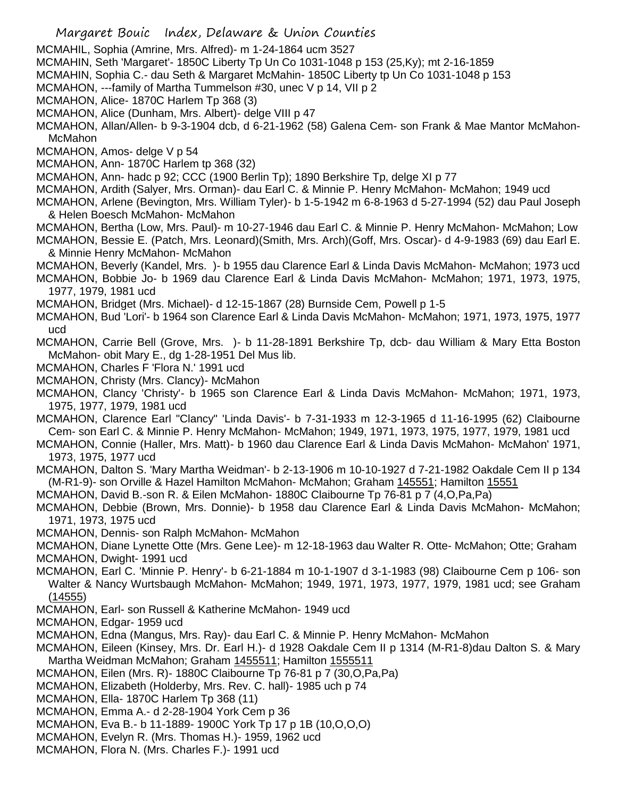- MCMAHIL, Sophia (Amrine, Mrs. Alfred)- m 1-24-1864 ucm 3527
- MCMAHIN, Seth 'Margaret'- 1850C Liberty Tp Un Co 1031-1048 p 153 (25,Ky); mt 2-16-1859
- MCMAHIN, Sophia C.- dau Seth & Margaret McMahin- 1850C Liberty tp Un Co 1031-1048 p 153
- MCMAHON, ---family of Martha Tummelson #30, unec V p 14, VII p 2
- MCMAHON, Alice- 1870C Harlem Tp 368 (3)
- MCMAHON, Alice (Dunham, Mrs. Albert)- delge VIII p 47

MCMAHON, Allan/Allen- b 9-3-1904 dcb, d 6-21-1962 (58) Galena Cem- son Frank & Mae Mantor McMahon-McMahon

MCMAHON, Amos- delge V p 54

- MCMAHON, Ann- 1870C Harlem tp 368 (32)
- MCMAHON, Ann- hadc p 92; CCC (1900 Berlin Tp); 1890 Berkshire Tp, delge XI p 77
- MCMAHON, Ardith (Salyer, Mrs. Orman)- dau Earl C. & Minnie P. Henry McMahon- McMahon; 1949 ucd
- MCMAHON, Arlene (Bevington, Mrs. William Tyler)- b 1-5-1942 m 6-8-1963 d 5-27-1994 (52) dau Paul Joseph & Helen Boesch McMahon- McMahon
- MCMAHON, Bertha (Low, Mrs. Paul)- m 10-27-1946 dau Earl C. & Minnie P. Henry McMahon- McMahon; Low MCMAHON, Bessie E. (Patch, Mrs. Leonard)(Smith, Mrs. Arch)(Goff, Mrs. Oscar)- d 4-9-1983 (69) dau Earl E. & Minnie Henry McMahon- McMahon
- MCMAHON, Beverly (Kandel, Mrs. )- b 1955 dau Clarence Earl & Linda Davis McMahon- McMahon; 1973 ucd
- MCMAHON, Bobbie Jo- b 1969 dau Clarence Earl & Linda Davis McMahon- McMahon; 1971, 1973, 1975, 1977, 1979, 1981 ucd

MCMAHON, Bridget (Mrs. Michael)- d 12-15-1867 (28) Burnside Cem, Powell p 1-5

- MCMAHON, Bud 'Lori'- b 1964 son Clarence Earl & Linda Davis McMahon- McMahon; 1971, 1973, 1975, 1977 ucd
- MCMAHON, Carrie Bell (Grove, Mrs. )- b 11-28-1891 Berkshire Tp, dcb- dau William & Mary Etta Boston McMahon- obit Mary E., dg 1-28-1951 Del Mus lib.
- MCMAHON, Charles F 'Flora N.' 1991 ucd
- MCMAHON, Christy (Mrs. Clancy)- McMahon
- MCMAHON, Clancy 'Christy'- b 1965 son Clarence Earl & Linda Davis McMahon- McMahon; 1971, 1973, 1975, 1977, 1979, 1981 ucd
- MCMAHON, Clarence Earl "Clancy" 'Linda Davis'- b 7-31-1933 m 12-3-1965 d 11-16-1995 (62) Claibourne Cem- son Earl C. & Minnie P. Henry McMahon- McMahon; 1949, 1971, 1973, 1975, 1977, 1979, 1981 ucd
- MCMAHON, Connie (Haller, Mrs. Matt)- b 1960 dau Clarence Earl & Linda Davis McMahon- McMahon' 1971, 1973, 1975, 1977 ucd
- MCMAHON, Dalton S. 'Mary Martha Weidman'- b 2-13-1906 m 10-10-1927 d 7-21-1982 Oakdale Cem II p 134 (M-R1-9)- son Orville & Hazel Hamilton McMahon- McMahon; Graham 145551; Hamilton 15551
- MCMAHON, David B.-son R. & Eilen McMahon- 1880C Claibourne Tp 76-81 p 7 (4,O,Pa,Pa)
- MCMAHON, Debbie (Brown, Mrs. Donnie)- b 1958 dau Clarence Earl & Linda Davis McMahon- McMahon; 1971, 1973, 1975 ucd
- MCMAHON, Dennis- son Ralph McMahon- McMahon
- MCMAHON, Diane Lynette Otte (Mrs. Gene Lee)- m 12-18-1963 dau Walter R. Otte- McMahon; Otte; Graham MCMAHON, Dwight- 1991 ucd
- MCMAHON, Earl C. 'Minnie P. Henry'- b 6-21-1884 m 10-1-1907 d 3-1-1983 (98) Claibourne Cem p 106- son Walter & Nancy Wurtsbaugh McMahon- McMahon; 1949, 1971, 1973, 1977, 1979, 1981 ucd; see Graham (14555)
- MCMAHON, Earl- son Russell & Katherine McMahon- 1949 ucd
- MCMAHON, Edgar- 1959 ucd
- MCMAHON, Edna (Mangus, Mrs. Ray)- dau Earl C. & Minnie P. Henry McMahon- McMahon
- MCMAHON, Eileen (Kinsey, Mrs. Dr. Earl H.)- d 1928 Oakdale Cem II p 1314 (M-R1-8)dau Dalton S. & Mary Martha Weidman McMahon; Graham 1455511; Hamilton 1555511
- MCMAHON, Eilen (Mrs. R)- 1880C Claibourne Tp 76-81 p 7 (30,O,Pa,Pa)
- MCMAHON, Elizabeth (Holderby, Mrs. Rev. C. hall)- 1985 uch p 74
- MCMAHON, Ella- 1870C Harlem Tp 368 (11)
- MCMAHON, Emma A.- d 2-28-1904 York Cem p 36
- MCMAHON, Eva B.- b 11-1889- 1900C York Tp 17 p 1B (10,O,O,O)
- MCMAHON, Evelyn R. (Mrs. Thomas H.)- 1959, 1962 ucd
- MCMAHON, Flora N. (Mrs. Charles F.)- 1991 ucd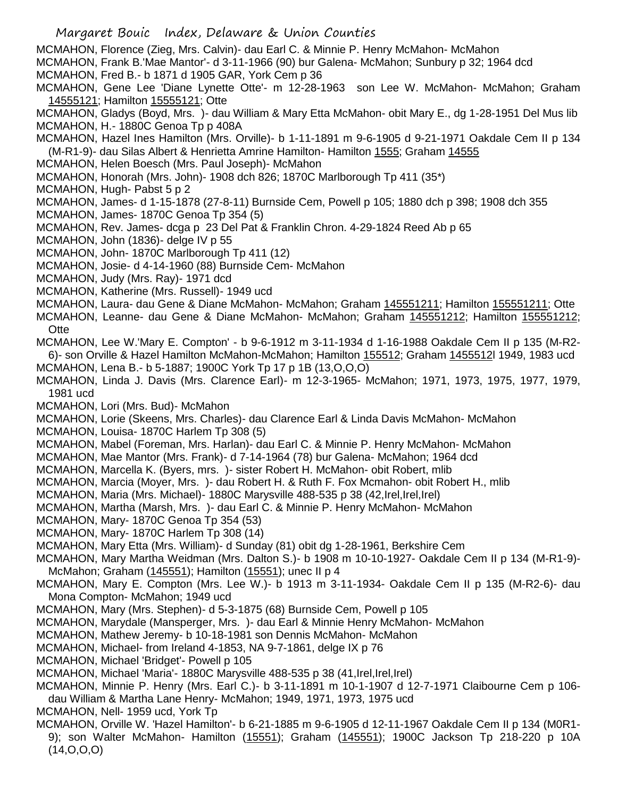- MCMAHON, Florence (Zieg, Mrs. Calvin)- dau Earl C. & Minnie P. Henry McMahon- McMahon
- MCMAHON, Frank B.'Mae Mantor'- d 3-11-1966 (90) bur Galena- McMahon; Sunbury p 32; 1964 dcd
- MCMAHON, Fred B.- b 1871 d 1905 GAR, York Cem p 36
- MCMAHON, Gene Lee 'Diane Lynette Otte'- m 12-28-1963 son Lee W. McMahon- McMahon; Graham 14555121; Hamilton 15555121; Otte
- MCMAHON, Gladys (Boyd, Mrs. )- dau William & Mary Etta McMahon- obit Mary E., dg 1-28-1951 Del Mus lib MCMAHON, H.- 1880C Genoa Tp p 408A
- MCMAHON, Hazel Ines Hamilton (Mrs. Orville)- b 1-11-1891 m 9-6-1905 d 9-21-1971 Oakdale Cem II p 134 (M-R1-9)- dau Silas Albert & Henrietta Amrine Hamilton- Hamilton 1555; Graham 14555
- MCMAHON, Helen Boesch (Mrs. Paul Joseph)- McMahon
- MCMAHON, Honorah (Mrs. John)- 1908 dch 826; 1870C Marlborough Tp 411 (35\*)
- MCMAHON, Hugh- Pabst 5 p 2
- MCMAHON, James- d 1-15-1878 (27-8-11) Burnside Cem, Powell p 105; 1880 dch p 398; 1908 dch 355
- MCMAHON, James- 1870C Genoa Tp 354 (5)
- MCMAHON, Rev. James- dcga p 23 Del Pat & Franklin Chron. 4-29-1824 Reed Ab p 65
- MCMAHON, John (1836)- delge IV p 55
- MCMAHON, John- 1870C Marlborough Tp 411 (12)
- MCMAHON, Josie- d 4-14-1960 (88) Burnside Cem- McMahon
- MCMAHON, Judy (Mrs. Ray)- 1971 dcd
- MCMAHON, Katherine (Mrs. Russell)- 1949 ucd
- MCMAHON, Laura- dau Gene & Diane McMahon- McMahon; Graham 145551211; Hamilton 155551211; Otte
- MCMAHON, Leanne- dau Gene & Diane McMahon- McMahon; Graham 145551212; Hamilton 155551212; **Otte**
- MCMAHON, Lee W.'Mary E. Compton' b 9-6-1912 m 3-11-1934 d 1-16-1988 Oakdale Cem II p 135 (M-R2- 6)- son Orville & Hazel Hamilton McMahon-McMahon; Hamilton 155512; Graham 1455512l 1949, 1983 ucd MCMAHON, Lena B.- b 5-1887; 1900C York Tp 17 p 1B (13,O,O,O)
- MCMAHON, Linda J. Davis (Mrs. Clarence Earl)- m 12-3-1965- McMahon; 1971, 1973, 1975, 1977, 1979, 1981 ucd
- MCMAHON, Lori (Mrs. Bud)- McMahon
- MCMAHON, Lorie (Skeens, Mrs. Charles)- dau Clarence Earl & Linda Davis McMahon- McMahon
- MCMAHON, Louisa- 1870C Harlem Tp 308 (5)
- MCMAHON, Mabel (Foreman, Mrs. Harlan)- dau Earl C. & Minnie P. Henry McMahon- McMahon
- MCMAHON, Mae Mantor (Mrs. Frank)- d 7-14-1964 (78) bur Galena- McMahon; 1964 dcd
- MCMAHON, Marcella K. (Byers, mrs. )- sister Robert H. McMahon- obit Robert, mlib
- MCMAHON, Marcia (Moyer, Mrs. )- dau Robert H. & Ruth F. Fox Mcmahon- obit Robert H., mlib
- MCMAHON, Maria (Mrs. Michael)- 1880C Marysville 488-535 p 38 (42,Irel,Irel,Irel)
- MCMAHON, Martha (Marsh, Mrs. )- dau Earl C. & Minnie P. Henry McMahon- McMahon
- MCMAHON, Mary- 1870C Genoa Tp 354 (53)
- MCMAHON, Mary- 1870C Harlem Tp 308 (14)
- MCMAHON, Mary Etta (Mrs. William)- d Sunday (81) obit dg 1-28-1961, Berkshire Cem
- MCMAHON, Mary Martha Weidman (Mrs. Dalton S.)- b 1908 m 10-10-1927- Oakdale Cem II p 134 (M-R1-9)- McMahon; Graham (145551); Hamilton (15551); unec II p 4
- MCMAHON, Mary E. Compton (Mrs. Lee W.)- b 1913 m 3-11-1934- Oakdale Cem II p 135 (M-R2-6)- dau Mona Compton- McMahon; 1949 ucd
- MCMAHON, Mary (Mrs. Stephen)- d 5-3-1875 (68) Burnside Cem, Powell p 105
- MCMAHON, Marydale (Mansperger, Mrs. )- dau Earl & Minnie Henry McMahon- McMahon
- MCMAHON, Mathew Jeremy- b 10-18-1981 son Dennis McMahon- McMahon
- MCMAHON, Michael- from Ireland 4-1853, NA 9-7-1861, delge IX p 76
- MCMAHON, Michael 'Bridget'- Powell p 105
- MCMAHON, Michael 'Maria'- 1880C Marysville 488-535 p 38 (41,Irel,Irel,Irel)
- MCMAHON, Minnie P. Henry (Mrs. Earl C.)- b 3-11-1891 m 10-1-1907 d 12-7-1971 Claibourne Cem p 106 dau William & Martha Lane Henry- McMahon; 1949, 1971, 1973, 1975 ucd

MCMAHON, Nell- 1959 ucd, York Tp

MCMAHON, Orville W. 'Hazel Hamilton'- b 6-21-1885 m 9-6-1905 d 12-11-1967 Oakdale Cem II p 134 (M0R1- 9); son Walter McMahon- Hamilton (15551); Graham (145551); 1900C Jackson Tp 218-220 p 10A  $(14, 0, 0, 0)$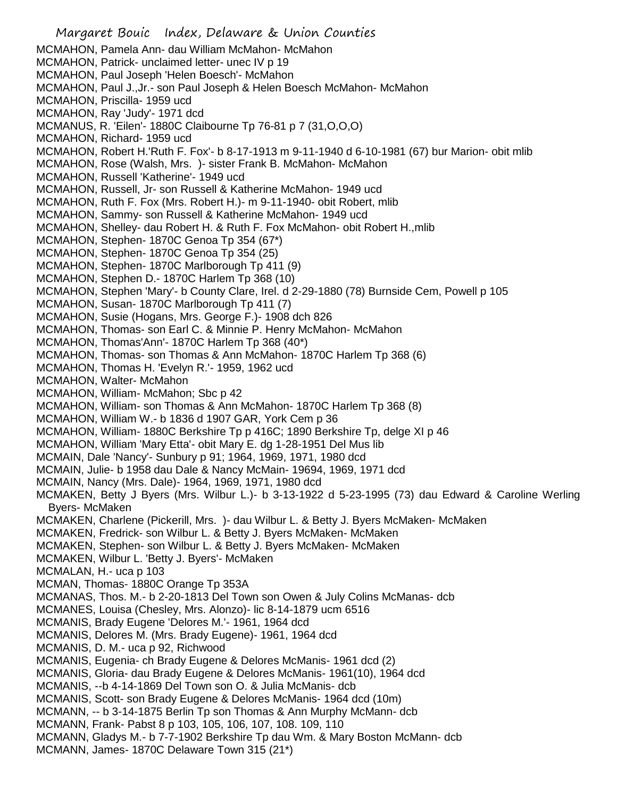Margaret Bouic Index, Delaware & Union Counties MCMAHON, Pamela Ann- dau William McMahon- McMahon MCMAHON, Patrick- unclaimed letter- unec IV p 19 MCMAHON, Paul Joseph 'Helen Boesch'- McMahon MCMAHON, Paul J.,Jr.- son Paul Joseph & Helen Boesch McMahon- McMahon MCMAHON, Priscilla- 1959 ucd MCMAHON, Ray 'Judy'- 1971 dcd MCMANUS, R. 'Eilen'- 1880C Claibourne Tp 76-81 p 7 (31,O,O,O) MCMAHON, Richard- 1959 ucd MCMAHON, Robert H.'Ruth F. Fox'- b 8-17-1913 m 9-11-1940 d 6-10-1981 (67) bur Marion- obit mlib MCMAHON, Rose (Walsh, Mrs. )- sister Frank B. McMahon- McMahon MCMAHON, Russell 'Katherine'- 1949 ucd MCMAHON, Russell, Jr- son Russell & Katherine McMahon- 1949 ucd MCMAHON, Ruth F. Fox (Mrs. Robert H.)- m 9-11-1940- obit Robert, mlib MCMAHON, Sammy- son Russell & Katherine McMahon- 1949 ucd MCMAHON, Shelley- dau Robert H. & Ruth F. Fox McMahon- obit Robert H.,mlib MCMAHON, Stephen- 1870C Genoa Tp 354 (67\*) MCMAHON, Stephen- 1870C Genoa Tp 354 (25) MCMAHON, Stephen- 1870C Marlborough Tp 411 (9) MCMAHON, Stephen D.- 1870C Harlem Tp 368 (10) MCMAHON, Stephen 'Mary'- b County Clare, Irel. d 2-29-1880 (78) Burnside Cem, Powell p 105 MCMAHON, Susan- 1870C Marlborough Tp 411 (7) MCMAHON, Susie (Hogans, Mrs. George F.)- 1908 dch 826 MCMAHON, Thomas- son Earl C. & Minnie P. Henry McMahon- McMahon MCMAHON, Thomas'Ann'- 1870C Harlem Tp 368 (40\*) MCMAHON, Thomas- son Thomas & Ann McMahon- 1870C Harlem Tp 368 (6) MCMAHON, Thomas H. 'Evelyn R.'- 1959, 1962 ucd MCMAHON, Walter- McMahon MCMAHON, William- McMahon; Sbc p 42 MCMAHON, William- son Thomas & Ann McMahon- 1870C Harlem Tp 368 (8) MCMAHON, William W.- b 1836 d 1907 GAR, York Cem p 36 MCMAHON, William- 1880C Berkshire Tp p 416C; 1890 Berkshire Tp, delge XI p 46 MCMAHON, William 'Mary Etta'- obit Mary E. dg 1-28-1951 Del Mus lib MCMAIN, Dale 'Nancy'- Sunbury p 91; 1964, 1969, 1971, 1980 dcd MCMAIN, Julie- b 1958 dau Dale & Nancy McMain- 19694, 1969, 1971 dcd MCMAIN, Nancy (Mrs. Dale)- 1964, 1969, 1971, 1980 dcd MCMAKEN, Betty J Byers (Mrs. Wilbur L.)- b 3-13-1922 d 5-23-1995 (73) dau Edward & Caroline Werling Byers- McMaken MCMAKEN, Charlene (Pickerill, Mrs. )- dau Wilbur L. & Betty J. Byers McMaken- McMaken MCMAKEN, Fredrick- son Wilbur L. & Betty J. Byers McMaken- McMaken MCMAKEN, Stephen- son Wilbur L. & Betty J. Byers McMaken- McMaken MCMAKEN, Wilbur L. 'Betty J. Byers'- McMaken MCMALAN, H.- uca p 103 MCMAN, Thomas- 1880C Orange Tp 353A MCMANAS, Thos. M.- b 2-20-1813 Del Town son Owen & July Colins McManas- dcb MCMANES, Louisa (Chesley, Mrs. Alonzo)- lic 8-14-1879 ucm 6516 MCMANIS, Brady Eugene 'Delores M.'- 1961, 1964 dcd MCMANIS, Delores M. (Mrs. Brady Eugene)- 1961, 1964 dcd MCMANIS, D. M.- uca p 92, Richwood MCMANIS, Eugenia- ch Brady Eugene & Delores McManis- 1961 dcd (2) MCMANIS, Gloria- dau Brady Eugene & Delores McManis- 1961(10), 1964 dcd MCMANIS, --b 4-14-1869 Del Town son O. & Julia McManis- dcb MCMANIS, Scott- son Brady Eugene & Delores McManis- 1964 dcd (10m) MCMANN, -- b 3-14-1875 Berlin Tp son Thomas & Ann Murphy McMann- dcb MCMANN, Frank- Pabst 8 p 103, 105, 106, 107, 108. 109, 110 MCMANN, Gladys M.- b 7-7-1902 Berkshire Tp dau Wm. & Mary Boston McMann- dcb MCMANN, James- 1870C Delaware Town 315 (21\*)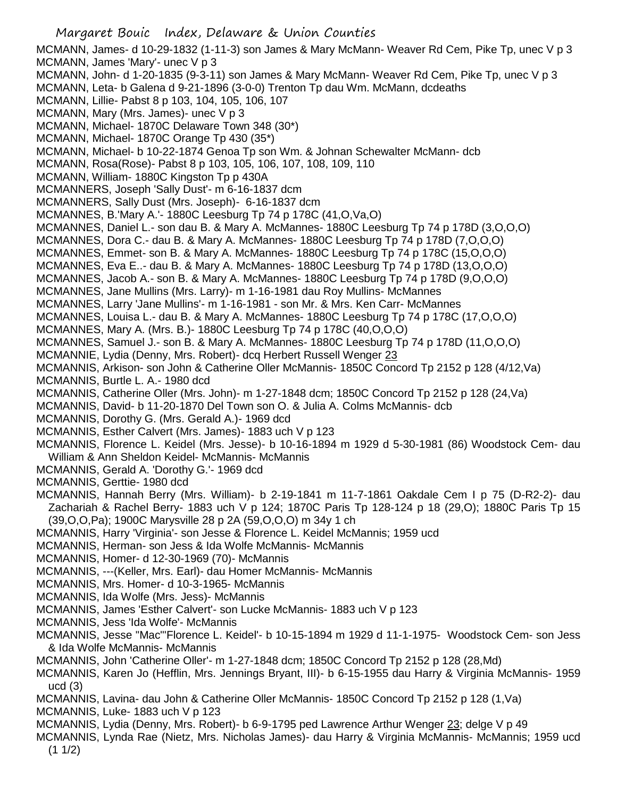Margaret Bouic Index, Delaware & Union Counties MCMANN, James- d 10-29-1832 (1-11-3) son James & Mary McMann- Weaver Rd Cem, Pike Tp, unec V p 3 MCMANN, James 'Mary'- unec V p 3 MCMANN, John- d 1-20-1835 (9-3-11) son James & Mary McMann- Weaver Rd Cem, Pike Tp, unec V p 3 MCMANN, Leta- b Galena d 9-21-1896 (3-0-0) Trenton Tp dau Wm. McMann, dcdeaths MCMANN, Lillie- Pabst 8 p 103, 104, 105, 106, 107 MCMANN, Mary (Mrs. James)- unec V p 3 MCMANN, Michael- 1870C Delaware Town 348 (30\*) MCMANN, Michael- 1870C Orange Tp 430 (35\*) MCMANN, Michael- b 10-22-1874 Genoa Tp son Wm. & Johnan Schewalter McMann- dcb MCMANN, Rosa(Rose)- Pabst 8 p 103, 105, 106, 107, 108, 109, 110 MCMANN, William- 1880C Kingston Tp p 430A MCMANNERS, Joseph 'Sally Dust'- m 6-16-1837 dcm MCMANNERS, Sally Dust (Mrs. Joseph)- 6-16-1837 dcm MCMANNES, B.'Mary A.'- 1880C Leesburg Tp 74 p 178C (41,O,Va,O) MCMANNES, Daniel L.- son dau B. & Mary A. McMannes- 1880C Leesburg Tp 74 p 178D (3,O,O,O) MCMANNES, Dora C.- dau B. & Mary A. McMannes- 1880C Leesburg Tp 74 p 178D (7,O,O,O) MCMANNES, Emmet- son B. & Mary A. McMannes- 1880C Leesburg Tp 74 p 178C (15,O,O,O) MCMANNES, Eva E..- dau B. & Mary A. McMannes- 1880C Leesburg Tp 74 p 178D (13,O,O,O) MCMANNES, Jacob A.- son B. & Mary A. McMannes- 1880C Leesburg Tp 74 p 178D (9,O,O,O) MCMANNES, Jane Mullins (Mrs. Larry)- m 1-16-1981 dau Roy Mullins- McMannes MCMANNES, Larry 'Jane Mullins'- m 1-16-1981 - son Mr. & Mrs. Ken Carr- McMannes MCMANNES, Louisa L.- dau B. & Mary A. McMannes- 1880C Leesburg Tp 74 p 178C (17,O,O,O) MCMANNES, Mary A. (Mrs. B.)- 1880C Leesburg Tp 74 p 178C (40,O,O,O) MCMANNES, Samuel J.- son B. & Mary A. McMannes- 1880C Leesburg Tp 74 p 178D (11,O,O,O) MCMANNIE, Lydia (Denny, Mrs. Robert)- dcq Herbert Russell Wenger 23 MCMANNIS, Arkison- son John & Catherine Oller McMannis- 1850C Concord Tp 2152 p 128 (4/12,Va) MCMANNIS, Burtle L. A.- 1980 dcd MCMANNIS, Catherine Oller (Mrs. John)- m 1-27-1848 dcm; 1850C Concord Tp 2152 p 128 (24,Va) MCMANNIS, David- b 11-20-1870 Del Town son O. & Julia A. Colms McMannis- dcb MCMANNIS, Dorothy G. (Mrs. Gerald A.)- 1969 dcd MCMANNIS, Esther Calvert (Mrs. James)- 1883 uch V p 123 MCMANNIS, Florence L. Keidel (Mrs. Jesse)- b 10-16-1894 m 1929 d 5-30-1981 (86) Woodstock Cem- dau William & Ann Sheldon Keidel- McMannis- McMannis MCMANNIS, Gerald A. 'Dorothy G.'- 1969 dcd MCMANNIS, Gerttie- 1980 dcd MCMANNIS, Hannah Berry (Mrs. William)- b 2-19-1841 m 11-7-1861 Oakdale Cem I p 75 (D-R2-2)- dau Zachariah & Rachel Berry- 1883 uch V p 124; 1870C Paris Tp 128-124 p 18 (29,O); 1880C Paris Tp 15 (39,O,O,Pa); 1900C Marysville 28 p 2A (59,O,O,O) m 34y 1 ch MCMANNIS, Harry 'Virginia'- son Jesse & Florence L. Keidel McMannis; 1959 ucd MCMANNIS, Herman- son Jess & Ida Wolfe McMannis- McMannis MCMANNIS, Homer- d 12-30-1969 (70)- McMannis MCMANNIS, ---(Keller, Mrs. Earl)- dau Homer McMannis- McMannis MCMANNIS, Mrs. Homer- d 10-3-1965- McMannis MCMANNIS, Ida Wolfe (Mrs. Jess)- McMannis MCMANNIS, James 'Esther Calvert'- son Lucke McMannis- 1883 uch V p 123 MCMANNIS, Jess 'Ida Wolfe'- McMannis MCMANNIS, Jesse "Mac"'Florence L. Keidel'- b 10-15-1894 m 1929 d 11-1-1975- Woodstock Cem- son Jess & Ida Wolfe McMannis- McMannis MCMANNIS, John 'Catherine Oller'- m 1-27-1848 dcm; 1850C Concord Tp 2152 p 128 (28,Md) MCMANNIS, Karen Jo (Hefflin, Mrs. Jennings Bryant, III)- b 6-15-1955 dau Harry & Virginia McMannis- 1959 ucd (3) MCMANNIS, Lavina- dau John & Catherine Oller McMannis- 1850C Concord Tp 2152 p 128 (1,Va) MCMANNIS, Luke- 1883 uch V p 123 MCMANNIS, Lydia (Denny, Mrs. Robert)- b 6-9-1795 ped Lawrence Arthur Wenger 23; delge V p 49 MCMANNIS, Lynda Rae (Nietz, Mrs. Nicholas James)- dau Harry & Virginia McMannis- McMannis; 1959 ucd  $(1 1/2)$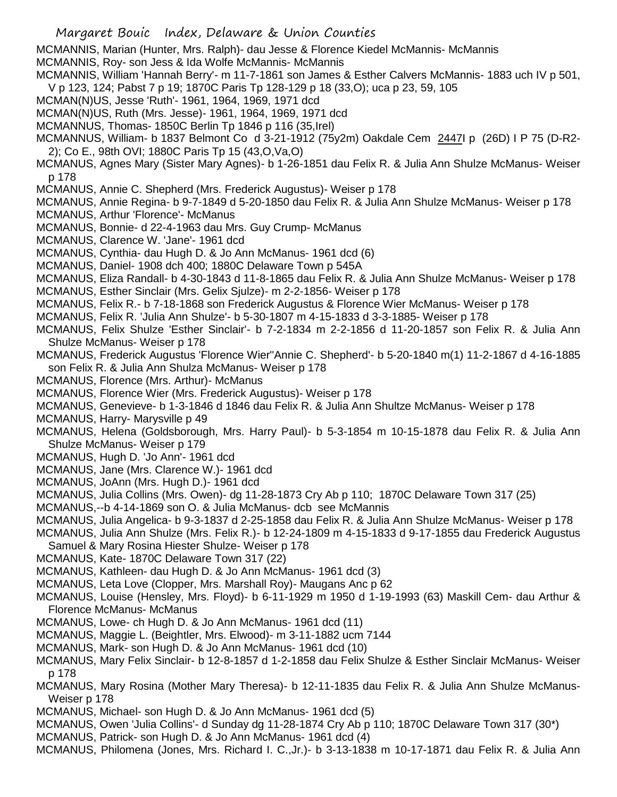Margaret Bouic Index, Delaware & Union Counties MCMANNIS, Marian (Hunter, Mrs. Ralph)- dau Jesse & Florence Kiedel McMannis- McMannis MCMANNIS, Roy- son Jess & Ida Wolfe McMannis- McMannis MCMANNIS, William 'Hannah Berry'- m 11-7-1861 son James & Esther Calvers McMannis- 1883 uch IV p 501, V p 123, 124; Pabst 7 p 19; 1870C Paris Tp 128-129 p 18 (33,O); uca p 23, 59, 105 MCMAN(N)US, Jesse 'Ruth'- 1961, 1964, 1969, 1971 dcd MCMAN(N)US, Ruth (Mrs. Jesse)- 1961, 1964, 1969, 1971 dcd MCMANNUS, Thomas- 1850C Berlin Tp 1846 p 116 (35,Irel) MCMANNUS, William- b 1837 Belmont Co d 3-21-1912 (75y2m) Oakdale Cem 2447I p (26D) I P 75 (D-R2- 2); Co E., 98th OVI; 1880C Paris Tp 15 (43,O,Va,O) MCMANUS, Agnes Mary (Sister Mary Agnes)- b 1-26-1851 dau Felix R. & Julia Ann Shulze McManus- Weiser p 178 MCMANUS, Annie C. Shepherd (Mrs. Frederick Augustus)- Weiser p 178 MCMANUS, Annie Regina- b 9-7-1849 d 5-20-1850 dau Felix R. & Julia Ann Shulze McManus- Weiser p 178 MCMANUS, Arthur 'Florence'- McManus MCMANUS, Bonnie- d 22-4-1963 dau Mrs. Guy Crump- McManus MCMANUS, Clarence W. 'Jane'- 1961 dcd MCMANUS, Cynthia- dau Hugh D. & Jo Ann McManus- 1961 dcd (6) MCMANUS, Daniel- 1908 dch 400; 1880C Delaware Town p 545A MCMANUS, Eliza Randall- b 4-30-1843 d 11-8-1865 dau Felix R. & Julia Ann Shulze McManus- Weiser p 178 MCMANUS, Esther Sinclair (Mrs. Gelix Sjulze)- m 2-2-1856- Weiser p 178 MCMANUS, Felix R.- b 7-18-1868 son Frederick Augustus & Florence Wier McManus- Weiser p 178 MCMANUS, Felix R. 'Julia Ann Shulze'- b 5-30-1807 m 4-15-1833 d 3-3-1885- Weiser p 178 MCMANUS, Felix Shulze 'Esther Sinclair'- b 7-2-1834 m 2-2-1856 d 11-20-1857 son Felix R. & Julia Ann Shulze McManus- Weiser p 178 MCMANUS, Frederick Augustus 'Florence Wier''Annie C. Shepherd'- b 5-20-1840 m(1) 11-2-1867 d 4-16-1885 son Felix R. & Julia Ann Shulza McManus- Weiser p 178 MCMANUS, Florence (Mrs. Arthur)- McManus MCMANUS, Florence Wier (Mrs. Frederick Augustus)- Weiser p 178 MCMANUS, Genevieve- b 1-3-1846 d 1846 dau Felix R. & Julia Ann Shultze McManus- Weiser p 178 MCMANUS, Harry- Marysville p 49 MCMANUS, Helena (Goldsborough, Mrs. Harry Paul)- b 5-3-1854 m 10-15-1878 dau Felix R. & Julia Ann Shulze McManus- Weiser p 179 MCMANUS, Hugh D. 'Jo Ann'- 1961 dcd MCMANUS, Jane (Mrs. Clarence W.)- 1961 dcd MCMANUS, JoAnn (Mrs. Hugh D.)- 1961 dcd MCMANUS, Julia Collins (Mrs. Owen)- dg 11-28-1873 Cry Ab p 110; 1870C Delaware Town 317 (25) MCMANUS,--b 4-14-1869 son O. & Julia McManus- dcb see McMannis MCMANUS, Julia Angelica- b 9-3-1837 d 2-25-1858 dau Felix R. & Julia Ann Shulze McManus- Weiser p 178 MCMANUS, Julia Ann Shulze (Mrs. Felix R.)- b 12-24-1809 m 4-15-1833 d 9-17-1855 dau Frederick Augustus Samuel & Mary Rosina Hiester Shulze- Weiser p 178 MCMANUS, Kate- 1870C Delaware Town 317 (22) MCMANUS, Kathleen- dau Hugh D. & Jo Ann McManus- 1961 dcd (3) MCMANUS, Leta Love (Clopper, Mrs. Marshall Roy)- Maugans Anc p 62 MCMANUS, Louise (Hensley, Mrs. Floyd)- b 6-11-1929 m 1950 d 1-19-1993 (63) Maskill Cem- dau Arthur & Florence McManus- McManus MCMANUS, Lowe- ch Hugh D. & Jo Ann McManus- 1961 dcd (11) MCMANUS, Maggie L. (Beightler, Mrs. Elwood)- m 3-11-1882 ucm 7144 MCMANUS, Mark- son Hugh D. & Jo Ann McManus- 1961 dcd (10)

- MCMANUS, Mary Felix Sinclair- b 12-8-1857 d 1-2-1858 dau Felix Shulze & Esther Sinclair McManus- Weiser p 178
- MCMANUS, Mary Rosina (Mother Mary Theresa)- b 12-11-1835 dau Felix R. & Julia Ann Shulze McManus-Weiser p 178
- MCMANUS, Michael- son Hugh D. & Jo Ann McManus- 1961 dcd (5)
- MCMANUS, Owen 'Julia Collins'- d Sunday dg 11-28-1874 Cry Ab p 110; 1870C Delaware Town 317 (30\*)
- MCMANUS, Patrick- son Hugh D. & Jo Ann McManus- 1961 dcd (4)
- MCMANUS, Philomena (Jones, Mrs. Richard I. C.,Jr.)- b 3-13-1838 m 10-17-1871 dau Felix R. & Julia Ann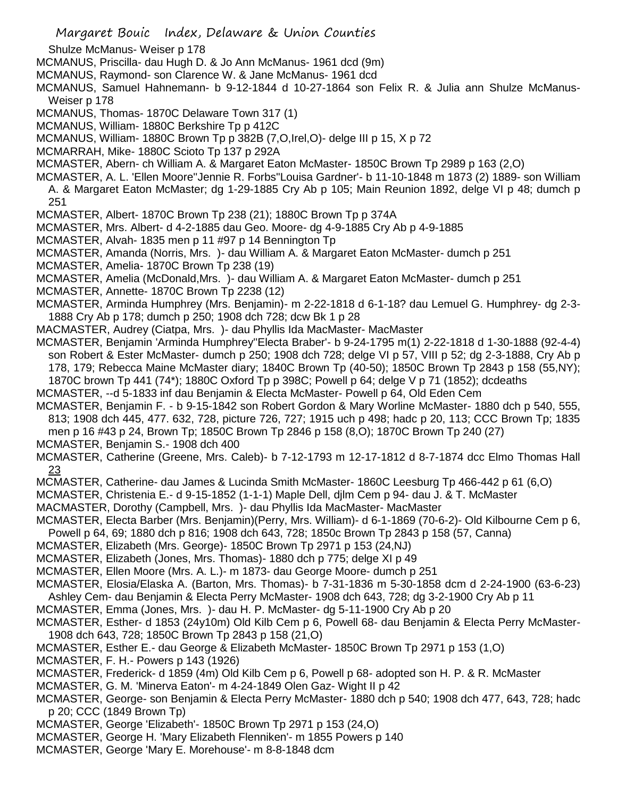Shulze McManus- Weiser p 178

MCMANUS, Priscilla- dau Hugh D. & Jo Ann McManus- 1961 dcd (9m)

MCMANUS, Raymond- son Clarence W. & Jane McManus- 1961 dcd

MCMANUS, Samuel Hahnemann- b 9-12-1844 d 10-27-1864 son Felix R. & Julia ann Shulze McManus-Weiser p 178

MCMANUS, Thomas- 1870C Delaware Town 317 (1)

MCMANUS, William- 1880C Berkshire Tp p 412C

MCMANUS, William- 1880C Brown Tp p 382B (7,O,Irel,O)- delge III p 15, X p 72

MCMARRAH, Mike- 1880C Scioto Tp 137 p 292A

MCMASTER, Abern- ch William A. & Margaret Eaton McMaster- 1850C Brown Tp 2989 p 163 (2,O)

MCMASTER, A. L. 'Ellen Moore''Jennie R. Forbs''Louisa Gardner'- b 11-10-1848 m 1873 (2) 1889- son William A. & Margaret Eaton McMaster; dg 1-29-1885 Cry Ab p 105; Main Reunion 1892, delge VI p 48; dumch p 251

MCMASTER, Albert- 1870C Brown Tp 238 (21); 1880C Brown Tp p 374A

MCMASTER, Mrs. Albert- d 4-2-1885 dau Geo. Moore- dg 4-9-1885 Cry Ab p 4-9-1885

MCMASTER, Alvah- 1835 men p 11 #97 p 14 Bennington Tp

MCMASTER, Amanda (Norris, Mrs. )- dau William A. & Margaret Eaton McMaster- dumch p 251

MCMASTER, Amelia- 1870C Brown Tp 238 (19)

MCMASTER, Amelia (McDonald,Mrs. )- dau William A. & Margaret Eaton McMaster- dumch p 251

MCMASTER, Annette- 1870C Brown Tp 2238 (12)

MCMASTER, Arminda Humphrey (Mrs. Benjamin)- m 2-22-1818 d 6-1-18? dau Lemuel G. Humphrey- dg 2-3- 1888 Cry Ab p 178; dumch p 250; 1908 dch 728; dcw Bk 1 p 28

MACMASTER, Audrey (Ciatpa, Mrs. )- dau Phyllis Ida MacMaster- MacMaster

MCMASTER, Benjamin 'Arminda Humphrey''Electa Braber'- b 9-24-1795 m(1) 2-22-1818 d 1-30-1888 (92-4-4) son Robert & Ester McMaster- dumch p 250; 1908 dch 728; delge VI p 57, VIII p 52; dg 2-3-1888, Cry Ab p 178, 179; Rebecca Maine McMaster diary; 1840C Brown Tp (40-50); 1850C Brown Tp 2843 p 158 (55,NY); 1870C brown Tp 441 (74\*); 1880C Oxford Tp p 398C; Powell p 64; delge V p 71 (1852); dcdeaths

MCMASTER, --d 5-1833 inf dau Benjamin & Electa McMaster- Powell p 64, Old Eden Cem

MCMASTER, Benjamin F. - b 9-15-1842 son Robert Gordon & Mary Worline McMaster- 1880 dch p 540, 555, 813; 1908 dch 445, 477. 632, 728, picture 726, 727; 1915 uch p 498; hadc p 20, 113; CCC Brown Tp; 1835 men p 16 #43 p 24, Brown Tp; 1850C Brown Tp 2846 p 158 (8,O); 1870C Brown Tp 240 (27)

MCMASTER, Benjamin S.- 1908 dch 400

MCMASTER, Catherine (Greene, Mrs. Caleb)- b 7-12-1793 m 12-17-1812 d 8-7-1874 dcc Elmo Thomas Hall 23

MCMASTER, Catherine- dau James & Lucinda Smith McMaster- 1860C Leesburg Tp 466-442 p 61 (6,O)

MCMASTER, Christenia E.- d 9-15-1852 (1-1-1) Maple Dell, djlm Cem p 94- dau J. & T. McMaster

MACMASTER, Dorothy (Campbell, Mrs. )- dau Phyllis Ida MacMaster- MacMaster

MCMASTER, Electa Barber (Mrs. Benjamin)(Perry, Mrs. William)- d 6-1-1869 (70-6-2)- Old Kilbourne Cem p 6, Powell p 64, 69; 1880 dch p 816; 1908 dch 643, 728; 1850c Brown Tp 2843 p 158 (57, Canna)

MCMASTER, Elizabeth (Mrs. George)- 1850C Brown Tp 2971 p 153 (24,NJ)

MCMASTER, Elizabeth (Jones, Mrs. Thomas)- 1880 dch p 775; delge XI p 49

MCMASTER, Ellen Moore (Mrs. A. L.)- m 1873- dau George Moore- dumch p 251

MCMASTER, Elosia/Elaska A. (Barton, Mrs. Thomas)- b 7-31-1836 m 5-30-1858 dcm d 2-24-1900 (63-6-23) Ashley Cem- dau Benjamin & Electa Perry McMaster- 1908 dch 643, 728; dg 3-2-1900 Cry Ab p 11

MCMASTER, Emma (Jones, Mrs. )- dau H. P. McMaster- dg 5-11-1900 Cry Ab p 20

MCMASTER, Esther- d 1853 (24y10m) Old Kilb Cem p 6, Powell 68- dau Benjamin & Electa Perry McMaster-1908 dch 643, 728; 1850C Brown Tp 2843 p 158 (21,O)

MCMASTER, Esther E.- dau George & Elizabeth McMaster- 1850C Brown Tp 2971 p 153 (1,O)

MCMASTER, F. H.- Powers p 143 (1926)

MCMASTER, Frederick- d 1859 (4m) Old Kilb Cem p 6, Powell p 68- adopted son H. P. & R. McMaster

MCMASTER, G. M. 'Minerva Eaton'- m 4-24-1849 Olen Gaz- Wight II p 42

MCMASTER, George- son Benjamin & Electa Perry McMaster- 1880 dch p 540; 1908 dch 477, 643, 728; hadc p 20; CCC (1849 Brown Tp)

MCMASTER, George 'Elizabeth'- 1850C Brown Tp 2971 p 153 (24,O)

MCMASTER, George H. 'Mary Elizabeth Flenniken'- m 1855 Powers p 140

MCMASTER, George 'Mary E. Morehouse'- m 8-8-1848 dcm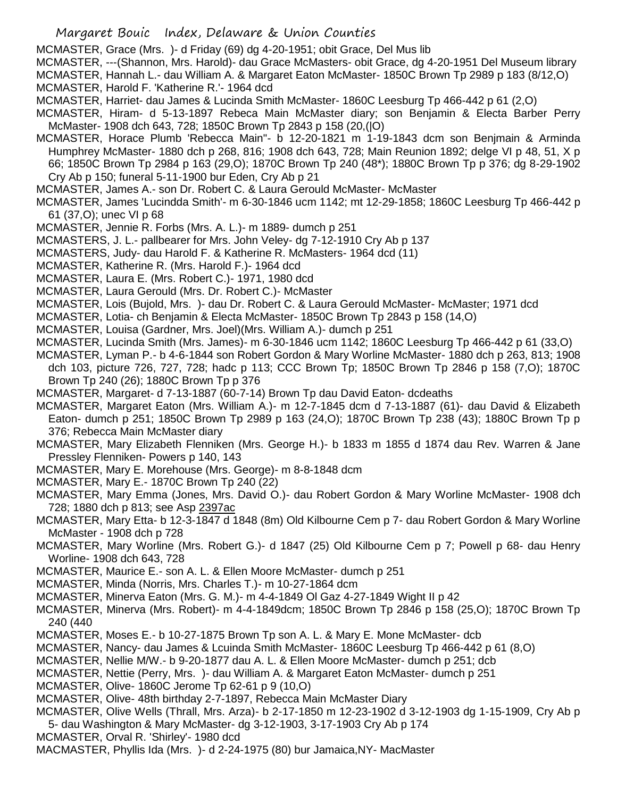MCMASTER, Grace (Mrs. )- d Friday (69) dg 4-20-1951; obit Grace, Del Mus lib

- MCMASTER, ---(Shannon, Mrs. Harold)- dau Grace McMasters- obit Grace, dg 4-20-1951 Del Museum library MCMASTER, Hannah L.- dau William A. & Margaret Eaton McMaster- 1850C Brown Tp 2989 p 183 (8/12,O)
- MCMASTER, Harold F. 'Katherine R.'- 1964 dcd
- MCMASTER, Harriet- dau James & Lucinda Smith McMaster- 1860C Leesburg Tp 466-442 p 61 (2,O)
- MCMASTER, Hiram- d 5-13-1897 Rebeca Main McMaster diary; son Benjamin & Electa Barber Perry McMaster- 1908 dch 643, 728; 1850C Brown Tp 2843 p 158 (20,(|O)
- MCMASTER, Horace Plumb 'Rebecca Main"- b 12-20-1821 m 1-19-1843 dcm son Benjmain & Arminda Humphrey McMaster- 1880 dch p 268, 816; 1908 dch 643, 728; Main Reunion 1892; delge VI p 48, 51, X p 66; 1850C Brown Tp 2984 p 163 (29,O); 1870C Brown Tp 240 (48\*); 1880C Brown Tp p 376; dg 8-29-1902 Cry Ab p 150; funeral 5-11-1900 bur Eden, Cry Ab p 21

MCMASTER, James A.- son Dr. Robert C. & Laura Gerould McMaster- McMaster

- MCMASTER, James 'Lucindda Smith'- m 6-30-1846 ucm 1142; mt 12-29-1858; 1860C Leesburg Tp 466-442 p 61 (37,O); unec VI p 68
- MCMASTER, Jennie R. Forbs (Mrs. A. L.)- m 1889- dumch p 251
- MCMASTERS, J. L.- pallbearer for Mrs. John Veley- dg 7-12-1910 Cry Ab p 137
- MCMASTERS, Judy- dau Harold F. & Katherine R. McMasters- 1964 dcd (11)
- MCMASTER, Katherine R. (Mrs. Harold F.)- 1964 dcd
- MCMASTER, Laura E. (Mrs. Robert C.)- 1971, 1980 dcd
- MCMASTER, Laura Gerould (Mrs. Dr. Robert C.)- McMaster
- MCMASTER, Lois (Bujold, Mrs. )- dau Dr. Robert C. & Laura Gerould McMaster- McMaster; 1971 dcd
- MCMASTER, Lotia- ch Benjamin & Electa McMaster- 1850C Brown Tp 2843 p 158 (14,O)
- MCMASTER, Louisa (Gardner, Mrs. Joel)(Mrs. William A.)- dumch p 251
- MCMASTER, Lucinda Smith (Mrs. James)- m 6-30-1846 ucm 1142; 1860C Leesburg Tp 466-442 p 61 (33,O)
- MCMASTER, Lyman P.- b 4-6-1844 son Robert Gordon & Mary Worline McMaster- 1880 dch p 263, 813; 1908 dch 103, picture 726, 727, 728; hadc p 113; CCC Brown Tp; 1850C Brown Tp 2846 p 158 (7,O); 1870C Brown Tp 240 (26); 1880C Brown Tp p 376
- MCMASTER, Margaret- d 7-13-1887 (60-7-14) Brown Tp dau David Eaton- dcdeaths
- MCMASTER, Margaret Eaton (Mrs. William A.)- m 12-7-1845 dcm d 7-13-1887 (61)- dau David & Elizabeth Eaton- dumch p 251; 1850C Brown Tp 2989 p 163 (24,O); 1870C Brown Tp 238 (43); 1880C Brown Tp p 376; Rebecca Main McMaster diary
- MCMASTER, Mary Elizabeth Flenniken (Mrs. George H.)- b 1833 m 1855 d 1874 dau Rev. Warren & Jane Pressley Flenniken- Powers p 140, 143
- MCMASTER, Mary E. Morehouse (Mrs. George)- m 8-8-1848 dcm
- MCMASTER, Mary E.- 1870C Brown Tp 240 (22)
- MCMASTER, Mary Emma (Jones, Mrs. David O.)- dau Robert Gordon & Mary Worline McMaster- 1908 dch 728; 1880 dch p 813; see Asp 2397ac
- MCMASTER, Mary Etta- b 12-3-1847 d 1848 (8m) Old Kilbourne Cem p 7- dau Robert Gordon & Mary Worline McMaster - 1908 dch p 728
- MCMASTER, Mary Worline (Mrs. Robert G.)- d 1847 (25) Old Kilbourne Cem p 7; Powell p 68- dau Henry Worline- 1908 dch 643, 728
- MCMASTER, Maurice E.- son A. L. & Ellen Moore McMaster- dumch p 251
- MCMASTER, Minda (Norris, Mrs. Charles T.)- m 10-27-1864 dcm
- MCMASTER, Minerva Eaton (Mrs. G. M.)- m 4-4-1849 Ol Gaz 4-27-1849 Wight II p 42
- MCMASTER, Minerva (Mrs. Robert)- m 4-4-1849dcm; 1850C Brown Tp 2846 p 158 (25,O); 1870C Brown Tp 240 (440
- MCMASTER, Moses E.- b 10-27-1875 Brown Tp son A. L. & Mary E. Mone McMaster- dcb
- MCMASTER, Nancy- dau James & Lcuinda Smith McMaster- 1860C Leesburg Tp 466-442 p 61 (8,O)
- MCMASTER, Nellie M/W.- b 9-20-1877 dau A. L. & Ellen Moore McMaster- dumch p 251; dcb
- MCMASTER, Nettie (Perry, Mrs. )- dau William A. & Margaret Eaton McMaster- dumch p 251
- MCMASTER, Olive- 1860C Jerome Tp 62-61 p 9 (10,O)
- MCMASTER, Olive- 48th birthday 2-7-1897, Rebecca Main McMaster Diary
- MCMASTER, Olive Wells (Thrall, Mrs. Arza)- b 2-17-1850 m 12-23-1902 d 3-12-1903 dg 1-15-1909, Cry Ab p
- 5- dau Washington & Mary McMaster- dg 3-12-1903, 3-17-1903 Cry Ab p 174
- MCMASTER, Orval R. 'Shirley'- 1980 dcd
- MACMASTER, Phyllis Ida (Mrs. )- d 2-24-1975 (80) bur Jamaica,NY- MacMaster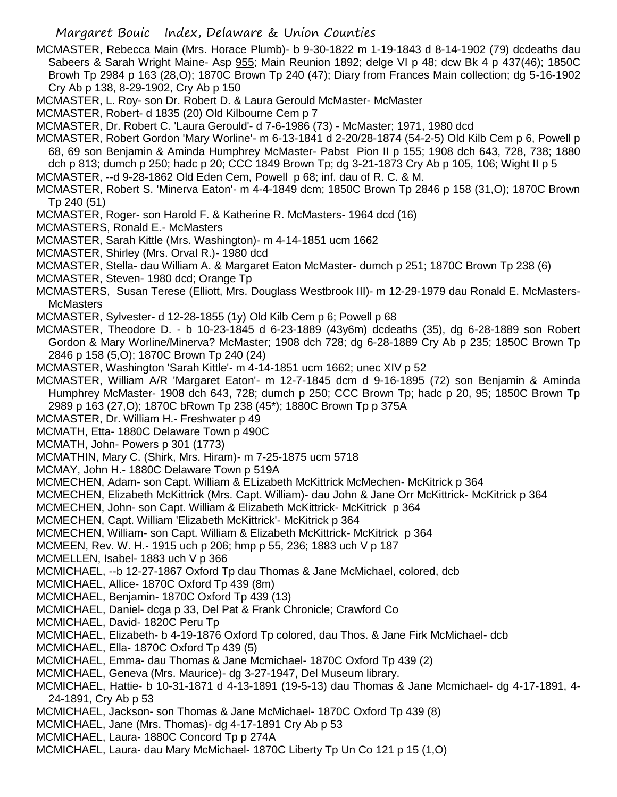- MCMASTER, Rebecca Main (Mrs. Horace Plumb)- b 9-30-1822 m 1-19-1843 d 8-14-1902 (79) dcdeaths dau Sabeers & Sarah Wright Maine- Asp 955; Main Reunion 1892; delge VI p 48; dcw Bk 4 p 437(46); 1850C Browh Tp 2984 p 163 (28,O); 1870C Brown Tp 240 (47); Diary from Frances Main collection; dg 5-16-1902 Cry Ab p 138, 8-29-1902, Cry Ab p 150
- MCMASTER, L. Roy- son Dr. Robert D. & Laura Gerould McMaster- McMaster
- MCMASTER, Robert- d 1835 (20) Old Kilbourne Cem p 7
- MCMASTER, Dr. Robert C. 'Laura Gerould'- d 7-6-1986 (73) McMaster; 1971, 1980 dcd
- MCMASTER, Robert Gordon 'Mary Worline'- m 6-13-1841 d 2-20/28-1874 (54-2-5) Old Kilb Cem p 6, Powell p 68, 69 son Benjamin & Aminda Humphrey McMaster- Pabst Pion II p 155; 1908 dch 643, 728, 738; 1880 dch p 813; dumch p 250; hadc p 20; CCC 1849 Brown Tp; dg 3-21-1873 Cry Ab p 105, 106; Wight II p 5
- MCMASTER, --d 9-28-1862 Old Eden Cem, Powell p 68; inf. dau of R. C. & M.
- MCMASTER, Robert S. 'Minerva Eaton'- m 4-4-1849 dcm; 1850C Brown Tp 2846 p 158 (31,O); 1870C Brown Tp 240 (51)
- MCMASTER, Roger- son Harold F. & Katherine R. McMasters- 1964 dcd (16)
- MCMASTERS, Ronald E.- McMasters
- MCMASTER, Sarah Kittle (Mrs. Washington)- m 4-14-1851 ucm 1662
- MCMASTER, Shirley (Mrs. Orval R.)- 1980 dcd
- MCMASTER, Stella- dau William A. & Margaret Eaton McMaster- dumch p 251; 1870C Brown Tp 238 (6)
- MCMASTER, Steven- 1980 dcd; Orange Tp
- MCMASTERS, Susan Terese (Elliott, Mrs. Douglass Westbrook III)- m 12-29-1979 dau Ronald E. McMasters-**McMasters**
- MCMASTER, Sylvester- d 12-28-1855 (1y) Old Kilb Cem p 6; Powell p 68
- MCMASTER, Theodore D. b 10-23-1845 d 6-23-1889 (43y6m) dcdeaths (35), dg 6-28-1889 son Robert Gordon & Mary Worline/Minerva? McMaster; 1908 dch 728; dg 6-28-1889 Cry Ab p 235; 1850C Brown Tp 2846 p 158 (5,O); 1870C Brown Tp 240 (24)
- MCMASTER, Washington 'Sarah Kittle'- m 4-14-1851 ucm 1662; unec XIV p 52
- MCMASTER, William A/R 'Margaret Eaton'- m 12-7-1845 dcm d 9-16-1895 (72) son Benjamin & Aminda Humphrey McMaster- 1908 dch 643, 728; dumch p 250; CCC Brown Tp; hadc p 20, 95; 1850C Brown Tp 2989 p 163 (27,O); 1870C bRown Tp 238 (45\*); 1880C Brown Tp p 375A
- MCMASTER, Dr. William H.- Freshwater p 49
- MCMATH, Etta- 1880C Delaware Town p 490C
- MCMATH, John- Powers p 301 (1773)
- MCMATHIN, Mary C. (Shirk, Mrs. Hiram)- m 7-25-1875 ucm 5718
- MCMAY, John H.- 1880C Delaware Town p 519A
- MCMECHEN, Adam- son Capt. William & ELizabeth McKittrick McMechen- McKitrick p 364
- MCMECHEN, Elizabeth McKittrick (Mrs. Capt. William)- dau John & Jane Orr McKittrick- McKitrick p 364
- MCMECHEN, John- son Capt. William & Elizabeth McKittrick- McKitrick p 364
- MCMECHEN, Capt. William 'Elizabeth McKittrick'- McKitrick p 364
- MCMECHEN, William- son Capt. William & Elizabeth McKittrick- McKitrick p 364
- MCMEEN, Rev. W. H.- 1915 uch p 206; hmp p 55, 236; 1883 uch V p 187
- MCMELLEN, Isabel- 1883 uch V p 366
- MCMICHAEL, --b 12-27-1867 Oxford Tp dau Thomas & Jane McMichael, colored, dcb
- MCMICHAEL, Allice- 1870C Oxford Tp 439 (8m)
- MCMICHAEL, Benjamin- 1870C Oxford Tp 439 (13)
- MCMICHAEL, Daniel- dcga p 33, Del Pat & Frank Chronicle; Crawford Co
- MCMICHAEL, David- 1820C Peru Tp
- MCMICHAEL, Elizabeth- b 4-19-1876 Oxford Tp colored, dau Thos. & Jane Firk McMichael- dcb
- MCMICHAEL, Ella- 1870C Oxford Tp 439 (5)
- MCMICHAEL, Emma- dau Thomas & Jane Mcmichael- 1870C Oxford Tp 439 (2)
- MCMICHAEL, Geneva (Mrs. Maurice)- dg 3-27-1947, Del Museum library.
- MCMICHAEL, Hattie- b 10-31-1871 d 4-13-1891 (19-5-13) dau Thomas & Jane Mcmichael- dg 4-17-1891, 4- 24-1891, Cry Ab p 53
- MCMICHAEL, Jackson- son Thomas & Jane McMichael- 1870C Oxford Tp 439 (8)
- MCMICHAEL, Jane (Mrs. Thomas)- dg 4-17-1891 Cry Ab p 53
- MCMICHAEL, Laura- 1880C Concord Tp p 274A
- MCMICHAEL, Laura- dau Mary McMichael- 1870C Liberty Tp Un Co 121 p 15 (1,O)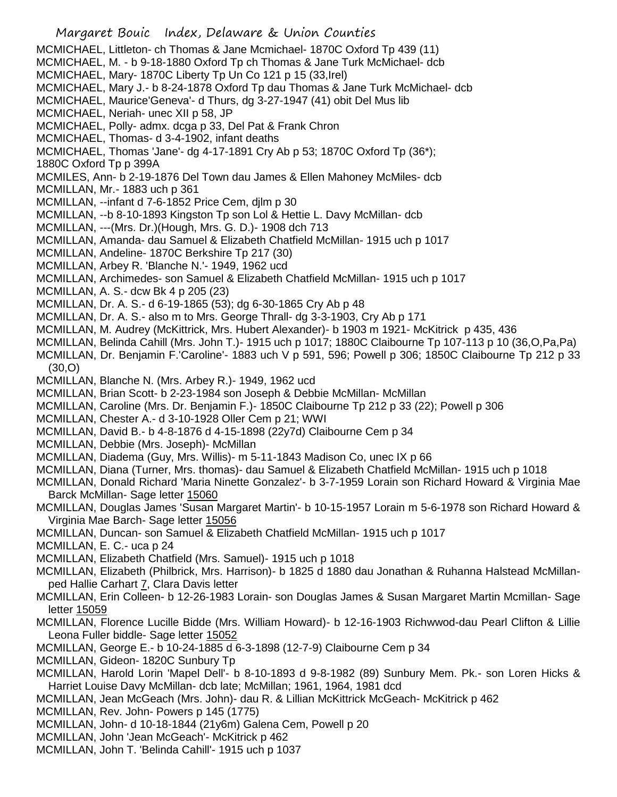Margaret Bouic Index, Delaware & Union Counties MCMICHAEL, Littleton- ch Thomas & Jane Mcmichael- 1870C Oxford Tp 439 (11) MCMICHAEL, M. - b 9-18-1880 Oxford Tp ch Thomas & Jane Turk McMichael- dcb MCMICHAEL, Mary- 1870C Liberty Tp Un Co 121 p 15 (33,Irel) MCMICHAEL, Mary J.- b 8-24-1878 Oxford Tp dau Thomas & Jane Turk McMichael- dcb MCMICHAEL, Maurice'Geneva'- d Thurs, dg 3-27-1947 (41) obit Del Mus lib MCMICHAEL, Neriah- unec XII p 58, JP MCMICHAEL, Polly- admx. dcga p 33, Del Pat & Frank Chron MCMICHAEL, Thomas- d 3-4-1902, infant deaths MCMICHAEL, Thomas 'Jane'- dg 4-17-1891 Cry Ab p 53; 1870C Oxford Tp (36\*); 1880C Oxford Tp p 399A MCMILES, Ann- b 2-19-1876 Del Town dau James & Ellen Mahoney McMiles- dcb MCMILLAN, Mr.- 1883 uch p 361 MCMILLAN, --infant d 7-6-1852 Price Cem, djlm p 30 MCMILLAN, --b 8-10-1893 Kingston Tp son Lol & Hettie L. Davy McMillan- dcb MCMILLAN, ---(Mrs. Dr.)(Hough, Mrs. G. D.)- 1908 dch 713 MCMILLAN, Amanda- dau Samuel & Elizabeth Chatfield McMillan- 1915 uch p 1017 MCMILLAN, Andeline- 1870C Berkshire Tp 217 (30) MCMILLAN, Arbey R. 'Blanche N.'- 1949, 1962 ucd MCMILLAN, Archimedes- son Samuel & Elizabeth Chatfield McMillan- 1915 uch p 1017 MCMILLAN, A. S.- dcw Bk 4 p 205 (23) MCMILLAN, Dr. A. S.- d 6-19-1865 (53); dg 6-30-1865 Cry Ab p 48 MCMILLAN, Dr. A. S.- also m to Mrs. George Thrall- dg 3-3-1903, Cry Ab p 171 MCMILLAN, M. Audrey (McKittrick, Mrs. Hubert Alexander)- b 1903 m 1921- McKitrick p 435, 436 MCMILLAN, Belinda Cahill (Mrs. John T.)- 1915 uch p 1017; 1880C Claibourne Tp 107-113 p 10 (36,O,Pa,Pa) MCMILLAN, Dr. Benjamin F.'Caroline'- 1883 uch V p 591, 596; Powell p 306; 1850C Claibourne Tp 212 p 33 (30,O) MCMILLAN, Blanche N. (Mrs. Arbey R.)- 1949, 1962 ucd MCMILLAN, Brian Scott- b 2-23-1984 son Joseph & Debbie McMillan- McMillan MCMILLAN, Caroline (Mrs. Dr. Benjamin F.)- 1850C Claibourne Tp 212 p 33 (22); Powell p 306 MCMILLAN, Chester A.- d 3-10-1928 Oller Cem p 21; WWI MCMILLAN, David B.- b 4-8-1876 d 4-15-1898 (22y7d) Claibourne Cem p 34 MCMILLAN, Debbie (Mrs. Joseph)- McMillan MCMILLAN, Diadema (Guy, Mrs. Willis)- m 5-11-1843 Madison Co, unec IX p 66 MCMILLAN, Diana (Turner, Mrs. thomas)- dau Samuel & Elizabeth Chatfield McMillan- 1915 uch p 1018 MCMILLAN, Donald Richard 'Maria Ninette Gonzalez'- b 3-7-1959 Lorain son Richard Howard & Virginia Mae Barck McMillan- Sage letter 15060 MCMILLAN, Douglas James 'Susan Margaret Martin'- b 10-15-1957 Lorain m 5-6-1978 son Richard Howard & Virginia Mae Barch- Sage letter 15056 MCMILLAN, Duncan- son Samuel & Elizabeth Chatfield McMillan- 1915 uch p 1017 MCMILLAN, E. C.- uca p 24 MCMILLAN, Elizabeth Chatfield (Mrs. Samuel)- 1915 uch p 1018 MCMILLAN, Elizabeth (Philbrick, Mrs. Harrison)- b 1825 d 1880 dau Jonathan & Ruhanna Halstead McMillanped Hallie Carhart 7, Clara Davis letter MCMILLAN, Erin Colleen- b 12-26-1983 Lorain- son Douglas James & Susan Margaret Martin Mcmillan- Sage letter 15059 MCMILLAN, Florence Lucille Bidde (Mrs. William Howard)- b 12-16-1903 Richwwod-dau Pearl Clifton & Lillie Leona Fuller biddle- Sage letter 15052 MCMILLAN, George E.- b 10-24-1885 d 6-3-1898 (12-7-9) Claibourne Cem p 34 MCMILLAN, Gideon- 1820C Sunbury Tp MCMILLAN, Harold Lorin 'Mapel Dell'- b 8-10-1893 d 9-8-1982 (89) Sunbury Mem. Pk.- son Loren Hicks & Harriet Louise Davy McMillan- dcb late; McMillan; 1961, 1964, 1981 dcd MCMILLAN, Jean McGeach (Mrs. John)- dau R. & Lillian McKittrick McGeach- McKitrick p 462 MCMILLAN, Rev. John- Powers p 145 (1775) MCMILLAN, John- d 10-18-1844 (21y6m) Galena Cem, Powell p 20 MCMILLAN, John 'Jean McGeach'- McKitrick p 462 MCMILLAN, John T. 'Belinda Cahill'- 1915 uch p 1037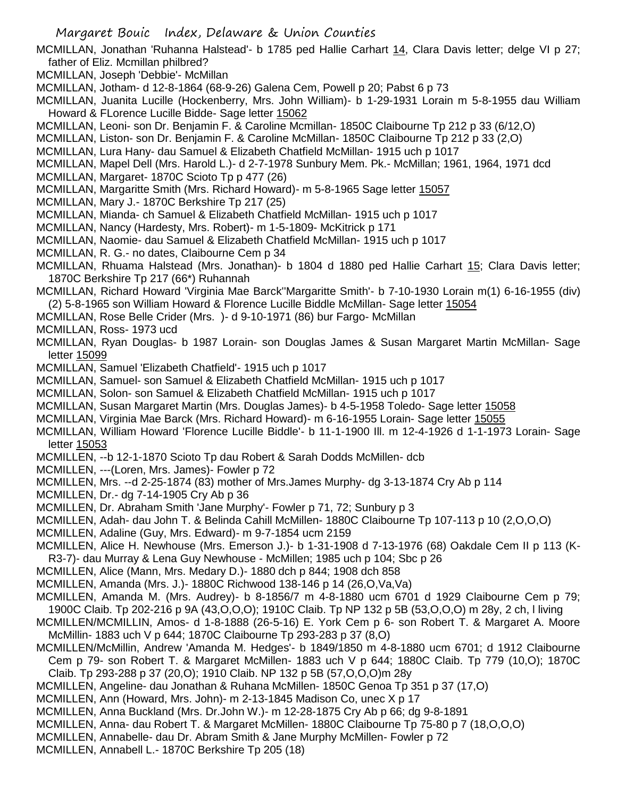- MCMILLAN, Jonathan 'Ruhanna Halstead'- b 1785 ped Hallie Carhart 14, Clara Davis letter; delge VI p 27; father of Eliz. Mcmillan philbred?
- MCMILLAN, Joseph 'Debbie'- McMillan
- MCMILLAN, Jotham- d 12-8-1864 (68-9-26) Galena Cem, Powell p 20; Pabst 6 p 73
- MCMILLAN, Juanita Lucille (Hockenberry, Mrs. John William)- b 1-29-1931 Lorain m 5-8-1955 dau William Howard & FLorence Lucille Bidde- Sage letter 15062
- MCMILLAN, Leoni- son Dr. Benjamin F. & Caroline Mcmillan- 1850C Claibourne Tp 212 p 33 (6/12,O)
- MCMILLAN, Liston- son Dr. Benjamin F. & Caroline McMillan- 1850C Claibourne Tp 212 p 33 (2,O)

MCMILLAN, Lura Hany- dau Samuel & Elizabeth Chatfield McMillan- 1915 uch p 1017

- MCMILLAN, Mapel Dell (Mrs. Harold L.)- d 2-7-1978 Sunbury Mem. Pk.- McMillan; 1961, 1964, 1971 dcd
- MCMILLAN, Margaret- 1870C Scioto Tp p 477 (26)
- MCMILLAN, Margaritte Smith (Mrs. Richard Howard)- m 5-8-1965 Sage letter 15057
- MCMILLAN, Mary J.- 1870C Berkshire Tp 217 (25)
- MCMILLAN, Mianda- ch Samuel & Elizabeth Chatfield McMillan- 1915 uch p 1017
- MCMILLAN, Nancy (Hardesty, Mrs. Robert)- m 1-5-1809- McKitrick p 171
- MCMILLAN, Naomie- dau Samuel & Elizabeth Chatfield McMillan- 1915 uch p 1017
- MCMILLAN, R. G.- no dates, Claibourne Cem p 34
- MCMILLAN, Rhuama Halstead (Mrs. Jonathan)- b 1804 d 1880 ped Hallie Carhart 15; Clara Davis letter; 1870C Berkshire Tp 217 (66\*) Ruhannah
- MCMILLAN, Richard Howard 'Virginia Mae Barck''Margaritte Smith'- b 7-10-1930 Lorain m(1) 6-16-1955 (div) (2) 5-8-1965 son William Howard & Florence Lucille Biddle McMillan- Sage letter 15054
- MCMILLAN, Rose Belle Crider (Mrs. )- d 9-10-1971 (86) bur Fargo- McMillan
- MCMILLAN, Ross- 1973 ucd
- MCMILLAN, Ryan Douglas- b 1987 Lorain- son Douglas James & Susan Margaret Martin McMillan- Sage letter 15099
- MCMILLAN, Samuel 'Elizabeth Chatfield'- 1915 uch p 1017
- MCMILLAN, Samuel- son Samuel & Elizabeth Chatfield McMillan- 1915 uch p 1017
- MCMILLAN, Solon- son Samuel & Elizabeth Chatfield McMillan- 1915 uch p 1017
- MCMILLAN, Susan Margaret Martin (Mrs. Douglas James)- b 4-5-1958 Toledo- Sage letter 15058
- MCMILLAN, Virginia Mae Barck (Mrs. Richard Howard)- m 6-16-1955 Lorain- Sage letter 15055
- MCMILLAN, William Howard 'Florence Lucille Biddle'- b 11-1-1900 Ill. m 12-4-1926 d 1-1-1973 Lorain- Sage letter 15053
- MCMILLEN, --b 12-1-1870 Scioto Tp dau Robert & Sarah Dodds McMillen- dcb
- MCMILLEN, ---(Loren, Mrs. James)- Fowler p 72
- MCMILLEN, Mrs. --d 2-25-1874 (83) mother of Mrs.James Murphy- dg 3-13-1874 Cry Ab p 114
- MCMILLEN, Dr.- dg 7-14-1905 Cry Ab p 36
- MCMILLEN, Dr. Abraham Smith 'Jane Murphy'- Fowler p 71, 72; Sunbury p 3
- MCMILLEN, Adah- dau John T. & Belinda Cahill McMillen- 1880C Claibourne Tp 107-113 p 10 (2,O,O,O)
- MCMILLEN, Adaline (Guy, Mrs. Edward)- m 9-7-1854 ucm 2159
- MCMILLEN, Alice H. Newhouse (Mrs. Emerson J.)- b 1-31-1908 d 7-13-1976 (68) Oakdale Cem II p 113 (K-R3-7)- dau Murray & Lena Guy Newhouse - McMillen; 1985 uch p 104; Sbc p 26
- MCMILLEN, Alice (Mann, Mrs. Medary D.)- 1880 dch p 844; 1908 dch 858
- MCMILLEN, Amanda (Mrs. J.)- 1880C Richwood 138-146 p 14 (26,O,Va,Va)
- MCMILLEN, Amanda M. (Mrs. Audrey)- b 8-1856/7 m 4-8-1880 ucm 6701 d 1929 Claibourne Cem p 79; 1900C Claib. Tp 202-216 p 9A (43,O,O,O); 1910C Claib. Tp NP 132 p 5B (53,O,O,O) m 28y, 2 ch, l living
- MCMILLEN/MCMILLIN, Amos- d 1-8-1888 (26-5-16) E. York Cem p 6- son Robert T. & Margaret A. Moore McMillin- 1883 uch V p 644; 1870C Claibourne Tp 293-283 p 37 (8,O)
- MCMILLEN/McMillin, Andrew 'Amanda M. Hedges'- b 1849/1850 m 4-8-1880 ucm 6701; d 1912 Claibourne Cem p 79- son Robert T. & Margaret McMillen- 1883 uch V p 644; 1880C Claib. Tp 779 (10,O); 1870C
- Claib. Tp 293-288 p 37 (20,O); 1910 Claib. NP 132 p 5B (57,O,O,O)m 28y
- MCMILLEN, Angeline- dau Jonathan & Ruhana McMillen- 1850C Genoa Tp 351 p 37 (17,O)
- MCMILLEN, Ann (Howard, Mrs. John)- m 2-13-1845 Madison Co, unec X p 17
- MCMILLEN, Anna Buckland (Mrs. Dr.John W.)- m 12-28-1875 Cry Ab p 66; dg 9-8-1891
- MCMILLEN, Anna- dau Robert T. & Margaret McMillen- 1880C Claibourne Tp 75-80 p 7 (18,O,O,O)
- MCMILLEN, Annabelle- dau Dr. Abram Smith & Jane Murphy McMillen- Fowler p 72
- MCMILLEN, Annabell L.- 1870C Berkshire Tp 205 (18)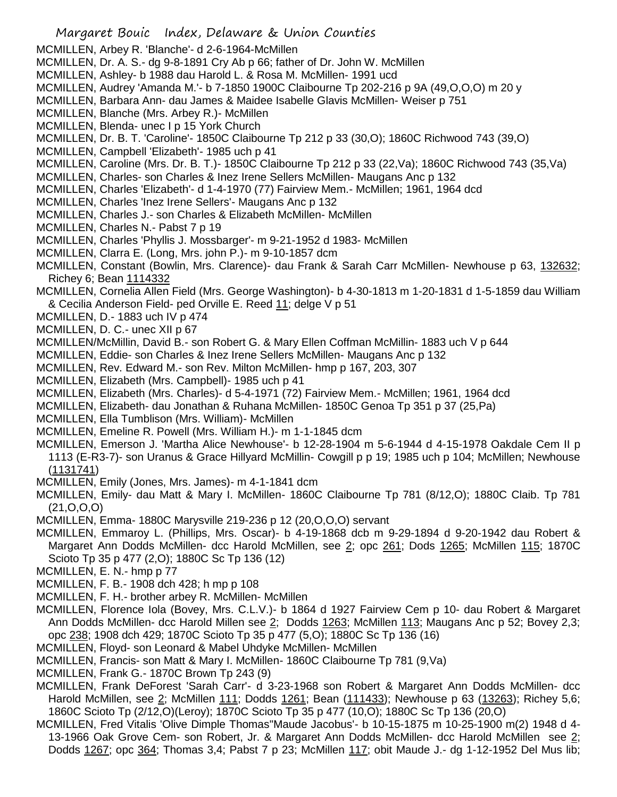- MCMILLEN, Arbey R. 'Blanche'- d 2-6-1964-McMillen
- MCMILLEN, Dr. A. S.- dg 9-8-1891 Cry Ab p 66; father of Dr. John W. McMillen
- MCMILLEN, Ashley- b 1988 dau Harold L. & Rosa M. McMillen- 1991 ucd
- MCMILLEN, Audrey 'Amanda M.'- b 7-1850 1900C Claibourne Tp 202-216 p 9A (49,O,O,O) m 20 y
- MCMILLEN, Barbara Ann- dau James & Maidee Isabelle Glavis McMillen- Weiser p 751
- MCMILLEN, Blanche (Mrs. Arbey R.)- McMillen
- MCMILLEN, Blenda- unec I p 15 York Church
- MCMILLEN, Dr. B. T. 'Caroline'- 1850C Claibourne Tp 212 p 33 (30,O); 1860C Richwood 743 (39,O)
- MCMILLEN, Campbell 'Elizabeth'- 1985 uch p 41
- MCMILLEN, Caroline (Mrs. Dr. B. T.)- 1850C Claibourne Tp 212 p 33 (22,Va); 1860C Richwood 743 (35,Va)
- MCMILLEN, Charles- son Charles & Inez Irene Sellers McMillen- Maugans Anc p 132
- MCMILLEN, Charles 'Elizabeth'- d 1-4-1970 (77) Fairview Mem.- McMillen; 1961, 1964 dcd
- MCMILLEN, Charles 'Inez Irene Sellers'- Maugans Anc p 132
- MCMILLEN, Charles J.- son Charles & Elizabeth McMillen- McMillen
- MCMILLEN, Charles N.- Pabst 7 p 19
- MCMILLEN, Charles 'Phyllis J. Mossbarger'- m 9-21-1952 d 1983- McMillen
- MCMILLEN, Clarra E. (Long, Mrs. john P.)- m 9-10-1857 dcm
- MCMILLEN, Constant (Bowlin, Mrs. Clarence)- dau Frank & Sarah Carr McMillen- Newhouse p 63, 132632; Richey 6; Bean 1114332
- MCMILLEN, Cornelia Allen Field (Mrs. George Washington)- b 4-30-1813 m 1-20-1831 d 1-5-1859 dau William & Cecilia Anderson Field- ped Orville E. Reed 11; delge V p 51
- MCMILLEN, D.- 1883 uch IV p 474
- MCMILLEN, D. C.- unec XII p 67
- MCMILLEN/McMillin, David B.- son Robert G. & Mary Ellen Coffman McMillin- 1883 uch V p 644
- MCMILLEN, Eddie- son Charles & Inez Irene Sellers McMillen- Maugans Anc p 132
- MCMILLEN, Rev. Edward M.- son Rev. Milton McMillen- hmp p 167, 203, 307
- MCMILLEN, Elizabeth (Mrs. Campbell)- 1985 uch p 41
- MCMILLEN, Elizabeth (Mrs. Charles)- d 5-4-1971 (72) Fairview Mem.- McMillen; 1961, 1964 dcd
- MCMILLEN, Elizabeth- dau Jonathan & Ruhana McMillen- 1850C Genoa Tp 351 p 37 (25,Pa)
- MCMILLEN, Ella Tumblison (Mrs. William)- McMillen
- MCMILLEN, Emeline R. Powell (Mrs. William H.)- m 1-1-1845 dcm
- MCMILLEN, Emerson J. 'Martha Alice Newhouse'- b 12-28-1904 m 5-6-1944 d 4-15-1978 Oakdale Cem II p 1113 (E-R3-7)- son Uranus & Grace Hillyard McMillin- Cowgill p p 19; 1985 uch p 104; McMillen; Newhouse (1131741)
- MCMILLEN, Emily (Jones, Mrs. James)- m 4-1-1841 dcm
- MCMILLEN, Emily- dau Matt & Mary I. McMillen- 1860C Claibourne Tp 781 (8/12,O); 1880C Claib. Tp 781 (21,O,O,O)
- MCMILLEN, Emma- 1880C Marysville 219-236 p 12 (20,O,O,O) servant
- MCMILLEN, Emmaroy L. (Phillips, Mrs. Oscar)- b 4-19-1868 dcb m 9-29-1894 d 9-20-1942 dau Robert & Margaret Ann Dodds McMillen- dcc Harold McMillen, see 2; opc 261; Dods 1265; McMillen 115; 1870C Scioto Tp 35 p 477 (2,O); 1880C Sc Tp 136 (12)
- MCMILLEN, E. N.- hmp p 77
- MCMILLEN, F. B.- 1908 dch 428; h mp p 108
- MCMILLEN, F. H.- brother arbey R. McMillen- McMillen
- MCMILLEN, Florence Iola (Bovey, Mrs. C.L.V.)- b 1864 d 1927 Fairview Cem p 10- dau Robert & Margaret Ann Dodds McMillen- dcc Harold Millen see 2; Dodds 1263; McMillen 113; Maugans Anc p 52; Bovey 2,3; opc 238; 1908 dch 429; 1870C Scioto Tp 35 p 477 (5,O); 1880C Sc Tp 136 (16)
- MCMILLEN, Floyd- son Leonard & Mabel Uhdyke McMillen- McMillen
- MCMILLEN, Francis- son Matt & Mary I. McMillen- 1860C Claibourne Tp 781 (9,Va)
- MCMILLEN, Frank G.- 1870C Brown Tp 243 (9)
- MCMILLEN, Frank DeForest 'Sarah Carr'- d 3-23-1968 son Robert & Margaret Ann Dodds McMillen- dcc Harold McMillen, see 2; McMillen 111; Dodds 1261; Bean (111433); Newhouse p 63 (13263); Richey 5,6; 1860C Scioto Tp (2/12,O)(Leroy); 1870C Scioto Tp 35 p 477 (10,O); 1880C Sc Tp 136 (20,O)
- MCMILLEN, Fred Vitalis 'Olive Dimple Thomas''Maude Jacobus'- b 10-15-1875 m 10-25-1900 m(2) 1948 d 4- 13-1966 Oak Grove Cem- son Robert, Jr. & Margaret Ann Dodds McMillen- dcc Harold McMillen see 2; Dodds 1267; opc 364; Thomas 3,4; Pabst 7 p 23; McMillen 117; obit Maude J.- dg 1-12-1952 Del Mus lib;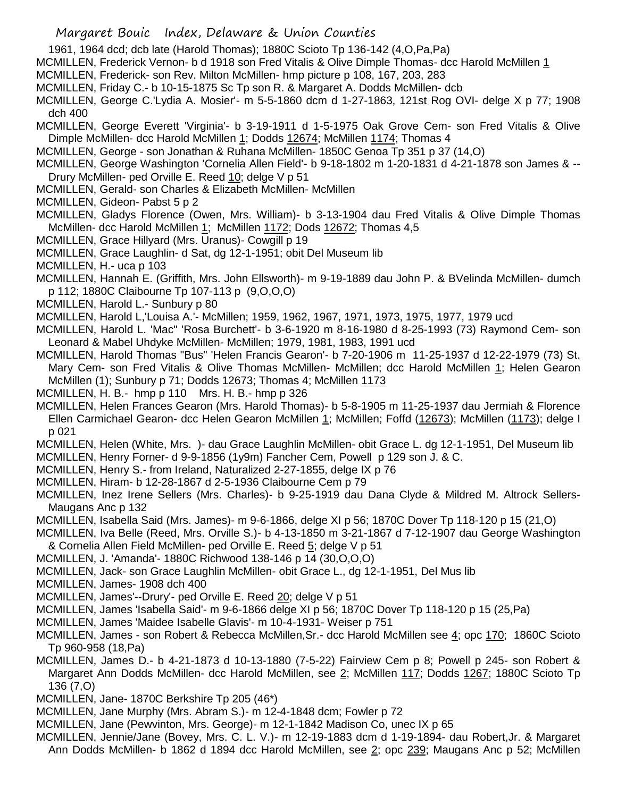1961, 1964 dcd; dcb late (Harold Thomas); 1880C Scioto Tp 136-142 (4,O,Pa,Pa)

MCMILLEN, Frederick Vernon- b d 1918 son Fred Vitalis & Olive Dimple Thomas- dcc Harold McMillen 1

- MCMILLEN, Frederick- son Rev. Milton McMillen- hmp picture p 108, 167, 203, 283
- MCMILLEN, Friday C.- b 10-15-1875 Sc Tp son R. & Margaret A. Dodds McMillen- dcb

MCMILLEN, George C.'Lydia A. Mosier'- m 5-5-1860 dcm d 1-27-1863, 121st Rog OVI- delge X p 77; 1908 dch 400

MCMILLEN, George Everett 'Virginia'- b 3-19-1911 d 1-5-1975 Oak Grove Cem- son Fred Vitalis & Olive Dimple McMillen- dcc Harold McMillen 1; Dodds 12674; McMillen 1174; Thomas 4

MCMILLEN, George - son Jonathan & Ruhana McMillen- 1850C Genoa Tp 351 p 37 (14,O)

MCMILLEN, George Washington 'Cornelia Allen Field'- b 9-18-1802 m 1-20-1831 d 4-21-1878 son James & -- Drury McMillen- ped Orville E. Reed 10; delge V p 51

MCMILLEN, Gerald- son Charles & Elizabeth McMillen- McMillen

MCMILLEN, Gideon- Pabst 5 p 2

MCMILLEN, Gladys Florence (Owen, Mrs. William)- b 3-13-1904 dau Fred Vitalis & Olive Dimple Thomas McMillen- dcc Harold McMillen 1; McMillen 1172; Dods 12672; Thomas 4,5

MCMILLEN, Grace Hillyard (Mrs. Uranus)- Cowgill p 19

MCMILLEN, Grace Laughlin- d Sat, dg 12-1-1951; obit Del Museum lib

MCMILLEN, H.- uca p 103

MCMILLEN, Hannah E. (Griffith, Mrs. John Ellsworth)- m 9-19-1889 dau John P. & BVelinda McMillen- dumch p 112; 1880C Claibourne Tp 107-113 p (9,O,O,O)

MCMILLEN, Harold L.- Sunbury p 80

MCMILLEN, Harold L,'Louisa A.'- McMillen; 1959, 1962, 1967, 1971, 1973, 1975, 1977, 1979 ucd

MCMILLEN, Harold L. 'Mac" 'Rosa Burchett'- b 3-6-1920 m 8-16-1980 d 8-25-1993 (73) Raymond Cem- son Leonard & Mabel Uhdyke McMillen- McMillen; 1979, 1981, 1983, 1991 ucd

MCMILLEN, Harold Thomas "Bus" 'Helen Francis Gearon'- b 7-20-1906 m 11-25-1937 d 12-22-1979 (73) St. Mary Cem- son Fred Vitalis & Olive Thomas McMillen- McMillen; dcc Harold McMillen 1; Helen Gearon McMillen (1); Sunbury p 71; Dodds 12673; Thomas 4; McMillen 1173

MCMILLEN, H. B.- hmp p 110 Mrs. H. B.- hmp p 326

MCMILLEN, Helen Frances Gearon (Mrs. Harold Thomas)- b 5-8-1905 m 11-25-1937 dau Jermiah & Florence Ellen Carmichael Gearon- dcc Helen Gearon McMillen 1; McMillen; Foffd (12673); McMillen (1173); delge I p 021

MCMILLEN, Helen (White, Mrs. )- dau Grace Laughlin McMillen- obit Grace L. dg 12-1-1951, Del Museum lib MCMILLEN, Henry Forner- d 9-9-1856 (1y9m) Fancher Cem, Powell p 129 son J. & C.

- MCMILLEN, Henry S.- from Ireland, Naturalized 2-27-1855, delge IX p 76
- MCMILLEN, Hiram- b 12-28-1867 d 2-5-1936 Claibourne Cem p 79
- MCMILLEN, Inez Irene Sellers (Mrs. Charles)- b 9-25-1919 dau Dana Clyde & Mildred M. Altrock Sellers-Maugans Anc p 132

MCMILLEN, Isabella Said (Mrs. James)- m 9-6-1866, delge XI p 56; 1870C Dover Tp 118-120 p 15 (21,O)

MCMILLEN, Iva Belle (Reed, Mrs. Orville S.)- b 4-13-1850 m 3-21-1867 d 7-12-1907 dau George Washington & Cornelia Allen Field McMillen- ped Orville E. Reed 5; delge V p 51

MCMILLEN, J. 'Amanda'- 1880C Richwood 138-146 p 14 (30,O,O,O)

MCMILLEN, Jack- son Grace Laughlin McMillen- obit Grace L., dg 12-1-1951, Del Mus lib

MCMILLEN, James- 1908 dch 400

- MCMILLEN, James'--Drury'- ped Orville E. Reed 20; delge V p 51
- MCMILLEN, James 'Isabella Said'- m 9-6-1866 delge XI p 56; 1870C Dover Tp 118-120 p 15 (25,Pa)
- MCMILLEN, James 'Maidee Isabelle Glavis'- m 10-4-1931- Weiser p 751
- MCMILLEN, James son Robert & Rebecca McMillen, Sr.- dcc Harold McMillen see 4; opc 170; 1860C Scioto Tp 960-958 (18,Pa)
- MCMILLEN, James D.- b 4-21-1873 d 10-13-1880 (7-5-22) Fairview Cem p 8; Powell p 245- son Robert & Margaret Ann Dodds McMillen- dcc Harold McMillen, see 2; McMillen 117; Dodds 1267; 1880C Scioto Tp 136 (7,O)
- MCMILLEN, Jane- 1870C Berkshire Tp 205 (46\*)
- MCMILLEN, Jane Murphy (Mrs. Abram S.)- m 12-4-1848 dcm; Fowler p 72
- MCMILLEN, Jane (Pewvinton, Mrs. George)- m 12-1-1842 Madison Co, unec IX p 65
- MCMILLEN, Jennie/Jane (Bovey, Mrs. C. L. V.)- m 12-19-1883 dcm d 1-19-1894- dau Robert,Jr. & Margaret Ann Dodds McMillen- b 1862 d 1894 dcc Harold McMillen, see 2; opc 239; Maugans Anc p 52; McMillen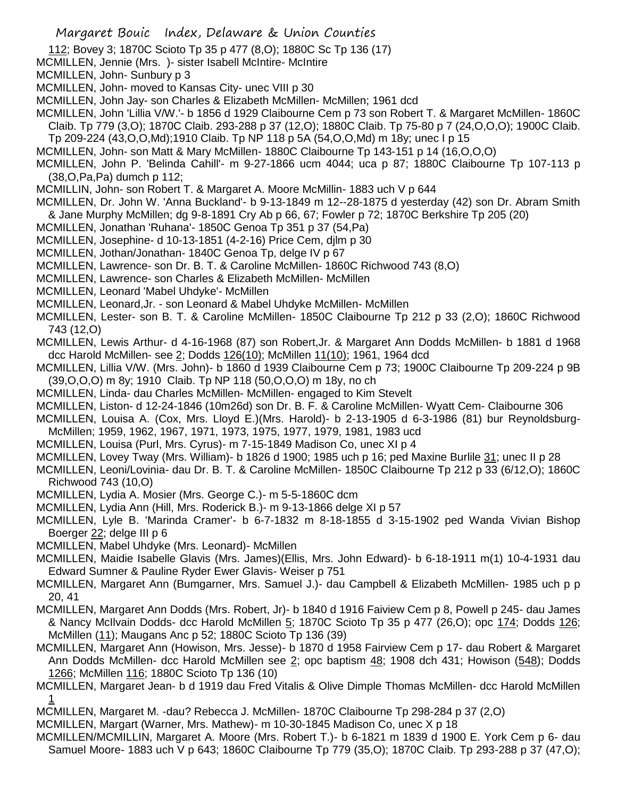112; Bovey 3; 1870C Scioto Tp 35 p 477 (8,O); 1880C Sc Tp 136 (17)

- MCMILLEN, Jennie (Mrs. )- sister Isabell McIntire- McIntire
- MCMILLEN, John- Sunbury p 3
- MCMILLEN, John- moved to Kansas City- unec VIII p 30
- MCMILLEN, John Jay- son Charles & Elizabeth McMillen- McMillen; 1961 dcd
- MCMILLEN, John 'Lillia V/W.'- b 1856 d 1929 Claibourne Cem p 73 son Robert T. & Margaret McMillen- 1860C Claib. Tp 779 (3,O); 1870C Claib. 293-288 p 37 (12,O); 1880C Claib. Tp 75-80 p 7 (24,O,O,O); 1900C Claib.
- Tp 209-224 (43,O,O,Md);1910 Claib. Tp NP 118 p 5A (54,O,O,Md) m 18y; unec I p 15
- MCMILLEN, John- son Matt & Mary McMillen- 1880C Claibourne Tp 143-151 p 14 (16,O,O,O)
- MCMILLEN, John P. 'Belinda Cahill'- m 9-27-1866 ucm 4044; uca p 87; 1880C Claibourne Tp 107-113 p (38,O,Pa,Pa) dumch p 112;
- MCMILLIN, John- son Robert T. & Margaret A. Moore McMillin- 1883 uch V p 644
- MCMILLEN, Dr. John W. 'Anna Buckland'- b 9-13-1849 m 12--28-1875 d yesterday (42) son Dr. Abram Smith & Jane Murphy McMillen; dg 9-8-1891 Cry Ab p 66, 67; Fowler p 72; 1870C Berkshire Tp 205 (20)
- MCMILLEN, Jonathan 'Ruhana'- 1850C Genoa Tp 351 p 37 (54,Pa)
- MCMILLEN, Josephine- d 10-13-1851 (4-2-16) Price Cem, djlm p 30
- MCMILLEN, Jothan/Jonathan- 1840C Genoa Tp, delge IV p 67
- MCMILLEN, Lawrence- son Dr. B. T. & Caroline McMillen- 1860C Richwood 743 (8,O)
- MCMILLEN, Lawrence- son Charles & Elizabeth McMillen- McMillen
- MCMILLEN, Leonard 'Mabel Uhdyke'- McMillen
- MCMILLEN, Leonard,Jr. son Leonard & Mabel Uhdyke McMillen- McMillen
- MCMILLEN, Lester- son B. T. & Caroline McMillen- 1850C Claibourne Tp 212 p 33 (2,O); 1860C Richwood 743 (12,O)
- MCMILLEN, Lewis Arthur- d 4-16-1968 (87) son Robert,Jr. & Margaret Ann Dodds McMillen- b 1881 d 1968 dcc Harold McMillen- see 2; Dodds 126(10); McMillen 11(10); 1961, 1964 dcd
- MCMILLEN, Lillia V/W. (Mrs. John)- b 1860 d 1939 Claibourne Cem p 73; 1900C Claibourne Tp 209-224 p 9B (39,O,O,O) m 8y; 1910 Claib. Tp NP 118 (50,O,O,O) m 18y, no ch
- MCMILLEN, Linda- dau Charles McMillen- McMillen- engaged to Kim Stevelt
- MCMILLEN, Liston- d 12-24-1846 (10m26d) son Dr. B. F. & Caroline McMillen- Wyatt Cem- Claibourne 306
- MCMILLEN, Louisa A. (Cox, Mrs. Lloyd E.)(Mrs. Harold)- b 2-13-1905 d 6-3-1986 (81) bur Reynoldsburg-McMillen; 1959, 1962, 1967, 1971, 1973, 1975, 1977, 1979, 1981, 1983 ucd
- MCMILLEN, Louisa (Purl, Mrs. Cyrus)- m 7-15-1849 Madison Co, unec XI p 4
- MCMILLEN, Lovey Tway (Mrs. William)- b 1826 d 1900; 1985 uch p 16; ped Maxine Burlile 31; unec II p 28
- MCMILLEN, Leoni/Lovinia- dau Dr. B. T. & Caroline McMillen- 1850C Claibourne Tp 212 p 33 (6/12,O); 1860C Richwood 743 (10,O)
- MCMILLEN, Lydia A. Mosier (Mrs. George C.)- m 5-5-1860C dcm
- MCMILLEN, Lydia Ann (Hill, Mrs. Roderick B.)- m 9-13-1866 delge XI p 57
- MCMILLEN, Lyle B. 'Marinda Cramer'- b 6-7-1832 m 8-18-1855 d 3-15-1902 ped Wanda Vivian Bishop Boerger 22; delge III p 6
- MCMILLEN, Mabel Uhdyke (Mrs. Leonard)- McMillen
- MCMILLEN, Maidie Isabelle Glavis (Mrs. James)(Ellis, Mrs. John Edward)- b 6-18-1911 m(1) 10-4-1931 dau Edward Sumner & Pauline Ryder Ewer Glavis- Weiser p 751
- MCMILLEN, Margaret Ann (Bumgarner, Mrs. Samuel J.)- dau Campbell & Elizabeth McMillen- 1985 uch p p 20, 41
- MCMILLEN, Margaret Ann Dodds (Mrs. Robert, Jr)- b 1840 d 1916 Faiview Cem p 8, Powell p 245- dau James & Nancy McIlvain Dodds- dcc Harold McMillen 5; 1870C Scioto Tp 35 p 477 (26,O); opc 174; Dodds 126; McMillen (11); Maugans Anc p 52; 1880C Scioto Tp 136 (39)
- MCMILLEN, Margaret Ann (Howison, Mrs. Jesse)- b 1870 d 1958 Fairview Cem p 17- dau Robert & Margaret Ann Dodds McMillen- dcc Harold McMillen see 2; opc baptism 48; 1908 dch 431; Howison (548); Dodds 1266; McMillen 116; 1880C Scioto Tp 136 (10)
- MCMILLEN, Margaret Jean- b d 1919 dau Fred Vitalis & Olive Dimple Thomas McMillen- dcc Harold McMillen 1
- MCMILLEN, Margaret M. -dau? Rebecca J. McMillen- 1870C Claibourne Tp 298-284 p 37 (2,O)
- MCMILLEN, Margart (Warner, Mrs. Mathew)- m 10-30-1845 Madison Co, unec X p 18
- MCMILLEN/MCMILLIN, Margaret A. Moore (Mrs. Robert T.)- b 6-1821 m 1839 d 1900 E. York Cem p 6- dau Samuel Moore- 1883 uch V p 643; 1860C Claibourne Tp 779 (35,O); 1870C Claib. Tp 293-288 p 37 (47,O);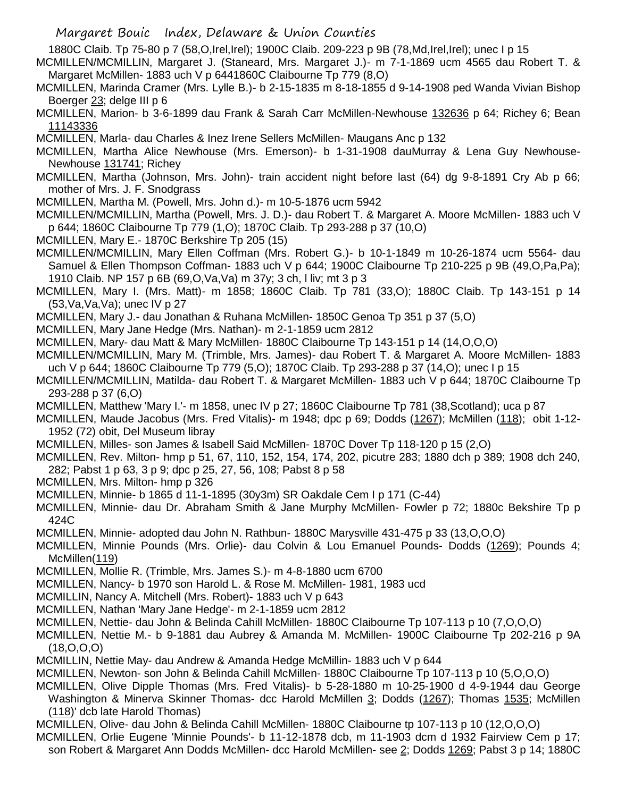1880C Claib. Tp 75-80 p 7 (58,O,Irel,Irel); 1900C Claib. 209-223 p 9B (78,Md,Irel,Irel); unec I p 15

- MCMILLEN/MCMILLIN, Margaret J. (Staneard, Mrs. Margaret J.)- m 7-1-1869 ucm 4565 dau Robert T. & Margaret McMillen- 1883 uch V p 6441860C Claibourne Tp 779 (8,O)
- MCMILLEN, Marinda Cramer (Mrs. Lylle B.)- b 2-15-1835 m 8-18-1855 d 9-14-1908 ped Wanda Vivian Bishop Boerger 23; delge III p 6
- MCMILLEN, Marion- b 3-6-1899 dau Frank & Sarah Carr McMillen-Newhouse 132636 p 64; Richey 6; Bean 11143336

MCMILLEN, Marla- dau Charles & Inez Irene Sellers McMillen- Maugans Anc p 132

MCMILLEN, Martha Alice Newhouse (Mrs. Emerson)- b 1-31-1908 dauMurray & Lena Guy Newhouse-Newhouse 131741; Richey

MCMILLEN, Martha (Johnson, Mrs. John)- train accident night before last (64) dg 9-8-1891 Cry Ab p 66; mother of Mrs. J. F. Snodgrass

MCMILLEN, Martha M. (Powell, Mrs. John d.)- m 10-5-1876 ucm 5942

MCMILLEN/MCMILLIN, Martha (Powell, Mrs. J. D.)- dau Robert T. & Margaret A. Moore McMillen- 1883 uch V p 644; 1860C Claibourne Tp 779 (1,O); 1870C Claib. Tp 293-288 p 37 (10,O)

MCMILLEN, Mary E.- 1870C Berkshire Tp 205 (15)

MCMILLEN/MCMILLIN, Mary Ellen Coffman (Mrs. Robert G.)- b 10-1-1849 m 10-26-1874 ucm 5564- dau Samuel & Ellen Thompson Coffman- 1883 uch V p 644; 1900C Claibourne Tp 210-225 p 9B (49, O, Pa, Pa); 1910 Claib. NP 157 p 6B (69,O,Va,Va) m 37y; 3 ch, l liv; mt 3 p 3

MCMILLEN, Mary I. (Mrs. Matt)- m 1858; 1860C Claib. Tp 781 (33,O); 1880C Claib. Tp 143-151 p 14 (53,Va,Va,Va); unec IV p 27

MCMILLEN, Mary J.- dau Jonathan & Ruhana McMillen- 1850C Genoa Tp 351 p 37 (5,O)

- MCMILLEN, Mary Jane Hedge (Mrs. Nathan)- m 2-1-1859 ucm 2812
- MCMILLEN, Mary- dau Matt & Mary McMillen- 1880C Claibourne Tp 143-151 p 14 (14,O,O,O)

MCMILLEN/MCMILLIN, Mary M. (Trimble, Mrs. James)- dau Robert T. & Margaret A. Moore McMillen- 1883 uch V p 644; 1860C Claibourne Tp 779 (5,O); 1870C Claib. Tp 293-288 p 37 (14,O); unec I p 15

MCMILLEN/MCMILLIN, Matilda- dau Robert T. & Margaret McMillen- 1883 uch V p 644; 1870C Claibourne Tp 293-288 p 37 (6,O)

MCMILLEN, Matthew 'Mary I.'- m 1858, unec IV p 27; 1860C Claibourne Tp 781 (38,Scotland); uca p 87

MCMILLEN, Maude Jacobus (Mrs. Fred Vitalis)- m 1948; dpc p 69; Dodds (1267); McMillen (118); obit 1-12- 1952 (72) obit, Del Museum libray

MCMILLEN, Milles- son James & Isabell Said McMillen- 1870C Dover Tp 118-120 p 15 (2,O)

- MCMILLEN, Rev. Milton- hmp p 51, 67, 110, 152, 154, 174, 202, picutre 283; 1880 dch p 389; 1908 dch 240, 282; Pabst 1 p 63, 3 p 9; dpc p 25, 27, 56, 108; Pabst 8 p 58
- MCMILLEN, Mrs. Milton- hmp p 326
- MCMILLEN, Minnie- b 1865 d 11-1-1895 (30y3m) SR Oakdale Cem I p 171 (C-44)
- MCMILLEN, Minnie- dau Dr. Abraham Smith & Jane Murphy McMillen- Fowler p 72; 1880c Bekshire Tp p 424C

MCMILLEN, Minnie- adopted dau John N. Rathbun- 1880C Marysville 431-475 p 33 (13,O,O,O)

MCMILLEN, Minnie Pounds (Mrs. Orlie)- dau Colvin & Lou Emanuel Pounds- Dodds (1269); Pounds 4; McMillen(119)

MCMILLEN, Mollie R. (Trimble, Mrs. James S.)- m 4-8-1880 ucm 6700

MCMILLEN, Nancy- b 1970 son Harold L. & Rose M. McMillen- 1981, 1983 ucd

MCMILLIN, Nancy A. Mitchell (Mrs. Robert)- 1883 uch V p 643

MCMILLEN, Nathan 'Mary Jane Hedge'- m 2-1-1859 ucm 2812

MCMILLEN, Nettie- dau John & Belinda Cahill McMillen- 1880C Claibourne Tp 107-113 p 10 (7,O,O,O)

MCMILLEN, Nettie M.- b 9-1881 dau Aubrey & Amanda M. McMillen- 1900C Claibourne Tp 202-216 p 9A (18,O,O,O)

MCMILLIN, Nettie May- dau Andrew & Amanda Hedge McMillin- 1883 uch V p 644

MCMILLEN, Newton- son John & Belinda Cahill McMillen- 1880C Claibourne Tp 107-113 p 10 (5,O,O,O)

MCMILLEN, Olive Dipple Thomas (Mrs. Fred Vitalis)- b 5-28-1880 m 10-25-1900 d 4-9-1944 dau George

Washington & Minerva Skinner Thomas- dcc Harold McMillen 3; Dodds (1267); Thomas 1535; McMillen (118)' dcb late Harold Thomas)

MCMILLEN, Olive- dau John & Belinda Cahill McMillen- 1880C Claibourne tp 107-113 p 10 (12,O,O,O)

MCMILLEN, Orlie Eugene 'Minnie Pounds'- b 11-12-1878 dcb, m 11-1903 dcm d 1932 Fairview Cem p 17; son Robert & Margaret Ann Dodds McMillen- dcc Harold McMillen- see 2; Dodds 1269; Pabst 3 p 14; 1880C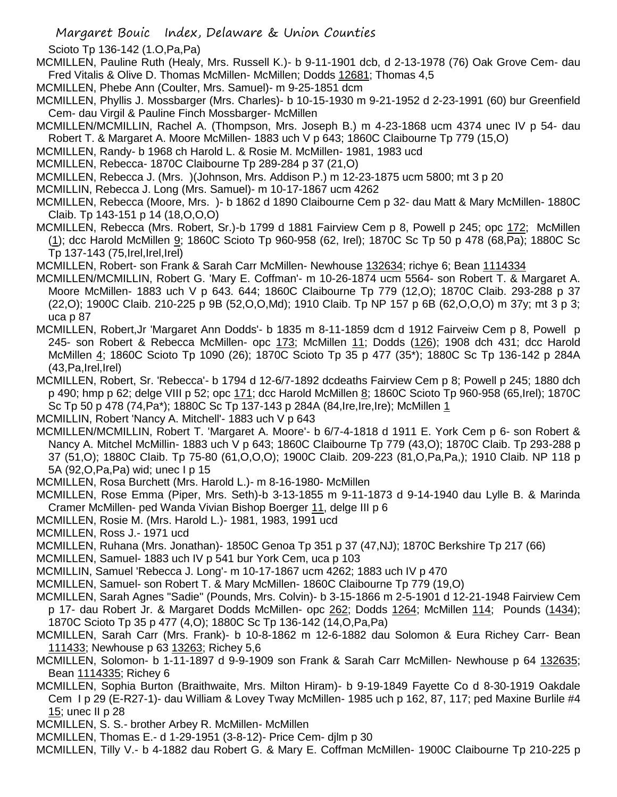Scioto Tp 136-142 (1.O,Pa,Pa)

MCMILLEN, Pauline Ruth (Healy, Mrs. Russell K.)- b 9-11-1901 dcb, d 2-13-1978 (76) Oak Grove Cem- dau Fred Vitalis & Olive D. Thomas McMillen- McMillen; Dodds 12681; Thomas 4,5

- MCMILLEN, Phebe Ann (Coulter, Mrs. Samuel)- m 9-25-1851 dcm
- MCMILLEN, Phyllis J. Mossbarger (Mrs. Charles)- b 10-15-1930 m 9-21-1952 d 2-23-1991 (60) bur Greenfield Cem- dau Virgil & Pauline Finch Mossbarger- McMillen
- MCMILLEN/MCMILLIN, Rachel A. (Thompson, Mrs. Joseph B.) m 4-23-1868 ucm 4374 unec IV p 54- dau Robert T. & Margaret A. Moore McMillen- 1883 uch V p 643; 1860C Claibourne Tp 779 (15,O)
- MCMILLEN, Randy- b 1968 ch Harold L. & Rosie M. McMillen- 1981, 1983 ucd
- MCMILLEN, Rebecca- 1870C Claibourne Tp 289-284 p 37 (21,O)

MCMILLEN, Rebecca J. (Mrs. )(Johnson, Mrs. Addison P.) m 12-23-1875 ucm 5800; mt 3 p 20

MCMILLIN, Rebecca J. Long (Mrs. Samuel)- m 10-17-1867 ucm 4262

MCMILLEN, Rebecca (Moore, Mrs. )- b 1862 d 1890 Claibourne Cem p 32- dau Matt & Mary McMillen- 1880C Claib. Tp 143-151 p 14 (18,O,O,O)

MCMILLEN, Rebecca (Mrs. Robert, Sr.)-b 1799 d 1881 Fairview Cem p 8, Powell p 245; opc 172; McMillen (1); dcc Harold McMillen 9; 1860C Scioto Tp 960-958 (62, Irel); 1870C Sc Tp 50 p 478 (68,Pa); 1880C Sc Tp 137-143 (75,Irel,Irel,Irel)

MCMILLEN, Robert- son Frank & Sarah Carr McMillen- Newhouse 132634; richye 6; Bean 1114334

- MCMILLEN/MCMILLIN, Robert G. 'Mary E. Coffman'- m 10-26-1874 ucm 5564- son Robert T. & Margaret A. Moore McMillen- 1883 uch V p 643. 644; 1860C Claibourne Tp 779 (12,O); 1870C Claib. 293-288 p 37 (22,O); 1900C Claib. 210-225 p 9B (52,O,O,Md); 1910 Claib. Tp NP 157 p 6B (62,O,O,O) m 37y; mt 3 p 3; uca p 87
- MCMILLEN, Robert,Jr 'Margaret Ann Dodds'- b 1835 m 8-11-1859 dcm d 1912 Fairveiw Cem p 8, Powell p 245- son Robert & Rebecca McMillen- opc 173; McMillen 11; Dodds (126); 1908 dch 431; dcc Harold McMillen 4; 1860C Scioto Tp 1090 (26); 1870C Scioto Tp 35 p 477 (35\*); 1880C Sc Tp 136-142 p 284A  $(43, Pa, Irel, Irel)$

MCMILLEN, Robert, Sr. 'Rebecca'- b 1794 d 12-6/7-1892 dcdeaths Fairview Cem p 8; Powell p 245; 1880 dch p 490; hmp p 62; delge VIII p 52; opc 171; dcc Harold McMillen 8; 1860C Scioto Tp 960-958 (65,Irel); 1870C Sc Tp 50 p 478 (74,Pa\*); 1880C Sc Tp 137-143 p 284A (84,Ire,Ire,Ire); McMillen 1

- MCMILLIN, Robert 'Nancy A. Mitchell'- 1883 uch V p 643
- MCMILLEN/MCMILLIN, Robert T. 'Margaret A. Moore'- b 6/7-4-1818 d 1911 E. York Cem p 6- son Robert & Nancy A. Mitchel McMillin- 1883 uch V p 643; 1860C Claibourne Tp 779 (43,O); 1870C Claib. Tp 293-288 p 37 (51,O); 1880C Claib. Tp 75-80 (61,O,O,O); 1900C Claib. 209-223 (81,O,Pa,Pa,); 1910 Claib. NP 118 p 5A (92,O,Pa,Pa) wid; unec I p 15
- MCMILLEN, Rosa Burchett (Mrs. Harold L.)- m 8-16-1980- McMillen
- MCMILLEN, Rose Emma (Piper, Mrs. Seth)-b 3-13-1855 m 9-11-1873 d 9-14-1940 dau Lylle B. & Marinda Cramer McMillen- ped Wanda Vivian Bishop Boerger 11, delge III p 6
- MCMILLEN, Rosie M. (Mrs. Harold L.)- 1981, 1983, 1991 ucd
- MCMILLEN, Ross J.- 1971 ucd
- MCMILLEN, Ruhana (Mrs. Jonathan)- 1850C Genoa Tp 351 p 37 (47,NJ); 1870C Berkshire Tp 217 (66)
- MCMILLEN, Samuel- 1883 uch IV p 541 bur York Cem, uca p 103
- MCMILLIN, Samuel 'Rebecca J. Long'- m 10-17-1867 ucm 4262; 1883 uch IV p 470
- MCMILLEN, Samuel- son Robert T. & Mary McMillen- 1860C Claibourne Tp 779 (19,O)

MCMILLEN, Sarah Agnes "Sadie" (Pounds, Mrs. Colvin)- b 3-15-1866 m 2-5-1901 d 12-21-1948 Fairview Cem p 17- dau Robert Jr. & Margaret Dodds McMillen- opc 262; Dodds 1264; McMillen 114; Pounds (1434); 1870C Scioto Tp 35 p 477 (4,O); 1880C Sc Tp 136-142 (14,O,Pa,Pa)

- MCMILLEN, Sarah Carr (Mrs. Frank)- b 10-8-1862 m 12-6-1882 dau Solomon & Eura Richey Carr- Bean 111433; Newhouse p 63 13263; Richey 5,6
- MCMILLEN, Solomon- b 1-11-1897 d 9-9-1909 son Frank & Sarah Carr McMillen- Newhouse p 64 132635; Bean 1114335; Richey 6
- MCMILLEN, Sophia Burton (Braithwaite, Mrs. Milton Hiram)- b 9-19-1849 Fayette Co d 8-30-1919 Oakdale Cem I p 29 (E-R27-1)- dau William & Lovey Tway McMillen- 1985 uch p 162, 87, 117; ped Maxine Burlile #4 15; unec II p 28
- MCMILLEN, S. S.- brother Arbey R. McMillen- McMillen
- MCMILLEN, Thomas E.- d 1-29-1951 (3-8-12)- Price Cem- djlm p 30

MCMILLEN, Tilly V.- b 4-1882 dau Robert G. & Mary E. Coffman McMillen- 1900C Claibourne Tp 210-225 p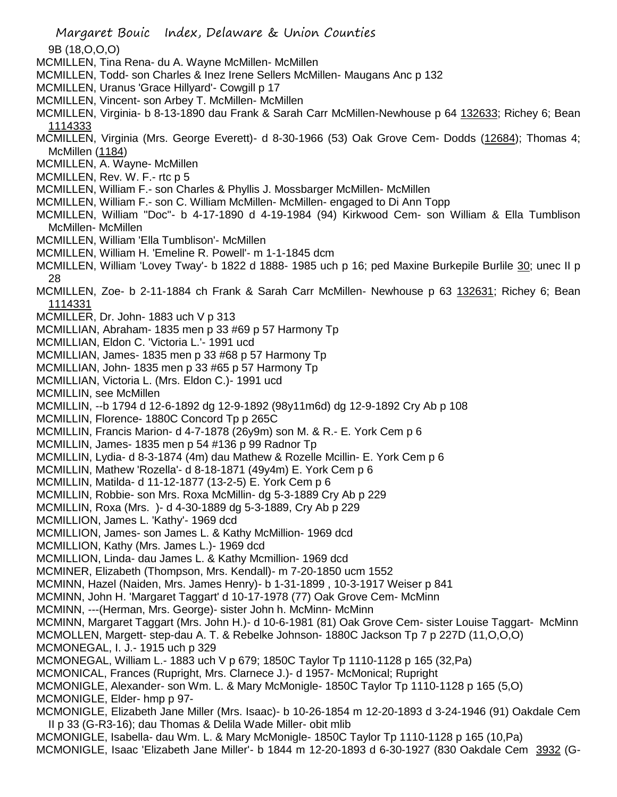9B (18,O,O,O)

- MCMILLEN, Tina Rena- du A. Wayne McMillen- McMillen
- MCMILLEN, Todd- son Charles & Inez Irene Sellers McMillen- Maugans Anc p 132
- MCMILLEN, Uranus 'Grace Hillyard'- Cowgill p 17
- MCMILLEN, Vincent- son Arbey T. McMillen- McMillen
- MCMILLEN, Virginia- b 8-13-1890 dau Frank & Sarah Carr McMillen-Newhouse p 64 132633; Richey 6; Bean 1114333
- MCMILLEN, Virginia (Mrs. George Everett)- d 8-30-1966 (53) Oak Grove Cem- Dodds (12684); Thomas 4; McMillen (1184)
- MCMILLEN, A. Wayne- McMillen
- MCMILLEN, Rev. W. F.- rtc p 5
- MCMILLEN, William F.- son Charles & Phyllis J. Mossbarger McMillen- McMillen
- MCMILLEN, William F.- son C. William McMillen- McMillen- engaged to Di Ann Topp
- MCMILLEN, William "Doc"- b 4-17-1890 d 4-19-1984 (94) Kirkwood Cem- son William & Ella Tumblison McMillen- McMillen
- MCMILLEN, William 'Ella Tumblison'- McMillen
- MCMILLEN, William H. 'Emeline R. Powell'- m 1-1-1845 dcm
- MCMILLEN, William 'Lovey Tway'- b 1822 d 1888- 1985 uch p 16; ped Maxine Burkepile Burlile 30; unec II p 28
- MCMILLEN, Zoe- b 2-11-1884 ch Frank & Sarah Carr McMillen- Newhouse p 63 132631; Richey 6; Bean 1114331
- MCMILLER, Dr. John- 1883 uch V p 313
- MCMILLIAN, Abraham- 1835 men p 33 #69 p 57 Harmony Tp
- MCMILLIAN, Eldon C. 'Victoria L.'- 1991 ucd
- MCMILLIAN, James- 1835 men p 33 #68 p 57 Harmony Tp
- MCMILLIAN, John- 1835 men p 33 #65 p 57 Harmony Tp
- MCMILLIAN, Victoria L. (Mrs. Eldon C.)- 1991 ucd
- MCMILLIN, see McMillen
- MCMILLIN, --b 1794 d 12-6-1892 dg 12-9-1892 (98y11m6d) dg 12-9-1892 Cry Ab p 108
- MCMILLIN, Florence- 1880C Concord Tp p 265C
- MCMILLIN, Francis Marion- d 4-7-1878 (26y9m) son M. & R.- E. York Cem p 6
- MCMILLIN, James- 1835 men p 54 #136 p 99 Radnor Tp
- MCMILLIN, Lydia- d 8-3-1874 (4m) dau Mathew & Rozelle Mcillin- E. York Cem p 6
- MCMILLIN, Mathew 'Rozella'- d 8-18-1871 (49y4m) E. York Cem p 6
- MCMILLIN, Matilda- d 11-12-1877 (13-2-5) E. York Cem p 6
- MCMILLIN, Robbie- son Mrs. Roxa McMillin- dg 5-3-1889 Cry Ab p 229
- MCMILLIN, Roxa (Mrs. )- d 4-30-1889 dg 5-3-1889, Cry Ab p 229
- MCMILLION, James L. 'Kathy'- 1969 dcd
- MCMILLION, James- son James L. & Kathy McMillion- 1969 dcd
- MCMILLION, Kathy (Mrs. James L.)- 1969 dcd
- MCMILLION, Linda- dau James L. & Kathy Mcmillion- 1969 dcd
- MCMINER, Elizabeth (Thompson, Mrs. Kendall)- m 7-20-1850 ucm 1552
- MCMINN, Hazel (Naiden, Mrs. James Henry)- b 1-31-1899 , 10-3-1917 Weiser p 841
- MCMINN, John H. 'Margaret Taggart' d 10-17-1978 (77) Oak Grove Cem- McMinn
- MCMINN, ---(Herman, Mrs. George)- sister John h. McMinn- McMinn
- MCMINN, Margaret Taggart (Mrs. John H.)- d 10-6-1981 (81) Oak Grove Cem- sister Louise Taggart- McMinn MCMOLLEN, Margett- step-dau A. T. & Rebelke Johnson- 1880C Jackson Tp 7 p 227D (11,O,O,O) MCMONEGAL, I. J.- 1915 uch p 329
- MCMONEGAL, William L.- 1883 uch V p 679; 1850C Taylor Tp 1110-1128 p 165 (32,Pa)
- MCMONICAL, Frances (Rupright, Mrs. Clarnece J.)- d 1957- McMonical; Rupright
- MCMONIGLE, Alexander- son Wm. L. & Mary McMonigle- 1850C Taylor Tp 1110-1128 p 165 (5,O) MCMONIGLE, Elder- hmp p 97-
- MCMONIGLE, Elizabeth Jane Miller (Mrs. Isaac)- b 10-26-1854 m 12-20-1893 d 3-24-1946 (91) Oakdale Cem II p 33 (G-R3-16); dau Thomas & Delila Wade Miller- obit mlib
- MCMONIGLE, Isabella- dau Wm. L. & Mary McMonigle- 1850C Taylor Tp 1110-1128 p 165 (10,Pa) MCMONIGLE, Isaac 'Elizabeth Jane Miller'- b 1844 m 12-20-1893 d 6-30-1927 (830 Oakdale Cem 3932 (G-

Margaret Bouic Index, Delaware & Union Counties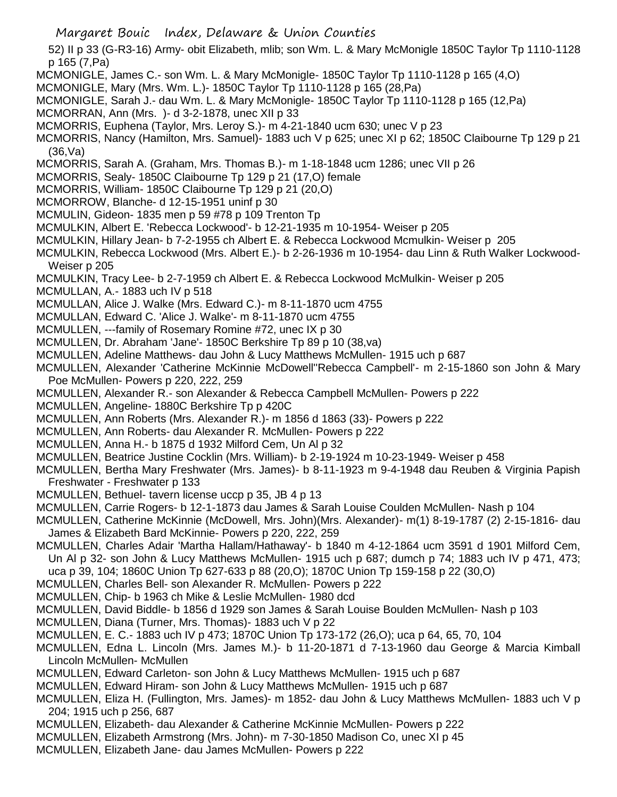52) II p 33 (G-R3-16) Army- obit Elizabeth, mlib; son Wm. L. & Mary McMonigle 1850C Taylor Tp 1110-1128 p 165 (7,Pa) MCMONIGLE, James C.- son Wm. L. & Mary McMonigle- 1850C Taylor Tp 1110-1128 p 165 (4,O) MCMONIGLE, Mary (Mrs. Wm. L.)- 1850C Taylor Tp 1110-1128 p 165 (28,Pa) MCMONIGLE, Sarah J.- dau Wm. L. & Mary McMonigle- 1850C Taylor Tp 1110-1128 p 165 (12,Pa) MCMORRAN, Ann (Mrs. )- d 3-2-1878, unec XII p 33 MCMORRIS, Euphena (Taylor, Mrs. Leroy S.)- m 4-21-1840 ucm 630; unec V p 23 MCMORRIS, Nancy (Hamilton, Mrs. Samuel)- 1883 uch V p 625; unec XI p 62; 1850C Claibourne Tp 129 p 21 (36,Va) MCMORRIS, Sarah A. (Graham, Mrs. Thomas B.)- m 1-18-1848 ucm 1286; unec VII p 26 MCMORRIS, Sealy- 1850C Claibourne Tp 129 p 21 (17,O) female MCMORRIS, William- 1850C Claibourne Tp 129 p 21 (20,O) MCMORROW, Blanche- d 12-15-1951 uninf p 30 MCMULIN, Gideon- 1835 men p 59 #78 p 109 Trenton Tp MCMULKIN, Albert E. 'Rebecca Lockwood'- b 12-21-1935 m 10-1954- Weiser p 205 MCMULKIN, Hillary Jean- b 7-2-1955 ch Albert E. & Rebecca Lockwood Mcmulkin- Weiser p 205 MCMULKIN, Rebecca Lockwood (Mrs. Albert E.)- b 2-26-1936 m 10-1954- dau Linn & Ruth Walker Lockwood-Weiser p 205 MCMULKIN, Tracy Lee- b 2-7-1959 ch Albert E. & Rebecca Lockwood McMulkin- Weiser p 205 MCMULLAN, A.- 1883 uch IV p 518 MCMULLAN, Alice J. Walke (Mrs. Edward C.)- m 8-11-1870 ucm 4755 MCMULLAN, Edward C. 'Alice J. Walke'- m 8-11-1870 ucm 4755 MCMULLEN, ---family of Rosemary Romine #72, unec IX p 30 MCMULLEN, Dr. Abraham 'Jane'- 1850C Berkshire Tp 89 p 10 (38,va) MCMULLEN, Adeline Matthews- dau John & Lucy Matthews McMullen- 1915 uch p 687 MCMULLEN, Alexander 'Catherine McKinnie McDowell''Rebecca Campbell'- m 2-15-1860 son John & Mary Poe McMullen- Powers p 220, 222, 259 MCMULLEN, Alexander R.- son Alexander & Rebecca Campbell McMullen- Powers p 222 MCMULLEN, Angeline- 1880C Berkshire Tp p 420C MCMULLEN, Ann Roberts (Mrs. Alexander R.)- m 1856 d 1863 (33)- Powers p 222 MCMULLEN, Ann Roberts- dau Alexander R. McMullen- Powers p 222 MCMULLEN, Anna H.- b 1875 d 1932 Milford Cem, Un Al p 32 MCMULLEN, Beatrice Justine Cocklin (Mrs. William)- b 2-19-1924 m 10-23-1949- Weiser p 458 MCMULLEN, Bertha Mary Freshwater (Mrs. James)- b 8-11-1923 m 9-4-1948 dau Reuben & Virginia Papish Freshwater - Freshwater p 133 MCMULLEN, Bethuel- tavern license uccp p 35, JB 4 p 13 MCMULLEN, Carrie Rogers- b 12-1-1873 dau James & Sarah Louise Coulden McMullen- Nash p 104 MCMULLEN, Catherine McKinnie (McDowell, Mrs. John)(Mrs. Alexander)- m(1) 8-19-1787 (2) 2-15-1816- dau James & Elizabeth Bard McKinnie- Powers p 220, 222, 259 MCMULLEN, Charles Adair 'Martha Hallam/Hathaway'- b 1840 m 4-12-1864 ucm 3591 d 1901 Milford Cem, Un Al p 32- son John & Lucy Matthews McMullen- 1915 uch p 687; dumch p 74; 1883 uch IV p 471, 473; uca p 39, 104; 1860C Union Tp 627-633 p 88 (20,O); 1870C Union Tp 159-158 p 22 (30,O) MCMULLEN, Charles Bell- son Alexander R. McMullen- Powers p 222 MCMULLEN, Chip- b 1963 ch Mike & Leslie McMullen- 1980 dcd MCMULLEN, David Biddle- b 1856 d 1929 son James & Sarah Louise Boulden McMullen- Nash p 103 MCMULLEN, Diana (Turner, Mrs. Thomas)- 1883 uch V p 22 MCMULLEN, E. C.- 1883 uch IV p 473; 1870C Union Tp 173-172 (26,O); uca p 64, 65, 70, 104 MCMULLEN, Edna L. Lincoln (Mrs. James M.)- b 11-20-1871 d 7-13-1960 dau George & Marcia Kimball Lincoln McMullen- McMullen MCMULLEN, Edward Carleton- son John & Lucy Matthews McMullen- 1915 uch p 687 MCMULLEN, Edward Hiram- son John & Lucy Matthews McMullen- 1915 uch p 687 MCMULLEN, Eliza H. (Fullington, Mrs. James)- m 1852- dau John & Lucy Matthews McMullen- 1883 uch V p 204; 1915 uch p 256, 687 MCMULLEN, Elizabeth- dau Alexander & Catherine McKinnie McMullen- Powers p 222 MCMULLEN, Elizabeth Armstrong (Mrs. John)- m 7-30-1850 Madison Co, unec XI p 45 MCMULLEN, Elizabeth Jane- dau James McMullen- Powers p 222

Margaret Bouic Index, Delaware & Union Counties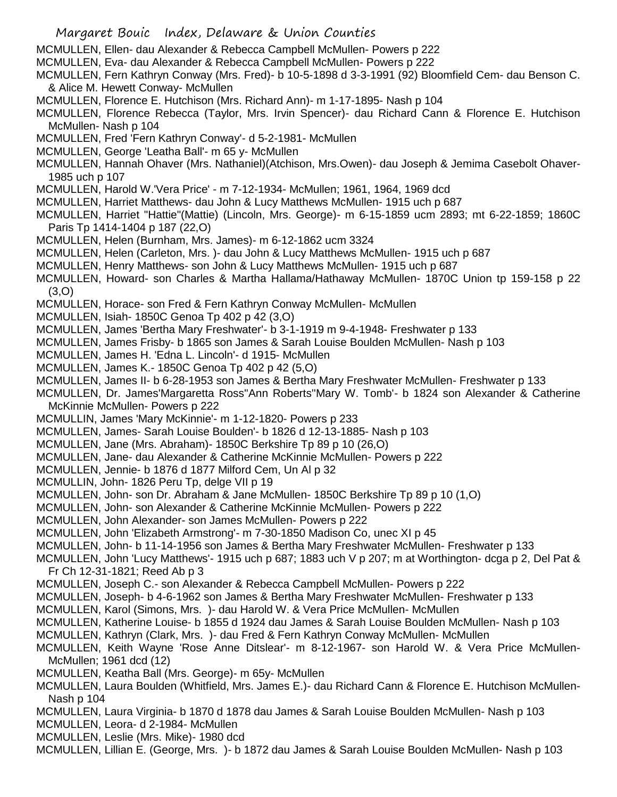- Margaret Bouic Index, Delaware & Union Counties
- MCMULLEN, Ellen- dau Alexander & Rebecca Campbell McMullen- Powers p 222
- MCMULLEN, Eva- dau Alexander & Rebecca Campbell McMullen- Powers p 222
- MCMULLEN, Fern Kathryn Conway (Mrs. Fred)- b 10-5-1898 d 3-3-1991 (92) Bloomfield Cem- dau Benson C. & Alice M. Hewett Conway- McMullen
- MCMULLEN, Florence E. Hutchison (Mrs. Richard Ann)- m 1-17-1895- Nash p 104
- MCMULLEN, Florence Rebecca (Taylor, Mrs. Irvin Spencer)- dau Richard Cann & Florence E. Hutchison McMullen- Nash p 104
- MCMULLEN, Fred 'Fern Kathryn Conway'- d 5-2-1981- McMullen
- MCMULLEN, George 'Leatha Ball'- m 65 y- McMullen
- MCMULLEN, Hannah Ohaver (Mrs. Nathaniel)(Atchison, Mrs.Owen)- dau Joseph & Jemima Casebolt Ohaver-1985 uch p 107
- MCMULLEN, Harold W.'Vera Price' m 7-12-1934- McMullen; 1961, 1964, 1969 dcd
- MCMULLEN, Harriet Matthews- dau John & Lucy Matthews McMullen- 1915 uch p 687
- MCMULLEN, Harriet "Hattie"(Mattie) (Lincoln, Mrs. George)- m 6-15-1859 ucm 2893; mt 6-22-1859; 1860C Paris Tp 1414-1404 p 187 (22,O)
- MCMULLEN, Helen (Burnham, Mrs. James)- m 6-12-1862 ucm 3324
- MCMULLEN, Helen (Carleton, Mrs. )- dau John & Lucy Matthews McMullen- 1915 uch p 687
- MCMULLEN, Henry Matthews- son John & Lucy Matthews McMullen- 1915 uch p 687
- MCMULLEN, Howard- son Charles & Martha Hallama/Hathaway McMullen- 1870C Union tp 159-158 p 22 (3,O)
- MCMULLEN, Horace- son Fred & Fern Kathryn Conway McMullen- McMullen
- MCMULLEN, Isiah- 1850C Genoa Tp 402 p 42 (3,O)
- MCMULLEN, James 'Bertha Mary Freshwater'- b 3-1-1919 m 9-4-1948- Freshwater p 133
- MCMULLEN, James Frisby- b 1865 son James & Sarah Louise Boulden McMullen- Nash p 103
- MCMULLEN, James H. 'Edna L. Lincoln'- d 1915- McMullen
- MCMULLEN, James K.- 1850C Genoa Tp 402 p 42 (5,O)
- MCMULLEN, James II- b 6-28-1953 son James & Bertha Mary Freshwater McMullen- Freshwater p 133
- MCMULLEN, Dr. James'Margaretta Ross''Ann Roberts''Mary W. Tomb'- b 1824 son Alexander & Catherine McKinnie McMullen- Powers p 222
- MCMULLIN, James 'Mary McKinnie'- m 1-12-1820- Powers p 233
- MCMULLEN, James- Sarah Louise Boulden'- b 1826 d 12-13-1885- Nash p 103
- MCMULLEN, Jane (Mrs. Abraham)- 1850C Berkshire Tp 89 p 10 (26,O)
- MCMULLEN, Jane- dau Alexander & Catherine McKinnie McMullen- Powers p 222
- MCMULLEN, Jennie- b 1876 d 1877 Milford Cem, Un Al p 32
- MCMULLIN, John- 1826 Peru Tp, delge VII p 19
- MCMULLEN, John- son Dr. Abraham & Jane McMullen- 1850C Berkshire Tp 89 p 10 (1,O)
- MCMULLEN, John- son Alexander & Catherine McKinnie McMullen- Powers p 222
- MCMULLEN, John Alexander- son James McMullen- Powers p 222
- MCMULLEN, John 'Elizabeth Armstrong'- m 7-30-1850 Madison Co, unec XI p 45
- MCMULLEN, John- b 11-14-1956 son James & Bertha Mary Freshwater McMullen- Freshwater p 133
- MCMULLEN, John 'Lucy Matthews'- 1915 uch p 687; 1883 uch V p 207; m at Worthington- dcga p 2, Del Pat & Fr Ch 12-31-1821; Reed Ab p 3
- MCMULLEN, Joseph C.- son Alexander & Rebecca Campbell McMullen- Powers p 222
- MCMULLEN, Joseph- b 4-6-1962 son James & Bertha Mary Freshwater McMullen- Freshwater p 133
- MCMULLEN, Karol (Simons, Mrs. )- dau Harold W. & Vera Price McMullen- McMullen
- MCMULLEN, Katherine Louise- b 1855 d 1924 dau James & Sarah Louise Boulden McMullen- Nash p 103
- MCMULLEN, Kathryn (Clark, Mrs. )- dau Fred & Fern Kathryn Conway McMullen- McMullen
- MCMULLEN, Keith Wayne 'Rose Anne Ditslear'- m 8-12-1967- son Harold W. & Vera Price McMullen-McMullen; 1961 dcd (12)
- MCMULLEN, Keatha Ball (Mrs. George)- m 65y- McMullen
- MCMULLEN, Laura Boulden (Whitfield, Mrs. James E.)- dau Richard Cann & Florence E. Hutchison McMullen-Nash p 104
- MCMULLEN, Laura Virginia- b 1870 d 1878 dau James & Sarah Louise Boulden McMullen- Nash p 103
- MCMULLEN, Leora- d 2-1984- McMullen
- MCMULLEN, Leslie (Mrs. Mike)- 1980 dcd
- MCMULLEN, Lillian E. (George, Mrs. )- b 1872 dau James & Sarah Louise Boulden McMullen- Nash p 103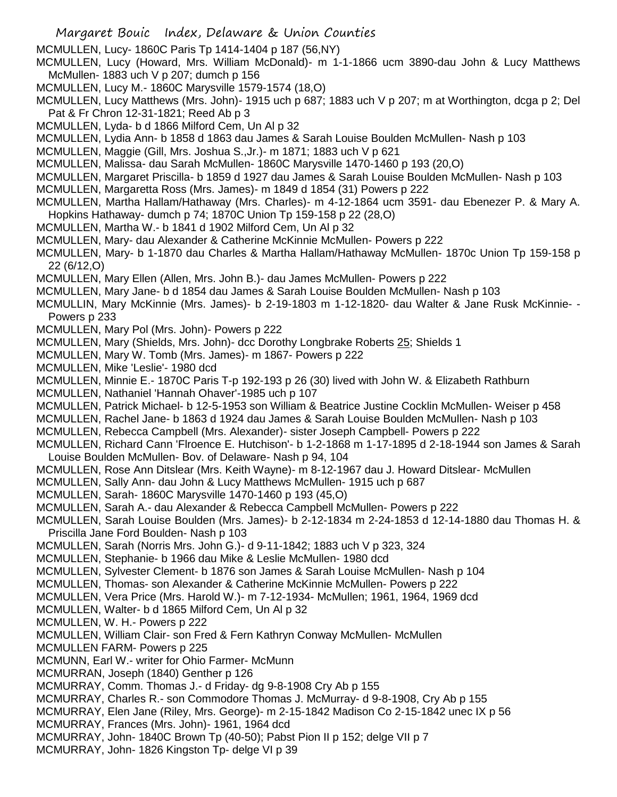- Margaret Bouic Index, Delaware & Union Counties
- MCMULLEN, Lucy- 1860C Paris Tp 1414-1404 p 187 (56,NY)
- MCMULLEN, Lucy (Howard, Mrs. William McDonald)- m 1-1-1866 ucm 3890-dau John & Lucy Matthews McMullen- 1883 uch V p 207; dumch p 156
- MCMULLEN, Lucy M.- 1860C Marysville 1579-1574 (18,O)
- MCMULLEN, Lucy Matthews (Mrs. John)- 1915 uch p 687; 1883 uch V p 207; m at Worthington, dcga p 2; Del Pat & Fr Chron 12-31-1821; Reed Ab p 3
- MCMULLEN, Lyda- b d 1866 Milford Cem, Un Al p 32
- MCMULLEN, Lydia Ann- b 1858 d 1863 dau James & Sarah Louise Boulden McMullen- Nash p 103

MCMULLEN, Maggie (Gill, Mrs. Joshua S.,Jr.)- m 1871; 1883 uch V p 621

- MCMULLEN, Malissa- dau Sarah McMullen- 1860C Marysville 1470-1460 p 193 (20,O)
- MCMULLEN, Margaret Priscilla- b 1859 d 1927 dau James & Sarah Louise Boulden McMullen- Nash p 103
- MCMULLEN, Margaretta Ross (Mrs. James)- m 1849 d 1854 (31) Powers p 222
- MCMULLEN, Martha Hallam/Hathaway (Mrs. Charles)- m 4-12-1864 ucm 3591- dau Ebenezer P. & Mary A. Hopkins Hathaway- dumch p 74; 1870C Union Tp 159-158 p 22 (28,O)
- MCMULLEN, Martha W.- b 1841 d 1902 Milford Cem, Un Al p 32
- MCMULLEN, Mary- dau Alexander & Catherine McKinnie McMullen- Powers p 222
- MCMULLEN, Mary- b 1-1870 dau Charles & Martha Hallam/Hathaway McMullen- 1870c Union Tp 159-158 p 22 (6/12,O)
- MCMULLEN, Mary Ellen (Allen, Mrs. John B.)- dau James McMullen- Powers p 222
- MCMULLEN, Mary Jane- b d 1854 dau James & Sarah Louise Boulden McMullen- Nash p 103
- MCMULLIN, Mary McKinnie (Mrs. James)- b 2-19-1803 m 1-12-1820- dau Walter & Jane Rusk McKinnie- Powers p 233
- MCMULLEN, Mary Pol (Mrs. John)- Powers p 222
- MCMULLEN, Mary (Shields, Mrs. John)- dcc Dorothy Longbrake Roberts 25; Shields 1
- MCMULLEN, Mary W. Tomb (Mrs. James)- m 1867- Powers p 222
- MCMULLEN, Mike 'Leslie'- 1980 dcd
- MCMULLEN, Minnie E.- 1870C Paris T-p 192-193 p 26 (30) lived with John W. & Elizabeth Rathburn
- MCMULLEN, Nathaniel 'Hannah Ohaver'-1985 uch p 107
- MCMULLEN, Patrick Michael- b 12-5-1953 son William & Beatrice Justine Cocklin McMullen- Weiser p 458
- MCMULLEN, Rachel Jane- b 1863 d 1924 dau James & Sarah Louise Boulden McMullen- Nash p 103
- MCMULLEN, Rebecca Campbell (Mrs. Alexander)- sister Joseph Campbell- Powers p 222
- MCMULLEN, Richard Cann 'Flroence E. Hutchison'- b 1-2-1868 m 1-17-1895 d 2-18-1944 son James & Sarah Louise Boulden McMullen- Bov. of Delaware- Nash p 94, 104
- MCMULLEN, Rose Ann Ditslear (Mrs. Keith Wayne)- m 8-12-1967 dau J. Howard Ditslear- McMullen
- MCMULLEN, Sally Ann- dau John & Lucy Matthews McMullen- 1915 uch p 687
- MCMULLEN, Sarah- 1860C Marysville 1470-1460 p 193 (45,O)
- MCMULLEN, Sarah A.- dau Alexander & Rebecca Campbell McMullen- Powers p 222
- MCMULLEN, Sarah Louise Boulden (Mrs. James)- b 2-12-1834 m 2-24-1853 d 12-14-1880 dau Thomas H. & Priscilla Jane Ford Boulden- Nash p 103
- MCMULLEN, Sarah (Norris Mrs. John G.)- d 9-11-1842; 1883 uch V p 323, 324
- MCMULLEN, Stephanie- b 1966 dau Mike & Leslie McMullen- 1980 dcd
- MCMULLEN, Sylvester Clement- b 1876 son James & Sarah Louise McMullen- Nash p 104
- MCMULLEN, Thomas- son Alexander & Catherine McKinnie McMullen- Powers p 222
- MCMULLEN, Vera Price (Mrs. Harold W.)- m 7-12-1934- McMullen; 1961, 1964, 1969 dcd
- MCMULLEN, Walter- b d 1865 Milford Cem, Un Al p 32
- MCMULLEN, W. H.- Powers p 222
- MCMULLEN, William Clair- son Fred & Fern Kathryn Conway McMullen- McMullen
- MCMULLEN FARM- Powers p 225
- MCMUNN, Earl W.- writer for Ohio Farmer- McMunn
- MCMURRAN, Joseph (1840) Genther p 126
- MCMURRAY, Comm. Thomas J.- d Friday- dg 9-8-1908 Cry Ab p 155
- MCMURRAY, Charles R.- son Commodore Thomas J. McMurray- d 9-8-1908, Cry Ab p 155
- MCMURRAY, Elen Jane (Riley, Mrs. George)- m 2-15-1842 Madison Co 2-15-1842 unec IX p 56
- MCMURRAY, Frances (Mrs. John)- 1961, 1964 dcd
- MCMURRAY, John- 1840C Brown Tp (40-50); Pabst Pion II p 152; delge VII p 7
- MCMURRAY, John- 1826 Kingston Tp- delge VI p 39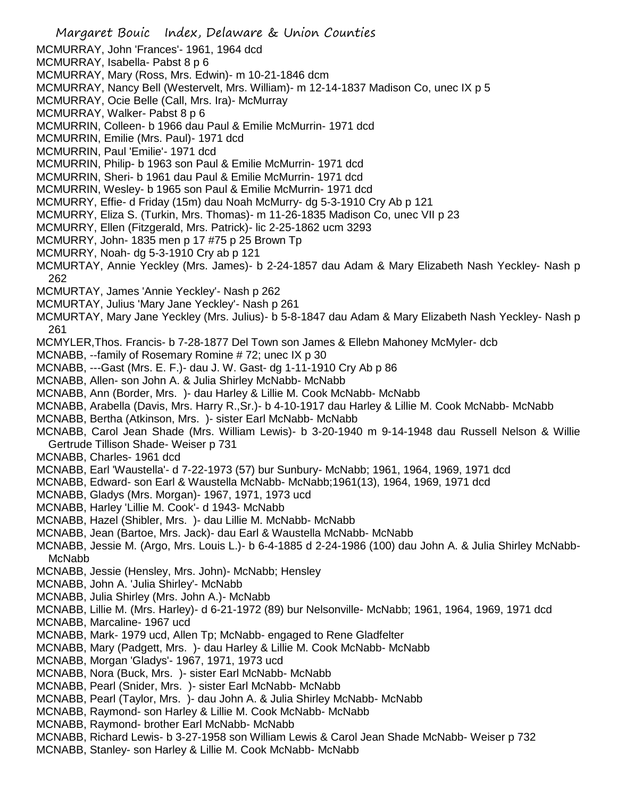- Margaret Bouic Index, Delaware & Union Counties MCMURRAY, John 'Frances'- 1961, 1964 dcd MCMURRAY, Isabella- Pabst 8 p 6 MCMURRAY, Mary (Ross, Mrs. Edwin)- m 10-21-1846 dcm MCMURRAY, Nancy Bell (Westervelt, Mrs. William)- m 12-14-1837 Madison Co, unec IX p 5 MCMURRAY, Ocie Belle (Call, Mrs. Ira)- McMurray MCMURRAY, Walker- Pabst 8 p 6 MCMURRIN, Colleen- b 1966 dau Paul & Emilie McMurrin- 1971 dcd MCMURRIN, Emilie (Mrs. Paul)- 1971 dcd MCMURRIN, Paul 'Emilie'- 1971 dcd MCMURRIN, Philip- b 1963 son Paul & Emilie McMurrin- 1971 dcd MCMURRIN, Sheri- b 1961 dau Paul & Emilie McMurrin- 1971 dcd MCMURRIN, Wesley- b 1965 son Paul & Emilie McMurrin- 1971 dcd MCMURRY, Effie- d Friday (15m) dau Noah McMurry- dg 5-3-1910 Cry Ab p 121 MCMURRY, Eliza S. (Turkin, Mrs. Thomas)- m 11-26-1835 Madison Co, unec VII p 23 MCMURRY, Ellen (Fitzgerald, Mrs. Patrick)- lic 2-25-1862 ucm 3293 MCMURRY, John- 1835 men p 17 #75 p 25 Brown Tp MCMURRY, Noah- dg 5-3-1910 Cry ab p 121 MCMURTAY, Annie Yeckley (Mrs. James)- b 2-24-1857 dau Adam & Mary Elizabeth Nash Yeckley- Nash p 262 MCMURTAY, James 'Annie Yeckley'- Nash p 262 MCMURTAY, Julius 'Mary Jane Yeckley'- Nash p 261 MCMURTAY, Mary Jane Yeckley (Mrs. Julius)- b 5-8-1847 dau Adam & Mary Elizabeth Nash Yeckley- Nash p 261 MCMYLER,Thos. Francis- b 7-28-1877 Del Town son James & Ellebn Mahoney McMyler- dcb MCNABB, --family of Rosemary Romine # 72; unec IX p 30 MCNABB, ---Gast (Mrs. E. F.)- dau J. W. Gast- dg 1-11-1910 Cry Ab p 86 MCNABB, Allen- son John A. & Julia Shirley McNabb- McNabb MCNABB, Ann (Border, Mrs. )- dau Harley & Lillie M. Cook McNabb- McNabb MCNABB, Arabella (Davis, Mrs. Harry R.,Sr.)- b 4-10-1917 dau Harley & Lillie M. Cook McNabb- McNabb MCNABB, Bertha (Atkinson, Mrs. )- sister Earl McNabb- McNabb MCNABB, Carol Jean Shade (Mrs. William Lewis)- b 3-20-1940 m 9-14-1948 dau Russell Nelson & Willie Gertrude Tillison Shade- Weiser p 731 MCNABB, Charles- 1961 dcd MCNABB, Earl 'Waustella'- d 7-22-1973 (57) bur Sunbury- McNabb; 1961, 1964, 1969, 1971 dcd MCNABB, Edward- son Earl & Waustella McNabb- McNabb;1961(13), 1964, 1969, 1971 dcd MCNABB, Gladys (Mrs. Morgan)- 1967, 1971, 1973 ucd MCNABB, Harley 'Lillie M. Cook'- d 1943- McNabb MCNABB, Hazel (Shibler, Mrs. )- dau Lillie M. McNabb- McNabb MCNABB, Jean (Bartoe, Mrs. Jack)- dau Earl & Waustella McNabb- McNabb MCNABB, Jessie M. (Argo, Mrs. Louis L.)- b 6-4-1885 d 2-24-1986 (100) dau John A. & Julia Shirley McNabb-McNabb MCNABB, Jessie (Hensley, Mrs. John)- McNabb; Hensley MCNABB, John A. 'Julia Shirley'- McNabb MCNABB, Julia Shirley (Mrs. John A.)- McNabb MCNABB, Lillie M. (Mrs. Harley)- d 6-21-1972 (89) bur Nelsonville- McNabb; 1961, 1964, 1969, 1971 dcd MCNABB, Marcaline- 1967 ucd MCNABB, Mark- 1979 ucd, Allen Tp; McNabb- engaged to Rene Gladfelter MCNABB, Mary (Padgett, Mrs. )- dau Harley & Lillie M. Cook McNabb- McNabb MCNABB, Morgan 'Gladys'- 1967, 1971, 1973 ucd MCNABB, Nora (Buck, Mrs. )- sister Earl McNabb- McNabb MCNABB, Pearl (Snider, Mrs. )- sister Earl McNabb- McNabb
- MCNABB, Pearl (Taylor, Mrs. )- dau John A. & Julia Shirley McNabb- McNabb
- MCNABB, Raymond- son Harley & Lillie M. Cook McNabb- McNabb
- MCNABB, Raymond- brother Earl McNabb- McNabb
- MCNABB, Richard Lewis- b 3-27-1958 son William Lewis & Carol Jean Shade McNabb- Weiser p 732
- MCNABB, Stanley- son Harley & Lillie M. Cook McNabb- McNabb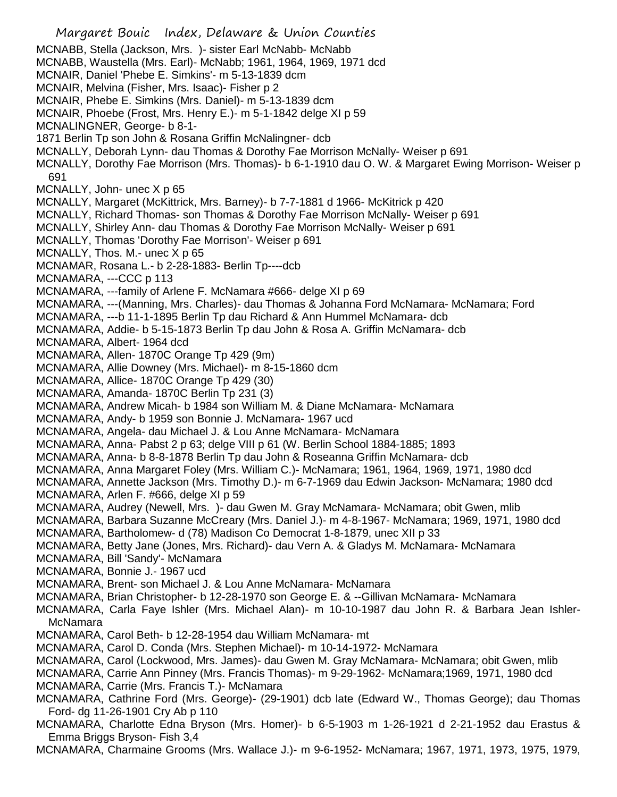Margaret Bouic Index, Delaware & Union Counties MCNABB, Stella (Jackson, Mrs. )- sister Earl McNabb- McNabb MCNABB, Waustella (Mrs. Earl)- McNabb; 1961, 1964, 1969, 1971 dcd MCNAIR, Daniel 'Phebe E. Simkins'- m 5-13-1839 dcm MCNAIR, Melvina (Fisher, Mrs. Isaac)- Fisher p 2 MCNAIR, Phebe E. Simkins (Mrs. Daniel)- m 5-13-1839 dcm MCNAIR, Phoebe (Frost, Mrs. Henry E.)- m 5-1-1842 delge XI p 59 MCNALINGNER, George- b 8-1- 1871 Berlin Tp son John & Rosana Griffin McNalingner- dcb MCNALLY, Deborah Lynn- dau Thomas & Dorothy Fae Morrison McNally- Weiser p 691 MCNALLY, Dorothy Fae Morrison (Mrs. Thomas)- b 6-1-1910 dau O. W. & Margaret Ewing Morrison- Weiser p 691 MCNALLY, John- unec X p 65 MCNALLY, Margaret (McKittrick, Mrs. Barney)- b 7-7-1881 d 1966- McKitrick p 420 MCNALLY, Richard Thomas- son Thomas & Dorothy Fae Morrison McNally- Weiser p 691 MCNALLY, Shirley Ann- dau Thomas & Dorothy Fae Morrison McNally- Weiser p 691 MCNALLY, Thomas 'Dorothy Fae Morrison'- Weiser p 691 MCNALLY, Thos. M.- unec X p 65 MCNAMAR, Rosana L.- b 2-28-1883- Berlin Tp----dcb MCNAMARA, ---CCC p 113 MCNAMARA, ---family of Arlene F. McNamara #666- delge XI p 69 MCNAMARA, ---(Manning, Mrs. Charles)- dau Thomas & Johanna Ford McNamara- McNamara; Ford MCNAMARA, ---b 11-1-1895 Berlin Tp dau Richard & Ann Hummel McNamara- dcb MCNAMARA, Addie- b 5-15-1873 Berlin Tp dau John & Rosa A. Griffin McNamara- dcb MCNAMARA, Albert- 1964 dcd MCNAMARA, Allen- 1870C Orange Tp 429 (9m) MCNAMARA, Allie Downey (Mrs. Michael)- m 8-15-1860 dcm MCNAMARA, Allice- 1870C Orange Tp 429 (30) MCNAMARA, Amanda- 1870C Berlin Tp 231 (3) MCNAMARA, Andrew Micah- b 1984 son William M. & Diane McNamara- McNamara MCNAMARA, Andy- b 1959 son Bonnie J. McNamara- 1967 ucd MCNAMARA, Angela- dau Michael J. & Lou Anne McNamara- McNamara MCNAMARA, Anna- Pabst 2 p 63; delge VIII p 61 (W. Berlin School 1884-1885; 1893 MCNAMARA, Anna- b 8-8-1878 Berlin Tp dau John & Roseanna Griffin McNamara- dcb MCNAMARA, Anna Margaret Foley (Mrs. William C.)- McNamara; 1961, 1964, 1969, 1971, 1980 dcd MCNAMARA, Annette Jackson (Mrs. Timothy D.)- m 6-7-1969 dau Edwin Jackson- McNamara; 1980 dcd MCNAMARA, Arlen F. #666, delge XI p 59 MCNAMARA, Audrey (Newell, Mrs. )- dau Gwen M. Gray McNamara- McNamara; obit Gwen, mlib MCNAMARA, Barbara Suzanne McCreary (Mrs. Daniel J.)- m 4-8-1967- McNamara; 1969, 1971, 1980 dcd MCNAMARA, Bartholomew- d (78) Madison Co Democrat 1-8-1879, unec XII p 33 MCNAMARA, Betty Jane (Jones, Mrs. Richard)- dau Vern A. & Gladys M. McNamara- McNamara MCNAMARA, Bill 'Sandy'- McNamara MCNAMARA, Bonnie J.- 1967 ucd MCNAMARA, Brent- son Michael J. & Lou Anne McNamara- McNamara MCNAMARA, Brian Christopher- b 12-28-1970 son George E. & --Gillivan McNamara- McNamara MCNAMARA, Carla Faye Ishler (Mrs. Michael Alan)- m 10-10-1987 dau John R. & Barbara Jean Ishler-McNamara MCNAMARA, Carol Beth- b 12-28-1954 dau William McNamara- mt MCNAMARA, Carol D. Conda (Mrs. Stephen Michael)- m 10-14-1972- McNamara MCNAMARA, Carol (Lockwood, Mrs. James)- dau Gwen M. Gray McNamara- McNamara; obit Gwen, mlib MCNAMARA, Carrie Ann Pinney (Mrs. Francis Thomas)- m 9-29-1962- McNamara;1969, 1971, 1980 dcd MCNAMARA, Carrie (Mrs. Francis T.)- McNamara MCNAMARA, Cathrine Ford (Mrs. George)- (29-1901) dcb late (Edward W., Thomas George); dau Thomas Ford- dg 11-26-1901 Cry Ab p 110 MCNAMARA, Charlotte Edna Bryson (Mrs. Homer)- b 6-5-1903 m 1-26-1921 d 2-21-1952 dau Erastus & Emma Briggs Bryson- Fish 3,4

MCNAMARA, Charmaine Grooms (Mrs. Wallace J.)- m 9-6-1952- McNamara; 1967, 1971, 1973, 1975, 1979,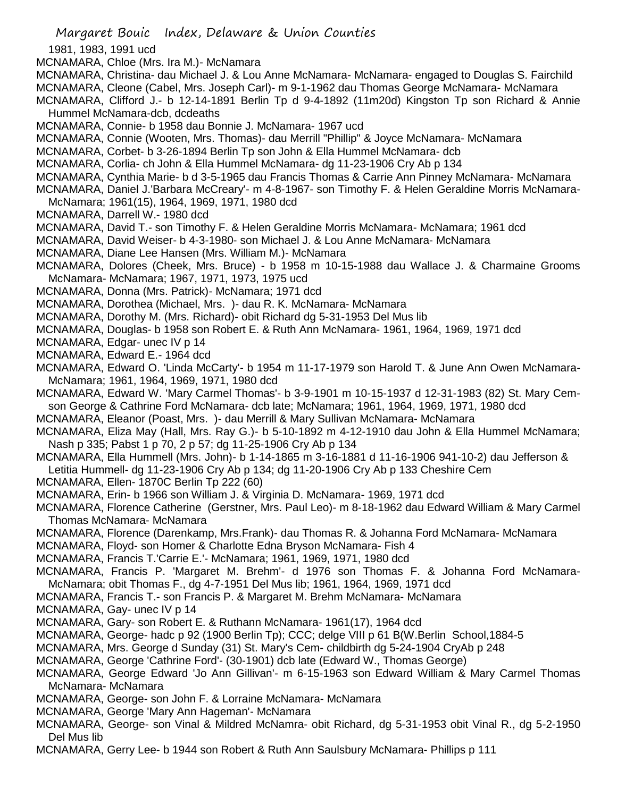Margaret Bouic Index, Delaware & Union Counties 1981, 1983, 1991 ucd MCNAMARA, Chloe (Mrs. Ira M.)- McNamara MCNAMARA, Christina- dau Michael J. & Lou Anne McNamara- McNamara- engaged to Douglas S. Fairchild MCNAMARA, Cleone (Cabel, Mrs. Joseph Carl)- m 9-1-1962 dau Thomas George McNamara- McNamara MCNAMARA, Clifford J.- b 12-14-1891 Berlin Tp d 9-4-1892 (11m20d) Kingston Tp son Richard & Annie Hummel McNamara-dcb, dcdeaths MCNAMARA, Connie- b 1958 dau Bonnie J. McNamara- 1967 ucd MCNAMARA, Connie (Wooten, Mrs. Thomas)- dau Merrill "Phillip" & Joyce McNamara- McNamara MCNAMARA, Corbet- b 3-26-1894 Berlin Tp son John & Ella Hummel McNamara- dcb MCNAMARA, Corlia- ch John & Ella Hummel McNamara- dg 11-23-1906 Cry Ab p 134 MCNAMARA, Cynthia Marie- b d 3-5-1965 dau Francis Thomas & Carrie Ann Pinney McNamara- McNamara MCNAMARA, Daniel J.'Barbara McCreary'- m 4-8-1967- son Timothy F. & Helen Geraldine Morris McNamara-McNamara; 1961(15), 1964, 1969, 1971, 1980 dcd MCNAMARA, Darrell W.- 1980 dcd MCNAMARA, David T.- son Timothy F. & Helen Geraldine Morris McNamara- McNamara; 1961 dcd MCNAMARA, David Weiser- b 4-3-1980- son Michael J. & Lou Anne McNamara- McNamara MCNAMARA, Diane Lee Hansen (Mrs. William M.)- McNamara MCNAMARA, Dolores (Cheek, Mrs. Bruce) - b 1958 m 10-15-1988 dau Wallace J. & Charmaine Grooms McNamara- McNamara; 1967, 1971, 1973, 1975 ucd MCNAMARA, Donna (Mrs. Patrick)- McNamara; 1971 dcd MCNAMARA, Dorothea (Michael, Mrs. )- dau R. K. McNamara- McNamara MCNAMARA, Dorothy M. (Mrs. Richard)- obit Richard dg 5-31-1953 Del Mus lib MCNAMARA, Douglas- b 1958 son Robert E. & Ruth Ann McNamara- 1961, 1964, 1969, 1971 dcd MCNAMARA, Edgar- unec IV p 14 MCNAMARA, Edward E.- 1964 dcd MCNAMARA, Edward O. 'Linda McCarty'- b 1954 m 11-17-1979 son Harold T. & June Ann Owen McNamara-McNamara; 1961, 1964, 1969, 1971, 1980 dcd MCNAMARA, Edward W. 'Mary Carmel Thomas'- b 3-9-1901 m 10-15-1937 d 12-31-1983 (82) St. Mary Cemson George & Cathrine Ford McNamara- dcb late; McNamara; 1961, 1964, 1969, 1971, 1980 dcd MCNAMARA, Eleanor (Poast, Mrs. )- dau Merrill & Mary Sullivan McNamara- McNamara MCNAMARA, Eliza May (Hall, Mrs. Ray G.)- b 5-10-1892 m 4-12-1910 dau John & Ella Hummel McNamara; Nash p 335; Pabst 1 p 70, 2 p 57; dg 11-25-1906 Cry Ab p 134 MCNAMARA, Ella Hummell (Mrs. John)- b 1-14-1865 m 3-16-1881 d 11-16-1906 941-10-2) dau Jefferson & Letitia Hummell- dg 11-23-1906 Cry Ab p 134; dg 11-20-1906 Cry Ab p 133 Cheshire Cem MCNAMARA, Ellen- 1870C Berlin Tp 222 (60) MCNAMARA, Erin- b 1966 son William J. & Virginia D. McNamara- 1969, 1971 dcd MCNAMARA, Florence Catherine (Gerstner, Mrs. Paul Leo)- m 8-18-1962 dau Edward William & Mary Carmel Thomas McNamara- McNamara MCNAMARA, Florence (Darenkamp, Mrs.Frank)- dau Thomas R. & Johanna Ford McNamara- McNamara MCNAMARA, Floyd- son Homer & Charlotte Edna Bryson McNamara- Fish 4 MCNAMARA, Francis T.'Carrie E.'- McNamara; 1961, 1969, 1971, 1980 dcd MCNAMARA, Francis P. 'Margaret M. Brehm'- d 1976 son Thomas F. & Johanna Ford McNamara-McNamara; obit Thomas F., dg 4-7-1951 Del Mus lib; 1961, 1964, 1969, 1971 dcd MCNAMARA, Francis T.- son Francis P. & Margaret M. Brehm McNamara- McNamara MCNAMARA, Gay- unec IV p 14 MCNAMARA, Gary- son Robert E. & Ruthann McNamara- 1961(17), 1964 dcd MCNAMARA, George- hadc p 92 (1900 Berlin Tp); CCC; delge VIII p 61 B(W.Berlin School,1884-5 MCNAMARA, Mrs. George d Sunday (31) St. Mary's Cem- childbirth dg 5-24-1904 CryAb p 248 MCNAMARA, George 'Cathrine Ford'- (30-1901) dcb late (Edward W., Thomas George) MCNAMARA, George Edward 'Jo Ann Gillivan'- m 6-15-1963 son Edward William & Mary Carmel Thomas McNamara- McNamara MCNAMARA, George- son John F. & Lorraine McNamara- McNamara MCNAMARA, George 'Mary Ann Hageman'- McNamara MCNAMARA, George- son Vinal & Mildred McNamra- obit Richard, dg 5-31-1953 obit Vinal R., dg 5-2-1950 Del Mus lib MCNAMARA, Gerry Lee- b 1944 son Robert & Ruth Ann Saulsbury McNamara- Phillips p 111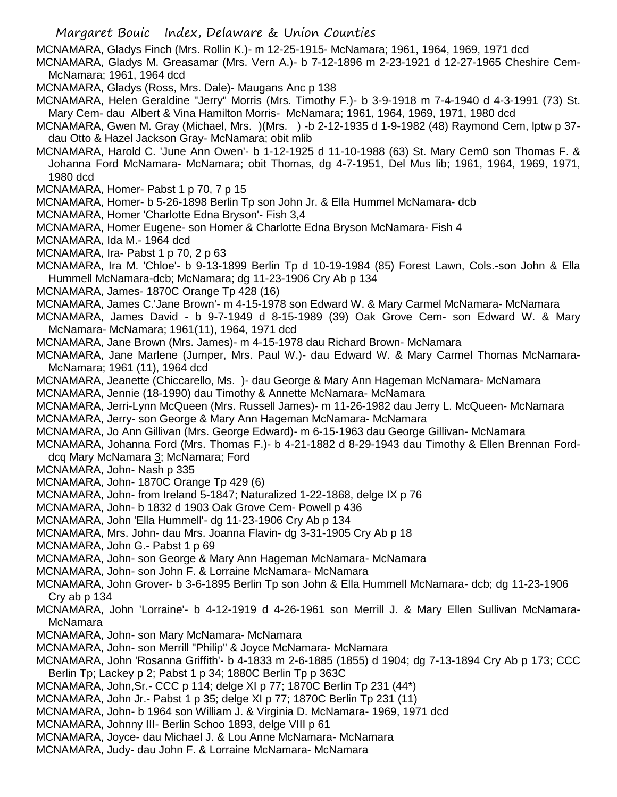MCNAMARA, Gladys Finch (Mrs. Rollin K.)- m 12-25-1915- McNamara; 1961, 1964, 1969, 1971 dcd

MCNAMARA, Gladys M. Greasamar (Mrs. Vern A.)- b 7-12-1896 m 2-23-1921 d 12-27-1965 Cheshire Cem-McNamara; 1961, 1964 dcd

MCNAMARA, Gladys (Ross, Mrs. Dale)- Maugans Anc p 138

MCNAMARA, Helen Geraldine "Jerry" Morris (Mrs. Timothy F.)- b 3-9-1918 m 7-4-1940 d 4-3-1991 (73) St. Mary Cem- dau Albert & Vina Hamilton Morris- McNamara; 1961, 1964, 1969, 1971, 1980 dcd

MCNAMARA, Gwen M. Gray (Michael, Mrs. )(Mrs. ) -b 2-12-1935 d 1-9-1982 (48) Raymond Cem, lptw p 37 dau Otto & Hazel Jackson Gray- McNamara; obit mlib

MCNAMARA, Harold C. 'June Ann Owen'- b 1-12-1925 d 11-10-1988 (63) St. Mary Cem0 son Thomas F. & Johanna Ford McNamara- McNamara; obit Thomas, dg 4-7-1951, Del Mus lib; 1961, 1964, 1969, 1971, 1980 dcd

MCNAMARA, Homer- Pabst 1 p 70, 7 p 15

MCNAMARA, Homer- b 5-26-1898 Berlin Tp son John Jr. & Ella Hummel McNamara- dcb

MCNAMARA, Homer 'Charlotte Edna Bryson'- Fish 3,4

MCNAMARA, Homer Eugene- son Homer & Charlotte Edna Bryson McNamara- Fish 4

MCNAMARA, Ida M.- 1964 dcd

MCNAMARA, Ira- Pabst 1 p 70, 2 p 63

MCNAMARA, Ira M. 'Chloe'- b 9-13-1899 Berlin Tp d 10-19-1984 (85) Forest Lawn, Cols.-son John & Ella Hummell McNamara-dcb; McNamara; dg 11-23-1906 Cry Ab p 134

MCNAMARA, James- 1870C Orange Tp 428 (16)

MCNAMARA, James C.'Jane Brown'- m 4-15-1978 son Edward W. & Mary Carmel McNamara- McNamara

MCNAMARA, James David - b 9-7-1949 d 8-15-1989 (39) Oak Grove Cem- son Edward W. & Mary McNamara- McNamara; 1961(11), 1964, 1971 dcd

MCNAMARA, Jane Brown (Mrs. James)- m 4-15-1978 dau Richard Brown- McNamara

MCNAMARA, Jane Marlene (Jumper, Mrs. Paul W.)- dau Edward W. & Mary Carmel Thomas McNamara-McNamara; 1961 (11), 1964 dcd

MCNAMARA, Jeanette (Chiccarello, Ms. )- dau George & Mary Ann Hageman McNamara- McNamara

MCNAMARA, Jennie (18-1990) dau Timothy & Annette McNamara- McNamara

MCNAMARA, Jerri-Lynn McQueen (Mrs. Russell James)- m 11-26-1982 dau Jerry L. McQueen- McNamara MCNAMARA, Jerry- son George & Mary Ann Hageman McNamara- McNamara

MCNAMARA, Jo Ann Gillivan (Mrs. George Edward)- m 6-15-1963 dau George Gillivan- McNamara

MCNAMARA, Johanna Ford (Mrs. Thomas F.)- b 4-21-1882 d 8-29-1943 dau Timothy & Ellen Brennan Forddcq Mary McNamara 3; McNamara; Ford

MCNAMARA, John- Nash p 335

MCNAMARA, John- 1870C Orange Tp 429 (6)

MCNAMARA, John- from Ireland 5-1847; Naturalized 1-22-1868, delge IX p 76

MCNAMARA, John- b 1832 d 1903 Oak Grove Cem- Powell p 436

MCNAMARA, John 'Ella Hummell'- dg 11-23-1906 Cry Ab p 134

MCNAMARA, Mrs. John- dau Mrs. Joanna Flavin- dg 3-31-1905 Cry Ab p 18

MCNAMARA, John G.- Pabst 1 p 69

MCNAMARA, John- son George & Mary Ann Hageman McNamara- McNamara

MCNAMARA, John- son John F. & Lorraine McNamara- McNamara

MCNAMARA, John Grover- b 3-6-1895 Berlin Tp son John & Ella Hummell McNamara- dcb; dg 11-23-1906 Cry ab p 134

MCNAMARA, John 'Lorraine'- b 4-12-1919 d 4-26-1961 son Merrill J. & Mary Ellen Sullivan McNamara-McNamara

MCNAMARA, John- son Mary McNamara- McNamara

MCNAMARA, John- son Merrill "Philip" & Joyce McNamara- McNamara

MCNAMARA, John 'Rosanna Griffith'- b 4-1833 m 2-6-1885 (1855) d 1904; dg 7-13-1894 Cry Ab p 173; CCC Berlin Tp; Lackey p 2; Pabst 1 p 34; 1880C Berlin Tp p 363C

MCNAMARA, John,Sr.- CCC p 114; delge XI p 77; 1870C Berlin Tp 231 (44\*)

MCNAMARA, John Jr.- Pabst 1 p 35; delge XI p 77; 1870C Berlin Tp 231 (11)

MCNAMARA, John- b 1964 son William J. & Virginia D. McNamara- 1969, 1971 dcd

MCNAMARA, Johnny III- Berlin Schoo 1893, delge VIII p 61

MCNAMARA, Joyce- dau Michael J. & Lou Anne McNamara- McNamara

MCNAMARA, Judy- dau John F. & Lorraine McNamara- McNamara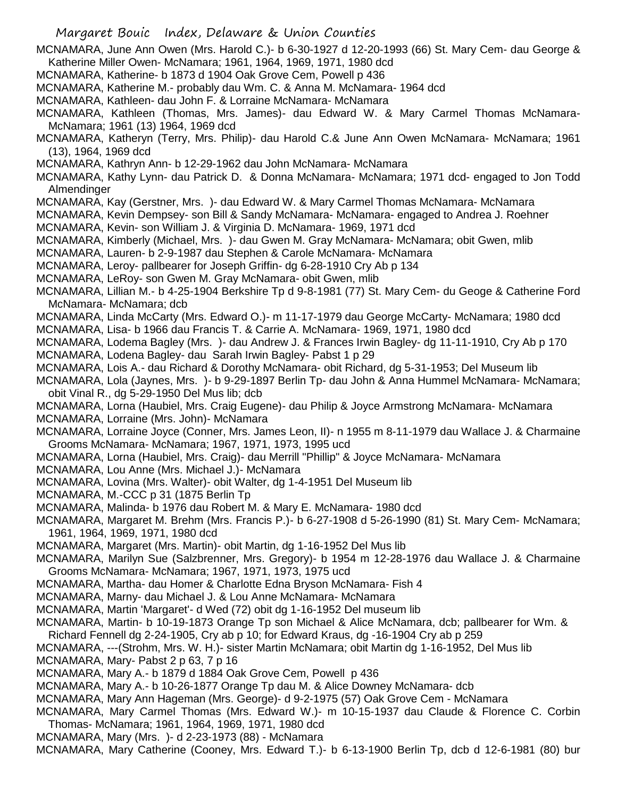Margaret Bouic Index, Delaware & Union Counties MCNAMARA, June Ann Owen (Mrs. Harold C.)- b 6-30-1927 d 12-20-1993 (66) St. Mary Cem- dau George & Katherine Miller Owen- McNamara; 1961, 1964, 1969, 1971, 1980 dcd MCNAMARA, Katherine- b 1873 d 1904 Oak Grove Cem, Powell p 436 MCNAMARA, Katherine M.- probably dau Wm. C. & Anna M. McNamara- 1964 dcd MCNAMARA, Kathleen- dau John F. & Lorraine McNamara- McNamara MCNAMARA, Kathleen (Thomas, Mrs. James)- dau Edward W. & Mary Carmel Thomas McNamara-McNamara; 1961 (13) 1964, 1969 dcd MCNAMARA, Katheryn (Terry, Mrs. Philip)- dau Harold C.& June Ann Owen McNamara- McNamara; 1961 (13), 1964, 1969 dcd MCNAMARA, Kathryn Ann- b 12-29-1962 dau John McNamara- McNamara MCNAMARA, Kathy Lynn- dau Patrick D. & Donna McNamara- McNamara; 1971 dcd- engaged to Jon Todd Almendinger MCNAMARA, Kay (Gerstner, Mrs. )- dau Edward W. & Mary Carmel Thomas McNamara- McNamara MCNAMARA, Kevin Dempsey- son Bill & Sandy McNamara- McNamara- engaged to Andrea J. Roehner MCNAMARA, Kevin- son William J. & Virginia D. McNamara- 1969, 1971 dcd MCNAMARA, Kimberly (Michael, Mrs. )- dau Gwen M. Gray McNamara- McNamara; obit Gwen, mlib MCNAMARA, Lauren- b 2-9-1987 dau Stephen & Carole McNamara- McNamara MCNAMARA, Leroy- pallbearer for Joseph Griffin- dg 6-28-1910 Cry Ab p 134 MCNAMARA, LeRoy- son Gwen M. Gray McNamara- obit Gwen, mlib MCNAMARA, Lillian M.- b 4-25-1904 Berkshire Tp d 9-8-1981 (77) St. Mary Cem- du Geoge & Catherine Ford McNamara- McNamara; dcb MCNAMARA, Linda McCarty (Mrs. Edward O.)- m 11-17-1979 dau George McCarty- McNamara; 1980 dcd MCNAMARA, Lisa- b 1966 dau Francis T. & Carrie A. McNamara- 1969, 1971, 1980 dcd MCNAMARA, Lodema Bagley (Mrs. )- dau Andrew J. & Frances Irwin Bagley- dg 11-11-1910, Cry Ab p 170 MCNAMARA, Lodena Bagley- dau Sarah Irwin Bagley- Pabst 1 p 29 MCNAMARA, Lois A.- dau Richard & Dorothy McNamara- obit Richard, dg 5-31-1953; Del Museum lib MCNAMARA, Lola (Jaynes, Mrs. )- b 9-29-1897 Berlin Tp- dau John & Anna Hummel McNamara- McNamara; obit Vinal R., dg 5-29-1950 Del Mus lib; dcb MCNAMARA, Lorna (Haubiel, Mrs. Craig Eugene)- dau Philip & Joyce Armstrong McNamara- McNamara MCNAMARA, Lorraine (Mrs. John)- McNamara MCNAMARA, Lorraine Joyce (Conner, Mrs. James Leon, II)- n 1955 m 8-11-1979 dau Wallace J. & Charmaine Grooms McNamara- McNamara; 1967, 1971, 1973, 1995 ucd MCNAMARA, Lorna (Haubiel, Mrs. Craig)- dau Merrill "Phillip" & Joyce McNamara- McNamara MCNAMARA, Lou Anne (Mrs. Michael J.)- McNamara MCNAMARA, Lovina (Mrs. Walter)- obit Walter, dg 1-4-1951 Del Museum lib MCNAMARA, M.-CCC p 31 (1875 Berlin Tp MCNAMARA, Malinda- b 1976 dau Robert M. & Mary E. McNamara- 1980 dcd MCNAMARA, Margaret M. Brehm (Mrs. Francis P.)- b 6-27-1908 d 5-26-1990 (81) St. Mary Cem- McNamara; 1961, 1964, 1969, 1971, 1980 dcd MCNAMARA, Margaret (Mrs. Martin)- obit Martin, dg 1-16-1952 Del Mus lib MCNAMARA, Marilyn Sue (Salzbrenner, Mrs. Gregory)- b 1954 m 12-28-1976 dau Wallace J. & Charmaine Grooms McNamara- McNamara; 1967, 1971, 1973, 1975 ucd MCNAMARA, Martha- dau Homer & Charlotte Edna Bryson McNamara- Fish 4 MCNAMARA, Marny- dau Michael J. & Lou Anne McNamara- McNamara MCNAMARA, Martin 'Margaret'- d Wed (72) obit dg 1-16-1952 Del museum lib MCNAMARA, Martin- b 10-19-1873 Orange Tp son Michael & Alice McNamara, dcb; pallbearer for Wm. & Richard Fennell dg 2-24-1905, Cry ab p 10; for Edward Kraus, dg -16-1904 Cry ab p 259 MCNAMARA, ---(Strohm, Mrs. W. H.)- sister Martin McNamara; obit Martin dg 1-16-1952, Del Mus lib MCNAMARA, Mary- Pabst 2 p 63, 7 p 16 MCNAMARA, Mary A.- b 1879 d 1884 Oak Grove Cem, Powell p 436 MCNAMARA, Mary A.- b 10-26-1877 Orange Tp dau M. & Alice Downey McNamara- dcb MCNAMARA, Mary Ann Hageman (Mrs. George)- d 9-2-1975 (57) Oak Grove Cem - McNamara MCNAMARA, Mary Carmel Thomas (Mrs. Edward W.)- m 10-15-1937 dau Claude & Florence C. Corbin Thomas- McNamara; 1961, 1964, 1969, 1971, 1980 dcd MCNAMARA, Mary (Mrs. )- d 2-23-1973 (88) - McNamara

MCNAMARA, Mary Catherine (Cooney, Mrs. Edward T.)- b 6-13-1900 Berlin Tp, dcb d 12-6-1981 (80) bur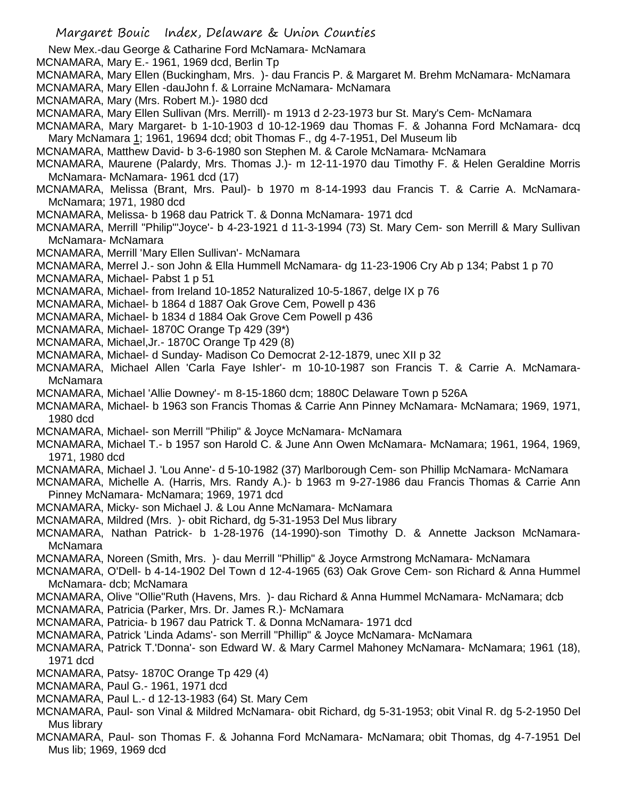Margaret Bouic Index, Delaware & Union Counties New Mex.-dau George & Catharine Ford McNamara- McNamara MCNAMARA, Mary E.- 1961, 1969 dcd, Berlin Tp MCNAMARA, Mary Ellen (Buckingham, Mrs. )- dau Francis P. & Margaret M. Brehm McNamara- McNamara MCNAMARA, Mary Ellen -dauJohn f. & Lorraine McNamara- McNamara MCNAMARA, Mary (Mrs. Robert M.)- 1980 dcd MCNAMARA, Mary Ellen Sullivan (Mrs. Merrill)- m 1913 d 2-23-1973 bur St. Mary's Cem- McNamara MCNAMARA, Mary Margaret- b 1-10-1903 d 10-12-1969 dau Thomas F. & Johanna Ford McNamara- dcq Mary McNamara 1; 1961, 19694 dcd; obit Thomas F., dg 4-7-1951, Del Museum lib MCNAMARA, Matthew David- b 3-6-1980 son Stephen M. & Carole McNamara- McNamara MCNAMARA, Maurene (Palardy, Mrs. Thomas J.)- m 12-11-1970 dau Timothy F. & Helen Geraldine Morris McNamara- McNamara- 1961 dcd (17) MCNAMARA, Melissa (Brant, Mrs. Paul)- b 1970 m 8-14-1993 dau Francis T. & Carrie A. McNamara-McNamara; 1971, 1980 dcd MCNAMARA, Melissa- b 1968 dau Patrick T. & Donna McNamara- 1971 dcd MCNAMARA, Merrill "Philip"'Joyce'- b 4-23-1921 d 11-3-1994 (73) St. Mary Cem- son Merrill & Mary Sullivan McNamara- McNamara MCNAMARA, Merrill 'Mary Ellen Sullivan'- McNamara MCNAMARA, Merrel J.- son John & Ella Hummell McNamara- dg 11-23-1906 Cry Ab p 134; Pabst 1 p 70 MCNAMARA, Michael- Pabst 1 p 51 MCNAMARA, Michael- from Ireland 10-1852 Naturalized 10-5-1867, delge IX p 76 MCNAMARA, Michael- b 1864 d 1887 Oak Grove Cem, Powell p 436 MCNAMARA, Michael- b 1834 d 1884 Oak Grove Cem Powell p 436 MCNAMARA, Michael- 1870C Orange Tp 429 (39\*) MCNAMARA, Michael,Jr.- 1870C Orange Tp 429 (8) MCNAMARA, Michael- d Sunday- Madison Co Democrat 2-12-1879, unec XII p 32 MCNAMARA, Michael Allen 'Carla Faye Ishler'- m 10-10-1987 son Francis T. & Carrie A. McNamara-McNamara MCNAMARA, Michael 'Allie Downey'- m 8-15-1860 dcm; 1880C Delaware Town p 526A MCNAMARA, Michael- b 1963 son Francis Thomas & Carrie Ann Pinney McNamara- McNamara; 1969, 1971, 1980 dcd MCNAMARA, Michael- son Merrill "Philip" & Joyce McNamara- McNamara MCNAMARA, Michael T.- b 1957 son Harold C. & June Ann Owen McNamara- McNamara; 1961, 1964, 1969, 1971, 1980 dcd MCNAMARA, Michael J. 'Lou Anne'- d 5-10-1982 (37) Marlborough Cem- son Phillip McNamara- McNamara MCNAMARA, Michelle A. (Harris, Mrs. Randy A.)- b 1963 m 9-27-1986 dau Francis Thomas & Carrie Ann Pinney McNamara- McNamara; 1969, 1971 dcd MCNAMARA, Micky- son Michael J. & Lou Anne McNamara- McNamara MCNAMARA, Mildred (Mrs. )- obit Richard, dg 5-31-1953 Del Mus library MCNAMARA, Nathan Patrick- b 1-28-1976 (14-1990)-son Timothy D. & Annette Jackson McNamara-McNamara MCNAMARA, Noreen (Smith, Mrs. )- dau Merrill "Phillip" & Joyce Armstrong McNamara- McNamara MCNAMARA, O'Dell- b 4-14-1902 Del Town d 12-4-1965 (63) Oak Grove Cem- son Richard & Anna Hummel McNamara- dcb; McNamara MCNAMARA, Olive "Ollie"Ruth (Havens, Mrs. )- dau Richard & Anna Hummel McNamara- McNamara; dcb MCNAMARA, Patricia (Parker, Mrs. Dr. James R.)- McNamara MCNAMARA, Patricia- b 1967 dau Patrick T. & Donna McNamara- 1971 dcd MCNAMARA, Patrick 'Linda Adams'- son Merrill "Phillip" & Joyce McNamara- McNamara MCNAMARA, Patrick T.'Donna'- son Edward W. & Mary Carmel Mahoney McNamara- McNamara; 1961 (18), 1971 dcd MCNAMARA, Patsy- 1870C Orange Tp 429 (4) MCNAMARA, Paul G.- 1961, 1971 dcd MCNAMARA, Paul L.- d 12-13-1983 (64) St. Mary Cem MCNAMARA, Paul- son Vinal & Mildred McNamara- obit Richard, dg 5-31-1953; obit Vinal R. dg 5-2-1950 Del Mus library MCNAMARA, Paul- son Thomas F. & Johanna Ford McNamara- McNamara; obit Thomas, dg 4-7-1951 Del Mus lib; 1969, 1969 dcd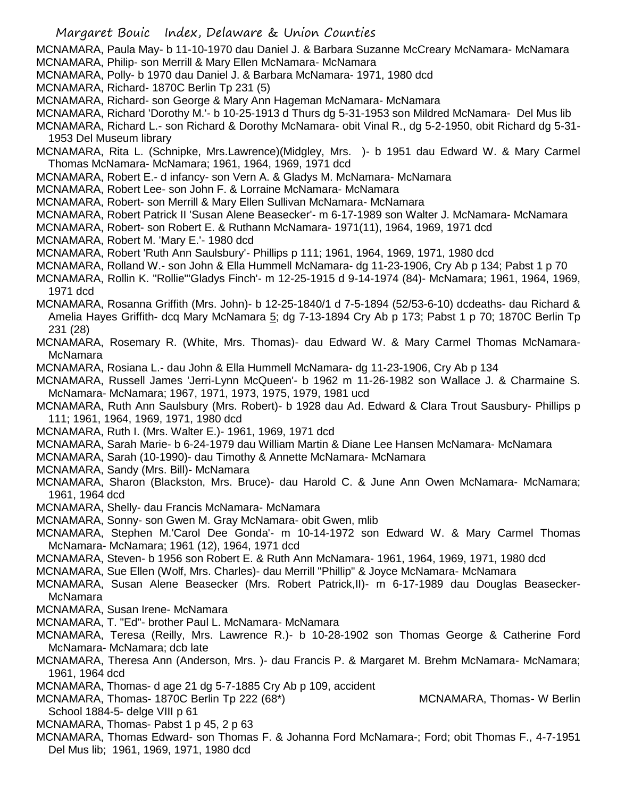Margaret Bouic Index, Delaware & Union Counties MCNAMARA, Paula May- b 11-10-1970 dau Daniel J. & Barbara Suzanne McCreary McNamara- McNamara MCNAMARA, Philip- son Merrill & Mary Ellen McNamara- McNamara MCNAMARA, Polly- b 1970 dau Daniel J. & Barbara McNamara- 1971, 1980 dcd MCNAMARA, Richard- 1870C Berlin Tp 231 (5) MCNAMARA, Richard- son George & Mary Ann Hageman McNamara- McNamara MCNAMARA, Richard 'Dorothy M.'- b 10-25-1913 d Thurs dg 5-31-1953 son Mildred McNamara- Del Mus lib MCNAMARA, Richard L.- son Richard & Dorothy McNamara- obit Vinal R., dg 5-2-1950, obit Richard dg 5-31- 1953 Del Museum library MCNAMARA, Rita L. (Schnipke, Mrs.Lawrence)(Midgley, Mrs. )- b 1951 dau Edward W. & Mary Carmel Thomas McNamara- McNamara; 1961, 1964, 1969, 1971 dcd MCNAMARA, Robert E.- d infancy- son Vern A. & Gladys M. McNamara- McNamara MCNAMARA, Robert Lee- son John F. & Lorraine McNamara- McNamara MCNAMARA, Robert- son Merrill & Mary Ellen Sullivan McNamara- McNamara MCNAMARA, Robert Patrick II 'Susan Alene Beasecker'- m 6-17-1989 son Walter J. McNamara- McNamara MCNAMARA, Robert- son Robert E. & Ruthann McNamara- 1971(11), 1964, 1969, 1971 dcd MCNAMARA, Robert M. 'Mary E.'- 1980 dcd MCNAMARA, Robert 'Ruth Ann Saulsbury'- Phillips p 111; 1961, 1964, 1969, 1971, 1980 dcd MCNAMARA, Rolland W.- son John & Ella Hummell McNamara- dg 11-23-1906, Cry Ab p 134; Pabst 1 p 70 MCNAMARA, Rollin K. "Rollie"'Gladys Finch'- m 12-25-1915 d 9-14-1974 (84)- McNamara; 1961, 1964, 1969, 1971 dcd MCNAMARA, Rosanna Griffith (Mrs. John)- b 12-25-1840/1 d 7-5-1894 (52/53-6-10) dcdeaths- dau Richard & Amelia Hayes Griffith- dcq Mary McNamara 5; dg 7-13-1894 Cry Ab p 173; Pabst 1 p 70; 1870C Berlin Tp 231 (28) MCNAMARA, Rosemary R. (White, Mrs. Thomas)- dau Edward W. & Mary Carmel Thomas McNamara-McNamara MCNAMARA, Rosiana L.- dau John & Ella Hummell McNamara- dg 11-23-1906, Cry Ab p 134 MCNAMARA, Russell James 'Jerri-Lynn McQueen'- b 1962 m 11-26-1982 son Wallace J. & Charmaine S. McNamara- McNamara; 1967, 1971, 1973, 1975, 1979, 1981 ucd MCNAMARA, Ruth Ann Saulsbury (Mrs. Robert)- b 1928 dau Ad. Edward & Clara Trout Sausbury- Phillips p 111; 1961, 1964, 1969, 1971, 1980 dcd MCNAMARA, Ruth I. (Mrs. Walter E.)- 1961, 1969, 1971 dcd MCNAMARA, Sarah Marie- b 6-24-1979 dau William Martin & Diane Lee Hansen McNamara- McNamara MCNAMARA, Sarah (10-1990)- dau Timothy & Annette McNamara- McNamara MCNAMARA, Sandy (Mrs. Bill)- McNamara MCNAMARA, Sharon (Blackston, Mrs. Bruce)- dau Harold C. & June Ann Owen McNamara- McNamara; 1961, 1964 dcd MCNAMARA, Shelly- dau Francis McNamara- McNamara MCNAMARA, Sonny- son Gwen M. Gray McNamara- obit Gwen, mlib MCNAMARA, Stephen M.'Carol Dee Gonda'- m 10-14-1972 son Edward W. & Mary Carmel Thomas McNamara- McNamara; 1961 (12), 1964, 1971 dcd MCNAMARA, Steven- b 1956 son Robert E. & Ruth Ann McNamara- 1961, 1964, 1969, 1971, 1980 dcd MCNAMARA, Sue Ellen (Wolf, Mrs. Charles)- dau Merrill "Phillip" & Joyce McNamara- McNamara MCNAMARA, Susan Alene Beasecker (Mrs. Robert Patrick,II)- m 6-17-1989 dau Douglas Beasecker-McNamara MCNAMARA, Susan Irene- McNamara MCNAMARA, T. "Ed"- brother Paul L. McNamara- McNamara MCNAMARA, Teresa (Reilly, Mrs. Lawrence R.)- b 10-28-1902 son Thomas George & Catherine Ford McNamara- McNamara; dcb late MCNAMARA, Theresa Ann (Anderson, Mrs. )- dau Francis P. & Margaret M. Brehm McNamara- McNamara; 1961, 1964 dcd MCNAMARA, Thomas- d age 21 dg 5-7-1885 Cry Ab p 109, accident MCNAMARA, Thomas- 1870C Berlin Tp 222 (68\*) MCNAMARA, Thomas- W Berlin School 1884-5- delge VIII p 61 MCNAMARA, Thomas- Pabst 1 p 45, 2 p 63 MCNAMARA, Thomas Edward- son Thomas F. & Johanna Ford McNamara-; Ford; obit Thomas F., 4-7-1951 Del Mus lib; 1961, 1969, 1971, 1980 dcd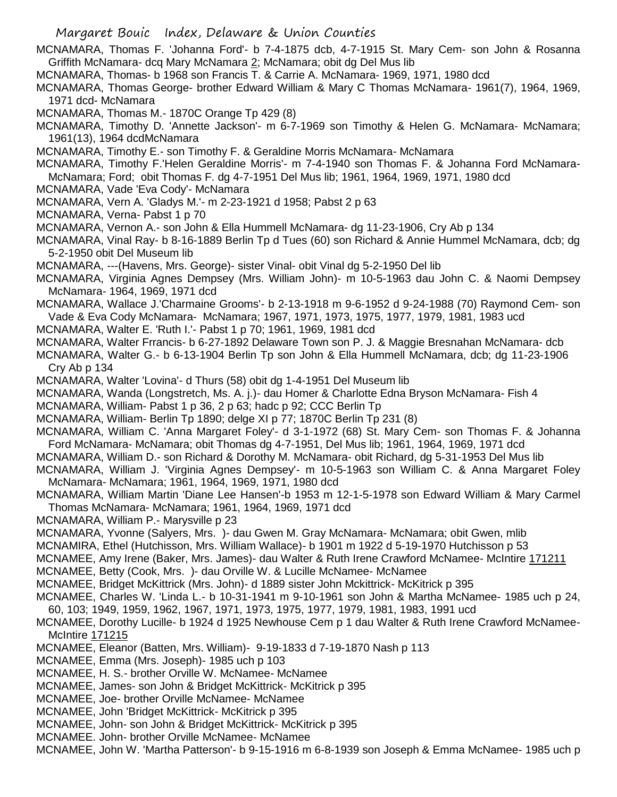Margaret Bouic Index, Delaware & Union Counties MCNAMARA, Thomas F. 'Johanna Ford'- b 7-4-1875 dcb, 4-7-1915 St. Mary Cem- son John & Rosanna Griffith McNamara- dcq Mary McNamara 2; McNamara; obit dg Del Mus lib MCNAMARA, Thomas- b 1968 son Francis T. & Carrie A. McNamara- 1969, 1971, 1980 dcd MCNAMARA, Thomas George- brother Edward William & Mary C Thomas McNamara- 1961(7), 1964, 1969, 1971 dcd- McNamara MCNAMARA, Thomas M.- 1870C Orange Tp 429 (8) MCNAMARA, Timothy D. 'Annette Jackson'- m 6-7-1969 son Timothy & Helen G. McNamara- McNamara; 1961(13), 1964 dcdMcNamara MCNAMARA, Timothy E.- son Timothy F. & Geraldine Morris McNamara- McNamara MCNAMARA, Timothy F.'Helen Geraldine Morris'- m 7-4-1940 son Thomas F. & Johanna Ford McNamara-McNamara; Ford; obit Thomas F. dg 4-7-1951 Del Mus lib; 1961, 1964, 1969, 1971, 1980 dcd MCNAMARA, Vade 'Eva Cody'- McNamara MCNAMARA, Vern A. 'Gladys M.'- m 2-23-1921 d 1958; Pabst 2 p 63 MCNAMARA, Verna- Pabst 1 p 70 MCNAMARA, Vernon A.- son John & Ella Hummell McNamara- dg 11-23-1906, Cry Ab p 134 MCNAMARA, Vinal Ray- b 8-16-1889 Berlin Tp d Tues (60) son Richard & Annie Hummel McNamara, dcb; dg 5-2-1950 obit Del Museum lib MCNAMARA, ---(Havens, Mrs. George)- sister Vinal- obit Vinal dg 5-2-1950 Del lib MCNAMARA, Virginia Agnes Dempsey (Mrs. William John)- m 10-5-1963 dau John C. & Naomi Dempsey McNamara- 1964, 1969, 1971 dcd MCNAMARA, Wallace J.'Charmaine Grooms'- b 2-13-1918 m 9-6-1952 d 9-24-1988 (70) Raymond Cem- son Vade & Eva Cody McNamara- McNamara; 1967, 1971, 1973, 1975, 1977, 1979, 1981, 1983 ucd MCNAMARA, Walter E. 'Ruth I.'- Pabst 1 p 70; 1961, 1969, 1981 dcd MCNAMARA, Walter Frrancis- b 6-27-1892 Delaware Town son P. J. & Maggie Bresnahan McNamara- dcb MCNAMARA, Walter G.- b 6-13-1904 Berlin Tp son John & Ella Hummell McNamara, dcb; dg 11-23-1906 Cry Ab p 134 MCNAMARA, Walter 'Lovina'- d Thurs (58) obit dg 1-4-1951 Del Museum lib MCNAMARA, Wanda (Longstretch, Ms. A. j.)- dau Homer & Charlotte Edna Bryson McNamara- Fish 4 MCNAMARA, William- Pabst 1 p 36, 2 p 63; hadc p 92; CCC Berlin Tp MCNAMARA, William- Berlin Tp 1890; delge XI p 77; 1870C Berlin Tp 231 (8) MCNAMARA, William C. 'Anna Margaret Foley'- d 3-1-1972 (68) St. Mary Cem- son Thomas F. & Johanna Ford McNamara- McNamara; obit Thomas dg 4-7-1951, Del Mus lib; 1961, 1964, 1969, 1971 dcd MCNAMARA, William D.- son Richard & Dorothy M. McNamara- obit Richard, dg 5-31-1953 Del Mus lib MCNAMARA, William J. 'Virginia Agnes Dempsey'- m 10-5-1963 son William C. & Anna Margaret Foley McNamara- McNamara; 1961, 1964, 1969, 1971, 1980 dcd MCNAMARA, William Martin 'Diane Lee Hansen'-b 1953 m 12-1-5-1978 son Edward William & Mary Carmel Thomas McNamara- McNamara; 1961, 1964, 1969, 1971 dcd MCNAMARA, William P.- Marysville p 23 MCNAMARA, Yvonne (Salyers, Mrs. )- dau Gwen M. Gray McNamara- McNamara; obit Gwen, mlib MCNAMIRA, Ethel (Hutchisson, Mrs. William Wallace)- b 1901 m 1922 d 5-19-1970 Hutchisson p 53 MCNAMEE, Amy Irene (Baker, Mrs. James)- dau Walter & Ruth Irene Crawford McNamee- McIntire 171211 MCNAMEE, Betty (Cook, Mrs. )- dau Orville W. & Lucille McNamee- McNamee MCNAMEE, Bridget McKittrick (Mrs. John)- d 1889 sister John Mckittrick- McKitrick p 395 MCNAMEE, Charles W. 'Linda L.- b 10-31-1941 m 9-10-1961 son John & Martha McNamee- 1985 uch p 24, 60, 103; 1949, 1959, 1962, 1967, 1971, 1973, 1975, 1977, 1979, 1981, 1983, 1991 ucd MCNAMEE, Dorothy Lucille- b 1924 d 1925 Newhouse Cem p 1 dau Walter & Ruth Irene Crawford McNamee-McIntire 171215 MCNAMEE, Eleanor (Batten, Mrs. William)- 9-19-1833 d 7-19-1870 Nash p 113 MCNAMEE, Emma (Mrs. Joseph)- 1985 uch p 103 MCNAMEE, H. S.- brother Orville W. McNamee- McNamee MCNAMEE, James- son John & Bridget McKittrick- McKitrick p 395 MCNAMEE, Joe- brother Orville McNamee- McNamee MCNAMEE, John 'Bridget McKittrick- McKitrick p 395 MCNAMEE, John- son John & Bridget McKittrick- McKitrick p 395 MCNAMEE. John- brother Orville McNamee- McNamee

MCNAMEE, John W. 'Martha Patterson'- b 9-15-1916 m 6-8-1939 son Joseph & Emma McNamee- 1985 uch p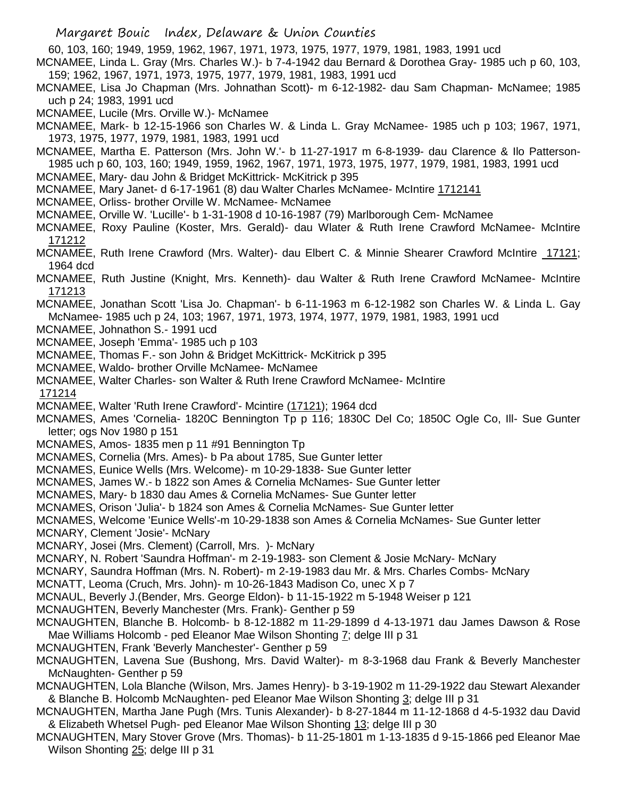60, 103, 160; 1949, 1959, 1962, 1967, 1971, 1973, 1975, 1977, 1979, 1981, 1983, 1991 ucd

MCNAMEE, Linda L. Gray (Mrs. Charles W.)- b 7-4-1942 dau Bernard & Dorothea Gray- 1985 uch p 60, 103, 159; 1962, 1967, 1971, 1973, 1975, 1977, 1979, 1981, 1983, 1991 ucd

MCNAMEE, Lisa Jo Chapman (Mrs. Johnathan Scott)- m 6-12-1982- dau Sam Chapman- McNamee; 1985 uch p 24; 1983, 1991 ucd

MCNAMEE, Lucile (Mrs. Orville W.)- McNamee

MCNAMEE, Mark- b 12-15-1966 son Charles W. & Linda L. Gray McNamee- 1985 uch p 103; 1967, 1971, 1973, 1975, 1977, 1979, 1981, 1983, 1991 ucd

MCNAMEE, Martha E. Patterson (Mrs. John W.'- b 11-27-1917 m 6-8-1939- dau Clarence & Ilo Patterson-1985 uch p 60, 103, 160; 1949, 1959, 1962, 1967, 1971, 1973, 1975, 1977, 1979, 1981, 1983, 1991 ucd

- MCNAMEE, Mary- dau John & Bridget McKittrick- McKitrick p 395
- MCNAMEE, Mary Janet- d 6-17-1961 (8) dau Walter Charles McNamee- McIntire 1712141
- MCNAMEE, Orliss- brother Orville W. McNamee- McNamee
- MCNAMEE, Orville W. 'Lucille'- b 1-31-1908 d 10-16-1987 (79) Marlborough Cem- McNamee
- MCNAMEE, Roxy Pauline (Koster, Mrs. Gerald)- dau Wlater & Ruth Irene Crawford McNamee- McIntire 171212
- MCNAMEE, Ruth Irene Crawford (Mrs. Walter)- dau Elbert C. & Minnie Shearer Crawford McIntire 17121; 1964 dcd
- MCNAMEE, Ruth Justine (Knight, Mrs. Kenneth)- dau Walter & Ruth Irene Crawford McNamee- McIntire 171213
- MCNAMEE, Jonathan Scott 'Lisa Jo. Chapman'- b 6-11-1963 m 6-12-1982 son Charles W. & Linda L. Gay McNamee- 1985 uch p 24, 103; 1967, 1971, 1973, 1974, 1977, 1979, 1981, 1983, 1991 ucd
- MCNAMEE, Johnathon S.- 1991 ucd
- MCNAMEE, Joseph 'Emma'- 1985 uch p 103
- MCNAMEE, Thomas F.- son John & Bridget McKittrick- McKitrick p 395
- MCNAMEE, Waldo- brother Orville McNamee- McNamee
- MCNAMEE, Walter Charles- son Walter & Ruth Irene Crawford McNamee- McIntire
- 171214
- MCNAMEE, Walter 'Ruth Irene Crawford'- Mcintire (17121); 1964 dcd
- MCNAMES, Ames 'Cornelia- 1820C Bennington Tp p 116; 1830C Del Co; 1850C Ogle Co, Ill- Sue Gunter letter; ogs Nov 1980 p 151
- MCNAMES, Amos- 1835 men p 11 #91 Bennington Tp
- MCNAMES, Cornelia (Mrs. Ames)- b Pa about 1785, Sue Gunter letter
- MCNAMES, Eunice Wells (Mrs. Welcome)- m 10-29-1838- Sue Gunter letter
- MCNAMES, James W.- b 1822 son Ames & Cornelia McNames- Sue Gunter letter
- MCNAMES, Mary- b 1830 dau Ames & Cornelia McNames- Sue Gunter letter
- MCNAMES, Orison 'Julia'- b 1824 son Ames & Cornelia McNames- Sue Gunter letter
- MCNAMES, Welcome 'Eunice Wells'-m 10-29-1838 son Ames & Cornelia McNames- Sue Gunter letter
- MCNARY, Clement 'Josie'- McNary
- MCNARY, Josei (Mrs. Clement) (Carroll, Mrs. )- McNary
- MCNARY, N. Robert 'Saundra Hoffman'- m 2-19-1983- son Clement & Josie McNary- McNary
- MCNARY, Saundra Hoffman (Mrs. N. Robert)- m 2-19-1983 dau Mr. & Mrs. Charles Combs- McNary
- MCNATT, Leoma (Cruch, Mrs. John)- m 10-26-1843 Madison Co, unec X p 7
- MCNAUL, Beverly J.(Bender, Mrs. George Eldon)- b 11-15-1922 m 5-1948 Weiser p 121
- MCNAUGHTEN, Beverly Manchester (Mrs. Frank)- Genther p 59
- MCNAUGHTEN, Blanche B. Holcomb- b 8-12-1882 m 11-29-1899 d 4-13-1971 dau James Dawson & Rose Mae Williams Holcomb - ped Eleanor Mae Wilson Shonting 7; delge III p 31
- MCNAUGHTEN, Frank 'Beverly Manchester'- Genther p 59
- MCNAUGHTEN, Lavena Sue (Bushong, Mrs. David Walter)- m 8-3-1968 dau Frank & Beverly Manchester McNaughten- Genther p 59
- MCNAUGHTEN, Lola Blanche (Wilson, Mrs. James Henry)- b 3-19-1902 m 11-29-1922 dau Stewart Alexander & Blanche B. Holcomb McNaughten- ped Eleanor Mae Wilson Shonting 3; delge III p 31
- MCNAUGHTEN, Martha Jane Pugh (Mrs. Tunis Alexander)- b 8-27-1844 m 11-12-1868 d 4-5-1932 dau David & Elizabeth Whetsel Pugh- ped Eleanor Mae Wilson Shonting 13; delge III p 30
- MCNAUGHTEN, Mary Stover Grove (Mrs. Thomas)- b 11-25-1801 m 1-13-1835 d 9-15-1866 ped Eleanor Mae Wilson Shonting 25; delge III p 31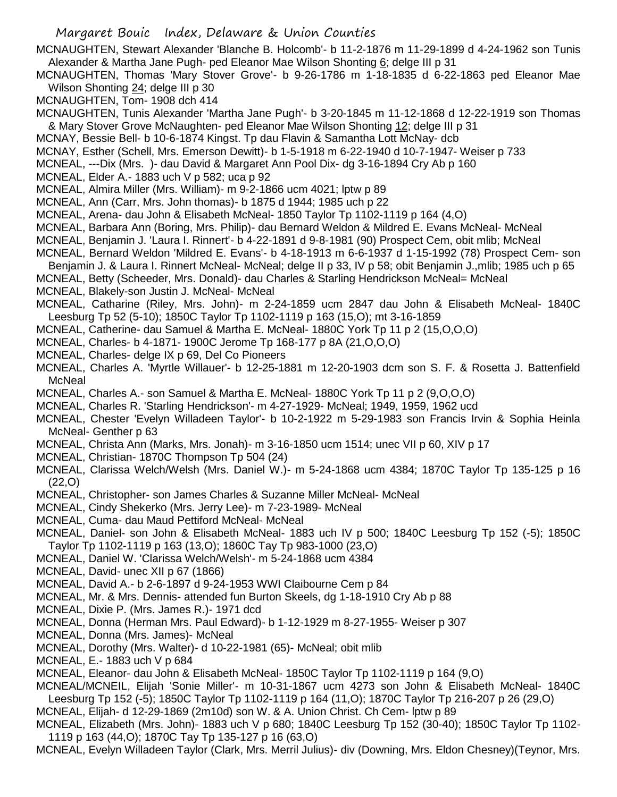MCNAUGHTEN, Stewart Alexander 'Blanche B. Holcomb'- b 11-2-1876 m 11-29-1899 d 4-24-1962 son Tunis Alexander & Martha Jane Pugh- ped Eleanor Mae Wilson Shonting 6; delge III p 31

MCNAUGHTEN, Thomas 'Mary Stover Grove'- b 9-26-1786 m 1-18-1835 d 6-22-1863 ped Eleanor Mae Wilson Shonting 24; delge III p 30

MCNAUGHTEN, Tom- 1908 dch 414

- MCNAUGHTEN, Tunis Alexander 'Martha Jane Pugh'- b 3-20-1845 m 11-12-1868 d 12-22-1919 son Thomas & Mary Stover Grove McNaughten- ped Eleanor Mae Wilson Shonting 12; delge III p 31
- MCNAY, Bessie Bell- b 10-6-1874 Kingst. Tp dau Flavin & Samantha Lott McNay- dcb
- MCNAY, Esther (Schell, Mrs. Emerson Dewitt)- b 1-5-1918 m 6-22-1940 d 10-7-1947- Weiser p 733
- MCNEAL, ---Dix (Mrs. )- dau David & Margaret Ann Pool Dix- dg 3-16-1894 Cry Ab p 160
- MCNEAL, Elder A.- 1883 uch V p 582; uca p 92
- MCNEAL, Almira Miller (Mrs. William)- m 9-2-1866 ucm 4021; lptw p 89
- MCNEAL, Ann (Carr, Mrs. John thomas)- b 1875 d 1944; 1985 uch p 22
- MCNEAL, Arena- dau John & Elisabeth McNeal- 1850 Taylor Tp 1102-1119 p 164 (4,O)
- MCNEAL, Barbara Ann (Boring, Mrs. Philip)- dau Bernard Weldon & Mildred E. Evans McNeal- McNeal
- MCNEAL, Benjamin J. 'Laura I. Rinnert'- b 4-22-1891 d 9-8-1981 (90) Prospect Cem, obit mlib; McNeal
- MCNEAL, Bernard Weldon 'Mildred E. Evans'- b 4-18-1913 m 6-6-1937 d 1-15-1992 (78) Prospect Cem- son
- Benjamin J. & Laura I. Rinnert McNeal- McNeal; delge II p 33, IV p 58; obit Benjamin J.,mlib; 1985 uch p 65
- MCNEAL, Betty (Scheeder, Mrs. Donald)- dau Charles & Starling Hendrickson McNeal= McNeal
- MCNEAL, Blakely-son Justin J. McNeal- McNeal
- MCNEAL, Catharine (Riley, Mrs. John)- m 2-24-1859 ucm 2847 dau John & Elisabeth McNeal- 1840C Leesburg Tp 52 (5-10); 1850C Taylor Tp 1102-1119 p 163 (15,O); mt 3-16-1859
- MCNEAL, Catherine- dau Samuel & Martha E. McNeal- 1880C York Tp 11 p 2 (15,O,O,O)
- MCNEAL, Charles- b 4-1871- 1900C Jerome Tp 168-177 p 8A (21,O,O,O)
- MCNEAL, Charles- delge IX p 69, Del Co Pioneers
- MCNEAL, Charles A. 'Myrtle Willauer'- b 12-25-1881 m 12-20-1903 dcm son S. F. & Rosetta J. Battenfield McNeal
- MCNEAL, Charles A.- son Samuel & Martha E. McNeal- 1880C York Tp 11 p 2 (9,O,O,O)
- MCNEAL, Charles R. 'Starling Hendrickson'- m 4-27-1929- McNeal; 1949, 1959, 1962 ucd
- MCNEAL, Chester 'Evelyn Willadeen Taylor'- b 10-2-1922 m 5-29-1983 son Francis Irvin & Sophia Heinla McNeal- Genther p 63
- MCNEAL, Christa Ann (Marks, Mrs. Jonah)- m 3-16-1850 ucm 1514; unec VII p 60, XIV p 17
- MCNEAL, Christian- 1870C Thompson Tp 504 (24)
- MCNEAL, Clarissa Welch/Welsh (Mrs. Daniel W.)- m 5-24-1868 ucm 4384; 1870C Taylor Tp 135-125 p 16 (22,O)
- MCNEAL, Christopher- son James Charles & Suzanne Miller McNeal- McNeal
- MCNEAL, Cindy Shekerko (Mrs. Jerry Lee)- m 7-23-1989- McNeal
- MCNEAL, Cuma- dau Maud Pettiford McNeal- McNeal
- MCNEAL, Daniel- son John & Elisabeth McNeal- 1883 uch IV p 500; 1840C Leesburg Tp 152 (-5); 1850C Taylor Tp 1102-1119 p 163 (13,O); 1860C Tay Tp 983-1000 (23,O)
- MCNEAL, Daniel W. 'Clarissa Welch/Welsh'- m 5-24-1868 ucm 4384
- MCNEAL, David- unec XII p 67 (1866)
- MCNEAL, David A.- b 2-6-1897 d 9-24-1953 WWI Claibourne Cem p 84
- MCNEAL, Mr. & Mrs. Dennis- attended fun Burton Skeels, dg 1-18-1910 Cry Ab p 88
- MCNEAL, Dixie P. (Mrs. James R.)- 1971 dcd
- MCNEAL, Donna (Herman Mrs. Paul Edward)- b 1-12-1929 m 8-27-1955- Weiser p 307
- MCNEAL, Donna (Mrs. James)- McNeal
- MCNEAL, Dorothy (Mrs. Walter)- d 10-22-1981 (65)- McNeal; obit mlib
- MCNEAL, E.- 1883 uch V p 684
- MCNEAL, Eleanor- dau John & Elisabeth McNeal- 1850C Taylor Tp 1102-1119 p 164 (9,O)
- MCNEAL/MCNEIL, Elijah 'Sonie Miller'- m 10-31-1867 ucm 4273 son John & Elisabeth McNeal- 1840C Leesburg Tp 152 (-5); 1850C Taylor Tp 1102-1119 p 164 (11,O); 1870C Taylor Tp 216-207 p 26 (29,O)
- MCNEAL, Elijah- d 12-29-1869 (2m10d) son W. & A. Union Christ. Ch Cem- lptw p 89
- MCNEAL, Elizabeth (Mrs. John)- 1883 uch V p 680; 1840C Leesburg Tp 152 (30-40); 1850C Taylor Tp 1102- 1119 p 163 (44,O); 1870C Tay Tp 135-127 p 16 (63,O)
- MCNEAL, Evelyn Willadeen Taylor (Clark, Mrs. Merril Julius)- div (Downing, Mrs. Eldon Chesney)(Teynor, Mrs.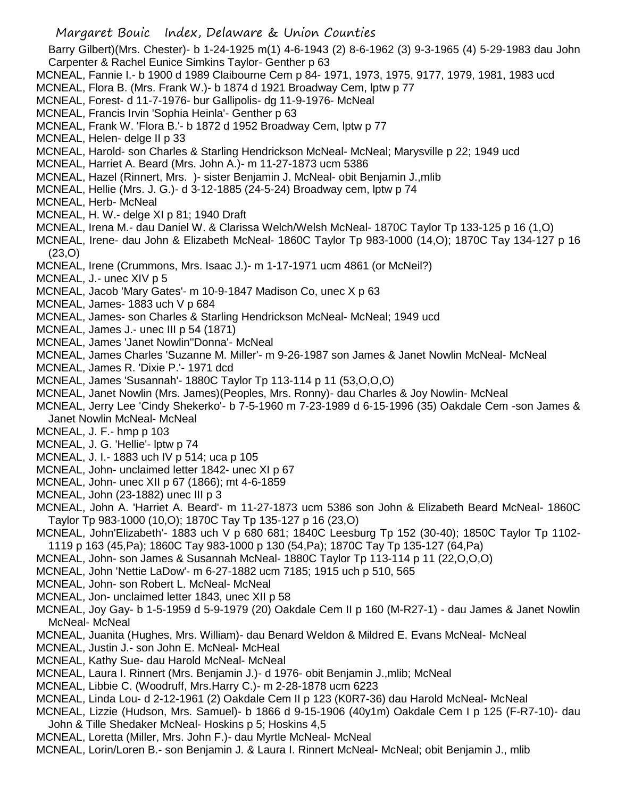- Margaret Bouic Index, Delaware & Union Counties Barry Gilbert)(Mrs. Chester)- b 1-24-1925 m(1) 4-6-1943 (2) 8-6-1962 (3) 9-3-1965 (4) 5-29-1983 dau John Carpenter & Rachel Eunice Simkins Taylor- Genther p 63 MCNEAL, Fannie I.- b 1900 d 1989 Claibourne Cem p 84- 1971, 1973, 1975, 9177, 1979, 1981, 1983 ucd MCNEAL, Flora B. (Mrs. Frank W.)- b 1874 d 1921 Broadway Cem, lptw p 77 MCNEAL, Forest- d 11-7-1976- bur Gallipolis- dg 11-9-1976- McNeal MCNEAL, Francis Irvin 'Sophia Heinla'- Genther p 63 MCNEAL, Frank W. 'Flora B.'- b 1872 d 1952 Broadway Cem, lptw p 77 MCNEAL, Helen- delge II p 33 MCNEAL, Harold- son Charles & Starling Hendrickson McNeal- McNeal; Marysville p 22; 1949 ucd MCNEAL, Harriet A. Beard (Mrs. John A.)- m 11-27-1873 ucm 5386 MCNEAL, Hazel (Rinnert, Mrs. )- sister Benjamin J. McNeal- obit Benjamin J.,mlib MCNEAL, Hellie (Mrs. J. G.)- d 3-12-1885 (24-5-24) Broadway cem, lptw p 74 MCNEAL, Herb- McNeal MCNEAL, H. W.- delge XI p 81; 1940 Draft MCNEAL, Irena M.- dau Daniel W. & Clarissa Welch/Welsh McNeal- 1870C Taylor Tp 133-125 p 16 (1,O) MCNEAL, Irene- dau John & Elizabeth McNeal- 1860C Taylor Tp 983-1000 (14,O); 1870C Tay 134-127 p 16 (23,O) MCNEAL, Irene (Crummons, Mrs. Isaac J.)- m 1-17-1971 ucm 4861 (or McNeil?) MCNEAL, J.- unec XIV p 5 MCNEAL, Jacob 'Mary Gates'- m 10-9-1847 Madison Co, unec X p 63 MCNEAL, James- 1883 uch V p 684 MCNEAL, James- son Charles & Starling Hendrickson McNeal- McNeal; 1949 ucd MCNEAL, James J.- unec III p 54 (1871) MCNEAL, James 'Janet Nowlin''Donna'- McNeal MCNEAL, James Charles 'Suzanne M. Miller'- m 9-26-1987 son James & Janet Nowlin McNeal- McNeal MCNEAL, James R. 'Dixie P.'- 1971 dcd MCNEAL, James 'Susannah'- 1880C Taylor Tp 113-114 p 11 (53,O,O,O) MCNEAL, Janet Nowlin (Mrs. James)(Peoples, Mrs. Ronny)- dau Charles & Joy Nowlin- McNeal MCNEAL, Jerry Lee 'Cindy Shekerko'- b 7-5-1960 m 7-23-1989 d 6-15-1996 (35) Oakdale Cem -son James & Janet Nowlin McNeal- McNeal MCNEAL, J. F.- hmp p 103 MCNEAL, J. G. 'Hellie'- lptw p 74 MCNEAL, J. I.- 1883 uch IV p 514; uca p 105 MCNEAL, John- unclaimed letter 1842- unec XI p 67 MCNEAL, John- unec XII p 67 (1866); mt 4-6-1859 MCNEAL, John (23-1882) unec III p 3 MCNEAL, John A. 'Harriet A. Beard'- m 11-27-1873 ucm 5386 son John & Elizabeth Beard McNeal- 1860C Taylor Tp 983-1000 (10,O); 1870C Tay Tp 135-127 p 16 (23,O) MCNEAL, John'Elizabeth'- 1883 uch V p 680 681; 1840C Leesburg Tp 152 (30-40); 1850C Taylor Tp 1102- 1119 p 163 (45,Pa); 1860C Tay 983-1000 p 130 (54,Pa); 1870C Tay Tp 135-127 (64,Pa) MCNEAL, John- son James & Susannah McNeal- 1880C Taylor Tp 113-114 p 11 (22,O,O,O) MCNEAL, John 'Nettie LaDow'- m 6-27-1882 ucm 7185; 1915 uch p 510, 565 MCNEAL, John- son Robert L. McNeal- McNeal MCNEAL, Jon- unclaimed letter 1843, unec XII p 58 MCNEAL, Joy Gay- b 1-5-1959 d 5-9-1979 (20) Oakdale Cem II p 160 (M-R27-1) - dau James & Janet Nowlin McNeal- McNeal MCNEAL, Juanita (Hughes, Mrs. William)- dau Benard Weldon & Mildred E. Evans McNeal- McNeal MCNEAL, Justin J.- son John E. McNeal- McHeal MCNEAL, Kathy Sue- dau Harold McNeal- McNeal MCNEAL, Laura I. Rinnert (Mrs. Benjamin J.)- d 1976- obit Benjamin J.,mlib; McNeal MCNEAL, Libbie C. (Woodruff, Mrs.Harry C.)- m 2-28-1878 ucm 6223
- MCNEAL, Linda Lou- d 2-12-1961 (2) Oakdale Cem II p 123 (K0R7-36) dau Harold McNeal- McNeal
- MCNEAL, Lizzie (Hudson, Mrs. Samuel)- b 1866 d 9-15-1906 (40y1m) Oakdale Cem I p 125 (F-R7-10)- dau John & Tille Shedaker McNeal- Hoskins p 5; Hoskins 4,5
- MCNEAL, Loretta (Miller, Mrs. John F.)- dau Myrtle McNeal- McNeal
- MCNEAL, Lorin/Loren B.- son Benjamin J. & Laura I. Rinnert McNeal- McNeal; obit Benjamin J., mlib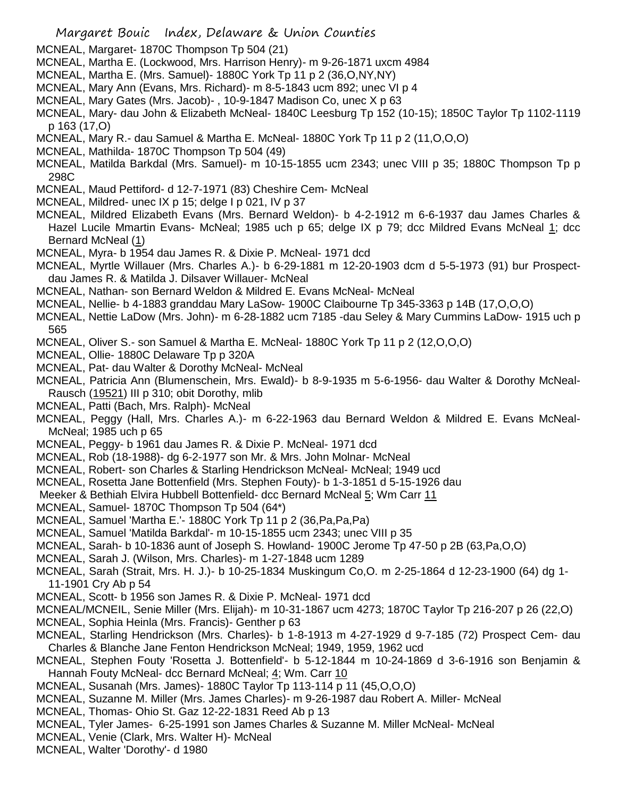- MCNEAL, Margaret- 1870C Thompson Tp 504 (21)
- MCNEAL, Martha E. (Lockwood, Mrs. Harrison Henry)- m 9-26-1871 uxcm 4984
- MCNEAL, Martha E. (Mrs. Samuel)- 1880C York Tp 11 p 2 (36,O,NY,NY)
- MCNEAL, Mary Ann (Evans, Mrs. Richard)- m 8-5-1843 ucm 892; unec VI p 4
- MCNEAL, Mary Gates (Mrs. Jacob)- , 10-9-1847 Madison Co, unec X p 63
- MCNEAL, Mary- dau John & Elizabeth McNeal- 1840C Leesburg Tp 152 (10-15); 1850C Taylor Tp 1102-1119 p 163 (17,O)
- MCNEAL, Mary R.- dau Samuel & Martha E. McNeal- 1880C York Tp 11 p 2 (11,O,O,O)
- MCNEAL, Mathilda- 1870C Thompson Tp 504 (49)
- MCNEAL, Matilda Barkdal (Mrs. Samuel)- m 10-15-1855 ucm 2343; unec VIII p 35; 1880C Thompson Tp p 298C
- MCNEAL, Maud Pettiford- d 12-7-1971 (83) Cheshire Cem- McNeal
- MCNEAL, Mildred- unec IX p 15; delge I p 021, IV p 37
- MCNEAL, Mildred Elizabeth Evans (Mrs. Bernard Weldon)- b 4-2-1912 m 6-6-1937 dau James Charles & Hazel Lucile Mmartin Evans- McNeal; 1985 uch p 65; delge IX p 79; dcc Mildred Evans McNeal 1; dcc Bernard McNeal (1)
- MCNEAL, Myra- b 1954 dau James R. & Dixie P. McNeal- 1971 dcd
- MCNEAL, Myrtle Willauer (Mrs. Charles A.)- b 6-29-1881 m 12-20-1903 dcm d 5-5-1973 (91) bur Prospectdau James R. & Matilda J. Dilsaver Willauer- McNeal
- MCNEAL, Nathan- son Bernard Weldon & Mildred E. Evans McNeal- McNeal
- MCNEAL, Nellie- b 4-1883 granddau Mary LaSow- 1900C Claibourne Tp 345-3363 p 14B (17,O,O,O)
- MCNEAL, Nettie LaDow (Mrs. John)- m 6-28-1882 ucm 7185 -dau Seley & Mary Cummins LaDow- 1915 uch p 565
- MCNEAL, Oliver S.- son Samuel & Martha E. McNeal- 1880C York Tp 11 p 2 (12,O,O,O)
- MCNEAL, Ollie- 1880C Delaware Tp p 320A
- MCNEAL, Pat- dau Walter & Dorothy McNeal- McNeal
- MCNEAL, Patricia Ann (Blumenschein, Mrs. Ewald)- b 8-9-1935 m 5-6-1956- dau Walter & Dorothy McNeal-Rausch (19521) III p 310; obit Dorothy, mlib
- MCNEAL, Patti (Bach, Mrs. Ralph)- McNeal
- MCNEAL, Peggy (Hall, Mrs. Charles A.)- m 6-22-1963 dau Bernard Weldon & Mildred E. Evans McNeal-McNeal; 1985 uch p 65
- MCNEAL, Peggy- b 1961 dau James R. & Dixie P. McNeal- 1971 dcd
- MCNEAL, Rob (18-1988)- dg 6-2-1977 son Mr. & Mrs. John Molnar- McNeal
- MCNEAL, Robert- son Charles & Starling Hendrickson McNeal- McNeal; 1949 ucd
- MCNEAL, Rosetta Jane Bottenfield (Mrs. Stephen Fouty)- b 1-3-1851 d 5-15-1926 dau
- Meeker & Bethiah Elvira Hubbell Bottenfield- dcc Bernard McNeal 5; Wm Carr 11
- MCNEAL, Samuel- 1870C Thompson Tp 504 (64\*)
- MCNEAL, Samuel 'Martha E.'- 1880C York Tp 11 p 2 (36,Pa,Pa,Pa)
- MCNEAL, Samuel 'Matilda Barkdal'- m 10-15-1855 ucm 2343; unec VIII p 35
- MCNEAL, Sarah- b 10-1836 aunt of Joseph S. Howland- 1900C Jerome Tp 47-50 p 2B (63,Pa,O,O)
- MCNEAL, Sarah J. (Wilson, Mrs. Charles)- m 1-27-1848 ucm 1289
- MCNEAL, Sarah (Strait, Mrs. H. J.)- b 10-25-1834 Muskingum Co,O. m 2-25-1864 d 12-23-1900 (64) dg 1- 11-1901 Cry Ab p 54
- MCNEAL, Scott- b 1956 son James R. & Dixie P. McNeal- 1971 dcd
- MCNEAL/MCNEIL, Senie Miller (Mrs. Elijah)- m 10-31-1867 ucm 4273; 1870C Taylor Tp 216-207 p 26 (22,O)
- MCNEAL, Sophia Heinla (Mrs. Francis)- Genther p 63
- MCNEAL, Starling Hendrickson (Mrs. Charles)- b 1-8-1913 m 4-27-1929 d 9-7-185 (72) Prospect Cem- dau Charles & Blanche Jane Fenton Hendrickson McNeal; 1949, 1959, 1962 ucd
- MCNEAL, Stephen Fouty 'Rosetta J. Bottenfield'- b 5-12-1844 m 10-24-1869 d 3-6-1916 son Benjamin & Hannah Fouty McNeal- dcc Bernard McNeal; 4; Wm. Carr 10
- MCNEAL, Susanah (Mrs. James)- 1880C Taylor Tp 113-114 p 11 (45,O,O,O)
- MCNEAL, Suzanne M. Miller (Mrs. James Charles)- m 9-26-1987 dau Robert A. Miller- McNeal
- MCNEAL, Thomas- Ohio St. Gaz 12-22-1831 Reed Ab p 13
- MCNEAL, Tyler James- 6-25-1991 son James Charles & Suzanne M. Miller McNeal- McNeal
- MCNEAL, Venie (Clark, Mrs. Walter H)- McNeal
- MCNEAL, Walter 'Dorothy'- d 1980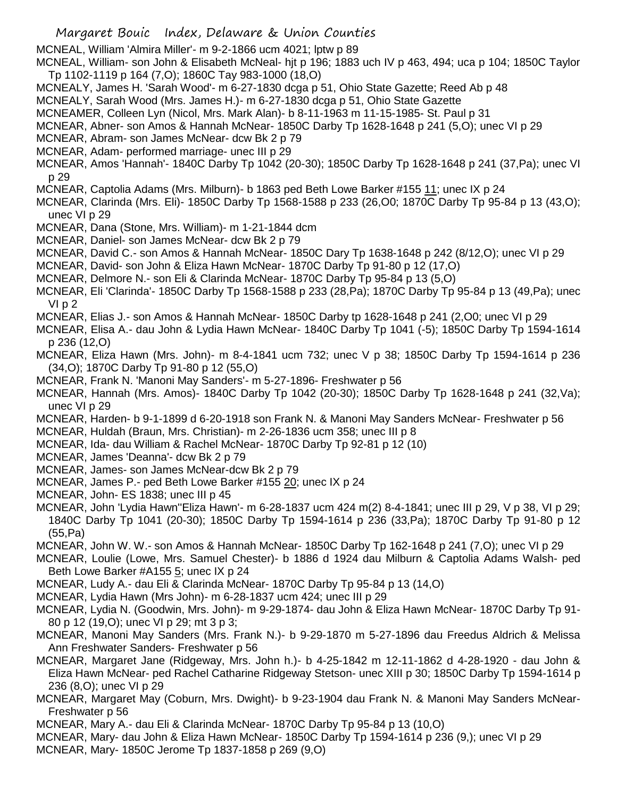MCNEAL, William 'Almira Miller'- m 9-2-1866 ucm 4021; lptw p 89

MCNEAL, William- son John & Elisabeth McNeal- hjt p 196; 1883 uch IV p 463, 494; uca p 104; 1850C Taylor Tp 1102-1119 p 164 (7,O); 1860C Tay 983-1000 (18,O)

MCNEALY, James H. 'Sarah Wood'- m 6-27-1830 dcga p 51, Ohio State Gazette; Reed Ab p 48

MCNEALY, Sarah Wood (Mrs. James H.)- m 6-27-1830 dcga p 51, Ohio State Gazette

MCNEAMER, Colleen Lyn (Nicol, Mrs. Mark Alan)- b 8-11-1963 m 11-15-1985- St. Paul p 31

- MCNEAR, Abner- son Amos & Hannah McNear- 1850C Darby Tp 1628-1648 p 241 (5,O); unec VI p 29
- MCNEAR, Abram- son James McNear- dcw Bk 2 p 79
- MCNEAR, Adam- performed marriage- unec III p 29
- MCNEAR, Amos 'Hannah'- 1840C Darby Tp 1042 (20-30); 1850C Darby Tp 1628-1648 p 241 (37,Pa); unec VI p 29
- MCNEAR, Captolia Adams (Mrs. Milburn)- b 1863 ped Beth Lowe Barker #155 11; unec IX p 24
- MCNEAR, Clarinda (Mrs. Eli)- 1850C Darby Tp 1568-1588 p 233 (26,O0; 1870C Darby Tp 95-84 p 13 (43,O); unec VI p 29
- MCNEAR, Dana (Stone, Mrs. William)- m 1-21-1844 dcm
- MCNEAR, Daniel- son James McNear- dcw Bk 2 p 79
- MCNEAR, David C.- son Amos & Hannah McNear- 1850C Dary Tp 1638-1648 p 242 (8/12,O); unec VI p 29
- MCNEAR, David- son John & Eliza Hawn McNear- 1870C Darby Tp 91-80 p 12 (17,O)
- MCNEAR, Delmore N.- son Eli & Clarinda McNear- 1870C Darby Tp 95-84 p 13 (5,O)
- MCNEAR, Eli 'Clarinda'- 1850C Darby Tp 1568-1588 p 233 (28,Pa); 1870C Darby Tp 95-84 p 13 (49,Pa); unec VI p 2
- MCNEAR, Elias J.- son Amos & Hannah McNear- 1850C Darby tp 1628-1648 p 241 (2,O0; unec VI p 29
- MCNEAR, Elisa A.- dau John & Lydia Hawn McNear- 1840C Darby Tp 1041 (-5); 1850C Darby Tp 1594-1614 p 236 (12,O)
- MCNEAR, Eliza Hawn (Mrs. John)- m 8-4-1841 ucm 732; unec V p 38; 1850C Darby Tp 1594-1614 p 236 (34,O); 1870C Darby Tp 91-80 p 12 (55,O)
- MCNEAR, Frank N. 'Manoni May Sanders'- m 5-27-1896- Freshwater p 56
- MCNEAR, Hannah (Mrs. Amos)- 1840C Darby Tp 1042 (20-30); 1850C Darby Tp 1628-1648 p 241 (32,Va); unec VI p 29
- MCNEAR, Harden- b 9-1-1899 d 6-20-1918 son Frank N. & Manoni May Sanders McNear- Freshwater p 56
- MCNEAR, Huldah (Braun, Mrs. Christian)- m 2-26-1836 ucm 358; unec III p 8
- MCNEAR, Ida- dau William & Rachel McNear- 1870C Darby Tp 92-81 p 12 (10)
- MCNEAR, James 'Deanna'- dcw Bk 2 p 79
- MCNEAR, James- son James McNear-dcw Bk 2 p 79
- MCNEAR, James P.- ped Beth Lowe Barker #155 20; unec IX p 24
- MCNEAR, John- ES 1838; unec III p 45
- MCNEAR, John 'Lydia Hawn''Eliza Hawn'- m 6-28-1837 ucm 424 m(2) 8-4-1841; unec III p 29, V p 38, VI p 29; 1840C Darby Tp 1041 (20-30); 1850C Darby Tp 1594-1614 p 236 (33,Pa); 1870C Darby Tp 91-80 p 12 (55,Pa)
- MCNEAR, John W. W.- son Amos & Hannah McNear- 1850C Darby Tp 162-1648 p 241 (7,O); unec VI p 29
- MCNEAR, Loulie (Lowe, Mrs. Samuel Chester)- b 1886 d 1924 dau Milburn & Captolia Adams Walsh- ped Beth Lowe Barker #A155 5; unec IX p 24
- MCNEAR, Ludy A.- dau Eli & Clarinda McNear- 1870C Darby Tp 95-84 p 13 (14,O)
- MCNEAR, Lydia Hawn (Mrs John)- m 6-28-1837 ucm 424; unec III p 29
- MCNEAR, Lydia N. (Goodwin, Mrs. John)- m 9-29-1874- dau John & Eliza Hawn McNear- 1870C Darby Tp 91- 80 p 12 (19,O); unec VI p 29; mt 3 p 3;
- MCNEAR, Manoni May Sanders (Mrs. Frank N.)- b 9-29-1870 m 5-27-1896 dau Freedus Aldrich & Melissa Ann Freshwater Sanders- Freshwater p 56
- MCNEAR, Margaret Jane (Ridgeway, Mrs. John h.)- b 4-25-1842 m 12-11-1862 d 4-28-1920 dau John & Eliza Hawn McNear- ped Rachel Catharine Ridgeway Stetson- unec XIII p 30; 1850C Darby Tp 1594-1614 p 236 (8,O); unec VI p 29
- MCNEAR, Margaret May (Coburn, Mrs. Dwight)- b 9-23-1904 dau Frank N. & Manoni May Sanders McNear-Freshwater p 56
- MCNEAR, Mary A.- dau Eli & Clarinda McNear- 1870C Darby Tp 95-84 p 13 (10,O)
- MCNEAR, Mary- dau John & Eliza Hawn McNear- 1850C Darby Tp 1594-1614 p 236 (9,); unec VI p 29
- MCNEAR, Mary- 1850C Jerome Tp 1837-1858 p 269 (9,O)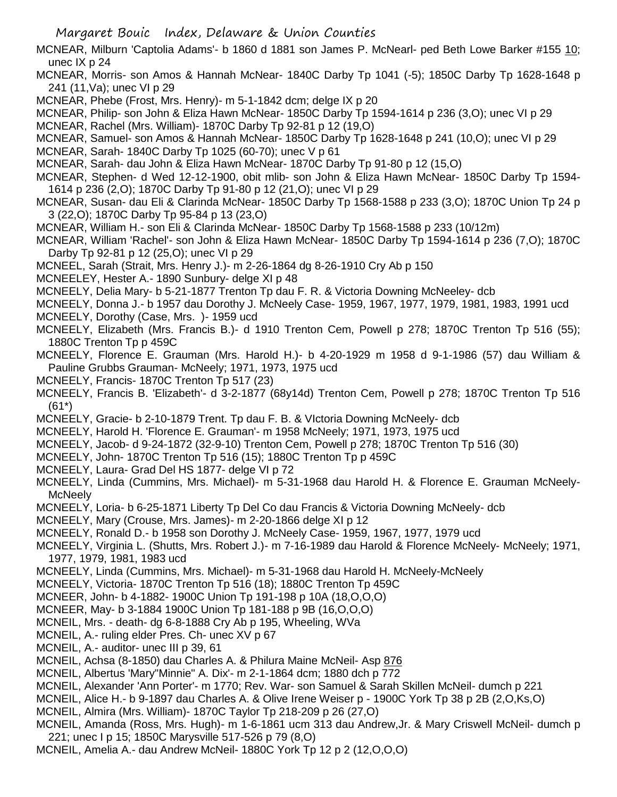- MCNEAR, Milburn 'Captolia Adams'- b 1860 d 1881 son James P. McNearl- ped Beth Lowe Barker #155 10; unec IX p 24
- MCNEAR, Morris- son Amos & Hannah McNear- 1840C Darby Tp 1041 (-5); 1850C Darby Tp 1628-1648 p 241 (11,Va); unec VI p 29
- MCNEAR, Phebe (Frost, Mrs. Henry)- m 5-1-1842 dcm; delge IX p 20
- MCNEAR, Philip- son John & Eliza Hawn McNear- 1850C Darby Tp 1594-1614 p 236 (3,O); unec VI p 29
- MCNEAR, Rachel (Mrs. William)- 1870C Darby Tp 92-81 p 12 (19,O)
- MCNEAR, Samuel- son Amos & Hannah McNear- 1850C Darby Tp 1628-1648 p 241 (10,O); unec VI p 29
- MCNEAR, Sarah- 1840C Darby Tp 1025 (60-70); unec V p 61
- MCNEAR, Sarah- dau John & Eliza Hawn McNear- 1870C Darby Tp 91-80 p 12 (15,O)
- MCNEAR, Stephen- d Wed 12-12-1900, obit mlib- son John & Eliza Hawn McNear- 1850C Darby Tp 1594- 1614 p 236 (2,O); 1870C Darby Tp 91-80 p 12 (21,O); unec VI p 29
- MCNEAR, Susan- dau Eli & Clarinda McNear- 1850C Darby Tp 1568-1588 p 233 (3,O); 1870C Union Tp 24 p 3 (22,O); 1870C Darby Tp 95-84 p 13 (23,O)
- MCNEAR, William H.- son Eli & Clarinda McNear- 1850C Darby Tp 1568-1588 p 233 (10/12m)
- MCNEAR, William 'Rachel'- son John & Eliza Hawn McNear- 1850C Darby Tp 1594-1614 p 236 (7,O); 1870C Darby Tp 92-81 p 12 (25,O); unec VI p 29
- MCNEEL, Sarah (Strait, Mrs. Henry J.)- m 2-26-1864 dg 8-26-1910 Cry Ab p 150
- MCNEELEY, Hester A.- 1890 Sunbury- delge XI p 48
- MCNEELY, Delia Mary- b 5-21-1877 Trenton Tp dau F. R. & Victoria Downing McNeeley- dcb
- MCNEELY, Donna J.- b 1957 dau Dorothy J. McNeely Case- 1959, 1967, 1977, 1979, 1981, 1983, 1991 ucd
- MCNEELY, Dorothy (Case, Mrs. )- 1959 ucd
- MCNEELY, Elizabeth (Mrs. Francis B.)- d 1910 Trenton Cem, Powell p 278; 1870C Trenton Tp 516 (55); 1880C Trenton Tp p 459C
- MCNEELY, Florence E. Grauman (Mrs. Harold H.)- b 4-20-1929 m 1958 d 9-1-1986 (57) dau William & Pauline Grubbs Grauman- McNeely; 1971, 1973, 1975 ucd
- MCNEELY, Francis- 1870C Trenton Tp 517 (23)
- MCNEELY, Francis B. 'Elizabeth'- d 3-2-1877 (68y14d) Trenton Cem, Powell p 278; 1870C Trenton Tp 516 (61\*)
- MCNEELY, Gracie- b 2-10-1879 Trent. Tp dau F. B. & VIctoria Downing McNeely- dcb
- MCNEELY, Harold H. 'Florence E. Grauman'- m 1958 McNeely; 1971, 1973, 1975 ucd
- MCNEELY, Jacob- d 9-24-1872 (32-9-10) Trenton Cem, Powell p 278; 1870C Trenton Tp 516 (30)
- MCNEELY, John- 1870C Trenton Tp 516 (15); 1880C Trenton Tp p 459C
- MCNEELY, Laura- Grad Del HS 1877- delge VI p 72
- MCNEELY, Linda (Cummins, Mrs. Michael)- m 5-31-1968 dau Harold H. & Florence E. Grauman McNeely-**McNeelv**
- MCNEELY, Loria- b 6-25-1871 Liberty Tp Del Co dau Francis & Victoria Downing McNeely- dcb
- MCNEELY, Mary (Crouse, Mrs. James)- m 2-20-1866 delge XI p 12
- MCNEELY, Ronald D.- b 1958 son Dorothy J. McNeely Case- 1959, 1967, 1977, 1979 ucd
- MCNEELY, Virginia L. (Shutts, Mrs. Robert J.)- m 7-16-1989 dau Harold & Florence McNeely- McNeely; 1971, 1977, 1979, 1981, 1983 ucd
- MCNEELY, Linda (Cummins, Mrs. Michael)- m 5-31-1968 dau Harold H. McNeely-McNeely
- MCNEELY, Victoria- 1870C Trenton Tp 516 (18); 1880C Trenton Tp 459C
- MCNEER, John- b 4-1882- 1900C Union Tp 191-198 p 10A (18,O,O,O)
- MCNEER, May- b 3-1884 1900C Union Tp 181-188 p 9B (16,O,O,O)
- MCNEIL, Mrs. death- dg 6-8-1888 Cry Ab p 195, Wheeling, WVa
- MCNEIL, A.- ruling elder Pres. Ch- unec XV p 67
- MCNEIL, A.- auditor- unec III p 39, 61
- MCNEIL, Achsa (8-1850) dau Charles A. & Philura Maine McNeil- Asp 876
- MCNEIL, Albertus 'Mary"Minnie" A. Dix'- m 2-1-1864 dcm; 1880 dch p 772
- MCNEIL, Alexander 'Ann Porter'- m 1770; Rev. War- son Samuel & Sarah Skillen McNeil- dumch p 221
- MCNEIL, Alice H.- b 9-1897 dau Charles A. & Olive Irene Weiser p 1900C York Tp 38 p 2B (2,O,Ks,O)
- MCNEIL, Almira (Mrs. William)- 1870C Taylor Tp 218-209 p 26 (27,O)
- MCNEIL, Amanda (Ross, Mrs. Hugh)- m 1-6-1861 ucm 313 dau Andrew,Jr. & Mary Criswell McNeil- dumch p 221; unec I p 15; 1850C Marysville 517-526 p 79 (8,O)
- MCNEIL, Amelia A.- dau Andrew McNeil- 1880C York Tp 12 p 2 (12,O,O,O)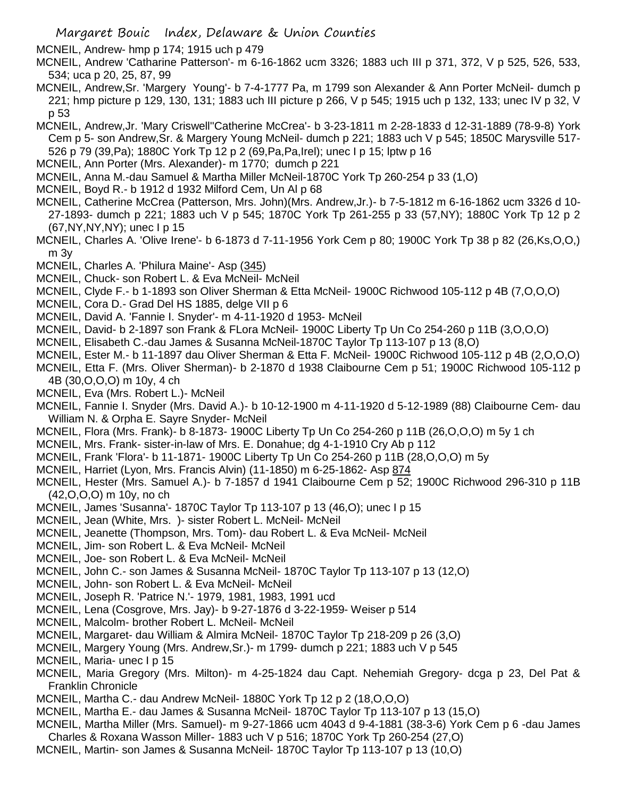MCNEIL, Andrew- hmp p 174; 1915 uch p 479

- MCNEIL, Andrew 'Catharine Patterson'- m 6-16-1862 ucm 3326; 1883 uch III p 371, 372, V p 525, 526, 533, 534; uca p 20, 25, 87, 99
- MCNEIL, Andrew,Sr. 'Margery Young'- b 7-4-1777 Pa, m 1799 son Alexander & Ann Porter McNeil- dumch p 221; hmp picture p 129, 130, 131; 1883 uch III picture p 266, V p 545; 1915 uch p 132, 133; unec IV p 32, V p 53
- MCNEIL, Andrew,Jr. 'Mary Criswell''Catherine McCrea'- b 3-23-1811 m 2-28-1833 d 12-31-1889 (78-9-8) York Cem p 5- son Andrew,Sr. & Margery Young McNeil- dumch p 221; 1883 uch V p 545; 1850C Marysville 517- 526 p 79 (39,Pa); 1880C York Tp 12 p 2 (69,Pa,Pa,Irel); unec I p 15; lptw p 16
- MCNEIL, Ann Porter (Mrs. Alexander)- m 1770; dumch p 221
- MCNEIL, Anna M.-dau Samuel & Martha Miller McNeil-1870C York Tp 260-254 p 33 (1,O)
- MCNEIL, Boyd R.- b 1912 d 1932 Milford Cem, Un Al p 68
- MCNEIL, Catherine McCrea (Patterson, Mrs. John)(Mrs. Andrew,Jr.)- b 7-5-1812 m 6-16-1862 ucm 3326 d 10- 27-1893- dumch p 221; 1883 uch V p 545; 1870C York Tp 261-255 p 33 (57,NY); 1880C York Tp 12 p 2 (67,NY,NY,NY); unec I p 15
- MCNEIL, Charles A. 'Olive Irene'- b 6-1873 d 7-11-1956 York Cem p 80; 1900C York Tp 38 p 82 (26,Ks,O,O,) m 3y
- MCNEIL, Charles A. 'Philura Maine'- Asp (345)
- MCNEIL, Chuck- son Robert L. & Eva McNeil- McNeil
- MCNEIL, Clyde F.- b 1-1893 son Oliver Sherman & Etta McNeil- 1900C Richwood 105-112 p 4B (7,O,O,O)
- MCNEIL, Cora D.- Grad Del HS 1885, delge VII p 6
- MCNEIL, David A. 'Fannie I. Snyder'- m 4-11-1920 d 1953- McNeil
- MCNEIL, David- b 2-1897 son Frank & FLora McNeil- 1900C Liberty Tp Un Co 254-260 p 11B (3,O,O,O)
- MCNEIL, Elisabeth C.-dau James & Susanna McNeil-1870C Taylor Tp 113-107 p 13 (8,O)
- MCNEIL, Ester M.- b 11-1897 dau Oliver Sherman & Etta F. McNeil- 1900C Richwood 105-112 p 4B (2,O,O,O)
- MCNEIL, Etta F. (Mrs. Oliver Sherman)- b 2-1870 d 1938 Claibourne Cem p 51; 1900C Richwood 105-112 p 4B (30,O,O,O) m 10y, 4 ch
- MCNEIL, Eva (Mrs. Robert L.)- McNeil
- MCNEIL, Fannie I. Snyder (Mrs. David A.)- b 10-12-1900 m 4-11-1920 d 5-12-1989 (88) Claibourne Cem- dau William N. & Orpha E. Sayre Snyder- McNeil
- MCNEIL, Flora (Mrs. Frank)- b 8-1873- 1900C Liberty Tp Un Co 254-260 p 11B (26,O,O,O) m 5y 1 ch
- MCNEIL, Mrs. Frank- sister-in-law of Mrs. E. Donahue; dg 4-1-1910 Cry Ab p 112
- MCNEIL, Frank 'Flora'- b 11-1871- 1900C Liberty Tp Un Co 254-260 p 11B (28,O,O,O) m 5y
- MCNEIL, Harriet (Lyon, Mrs. Francis Alvin) (11-1850) m 6-25-1862- Asp 874
- MCNEIL, Hester (Mrs. Samuel A.)- b 7-1857 d 1941 Claibourne Cem p 52; 1900C Richwood 296-310 p 11B (42,O,O,O) m 10y, no ch
- MCNEIL, James 'Susanna'- 1870C Taylor Tp 113-107 p 13 (46,O); unec I p 15
- MCNEIL, Jean (White, Mrs. )- sister Robert L. McNeil- McNeil
- MCNEIL, Jeanette (Thompson, Mrs. Tom)- dau Robert L. & Eva McNeil- McNeil
- MCNEIL, Jim- son Robert L. & Eva McNeil- McNeil
- MCNEIL, Joe- son Robert L. & Eva McNeil- McNeil
- MCNEIL, John C.- son James & Susanna McNeil- 1870C Taylor Tp 113-107 p 13 (12,O)
- MCNEIL, John- son Robert L. & Eva McNeil- McNeil
- MCNEIL, Joseph R. 'Patrice N.'- 1979, 1981, 1983, 1991 ucd
- MCNEIL, Lena (Cosgrove, Mrs. Jay)- b 9-27-1876 d 3-22-1959- Weiser p 514
- MCNEIL, Malcolm- brother Robert L. McNeil- McNeil
- MCNEIL, Margaret- dau William & Almira McNeil- 1870C Taylor Tp 218-209 p 26 (3,O)
- MCNEIL, Margery Young (Mrs. Andrew,Sr.)- m 1799- dumch p 221; 1883 uch V p 545
- MCNEIL, Maria- unec I p 15
- MCNEIL, Maria Gregory (Mrs. Milton)- m 4-25-1824 dau Capt. Nehemiah Gregory- dcga p 23, Del Pat & Franklin Chronicle
- MCNEIL, Martha C.- dau Andrew McNeil- 1880C York Tp 12 p 2 (18,O,O,O)
- MCNEIL, Martha E.- dau James & Susanna McNeil- 1870C Taylor Tp 113-107 p 13 (15,O)
- MCNEIL, Martha Miller (Mrs. Samuel)- m 9-27-1866 ucm 4043 d 9-4-1881 (38-3-6) York Cem p 6 -dau James Charles & Roxana Wasson Miller- 1883 uch V p 516; 1870C York Tp 260-254 (27,O)
- 
- MCNEIL, Martin- son James & Susanna McNeil- 1870C Taylor Tp 113-107 p 13 (10,O)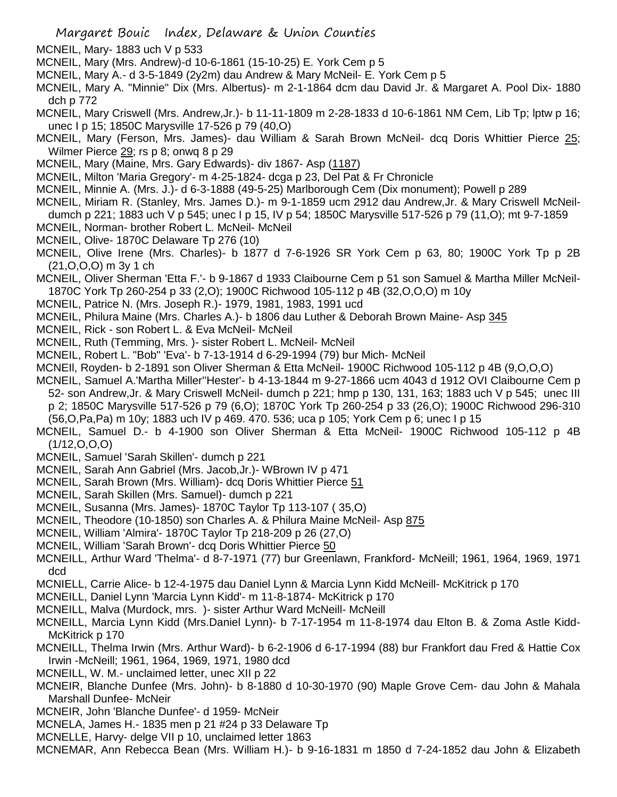- MCNEIL, Mary- 1883 uch V p 533
- MCNEIL, Mary (Mrs. Andrew)-d 10-6-1861 (15-10-25) E. York Cem p 5
- MCNEIL, Mary A.- d 3-5-1849 (2y2m) dau Andrew & Mary McNeil- E. York Cem p 5
- MCNEIL, Mary A. "Minnie" Dix (Mrs. Albertus)- m 2-1-1864 dcm dau David Jr. & Margaret A. Pool Dix- 1880 dch p 772
- MCNEIL, Mary Criswell (Mrs. Andrew,Jr.)- b 11-11-1809 m 2-28-1833 d 10-6-1861 NM Cem, Lib Tp; lptw p 16; unec I p 15; 1850C Marysville 17-526 p 79 (40,O)
- MCNEIL, Mary (Ferson, Mrs. James)- dau William & Sarah Brown McNeil- dcq Doris Whittier Pierce 25; Wilmer Pierce 29; rs p 8; onwq 8 p 29
- MCNEIL, Mary (Maine, Mrs. Gary Edwards)- div 1867- Asp (1187)
- MCNEIL, Milton 'Maria Gregory'- m 4-25-1824- dcga p 23, Del Pat & Fr Chronicle
- MCNEIL, Minnie A. (Mrs. J.)- d 6-3-1888 (49-5-25) Marlborough Cem (Dix monument); Powell p 289
- MCNEIL, Miriam R. (Stanley, Mrs. James D.)- m 9-1-1859 ucm 2912 dau Andrew,Jr. & Mary Criswell McNeildumch p 221; 1883 uch V p 545; unec I p 15, IV p 54; 1850C Marysville 517-526 p 79 (11,O); mt 9-7-1859
- MCNEIL, Norman- brother Robert L. McNeil- McNeil
- MCNEIL, Olive- 1870C Delaware Tp 276 (10)
- MCNEIL, Olive Irene (Mrs. Charles)- b 1877 d 7-6-1926 SR York Cem p 63, 80; 1900C York Tp p 2B (21,O,O,O) m 3y 1 ch
- MCNEIL, Oliver Sherman 'Etta F.'- b 9-1867 d 1933 Claibourne Cem p 51 son Samuel & Martha Miller McNeil-1870C York Tp 260-254 p 33 (2,O); 1900C Richwood 105-112 p 4B (32,O,O,O) m 10y
- MCNEIL, Patrice N. (Mrs. Joseph R.)- 1979, 1981, 1983, 1991 ucd
- MCNEIL, Philura Maine (Mrs. Charles A.)- b 1806 dau Luther & Deborah Brown Maine- Asp 345
- MCNEIL, Rick son Robert L. & Eva McNeil- McNeil
- MCNEIL, Ruth (Temming, Mrs. )- sister Robert L. McNeil- McNeil
- MCNEIL, Robert L. "Bob" 'Eva'- b 7-13-1914 d 6-29-1994 (79) bur Mich- McNeil
- MCNEIl, Royden- b 2-1891 son Oliver Sherman & Etta McNeil- 1900C Richwood 105-112 p 4B (9,O,O,O)
- MCNEIL, Samuel A.'Martha Miller''Hester'- b 4-13-1844 m 9-27-1866 ucm 4043 d 1912 OVI Claibourne Cem p 52- son Andrew,Jr. & Mary Criswell McNeil- dumch p 221; hmp p 130, 131, 163; 1883 uch V p 545; unec III p 2; 1850C Marysville 517-526 p 79 (6,O); 1870C York Tp 260-254 p 33 (26,O); 1900C Richwood 296-310
- (56,O,Pa,Pa) m 10y; 1883 uch IV p 469. 470. 536; uca p 105; York Cem p 6; unec I p 15
- MCNEIL, Samuel D.- b 4-1900 son Oliver Sherman & Etta McNeil- 1900C Richwood 105-112 p 4B (1/12,O,O,O)
- MCNEIL, Samuel 'Sarah Skillen'- dumch p 221
- MCNEIL, Sarah Ann Gabriel (Mrs. Jacob,Jr.)- WBrown IV p 471
- MCNEIL, Sarah Brown (Mrs. William)- dcq Doris Whittier Pierce 51
- MCNEIL, Sarah Skillen (Mrs. Samuel)- dumch p 221
- MCNEIL, Susanna (Mrs. James)- 1870C Taylor Tp 113-107 ( 35,O)
- MCNEIL, Theodore (10-1850) son Charles A. & Philura Maine McNeil- Asp 875
- MCNEIL, William 'Almira'- 1870C Taylor Tp 218-209 p 26 (27,O)
- MCNEIL, William 'Sarah Brown'- dcq Doris Whittier Pierce 50
- MCNEILL, Arthur Ward 'Thelma'- d 8-7-1971 (77) bur Greenlawn, Frankford- McNeill; 1961, 1964, 1969, 1971 dcd
- MCNIELL, Carrie Alice- b 12-4-1975 dau Daniel Lynn & Marcia Lynn Kidd McNeill- McKitrick p 170
- MCNEILL, Daniel Lynn 'Marcia Lynn Kidd'- m 11-8-1874- McKitrick p 170
- MCNEILL, Malva (Murdock, mrs. )- sister Arthur Ward McNeill- McNeill
- MCNEILL, Marcia Lynn Kidd (Mrs.Daniel Lynn)- b 7-17-1954 m 11-8-1974 dau Elton B. & Zoma Astle Kidd-McKitrick p 170
- MCNEILL, Thelma Irwin (Mrs. Arthur Ward)- b 6-2-1906 d 6-17-1994 (88) bur Frankfort dau Fred & Hattie Cox Irwin -McNeill; 1961, 1964, 1969, 1971, 1980 dcd
- MCNEILL, W. M.- unclaimed letter, unec XII p 22
- MCNEIR, Blanche Dunfee (Mrs. John)- b 8-1880 d 10-30-1970 (90) Maple Grove Cem- dau John & Mahala Marshall Dunfee- McNeir
- MCNEIR, John 'Blanche Dunfee'- d 1959- McNeir
- MCNELA, James H.- 1835 men p 21 #24 p 33 Delaware Tp
- MCNELLE, Harvy- delge VII p 10, unclaimed letter 1863
- MCNEMAR, Ann Rebecca Bean (Mrs. William H.)- b 9-16-1831 m 1850 d 7-24-1852 dau John & Elizabeth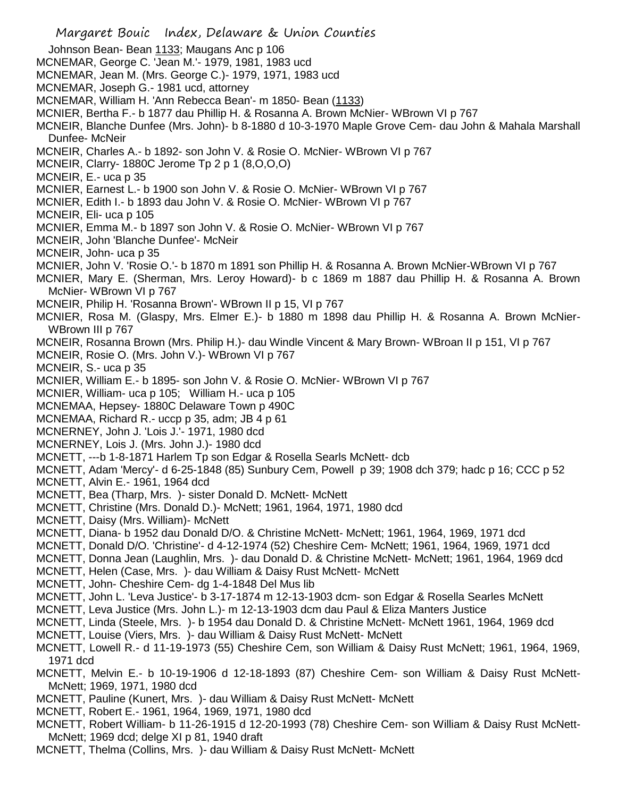- Margaret Bouic Index, Delaware & Union Counties Johnson Bean- Bean 1133; Maugans Anc p 106 MCNEMAR, George C. 'Jean M.'- 1979, 1981, 1983 ucd MCNEMAR, Jean M. (Mrs. George C.)- 1979, 1971, 1983 ucd MCNEMAR, Joseph G.- 1981 ucd, attorney MCNEMAR, William H. 'Ann Rebecca Bean'- m 1850- Bean (1133) MCNIER, Bertha F.- b 1877 dau Phillip H. & Rosanna A. Brown McNier- WBrown VI p 767 MCNEIR, Blanche Dunfee (Mrs. John)- b 8-1880 d 10-3-1970 Maple Grove Cem- dau John & Mahala Marshall Dunfee- McNeir MCNEIR, Charles A.- b 1892- son John V. & Rosie O. McNier- WBrown VI p 767 MCNEIR, Clarry- 1880C Jerome Tp 2 p 1 (8,O,O,O) MCNEIR, E.- uca p 35 MCNIER, Earnest L.- b 1900 son John V. & Rosie O. McNier- WBrown VI p 767 MCNIER, Edith I.- b 1893 dau John V. & Rosie O. McNier- WBrown VI p 767 MCNEIR, Eli- uca p 105 MCNIER, Emma M.- b 1897 son John V. & Rosie O. McNier- WBrown VI p 767 MCNEIR, John 'Blanche Dunfee'- McNeir MCNEIR, John- uca p 35 MCNIER, John V. 'Rosie O.'- b 1870 m 1891 son Phillip H. & Rosanna A. Brown McNier-WBrown VI p 767 MCNIER, Mary E. (Sherman, Mrs. Leroy Howard)- b c 1869 m 1887 dau Phillip H. & Rosanna A. Brown McNier- WBrown VI p 767 MCNEIR, Philip H. 'Rosanna Brown'- WBrown II p 15, VI p 767 MCNIER, Rosa M. (Glaspy, Mrs. Elmer E.)- b 1880 m 1898 dau Phillip H. & Rosanna A. Brown McNier-WBrown III p 767 MCNEIR, Rosanna Brown (Mrs. Philip H.)- dau Windle Vincent & Mary Brown- WBroan II p 151, VI p 767 MCNEIR, Rosie O. (Mrs. John V.)- WBrown VI p 767 MCNEIR, S.- uca p 35 MCNIER, William E.- b 1895- son John V. & Rosie O. McNier- WBrown VI p 767 MCNIER, William- uca p 105; William H.- uca p 105 MCNEMAA, Hepsey- 1880C Delaware Town p 490C MCNEMAA, Richard R.- uccp p 35, adm; JB 4 p 61 MCNERNEY, John J. 'Lois J.'- 1971, 1980 dcd MCNERNEY, Lois J. (Mrs. John J.)- 1980 dcd MCNETT, ---b 1-8-1871 Harlem Tp son Edgar & Rosella Searls McNett- dcb MCNETT, Adam 'Mercy'- d 6-25-1848 (85) Sunbury Cem, Powell p 39; 1908 dch 379; hadc p 16; CCC p 52 MCNETT, Alvin E.- 1961, 1964 dcd MCNETT, Bea (Tharp, Mrs. )- sister Donald D. McNett- McNett MCNETT, Christine (Mrs. Donald D.)- McNett; 1961, 1964, 1971, 1980 dcd MCNETT, Daisy (Mrs. William)- McNett MCNETT, Diana- b 1952 dau Donald D/O. & Christine McNett- McNett; 1961, 1964, 1969, 1971 dcd MCNETT, Donald D/O. 'Christine'- d 4-12-1974 (52) Cheshire Cem- McNett; 1961, 1964, 1969, 1971 dcd MCNETT, Donna Jean (Laughlin, Mrs. )- dau Donald D. & Christine McNett- McNett; 1961, 1964, 1969 dcd MCNETT, Helen (Case, Mrs. )- dau William & Daisy Rust McNett- McNett MCNETT, John- Cheshire Cem- dg 1-4-1848 Del Mus lib MCNETT, John L. 'Leva Justice'- b 3-17-1874 m 12-13-1903 dcm- son Edgar & Rosella Searles McNett MCNETT, Leva Justice (Mrs. John L.)- m 12-13-1903 dcm dau Paul & Eliza Manters Justice MCNETT, Linda (Steele, Mrs. )- b 1954 dau Donald D. & Christine McNett- McNett 1961, 1964, 1969 dcd MCNETT, Louise (Viers, Mrs. )- dau William & Daisy Rust McNett- McNett MCNETT, Lowell R.- d 11-19-1973 (55) Cheshire Cem, son William & Daisy Rust McNett; 1961, 1964, 1969, 1971 dcd MCNETT, Melvin E.- b 10-19-1906 d 12-18-1893 (87) Cheshire Cem- son William & Daisy Rust McNett-McNett; 1969, 1971, 1980 dcd MCNETT, Pauline (Kunert, Mrs. )- dau William & Daisy Rust McNett- McNett MCNETT, Robert E.- 1961, 1964, 1969, 1971, 1980 dcd MCNETT, Robert William- b 11-26-1915 d 12-20-1993 (78) Cheshire Cem- son William & Daisy Rust McNett-McNett; 1969 dcd; delge XI p 81, 1940 draft
- MCNETT, Thelma (Collins, Mrs. )- dau William & Daisy Rust McNett- McNett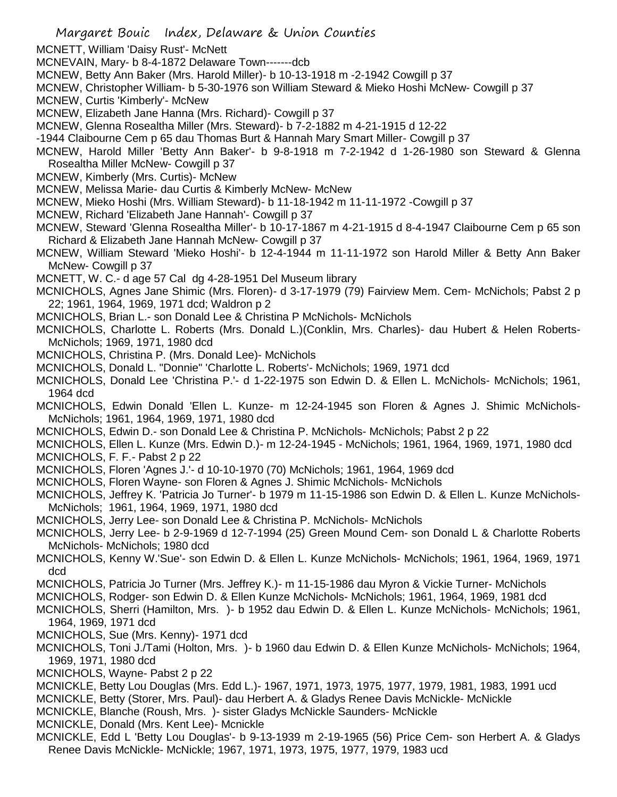- MCNETT, William 'Daisy Rust'- McNett
- MCNEVAIN, Mary- b 8-4-1872 Delaware Town-------dcb
- MCNEW, Betty Ann Baker (Mrs. Harold Miller)- b 10-13-1918 m -2-1942 Cowgill p 37
- MCNEW, Christopher William- b 5-30-1976 son William Steward & Mieko Hoshi McNew- Cowgill p 37
- MCNEW, Curtis 'Kimberly'- McNew
- MCNEW, Elizabeth Jane Hanna (Mrs. Richard)- Cowgill p 37
- MCNEW, Glenna Rosealtha Miller (Mrs. Steward)- b 7-2-1882 m 4-21-1915 d 12-22
- -1944 Claibourne Cem p 65 dau Thomas Burt & Hannah Mary Smart Miller- Cowgill p 37
- MCNEW, Harold Miller 'Betty Ann Baker'- b 9-8-1918 m 7-2-1942 d 1-26-1980 son Steward & Glenna Rosealtha Miller McNew- Cowgill p 37
- MCNEW, Kimberly (Mrs. Curtis)- McNew
- MCNEW, Melissa Marie- dau Curtis & Kimberly McNew- McNew
- MCNEW, Mieko Hoshi (Mrs. William Steward)- b 11-18-1942 m 11-11-1972 -Cowgill p 37
- MCNEW, Richard 'Elizabeth Jane Hannah'- Cowgill p 37
- MCNEW, Steward 'Glenna Rosealtha Miller'- b 10-17-1867 m 4-21-1915 d 8-4-1947 Claibourne Cem p 65 son Richard & Elizabeth Jane Hannah McNew- Cowgill p 37
- MCNEW, William Steward 'Mieko Hoshi'- b 12-4-1944 m 11-11-1972 son Harold Miller & Betty Ann Baker McNew- Cowgill p 37
- MCNETT, W. C.- d age 57 Cal dg 4-28-1951 Del Museum library
- MCNICHOLS, Agnes Jane Shimic (Mrs. Floren)- d 3-17-1979 (79) Fairview Mem. Cem- McNichols; Pabst 2 p 22; 1961, 1964, 1969, 1971 dcd; Waldron p 2
- MCNICHOLS, Brian L.- son Donald Lee & Christina P McNichols- McNichols
- MCNICHOLS, Charlotte L. Roberts (Mrs. Donald L.)(Conklin, Mrs. Charles)- dau Hubert & Helen Roberts-McNichols; 1969, 1971, 1980 dcd
- MCNICHOLS, Christina P. (Mrs. Donald Lee)- McNichols
- MCNICHOLS, Donald L. "Donnie" 'Charlotte L. Roberts'- McNichols; 1969, 1971 dcd
- MCNICHOLS, Donald Lee 'Christina P.'- d 1-22-1975 son Edwin D. & Ellen L. McNichols- McNichols; 1961, 1964 dcd
- MCNICHOLS, Edwin Donald 'Ellen L. Kunze- m 12-24-1945 son Floren & Agnes J. Shimic McNichols-McNichols; 1961, 1964, 1969, 1971, 1980 dcd
- MCNICHOLS, Edwin D.- son Donald Lee & Christina P. McNichols- McNichols; Pabst 2 p 22
- MCNICHOLS, Ellen L. Kunze (Mrs. Edwin D.)- m 12-24-1945 McNichols; 1961, 1964, 1969, 1971, 1980 dcd
- MCNICHOLS, F. F.- Pabst 2 p 22
- MCNICHOLS, Floren 'Agnes J.'- d 10-10-1970 (70) McNichols; 1961, 1964, 1969 dcd
- MCNICHOLS, Floren Wayne- son Floren & Agnes J. Shimic McNichols- McNichols
- MCNICHOLS, Jeffrey K. 'Patricia Jo Turner'- b 1979 m 11-15-1986 son Edwin D. & Ellen L. Kunze McNichols-McNichols; 1961, 1964, 1969, 1971, 1980 dcd
- MCNICHOLS, Jerry Lee- son Donald Lee & Christina P. McNichols- McNichols
- MCNICHOLS, Jerry Lee- b 2-9-1969 d 12-7-1994 (25) Green Mound Cem- son Donald L & Charlotte Roberts McNichols- McNichols; 1980 dcd
- MCNICHOLS, Kenny W.'Sue'- son Edwin D. & Ellen L. Kunze McNichols- McNichols; 1961, 1964, 1969, 1971 dcd
- MCNICHOLS, Patricia Jo Turner (Mrs. Jeffrey K.)- m 11-15-1986 dau Myron & Vickie Turner- McNichols
- MCNICHOLS, Rodger- son Edwin D. & Ellen Kunze McNichols- McNichols; 1961, 1964, 1969, 1981 dcd
- MCNICHOLS, Sherri (Hamilton, Mrs. )- b 1952 dau Edwin D. & Ellen L. Kunze McNichols- McNichols; 1961, 1964, 1969, 1971 dcd
- MCNICHOLS, Sue (Mrs. Kenny)- 1971 dcd
- MCNICHOLS, Toni J./Tami (Holton, Mrs. )- b 1960 dau Edwin D. & Ellen Kunze McNichols- McNichols; 1964, 1969, 1971, 1980 dcd
- MCNICHOLS, Wayne- Pabst 2 p 22
- MCNICKLE, Betty Lou Douglas (Mrs. Edd L.)- 1967, 1971, 1973, 1975, 1977, 1979, 1981, 1983, 1991 ucd
- MCNICKLE, Betty (Storer, Mrs. Paul)- dau Herbert A. & Gladys Renee Davis McNickle- McNickle
- MCNICKLE, Blanche (Roush, Mrs. )- sister Gladys McNickle Saunders- McNickle
- MCNICKLE, Donald (Mrs. Kent Lee)- Mcnickle
- MCNICKLE, Edd L 'Betty Lou Douglas'- b 9-13-1939 m 2-19-1965 (56) Price Cem- son Herbert A. & Gladys Renee Davis McNickle- McNickle; 1967, 1971, 1973, 1975, 1977, 1979, 1983 ucd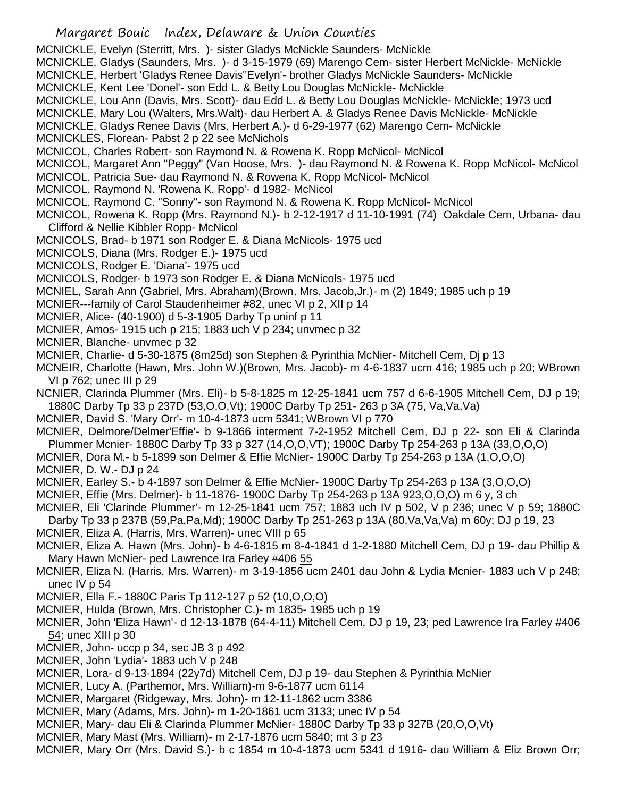MCNICKLE, Evelyn (Sterritt, Mrs. )- sister Gladys McNickle Saunders- McNickle

- MCNICKLE, Gladys (Saunders, Mrs. )- d 3-15-1979 (69) Marengo Cem- sister Herbert McNickle- McNickle
- MCNICKLE, Herbert 'Gladys Renee Davis''Evelyn'- brother Gladys McNickle Saunders- McNickle
- MCNICKLE, Kent Lee 'Donel'- son Edd L. & Betty Lou Douglas McNickle- McNickle
- MCNICKLE, Lou Ann (Davis, Mrs. Scott)- dau Edd L. & Betty Lou Douglas McNickle- McNickle; 1973 ucd
- MCNICKLE, Mary Lou (Walters, Mrs.Walt)- dau Herbert A. & Gladys Renee Davis McNickle- McNickle
- MCNICKLE, Gladys Renee Davis (Mrs. Herbert A.)- d 6-29-1977 (62) Marengo Cem- McNickle
- MCNICKLES, Florean- Pabst 2 p 22 see McNichols
- MCNICOL, Charles Robert- son Raymond N. & Rowena K. Ropp McNicol- McNicol
- MCNICOL, Margaret Ann "Peggy" (Van Hoose, Mrs. )- dau Raymond N. & Rowena K. Ropp McNicol- McNicol
- MCNICOL, Patricia Sue- dau Raymond N. & Rowena K. Ropp McNicol- McNicol
- MCNICOL, Raymond N. 'Rowena K. Ropp'- d 1982- McNicol
- MCNICOL, Raymond C. "Sonny"- son Raymond N. & Rowena K. Ropp McNicol- McNicol
- MCNICOL, Rowena K. Ropp (Mrs. Raymond N.)- b 2-12-1917 d 11-10-1991 (74) Oakdale Cem, Urbana- dau Clifford & Nellie Kibbler Ropp- McNicol
- MCNICOLS, Brad- b 1971 son Rodger E. & Diana McNicols- 1975 ucd
- MCNICOLS, Diana (Mrs. Rodger E.)- 1975 ucd
- MCNICOLS, Rodger E. 'Diana'- 1975 ucd
- MCNICOLS, Rodger- b 1973 son Rodger E. & Diana McNicols- 1975 ucd
- MCNIEL, Sarah Ann (Gabriel, Mrs. Abraham)(Brown, Mrs. Jacob,Jr.)- m (2) 1849; 1985 uch p 19
- MCNIER---family of Carol Staudenheimer #82, unec VI p 2, XII p 14
- MCNIER, Alice- (40-1900) d 5-3-1905 Darby Tp uninf p 11
- MCNIER, Amos- 1915 uch p 215; 1883 uch V p 234; unvmec p 32
- MCNIER, Blanche- unvmec p 32
- MCNIER, Charlie- d 5-30-1875 (8m25d) son Stephen & Pyrinthia McNier- Mitchell Cem, Dj p 13
- MCNEIR, Charlotte (Hawn, Mrs. John W.)(Brown, Mrs. Jacob)- m 4-6-1837 ucm 416; 1985 uch p 20; WBrown VI p 762; unec III p 29
- NCNIER, Clarinda Plummer (Mrs. Eli)- b 5-8-1825 m 12-25-1841 ucm 757 d 6-6-1905 Mitchell Cem, DJ p 19; 1880C Darby Tp 33 p 237D (53,O,O,Vt); 1900C Darby Tp 251- 263 p 3A (75, Va,Va,Va)
- MCNIER, David S. 'Mary Orr'- m 10-4-1873 ucm 5341; WBrown VI p 770
- MCNIER, Delmore/Delmer'Effie'- b 9-1866 interment 7-2-1952 Mitchell Cem, DJ p 22- son Eli & Clarinda Plummer Mcnier- 1880C Darby Tp 33 p 327 (14,O,O,VT); 1900C Darby Tp 254-263 p 13A (33,O,O,O)
- MCNIER, Dora M.- b 5-1899 son Delmer & Effie McNier- 1900C Darby Tp 254-263 p 13A (1,O,O,O)
- MCNIER, D. W.- DJ p 24
- MCNIER, Earley S.- b 4-1897 son Delmer & Effie McNier- 1900C Darby Tp 254-263 p 13A (3,O,O,O)
- MCNIER, Effie (Mrs. Delmer)- b 11-1876- 1900C Darby Tp 254-263 p 13A 923,O,O,O) m 6 y, 3 ch
- MCNIER, Eli 'Clarinde Plummer'- m 12-25-1841 ucm 757; 1883 uch IV p 502, V p 236; unec V p 59; 1880C Darby Tp 33 p 237B (59,Pa,Pa,Md); 1900C Darby Tp 251-263 p 13A (80,Va,Va,Va) m 60y; DJ p 19, 23
- MCNIER, Eliza A. (Harris, Mrs. Warren)- unec VIII p 65
- MCNIER, Eliza A. Hawn (Mrs. John)- b 4-6-1815 m 8-4-1841 d 1-2-1880 Mitchell Cem, DJ p 19- dau Phillip & Mary Hawn McNier- ped Lawrence Ira Farley #406 55
- MCNIER, Eliza N. (Harris, Mrs. Warren)- m 3-19-1856 ucm 2401 dau John & Lydia Mcnier- 1883 uch V p 248; unec IV p 54
- MCNIER, Ella F.- 1880C Paris Tp 112-127 p 52 (10,O,O,O)
- MCNIER, Hulda (Brown, Mrs. Christopher C.)- m 1835- 1985 uch p 19
- MCNIER, John 'Eliza Hawn'- d 12-13-1878 (64-4-11) Mitchell Cem, DJ p 19, 23; ped Lawrence Ira Farley #406 54; unec XIII p 30
- MCNIER, John- uccp p 34, sec JB 3 p 492
- MCNIER, John 'Lydia'- 1883 uch V p 248
- MCNIER, Lora- d 9-13-1894 (22y7d) Mitchell Cem, DJ p 19- dau Stephen & Pyrinthia McNier
- MCNIER, Lucy A. (Parthemor, Mrs. William)-m 9-6-1877 ucm 6114
- MCNIER, Margaret (Ridgeway, Mrs. John)- m 12-11-1862 ucm 3386
- MCNIER, Mary (Adams, Mrs. John)- m 1-20-1861 ucm 3133; unec IV p 54
- MCNIER, Mary- dau Eli & Clarinda Plummer McNier- 1880C Darby Tp 33 p 327B (20,O,O,Vt)
- MCNIER, Mary Mast (Mrs. William)- m 2-17-1876 ucm 5840; mt 3 p 23
- MCNIER, Mary Orr (Mrs. David S.)- b c 1854 m 10-4-1873 ucm 5341 d 1916- dau William & Eliz Brown Orr;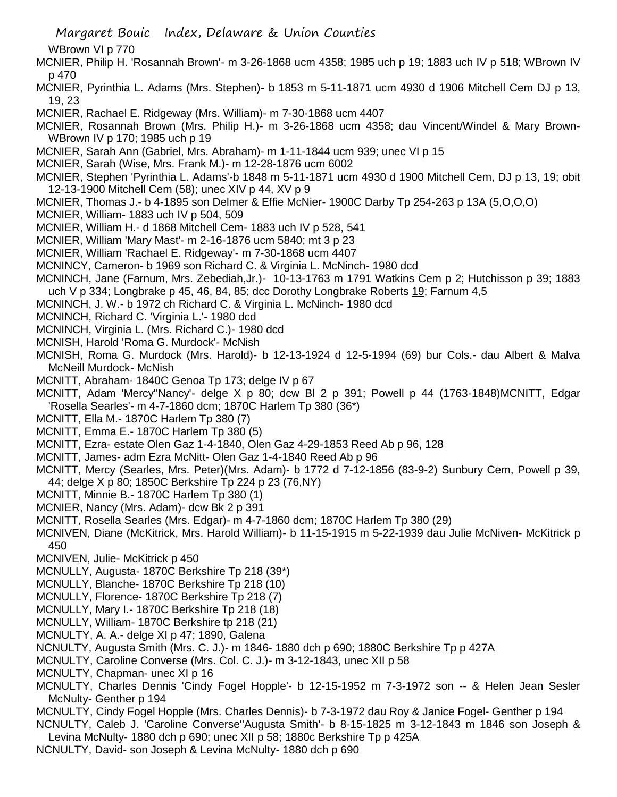WBrown VI p 770

- MCNIER, Philip H. 'Rosannah Brown'- m 3-26-1868 ucm 4358; 1985 uch p 19; 1883 uch IV p 518; WBrown IV p 470
- MCNIER, Pyrinthia L. Adams (Mrs. Stephen)- b 1853 m 5-11-1871 ucm 4930 d 1906 Mitchell Cem DJ p 13, 19, 23
- MCNIER, Rachael E. Ridgeway (Mrs. William)- m 7-30-1868 ucm 4407
- MCNIER, Rosannah Brown (Mrs. Philip H.)- m 3-26-1868 ucm 4358; dau Vincent/Windel & Mary Brown-WBrown IV p 170; 1985 uch p 19
- MCNIER, Sarah Ann (Gabriel, Mrs. Abraham)- m 1-11-1844 ucm 939; unec VI p 15
- MCNIER, Sarah (Wise, Mrs. Frank M.)- m 12-28-1876 ucm 6002
- MCNIER, Stephen 'Pyrinthia L. Adams'-b 1848 m 5-11-1871 ucm 4930 d 1900 Mitchell Cem, DJ p 13, 19; obit 12-13-1900 Mitchell Cem (58); unec XIV p 44, XV p 9
- MCNIER, Thomas J.- b 4-1895 son Delmer & Effie McNier- 1900C Darby Tp 254-263 p 13A (5,O,O,O)
- MCNIER, William- 1883 uch IV p 504, 509
- MCNIER, William H.- d 1868 Mitchell Cem- 1883 uch IV p 528, 541
- MCNIER, William 'Mary Mast'- m 2-16-1876 ucm 5840; mt 3 p 23
- MCNIER, William 'Rachael E. Ridgeway'- m 7-30-1868 ucm 4407
- MCNINCY, Cameron- b 1969 son Richard C. & Virginia L. McNinch- 1980 dcd
- MCNINCH, Jane (Farnum, Mrs. Zebediah,Jr.)- 10-13-1763 m 1791 Watkins Cem p 2; Hutchisson p 39; 1883 uch V p 334; Longbrake p 45, 46, 84, 85; dcc Dorothy Longbrake Roberts 19; Farnum 4,5
- MCNINCH, J. W.- b 1972 ch Richard C. & Virginia L. McNinch- 1980 dcd
- MCNINCH, Richard C. 'Virginia L.'- 1980 dcd
- MCNINCH, Virginia L. (Mrs. Richard C.)- 1980 dcd
- MCNISH, Harold 'Roma G. Murdock'- McNish
- MCNISH, Roma G. Murdock (Mrs. Harold)- b 12-13-1924 d 12-5-1994 (69) bur Cols.- dau Albert & Malva McNeill Murdock- McNish
- MCNITT, Abraham- 1840C Genoa Tp 173; delge IV p 67
- MCNITT, Adam 'Mercy''Nancy'- delge X p 80; dcw Bl 2 p 391; Powell p 44 (1763-1848)MCNITT, Edgar 'Rosella Searles'- m 4-7-1860 dcm; 1870C Harlem Tp 380 (36\*)
- MCNITT, Ella M.- 1870C Harlem Tp 380 (7)
- MCNITT, Emma E.- 1870C Harlem Tp 380 (5)
- MCNITT, Ezra- estate Olen Gaz 1-4-1840, Olen Gaz 4-29-1853 Reed Ab p 96, 128
- MCNITT, James- adm Ezra McNitt- Olen Gaz 1-4-1840 Reed Ab p 96
- MCNITT, Mercy (Searles, Mrs. Peter)(Mrs. Adam)- b 1772 d 7-12-1856 (83-9-2) Sunbury Cem, Powell p 39, 44; delge X p 80; 1850C Berkshire Tp 224 p 23 (76,NY)
- MCNITT, Minnie B.- 1870C Harlem Tp 380 (1)
- MCNIER, Nancy (Mrs. Adam)- dcw Bk 2 p 391
- MCNITT, Rosella Searles (Mrs. Edgar)- m 4-7-1860 dcm; 1870C Harlem Tp 380 (29)
- MCNIVEN, Diane (McKitrick, Mrs. Harold William)- b 11-15-1915 m 5-22-1939 dau Julie McNiven- McKitrick p 450
- MCNIVEN, Julie- McKitrick p 450
- MCNULLY, Augusta- 1870C Berkshire Tp 218 (39\*)
- MCNULLY, Blanche- 1870C Berkshire Tp 218 (10)
- MCNULLY, Florence- 1870C Berkshire Tp 218 (7)
- MCNULLY, Mary I.- 1870C Berkshire Tp 218 (18)
- MCNULLY, William- 1870C Berkshire tp 218 (21)
- MCNULTY, A. A.- delge XI p 47; 1890, Galena
- NCNULTY, Augusta Smith (Mrs. C. J.)- m 1846- 1880 dch p 690; 1880C Berkshire Tp p 427A
- MCNULTY, Caroline Converse (Mrs. Col. C. J.)- m 3-12-1843, unec XII p 58
- MCNULTY, Chapman- unec XI p 16
- MCNULTY, Charles Dennis 'Cindy Fogel Hopple'- b 12-15-1952 m 7-3-1972 son -- & Helen Jean Sesler McNulty- Genther p 194
- MCNULTY, Cindy Fogel Hopple (Mrs. Charles Dennis)- b 7-3-1972 dau Roy & Janice Fogel- Genther p 194
- NCNULTY, Caleb J. 'Caroline Converse''Augusta Smith'- b 8-15-1825 m 3-12-1843 m 1846 son Joseph & Levina McNulty- 1880 dch p 690; unec XII p 58; 1880c Berkshire Tp p 425A
- NCNULTY, David- son Joseph & Levina McNulty- 1880 dch p 690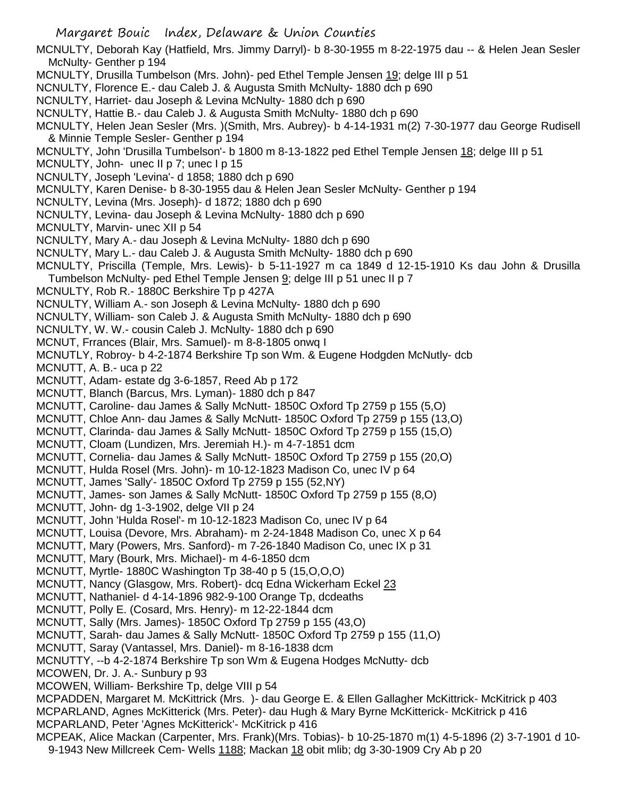MCNULTY, Deborah Kay (Hatfield, Mrs. Jimmy Darryl)- b 8-30-1955 m 8-22-1975 dau -- & Helen Jean Sesler McNulty- Genther p 194

- MCNULTY, Drusilla Tumbelson (Mrs. John)- ped Ethel Temple Jensen 19; delge III p 51
- NCNULTY, Florence E.- dau Caleb J. & Augusta Smith McNulty- 1880 dch p 690
- NCNULTY, Harriet- dau Joseph & Levina McNulty- 1880 dch p 690
- NCNULTY, Hattie B.- dau Caleb J. & Augusta Smith McNulty- 1880 dch p 690
- MCNULTY, Helen Jean Sesler (Mrs. )(Smith, Mrs. Aubrey)- b 4-14-1931 m(2) 7-30-1977 dau George Rudisell & Minnie Temple Sesler- Genther p 194
- MCNULTY, John 'Drusilla Tumbelson'- b 1800 m 8-13-1822 ped Ethel Temple Jensen 18; delge III p 51
- MCNULTY, John- unec II p 7; unec I p 15
- NCNULTY, Joseph 'Levina'- d 1858; 1880 dch p 690
- MCNULTY, Karen Denise- b 8-30-1955 dau & Helen Jean Sesler McNulty- Genther p 194
- NCNULTY, Levina (Mrs. Joseph)- d 1872; 1880 dch p 690
- NCNULTY, Levina- dau Joseph & Levina McNulty- 1880 dch p 690
- MCNULTY, Marvin- unec XII p 54
- NCNULTY, Mary A.- dau Joseph & Levina McNulty- 1880 dch p 690
- NCNULTY, Mary L.- dau Caleb J. & Augusta Smith McNulty- 1880 dch p 690
- MCNULTY, Priscilla (Temple, Mrs. Lewis)- b 5-11-1927 m ca 1849 d 12-15-1910 Ks dau John & Drusilla Tumbelson McNulty- ped Ethel Temple Jensen 9; delge III p 51 unec II p 7
- 
- MCNULTY, Rob R.- 1880C Berkshire Tp p 427A
- NCNULTY, William A.- son Joseph & Levina McNulty- 1880 dch p 690
- NCNULTY, William- son Caleb J. & Augusta Smith McNulty- 1880 dch p 690
- NCNULTY, W. W.- cousin Caleb J. McNulty- 1880 dch p 690
- MCNUT, Frrances (Blair, Mrs. Samuel)- m 8-8-1805 onwq I
- MCNUTLY, Robroy- b 4-2-1874 Berkshire Tp son Wm. & Eugene Hodgden McNutly- dcb
- MCNUTT, A. B.- uca p 22
- MCNUTT, Adam- estate dg 3-6-1857, Reed Ab p 172
- MCNUTT, Blanch (Barcus, Mrs. Lyman)- 1880 dch p 847
- MCNUTT, Caroline- dau James & Sally McNutt- 1850C Oxford Tp 2759 p 155 (5,O)
- MCNUTT, Chloe Ann- dau James & Sally McNutt- 1850C Oxford Tp 2759 p 155 (13,O)
- MCNUTT, Clarinda- dau James & Sally McNutt- 1850C Oxford Tp 2759 p 155 (15,O)
- MCNUTT, Cloam (Lundizen, Mrs. Jeremiah H.)- m 4-7-1851 dcm
- MCNUTT, Cornelia- dau James & Sally McNutt- 1850C Oxford Tp 2759 p 155 (20,O)
- MCNUTT, Hulda Rosel (Mrs. John)- m 10-12-1823 Madison Co, unec IV p 64
- MCNUTT, James 'Sally'- 1850C Oxford Tp 2759 p 155 (52,NY)
- MCNUTT, James- son James & Sally McNutt- 1850C Oxford Tp 2759 p 155 (8,O)
- MCNUTT, John- dg 1-3-1902, delge VII p 24
- MCNUTT, John 'Hulda Rosel'- m 10-12-1823 Madison Co, unec IV p 64
- MCNUTT, Louisa (Devore, Mrs. Abraham)- m 2-24-1848 Madison Co, unec X p 64
- MCNUTT, Mary (Powers, Mrs. Sanford)- m 7-26-1840 Madison Co, unec IX p 31
- MCNUTT, Mary (Bourk, Mrs. Michael)- m 4-6-1850 dcm
- MCNUTT, Myrtle- 1880C Washington Tp 38-40 p 5 (15,O,O,O)
- MCNUTT, Nancy (Glasgow, Mrs. Robert)- dcq Edna Wickerham Eckel 23
- MCNUTT, Nathaniel- d 4-14-1896 982-9-100 Orange Tp, dcdeaths
- MCNUTT, Polly E. (Cosard, Mrs. Henry)- m 12-22-1844 dcm
- MCNUTT, Sally (Mrs. James)- 1850C Oxford Tp 2759 p 155 (43,O)
- MCNUTT, Sarah- dau James & Sally McNutt- 1850C Oxford Tp 2759 p 155 (11,O)
- MCNUTT, Saray (Vantassel, Mrs. Daniel)- m 8-16-1838 dcm
- MCNUTTY, --b 4-2-1874 Berkshire Tp son Wm & Eugena Hodges McNutty- dcb
- MCOWEN, Dr. J. A.- Sunbury p 93
- MCOWEN, William- Berkshire Tp, delge VIII p 54
- MCPADDEN, Margaret M. McKittrick (Mrs. )- dau George E. & Ellen Gallagher McKittrick- McKitrick p 403 MCPARLAND, Agnes McKitterick (Mrs. Peter)- dau Hugh & Mary Byrne McKitterick- McKitrick p 416
- MCPARLAND, Peter 'Agnes McKitterick'- McKitrick p 416
- MCPEAK, Alice Mackan (Carpenter, Mrs. Frank)(Mrs. Tobias)- b 10-25-1870 m(1) 4-5-1896 (2) 3-7-1901 d 10- 9-1943 New Millcreek Cem- Wells 1188; Mackan 18 obit mlib; dg 3-30-1909 Cry Ab p 20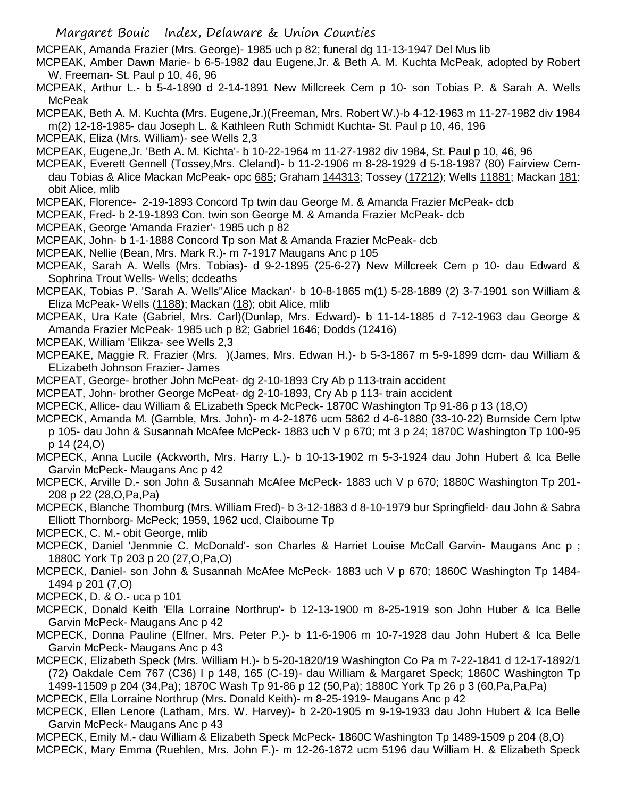MCPEAK, Amanda Frazier (Mrs. George)- 1985 uch p 82; funeral dg 11-13-1947 Del Mus lib

MCPEAK, Amber Dawn Marie- b 6-5-1982 dau Eugene,Jr. & Beth A. M. Kuchta McPeak, adopted by Robert W. Freeman- St. Paul p 10, 46, 96

MCPEAK, Arthur L.- b 5-4-1890 d 2-14-1891 New Millcreek Cem p 10- son Tobias P. & Sarah A. Wells McPeak

MCPEAK, Beth A. M. Kuchta (Mrs. Eugene,Jr.)(Freeman, Mrs. Robert W.)-b 4-12-1963 m 11-27-1982 div 1984

m(2) 12-18-1985- dau Joseph L. & Kathleen Ruth Schmidt Kuchta- St. Paul p 10, 46, 196

MCPEAK, Eliza (Mrs. William)- see Wells 2,3

MCPEAK, Eugene,Jr. 'Beth A. M. Kichta'- b 10-22-1964 m 11-27-1982 div 1984, St. Paul p 10, 46, 96

- MCPEAK, Everett Gennell (Tossey,Mrs. Cleland)- b 11-2-1906 m 8-28-1929 d 5-18-1987 (80) Fairview Cemdau Tobias & Alice Mackan McPeak- opc 685; Graham 144313; Tossey (17212); Wells 11881; Mackan 181; obit Alice, mlib
- MCPEAK, Florence- 2-19-1893 Concord Tp twin dau George M. & Amanda Frazier McPeak- dcb

MCPEAK, Fred- b 2-19-1893 Con. twin son George M. & Amanda Frazier McPeak- dcb

MCPEAK, George 'Amanda Frazier'- 1985 uch p 82

MCPEAK, John- b 1-1-1888 Concord Tp son Mat & Amanda Frazier McPeak- dcb

MCPEAK, Nellie (Bean, Mrs. Mark R.)- m 7-1917 Maugans Anc p 105

MCPEAK, Sarah A. Wells (Mrs. Tobias)- d 9-2-1895 (25-6-27) New Millcreek Cem p 10- dau Edward & Sophrina Trout Wells- Wells; dcdeaths

MCPEAK, Tobias P. 'Sarah A. Wells''Alice Mackan'- b 10-8-1865 m(1) 5-28-1889 (2) 3-7-1901 son William & Eliza McPeak- Wells (1188); Mackan (18); obit Alice, mlib

MCPEAK, Ura Kate (Gabriel, Mrs. Carl)(Dunlap, Mrs. Edward)- b 11-14-1885 d 7-12-1963 dau George & Amanda Frazier McPeak- 1985 uch p 82; Gabriel 1646; Dodds (12416)

MCPEAK, William 'Elikza- see Wells 2,3

MCPEAKE, Maggie R. Frazier (Mrs. )(James, Mrs. Edwan H.)- b 5-3-1867 m 5-9-1899 dcm- dau William & ELizabeth Johnson Frazier- James

MCPEAT, George- brother John McPeat- dg 2-10-1893 Cry Ab p 113-train accident

MCPEAT, John- brother George McPeat- dg 2-10-1893, Cry Ab p 113- train accident

MCPECK, Allice- dau William & ELizabeth Speck McPeck- 1870C Washington Tp 91-86 p 13 (18,O)

MCPECK, Amanda M. (Gamble, Mrs. John)- m 4-2-1876 ucm 5862 d 4-6-1880 (33-10-22) Burnside Cem lptw p 105- dau John & Susannah McAfee McPeck- 1883 uch V p 670; mt 3 p 24; 1870C Washington Tp 100-95 p 14 (24,O)

MCPECK, Anna Lucile (Ackworth, Mrs. Harry L.)- b 10-13-1902 m 5-3-1924 dau John Hubert & Ica Belle Garvin McPeck- Maugans Anc p 42

MCPECK, Arville D.- son John & Susannah McAfee McPeck- 1883 uch V p 670; 1880C Washington Tp 201- 208 p 22 (28,O,Pa,Pa)

MCPECK, Blanche Thornburg (Mrs. William Fred)- b 3-12-1883 d 8-10-1979 bur Springfield- dau John & Sabra Elliott Thornborg- McPeck; 1959, 1962 ucd, Claibourne Tp

MCPECK, C. M.- obit George, mlib

MCPECK, Daniel 'Jenmnie C. McDonald'- son Charles & Harriet Louise McCall Garvin- Maugans Anc p ; 1880C York Tp 203 p 20 (27,O,Pa,O)

MCPECK, Daniel- son John & Susannah McAfee McPeck- 1883 uch V p 670; 1860C Washington Tp 1484- 1494 p 201 (7,O)

MCPECK, D. & O.- uca p 101

- MCPECK, Donald Keith 'Ella Lorraine Northrup'- b 12-13-1900 m 8-25-1919 son John Huber & Ica Belle Garvin McPeck- Maugans Anc p 42
- MCPECK, Donna Pauline (Elfner, Mrs. Peter P.)- b 11-6-1906 m 10-7-1928 dau John Hubert & Ica Belle Garvin McPeck- Maugans Anc p 43

MCPECK, Elizabeth Speck (Mrs. William H.)- b 5-20-1820/19 Washington Co Pa m 7-22-1841 d 12-17-1892/1 (72) Oakdale Cem 767 (C36) I p 148, 165 (C-19)- dau William & Margaret Speck; 1860C Washington Tp

1499-11509 p 204 (34,Pa); 1870C Wash Tp 91-86 p 12 (50,Pa); 1880C York Tp 26 p 3 (60,Pa,Pa,Pa)

MCPECK, Ella Lorraine Northrup (Mrs. Donald Keith)- m 8-25-1919- Maugans Anc p 42

MCPECK, Ellen Lenore (Latham, Mrs. W. Harvey)- b 2-20-1905 m 9-19-1933 dau John Hubert & Ica Belle Garvin McPeck- Maugans Anc p 43

MCPECK, Emily M.- dau William & Elizabeth Speck McPeck- 1860C Washington Tp 1489-1509 p 204 (8,O)

MCPECK, Mary Emma (Ruehlen, Mrs. John F.)- m 12-26-1872 ucm 5196 dau William H. & Elizabeth Speck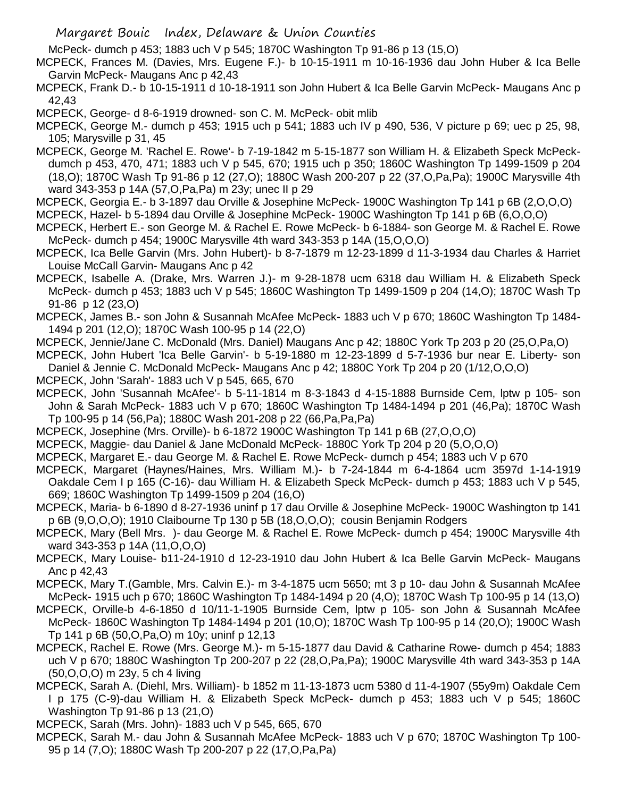McPeck- dumch p 453; 1883 uch V p 545; 1870C Washington Tp 91-86 p 13 (15,O)

- MCPECK, Frances M. (Davies, Mrs. Eugene F.)- b 10-15-1911 m 10-16-1936 dau John Huber & Ica Belle Garvin McPeck- Maugans Anc p 42,43
- MCPECK, Frank D.- b 10-15-1911 d 10-18-1911 son John Hubert & Ica Belle Garvin McPeck- Maugans Anc p 42,43

MCPECK, George- d 8-6-1919 drowned- son C. M. McPeck- obit mlib

MCPECK, George M.- dumch p 453; 1915 uch p 541; 1883 uch IV p 490, 536, V picture p 69; uec p 25, 98, 105; Marysville p 31, 45

- MCPECK, George M. 'Rachel E. Rowe'- b 7-19-1842 m 5-15-1877 son William H. & Elizabeth Speck McPeckdumch p 453, 470, 471; 1883 uch V p 545, 670; 1915 uch p 350; 1860C Washington Tp 1499-1509 p 204 (18,O); 1870C Wash Tp 91-86 p 12 (27,O); 1880C Wash 200-207 p 22 (37,O,Pa,Pa); 1900C Marysville 4th ward 343-353 p 14A (57,O,Pa,Pa) m 23y; unec II p 29
- MCPECK, Georgia E.- b 3-1897 dau Orville & Josephine McPeck- 1900C Washington Tp 141 p 6B (2,O,O,O)

MCPECK, Hazel- b 5-1894 dau Orville & Josephine McPeck- 1900C Washington Tp 141 p 6B (6,O,O,O)

- MCPECK, Herbert E.- son George M. & Rachel E. Rowe McPeck- b 6-1884- son George M. & Rachel E. Rowe McPeck- dumch p 454; 1900C Marysville 4th ward 343-353 p 14A (15,O,O,O)
- MCPECK, Ica Belle Garvin (Mrs. John Hubert)- b 8-7-1879 m 12-23-1899 d 11-3-1934 dau Charles & Harriet Louise McCall Garvin- Maugans Anc p 42
- MCPECK, Isabelle A. (Drake, Mrs. Warren J.)- m 9-28-1878 ucm 6318 dau William H. & Elizabeth Speck McPeck- dumch p 453; 1883 uch V p 545; 1860C Washington Tp 1499-1509 p 204 (14,O); 1870C Wash Tp 91-86 p 12 (23,O)
- MCPECK, James B.- son John & Susannah McAfee McPeck- 1883 uch V p 670; 1860C Washington Tp 1484- 1494 p 201 (12,O); 1870C Wash 100-95 p 14 (22,O)
- MCPECK, Jennie/Jane C. McDonald (Mrs. Daniel) Maugans Anc p 42; 1880C York Tp 203 p 20 (25,O,Pa,O)

MCPECK, John Hubert 'Ica Belle Garvin'- b 5-19-1880 m 12-23-1899 d 5-7-1936 bur near E. Liberty- son Daniel & Jennie C. McDonald McPeck- Maugans Anc p 42; 1880C York Tp 204 p 20 (1/12,O,O,O)

- MCPECK, John 'Sarah'- 1883 uch V p 545, 665, 670
- MCPECK, John 'Susannah McAfee'- b 5-11-1814 m 8-3-1843 d 4-15-1888 Burnside Cem, lptw p 105- son John & Sarah McPeck- 1883 uch V p 670; 1860C Washington Tp 1484-1494 p 201 (46,Pa); 1870C Wash Tp 100-95 p 14 (56,Pa); 1880C Wash 201-208 p 22 (66,Pa,Pa,Pa)
- MCPECK, Josephine (Mrs. Orville)- b 6-1872 1900C Washington Tp 141 p 6B (27,O,O,O)
- MCPECK, Maggie- dau Daniel & Jane McDonald McPeck- 1880C York Tp 204 p 20 (5,O,O,O)
- MCPECK, Margaret E.- dau George M. & Rachel E. Rowe McPeck- dumch p 454; 1883 uch V p 670
- MCPECK, Margaret (Haynes/Haines, Mrs. William M.)- b 7-24-1844 m 6-4-1864 ucm 3597d 1-14-1919 Oakdale Cem I p 165 (C-16)- dau William H. & Elizabeth Speck McPeck- dumch p 453; 1883 uch V p 545, 669; 1860C Washington Tp 1499-1509 p 204 (16,O)
- MCPECK, Maria- b 6-1890 d 8-27-1936 uninf p 17 dau Orville & Josephine McPeck- 1900C Washington tp 141 p 6B (9,O,O,O); 1910 Claibourne Tp 130 p 5B (18,O,O,O); cousin Benjamin Rodgers
- MCPECK, Mary (Bell Mrs. )- dau George M. & Rachel E. Rowe McPeck- dumch p 454; 1900C Marysville 4th ward 343-353 p 14A (11,O,O,O)
- MCPECK, Mary Louise- b11-24-1910 d 12-23-1910 dau John Hubert & Ica Belle Garvin McPeck- Maugans Anc p 42,43

MCPECK, Mary T.(Gamble, Mrs. Calvin E.)- m 3-4-1875 ucm 5650; mt 3 p 10- dau John & Susannah McAfee McPeck- 1915 uch p 670; 1860C Washington Tp 1484-1494 p 20 (4,O); 1870C Wash Tp 100-95 p 14 (13,O)

- MCPECK, Orville-b 4-6-1850 d 10/11-1-1905 Burnside Cem, lptw p 105- son John & Susannah McAfee McPeck- 1860C Washington Tp 1484-1494 p 201 (10,O); 1870C Wash Tp 100-95 p 14 (20,O); 1900C Wash Tp 141 p 6B (50,O,Pa,O) m 10y; uninf p 12,13
- MCPECK, Rachel E. Rowe (Mrs. George M.)- m 5-15-1877 dau David & Catharine Rowe- dumch p 454; 1883 uch V p 670; 1880C Washington Tp 200-207 p 22 (28,O,Pa,Pa); 1900C Marysville 4th ward 343-353 p 14A (50,O,O,O) m 23y, 5 ch 4 living
- MCPECK, Sarah A. (Diehl, Mrs. William)- b 1852 m 11-13-1873 ucm 5380 d 11-4-1907 (55y9m) Oakdale Cem I p 175 (C-9)-dau William H. & Elizabeth Speck McPeck- dumch p 453; 1883 uch V p 545; 1860C Washington Tp 91-86 p 13 (21,O)

MCPECK, Sarah (Mrs. John)- 1883 uch V p 545, 665, 670

MCPECK, Sarah M.- dau John & Susannah McAfee McPeck- 1883 uch V p 670; 1870C Washington Tp 100- 95 p 14 (7,O); 1880C Wash Tp 200-207 p 22 (17,O,Pa,Pa)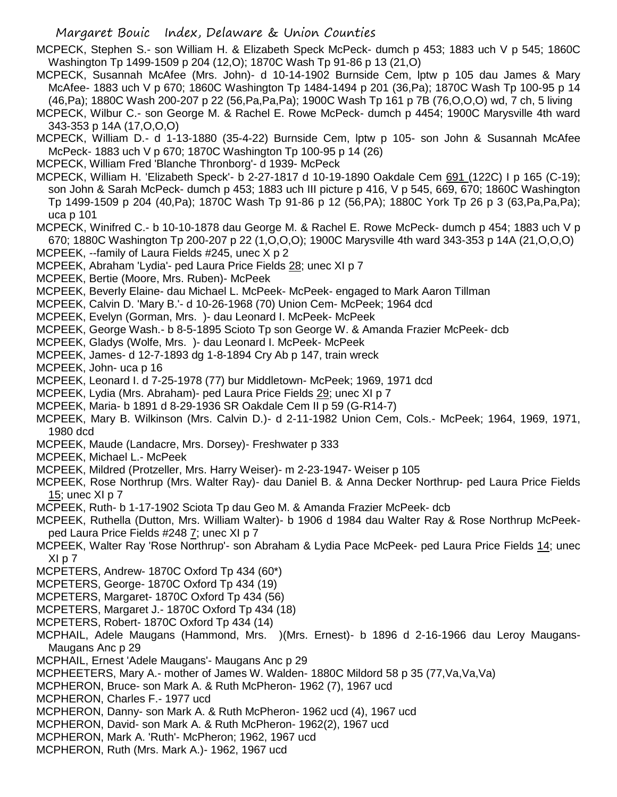MCPECK, Stephen S.- son William H. & Elizabeth Speck McPeck- dumch p 453; 1883 uch V p 545; 1860C Washington Tp 1499-1509 p 204 (12,O); 1870C Wash Tp 91-86 p 13 (21,O)

MCPECK, Susannah McAfee (Mrs. John)- d 10-14-1902 Burnside Cem, lptw p 105 dau James & Mary McAfee- 1883 uch V p 670; 1860C Washington Tp 1484-1494 p 201 (36,Pa); 1870C Wash Tp 100-95 p 14 (46,Pa); 1880C Wash 200-207 p 22 (56,Pa,Pa,Pa); 1900C Wash Tp 161 p 7B (76,O,O,O) wd, 7 ch, 5 living

MCPECK, Wilbur C.- son George M. & Rachel E. Rowe McPeck- dumch p 4454; 1900C Marysville 4th ward 343-353 p 14A (17,O,O,O)

MCPECK, William D.- d 1-13-1880 (35-4-22) Burnside Cem, lptw p 105- son John & Susannah McAfee McPeck- 1883 uch V p 670; 1870C Washington Tp 100-95 p 14 (26)

MCPECK, William Fred 'Blanche Thronborg'- d 1939- McPeck

MCPECK, William H. 'Elizabeth Speck'- b 2-27-1817 d 10-19-1890 Oakdale Cem 691 (122C) I p 165 (C-19); son John & Sarah McPeck- dumch p 453; 1883 uch III picture p 416, V p 545, 669, 670; 1860C Washington Tp 1499-1509 p 204 (40,Pa); 1870C Wash Tp 91-86 p 12 (56,PA); 1880C York Tp 26 p 3 (63,Pa,Pa,Pa); uca p 101

MCPECK, Winifred C.- b 10-10-1878 dau George M. & Rachel E. Rowe McPeck- dumch p 454; 1883 uch V p 670; 1880C Washington Tp 200-207 p 22 (1,O,O,O); 1900C Marysville 4th ward 343-353 p 14A (21,O,O,O)

- MCPEEK, --family of Laura Fields #245, unec X p 2
- MCPEEK, Abraham 'Lydia'- ped Laura Price Fields 28; unec XI p 7
- MCPEEK, Bertie (Moore, Mrs. Ruben)- McPeek
- MCPEEK, Beverly Elaine- dau Michael L. McPeek- McPeek- engaged to Mark Aaron Tillman
- MCPEEK, Calvin D. 'Mary B.'- d 10-26-1968 (70) Union Cem- McPeek; 1964 dcd
- MCPEEK, Evelyn (Gorman, Mrs. )- dau Leonard I. McPeek- McPeek
- MCPEEK, George Wash.- b 8-5-1895 Scioto Tp son George W. & Amanda Frazier McPeek- dcb
- MCPEEK, Gladys (Wolfe, Mrs. )- dau Leonard I. McPeek- McPeek
- MCPEEK, James- d 12-7-1893 dg 1-8-1894 Cry Ab p 147, train wreck
- MCPEEK, John- uca p 16
- MCPEEK, Leonard I. d 7-25-1978 (77) bur Middletown- McPeek; 1969, 1971 dcd
- MCPEEK, Lydia (Mrs. Abraham)- ped Laura Price Fields 29; unec XI p 7
- MCPEEK, Maria- b 1891 d 8-29-1936 SR Oakdale Cem II p 59 (G-R14-7)
- MCPEEK, Mary B. Wilkinson (Mrs. Calvin D.)- d 2-11-1982 Union Cem, Cols.- McPeek; 1964, 1969, 1971, 1980 dcd
- MCPEEK, Maude (Landacre, Mrs. Dorsey)- Freshwater p 333
- MCPEEK, Michael L.- McPeek
- MCPEEK, Mildred (Protzeller, Mrs. Harry Weiser)- m 2-23-1947- Weiser p 105
- MCPEEK, Rose Northrup (Mrs. Walter Ray)- dau Daniel B. & Anna Decker Northrup- ped Laura Price Fields 15; unec XI p 7
- MCPEEK, Ruth- b 1-17-1902 Sciota Tp dau Geo M. & Amanda Frazier McPeek- dcb
- MCPEEK, Ruthella (Dutton, Mrs. William Walter)- b 1906 d 1984 dau Walter Ray & Rose Northrup McPeekped Laura Price Fields #248 7; unec XI p 7
- MCPEEK, Walter Ray 'Rose Northrup'- son Abraham & Lydia Pace McPeek- ped Laura Price Fields 14; unec XI p 7
- MCPETERS, Andrew- 1870C Oxford Tp 434 (60\*)
- MCPETERS, George- 1870C Oxford Tp 434 (19)
- MCPETERS, Margaret- 1870C Oxford Tp 434 (56)
- MCPETERS, Margaret J.- 1870C Oxford Tp 434 (18)
- MCPETERS, Robert- 1870C Oxford Tp 434 (14)
- MCPHAIL, Adele Maugans (Hammond, Mrs. )(Mrs. Ernest)- b 1896 d 2-16-1966 dau Leroy Maugans-Maugans Anc p 29
- MCPHAIL, Ernest 'Adele Maugans'- Maugans Anc p 29
- MCPHEETERS, Mary A.- mother of James W. Walden- 1880C Mildord 58 p 35 (77,Va,Va,Va)
- MCPHERON, Bruce- son Mark A. & Ruth McPheron- 1962 (7), 1967 ucd
- MCPHERON, Charles F.- 1977 ucd
- MCPHERON, Danny- son Mark A. & Ruth McPheron- 1962 ucd (4), 1967 ucd
- MCPHERON, David- son Mark A. & Ruth McPheron- 1962(2), 1967 ucd
- MCPHERON, Mark A. 'Ruth'- McPheron; 1962, 1967 ucd
- MCPHERON, Ruth (Mrs. Mark A.)- 1962, 1967 ucd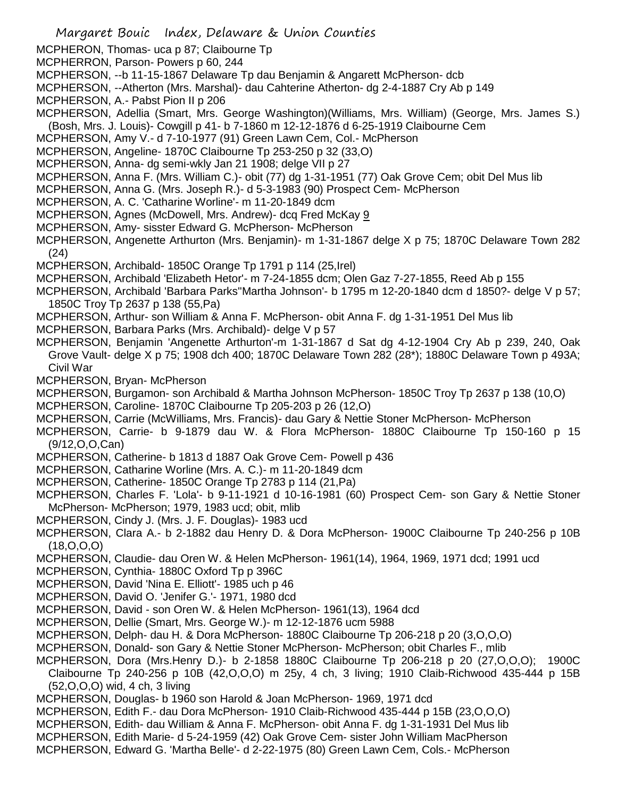- MCPHERON, Thomas- uca p 87; Claibourne Tp
- MCPHERRON, Parson- Powers p 60, 244
- MCPHERSON, --b 11-15-1867 Delaware Tp dau Benjamin & Angarett McPherson- dcb
- MCPHERSON, --Atherton (Mrs. Marshal)- dau Cahterine Atherton- dg 2-4-1887 Cry Ab p 149
- MCPHERSON, A.- Pabst Pion II p 206
- MCPHERSON, Adellia (Smart, Mrs. George Washington)(Williams, Mrs. William) (George, Mrs. James S.) (Bosh, Mrs. J. Louis)- Cowgill p 41- b 7-1860 m 12-12-1876 d 6-25-1919 Claibourne Cem
- MCPHERSON, Amy V.- d 7-10-1977 (91) Green Lawn Cem, Col.- McPherson
- MCPHERSON, Angeline- 1870C Claibourne Tp 253-250 p 32 (33,O)
- MCPHERSON, Anna- dg semi-wkly Jan 21 1908; delge VII p 27
- MCPHERSON, Anna F. (Mrs. William C.)- obit (77) dg 1-31-1951 (77) Oak Grove Cem; obit Del Mus lib
- MCPHERSON, Anna G. (Mrs. Joseph R.)- d 5-3-1983 (90) Prospect Cem- McPherson
- MCPHERSON, A. C. 'Catharine Worline'- m 11-20-1849 dcm
- MCPHERSON, Agnes (McDowell, Mrs. Andrew)- dcq Fred McKay 9
- MCPHERSON, Amy- sisster Edward G. McPherson- McPherson
- MCPHERSON, Angenette Arthurton (Mrs. Benjamin)- m 1-31-1867 delge X p 75; 1870C Delaware Town 282 (24)
- MCPHERSON, Archibald- 1850C Orange Tp 1791 p 114 (25,Irel)
- MCPHERSON, Archibald 'Elizabeth Hetor'- m 7-24-1855 dcm; Olen Gaz 7-27-1855, Reed Ab p 155
- MCPHERSON, Archibald 'Barbara Parks''Martha Johnson'- b 1795 m 12-20-1840 dcm d 1850?- delge V p 57; 1850C Troy Tp 2637 p 138 (55,Pa)
- MCPHERSON, Arthur- son William & Anna F. McPherson- obit Anna F. dg 1-31-1951 Del Mus lib
- MCPHERSON, Barbara Parks (Mrs. Archibald)- delge V p 57
- MCPHERSON, Benjamin 'Angenette Arthurton'-m 1-31-1867 d Sat dg 4-12-1904 Cry Ab p 239, 240, Oak Grove Vault- delge X p 75; 1908 dch 400; 1870C Delaware Town 282 (28\*); 1880C Delaware Town p 493A; Civil War
- MCPHERSON, Bryan- McPherson
- MCPHERSON, Burgamon- son Archibald & Martha Johnson McPherson- 1850C Troy Tp 2637 p 138 (10,O)
- MCPHERSON, Caroline- 1870C Claibourne Tp 205-203 p 26 (12,O)
- MCPHERSON, Carrie (McWilliams, Mrs. Francis)- dau Gary & Nettie Stoner McPherson- McPherson
- MCPHERSON, Carrie- b 9-1879 dau W. & Flora McPherson- 1880C Claibourne Tp 150-160 p 15 (9/12,O,O,Can)
- MCPHERSON, Catherine- b 1813 d 1887 Oak Grove Cem- Powell p 436
- MCPHERSON, Catharine Worline (Mrs. A. C.)- m 11-20-1849 dcm
- MCPHERSON, Catherine- 1850C Orange Tp 2783 p 114 (21,Pa)
- MCPHERSON, Charles F. 'Lola'- b 9-11-1921 d 10-16-1981 (60) Prospect Cem- son Gary & Nettie Stoner McPherson- McPherson; 1979, 1983 ucd; obit, mlib
- MCPHERSON, Cindy J. (Mrs. J. F. Douglas)- 1983 ucd
- MCPHERSON, Clara A.- b 2-1882 dau Henry D. & Dora McPherson- 1900C Claibourne Tp 240-256 p 10B (18,O,O,O)
- MCPHERSON, Claudie- dau Oren W. & Helen McPherson- 1961(14), 1964, 1969, 1971 dcd; 1991 ucd
- MCPHERSON, Cynthia- 1880C Oxford Tp p 396C
- MCPHERSON, David 'Nina E. Elliott'- 1985 uch p 46
- MCPHERSON, David O. 'Jenifer G.'- 1971, 1980 dcd
- MCPHERSON, David son Oren W. & Helen McPherson- 1961(13), 1964 dcd
- MCPHERSON, Dellie (Smart, Mrs. George W.)- m 12-12-1876 ucm 5988
- MCPHERSON, Delph- dau H. & Dora McPherson- 1880C Claibourne Tp 206-218 p 20 (3,O,O,O)
- MCPHERSON, Donald- son Gary & Nettie Stoner McPherson- McPherson; obit Charles F., mlib
- MCPHERSON, Dora (Mrs.Henry D.)- b 2-1858 1880C Claibourne Tp 206-218 p 20 (27,O,O,O); 1900C
- Claibourne Tp 240-256 p 10B (42,O,O,O) m 25y, 4 ch, 3 living; 1910 Claib-Richwood 435-444 p 15B (52,O,O,O) wid, 4 ch, 3 living
- MCPHERSON, Douglas- b 1960 son Harold & Joan McPherson- 1969, 1971 dcd
- MCPHERSON, Edith F.- dau Dora McPherson- 1910 Claib-Richwood 435-444 p 15B (23,O,O,O)
- MCPHERSON, Edith- dau William & Anna F. McPherson- obit Anna F. dg 1-31-1931 Del Mus lib
- MCPHERSON, Edith Marie- d 5-24-1959 (42) Oak Grove Cem- sister John William MacPherson
- MCPHERSON, Edward G. 'Martha Belle'- d 2-22-1975 (80) Green Lawn Cem, Cols.- McPherson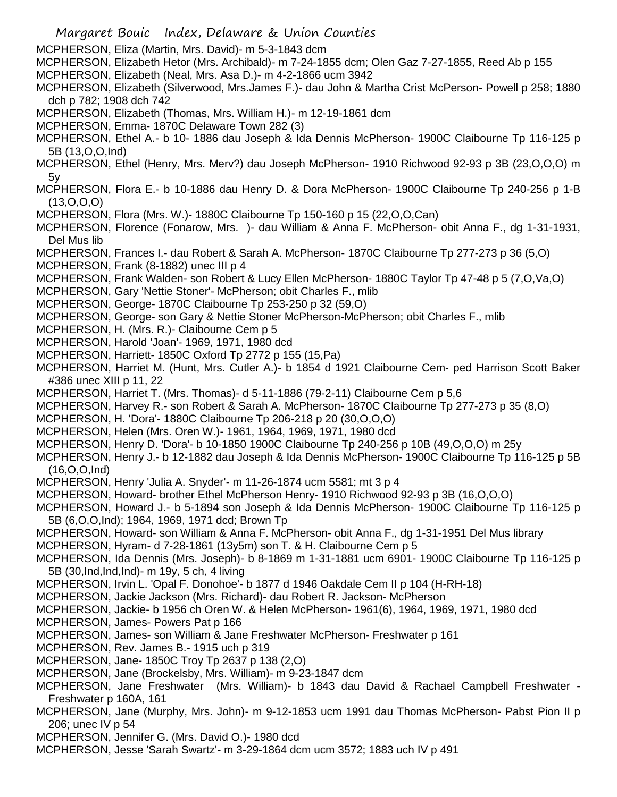Margaret Bouic Index, Delaware & Union Counties MCPHERSON, Eliza (Martin, Mrs. David)- m 5-3-1843 dcm MCPHERSON, Elizabeth Hetor (Mrs. Archibald)- m 7-24-1855 dcm; Olen Gaz 7-27-1855, Reed Ab p 155 MCPHERSON, Elizabeth (Neal, Mrs. Asa D.)- m 4-2-1866 ucm 3942 MCPHERSON, Elizabeth (Silverwood, Mrs.James F.)- dau John & Martha Crist McPerson- Powell p 258; 1880 dch p 782; 1908 dch 742 MCPHERSON, Elizabeth (Thomas, Mrs. William H.)- m 12-19-1861 dcm MCPHERSON, Emma- 1870C Delaware Town 282 (3) MCPHERSON, Ethel A.- b 10- 1886 dau Joseph & Ida Dennis McPherson- 1900C Claibourne Tp 116-125 p 5B (13,O,O,Ind) MCPHERSON, Ethel (Henry, Mrs. Merv?) dau Joseph McPherson- 1910 Richwood 92-93 p 3B (23,O,O,O) m 5y MCPHERSON, Flora E.- b 10-1886 dau Henry D. & Dora McPherson- 1900C Claibourne Tp 240-256 p 1-B (13,O,O,O) MCPHERSON, Flora (Mrs. W.)- 1880C Claibourne Tp 150-160 p 15 (22,O,O,Can) MCPHERSON, Florence (Fonarow, Mrs. )- dau William & Anna F. McPherson- obit Anna F., dg 1-31-1931, Del Mus lib MCPHERSON, Frances I.- dau Robert & Sarah A. McPherson- 1870C Claibourne Tp 277-273 p 36 (5,O) MCPHERSON, Frank (8-1882) unec III p 4 MCPHERSON, Frank Walden- son Robert & Lucy Ellen McPherson- 1880C Taylor Tp 47-48 p 5 (7,O,Va,O) MCPHERSON, Gary 'Nettie Stoner'- McPherson; obit Charles F., mlib MCPHERSON, George- 1870C Claibourne Tp 253-250 p 32 (59,O) MCPHERSON, George- son Gary & Nettie Stoner McPherson-McPherson; obit Charles F., mlib MCPHERSON, H. (Mrs. R.)- Claibourne Cem p 5 MCPHERSON, Harold 'Joan'- 1969, 1971, 1980 dcd MCPHERSON, Harriett- 1850C Oxford Tp 2772 p 155 (15,Pa) MCPHERSON, Harriet M. (Hunt, Mrs. Cutler A.)- b 1854 d 1921 Claibourne Cem- ped Harrison Scott Baker #386 unec XIII p 11, 22 MCPHERSON, Harriet T. (Mrs. Thomas)- d 5-11-1886 (79-2-11) Claibourne Cem p 5,6 MCPHERSON, Harvey R.- son Robert & Sarah A. McPherson- 1870C Claibourne Tp 277-273 p 35 (8,O) MCPHERSON, H. 'Dora'- 1880C Claibourne Tp 206-218 p 20 (30,O,O,O) MCPHERSON, Helen (Mrs. Oren W.)- 1961, 1964, 1969, 1971, 1980 dcd MCPHERSON, Henry D. 'Dora'- b 10-1850 1900C Claibourne Tp 240-256 p 10B (49,O,O,O) m 25y MCPHERSON, Henry J.- b 12-1882 dau Joseph & Ida Dennis McPherson- 1900C Claibourne Tp 116-125 p 5B (16,O,O,Ind) MCPHERSON, Henry 'Julia A. Snyder'- m 11-26-1874 ucm 5581; mt 3 p 4 MCPHERSON, Howard- brother Ethel McPherson Henry- 1910 Richwood 92-93 p 3B (16,O,O,O) MCPHERSON, Howard J.- b 5-1894 son Joseph & Ida Dennis McPherson- 1900C Claibourne Tp 116-125 p 5B (6,O,O,Ind); 1964, 1969, 1971 dcd; Brown Tp MCPHERSON, Howard- son William & Anna F. McPherson- obit Anna F., dg 1-31-1951 Del Mus library MCPHERSON, Hyram- d 7-28-1861 (13y5m) son T. & H. Claibourne Cem p 5 MCPHERSON, Ida Dennis (Mrs. Joseph)- b 8-1869 m 1-31-1881 ucm 6901- 1900C Claibourne Tp 116-125 p 5B (30,Ind,Ind,Ind)- m 19y, 5 ch, 4 living MCPHERSON, Irvin L. 'Opal F. Donohoe'- b 1877 d 1946 Oakdale Cem II p 104 (H-RH-18) MCPHERSON, Jackie Jackson (Mrs. Richard)- dau Robert R. Jackson- McPherson MCPHERSON, Jackie- b 1956 ch Oren W. & Helen McPherson- 1961(6), 1964, 1969, 1971, 1980 dcd MCPHERSON, James- Powers Pat p 166 MCPHERSON, James- son William & Jane Freshwater McPherson- Freshwater p 161 MCPHERSON, Rev. James B.- 1915 uch p 319 MCPHERSON, Jane- 1850C Troy Tp 2637 p 138 (2,O) MCPHERSON, Jane (Brockelsby, Mrs. William)- m 9-23-1847 dcm MCPHERSON, Jane Freshwater (Mrs. William)- b 1843 dau David & Rachael Campbell Freshwater - Freshwater p 160A, 161 MCPHERSON, Jane (Murphy, Mrs. John)- m 9-12-1853 ucm 1991 dau Thomas McPherson- Pabst Pion II p 206; unec IV p 54 MCPHERSON, Jennifer G. (Mrs. David O.)- 1980 dcd MCPHERSON, Jesse 'Sarah Swartz'- m 3-29-1864 dcm ucm 3572; 1883 uch IV p 491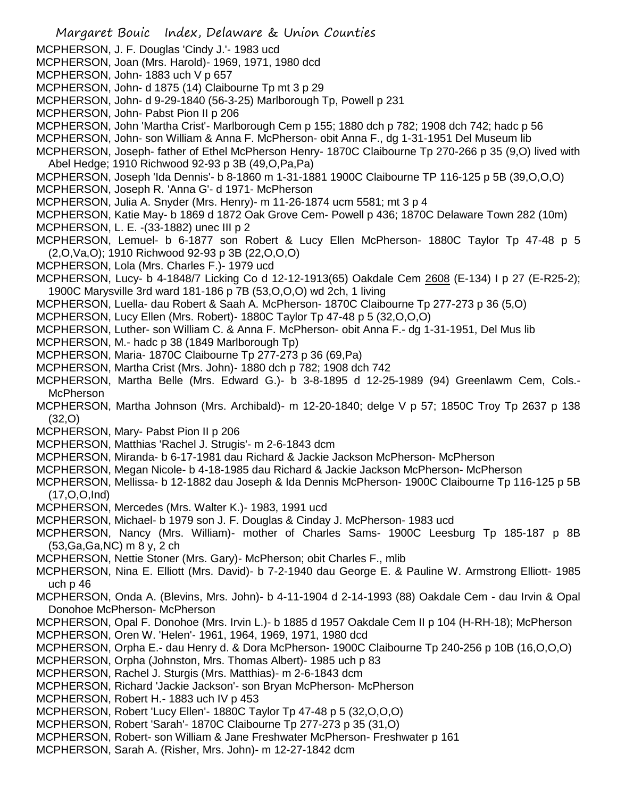MCPHERSON, J. F. Douglas 'Cindy J.'- 1983 ucd MCPHERSON, Joan (Mrs. Harold)- 1969, 1971, 1980 dcd MCPHERSON, John- 1883 uch V p 657 MCPHERSON, John- d 1875 (14) Claibourne Tp mt 3 p 29 MCPHERSON, John- d 9-29-1840 (56-3-25) Marlborough Tp, Powell p 231 MCPHERSON, John- Pabst Pion II p 206 MCPHERSON, John 'Martha Crist'- Marlborough Cem p 155; 1880 dch p 782; 1908 dch 742; hadc p 56 MCPHERSON, John- son William & Anna F. McPherson- obit Anna F., dg 1-31-1951 Del Museum lib MCPHERSON, Joseph- father of Ethel McPherson Henry- 1870C Claibourne Tp 270-266 p 35 (9,O) lived with Abel Hedge; 1910 Richwood 92-93 p 3B (49,O,Pa,Pa) MCPHERSON, Joseph 'Ida Dennis'- b 8-1860 m 1-31-1881 1900C Claibourne TP 116-125 p 5B (39,O,O,O) MCPHERSON, Joseph R. 'Anna G'- d 1971- McPherson MCPHERSON, Julia A. Snyder (Mrs. Henry)- m 11-26-1874 ucm 5581; mt 3 p 4 MCPHERSON, Katie May- b 1869 d 1872 Oak Grove Cem- Powell p 436; 1870C Delaware Town 282 (10m) MCPHERSON, L. E. -(33-1882) unec III p 2 MCPHERSON, Lemuel- b 6-1877 son Robert & Lucy Ellen McPherson- 1880C Taylor Tp 47-48 p 5 (2,O,Va,O); 1910 Richwood 92-93 p 3B (22,O,O,O) MCPHERSON, Lola (Mrs. Charles F.)- 1979 ucd MCPHERSON, Lucy- b 4-1848/7 Licking Co d 12-12-1913(65) Oakdale Cem 2608 (E-134) I p 27 (E-R25-2); 1900C Marysville 3rd ward 181-186 p 7B (53,O,O,O) wd 2ch, 1 living MCPHERSON, Luella- dau Robert & Saah A. McPherson- 1870C Claibourne Tp 277-273 p 36 (5,O) MCPHERSON, Lucy Ellen (Mrs. Robert)- 1880C Taylor Tp 47-48 p 5 (32,O,O,O) MCPHERSON, Luther- son William C. & Anna F. McPherson- obit Anna F.- dg 1-31-1951, Del Mus lib MCPHERSON, M.- hadc p 38 (1849 Marlborough Tp) MCPHERSON, Maria- 1870C Claibourne Tp 277-273 p 36 (69,Pa) MCPHERSON, Martha Crist (Mrs. John)- 1880 dch p 782; 1908 dch 742 MCPHERSON, Martha Belle (Mrs. Edward G.)- b 3-8-1895 d 12-25-1989 (94) Greenlawm Cem, Cols.- **McPherson** MCPHERSON, Martha Johnson (Mrs. Archibald)- m 12-20-1840; delge V p 57; 1850C Troy Tp 2637 p 138 (32,O) MCPHERSON, Mary- Pabst Pion II p 206 MCPHERSON, Matthias 'Rachel J. Strugis'- m 2-6-1843 dcm MCPHERSON, Miranda- b 6-17-1981 dau Richard & Jackie Jackson McPherson- McPherson MCPHERSON, Megan Nicole- b 4-18-1985 dau Richard & Jackie Jackson McPherson- McPherson MCPHERSON, Mellissa- b 12-1882 dau Joseph & Ida Dennis McPherson- 1900C Claibourne Tp 116-125 p 5B (17,O,O,Ind) MCPHERSON, Mercedes (Mrs. Walter K.)- 1983, 1991 ucd MCPHERSON, Michael- b 1979 son J. F. Douglas & Cinday J. McPherson- 1983 ucd MCPHERSON, Nancy (Mrs. William)- mother of Charles Sams- 1900C Leesburg Tp 185-187 p 8B (53,Ga,Ga,NC) m 8 y, 2 ch MCPHERSON, Nettie Stoner (Mrs. Gary)- McPherson; obit Charles F., mlib MCPHERSON, Nina E. Elliott (Mrs. David)- b 7-2-1940 dau George E. & Pauline W. Armstrong Elliott- 1985 uch p 46 MCPHERSON, Onda A. (Blevins, Mrs. John)- b 4-11-1904 d 2-14-1993 (88) Oakdale Cem - dau Irvin & Opal Donohoe McPherson- McPherson MCPHERSON, Opal F. Donohoe (Mrs. Irvin L.)- b 1885 d 1957 Oakdale Cem II p 104 (H-RH-18); McPherson MCPHERSON, Oren W. 'Helen'- 1961, 1964, 1969, 1971, 1980 dcd MCPHERSON, Orpha E.- dau Henry d. & Dora McPherson- 1900C Claibourne Tp 240-256 p 10B (16,O,O,O) MCPHERSON, Orpha (Johnston, Mrs. Thomas Albert)- 1985 uch p 83 MCPHERSON, Rachel J. Sturgis (Mrs. Matthias)- m 2-6-1843 dcm MCPHERSON, Richard 'Jackie Jackson'- son Bryan McPherson- McPherson MCPHERSON, Robert H.- 1883 uch IV p 453 MCPHERSON, Robert 'Lucy Ellen'- 1880C Taylor Tp 47-48 p 5 (32,O,O,O) MCPHERSON, Robert 'Sarah'- 1870C Claibourne Tp 277-273 p 35 (31,O) MCPHERSON, Robert- son William & Jane Freshwater McPherson- Freshwater p 161 MCPHERSON, Sarah A. (Risher, Mrs. John)- m 12-27-1842 dcm

Margaret Bouic Index, Delaware & Union Counties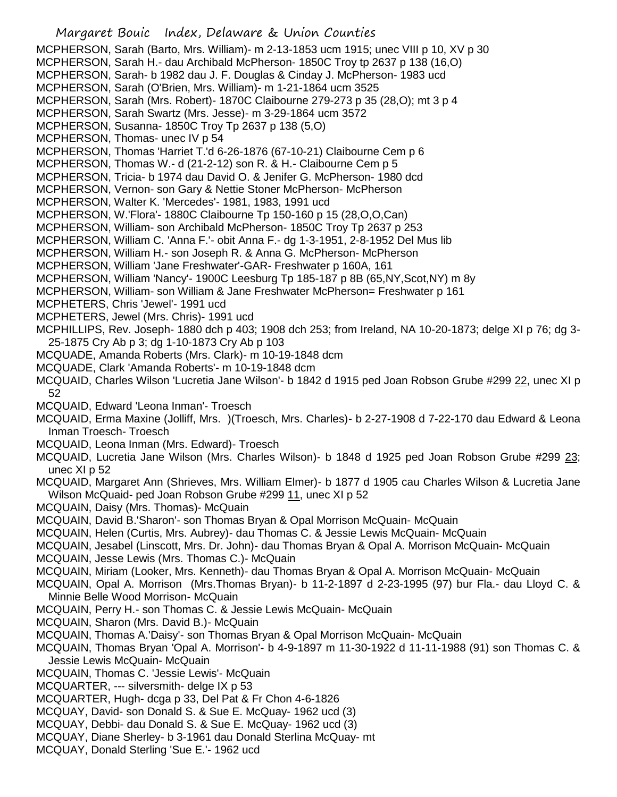Margaret Bouic Index, Delaware & Union Counties MCPHERSON, Sarah (Barto, Mrs. William)- m 2-13-1853 ucm 1915; unec VIII p 10, XV p 30 MCPHERSON, Sarah H.- dau Archibald McPherson- 1850C Troy tp 2637 p 138 (16,O) MCPHERSON, Sarah- b 1982 dau J. F. Douglas & Cinday J. McPherson- 1983 ucd MCPHERSON, Sarah (O'Brien, Mrs. William)- m 1-21-1864 ucm 3525 MCPHERSON, Sarah (Mrs. Robert)- 1870C Claibourne 279-273 p 35 (28,O); mt 3 p 4 MCPHERSON, Sarah Swartz (Mrs. Jesse)- m 3-29-1864 ucm 3572 MCPHERSON, Susanna- 1850C Troy Tp 2637 p 138 (5,O) MCPHERSON, Thomas- unec IV p 54 MCPHERSON, Thomas 'Harriet T.'d 6-26-1876 (67-10-21) Claibourne Cem p 6 MCPHERSON, Thomas W.- d (21-2-12) son R. & H.- Claibourne Cem p 5 MCPHERSON, Tricia- b 1974 dau David O. & Jenifer G. McPherson- 1980 dcd MCPHERSON, Vernon- son Gary & Nettie Stoner McPherson- McPherson MCPHERSON, Walter K. 'Mercedes'- 1981, 1983, 1991 ucd MCPHERSON, W.'Flora'- 1880C Claibourne Tp 150-160 p 15 (28,O,O,Can) MCPHERSON, William- son Archibald McPherson- 1850C Troy Tp 2637 p 253 MCPHERSON, William C. 'Anna F.'- obit Anna F.- dg 1-3-1951, 2-8-1952 Del Mus lib MCPHERSON, William H.- son Joseph R. & Anna G. McPherson- McPherson MCPHERSON, William 'Jane Freshwater'-GAR- Freshwater p 160A, 161 MCPHERSON, William 'Nancy'- 1900C Leesburg Tp 185-187 p 8B (65,NY,Scot,NY) m 8y MCPHERSON, William- son William & Jane Freshwater McPherson= Freshwater p 161 MCPHETERS, Chris 'Jewel'- 1991 ucd MCPHETERS, Jewel (Mrs. Chris)- 1991 ucd MCPHILLIPS, Rev. Joseph- 1880 dch p 403; 1908 dch 253; from Ireland, NA 10-20-1873; delge XI p 76; dg 3- 25-1875 Cry Ab p 3; dg 1-10-1873 Cry Ab p 103 MCQUADE, Amanda Roberts (Mrs. Clark)- m 10-19-1848 dcm MCQUADE, Clark 'Amanda Roberts'- m 10-19-1848 dcm MCQUAID, Charles Wilson 'Lucretia Jane Wilson'- b 1842 d 1915 ped Joan Robson Grube #299 22, unec XI p 52 MCQUAID, Edward 'Leona Inman'- Troesch MCQUAID, Erma Maxine (Jolliff, Mrs. )(Troesch, Mrs. Charles)- b 2-27-1908 d 7-22-170 dau Edward & Leona Inman Troesch- Troesch MCQUAID, Leona Inman (Mrs. Edward)- Troesch MCQUAID, Lucretia Jane Wilson (Mrs. Charles Wilson)- b 1848 d 1925 ped Joan Robson Grube #299 23; unec XI p 52 MCQUAID, Margaret Ann (Shrieves, Mrs. William Elmer)- b 1877 d 1905 cau Charles Wilson & Lucretia Jane Wilson McQuaid- ped Joan Robson Grube #299 11, unec XI p 52 MCQUAIN, Daisy (Mrs. Thomas)- McQuain MCQUAIN, David B.'Sharon'- son Thomas Bryan & Opal Morrison McQuain- McQuain MCQUAIN, Helen (Curtis, Mrs. Aubrey)- dau Thomas C. & Jessie Lewis McQuain- McQuain MCQUAIN, Jesabel (Linscott, Mrs. Dr. John)- dau Thomas Bryan & Opal A. Morrison McQuain- McQuain MCQUAIN, Jesse Lewis (Mrs. Thomas C.)- McQuain MCQUAIN, Miriam (Looker, Mrs. Kenneth)- dau Thomas Bryan & Opal A. Morrison McQuain- McQuain MCQUAIN, Opal A. Morrison (Mrs.Thomas Bryan)- b 11-2-1897 d 2-23-1995 (97) bur Fla.- dau Lloyd C. & Minnie Belle Wood Morrison- McQuain MCQUAIN, Perry H.- son Thomas C. & Jessie Lewis McQuain- McQuain MCQUAIN, Sharon (Mrs. David B.)- McQuain MCQUAIN, Thomas A.'Daisy'- son Thomas Bryan & Opal Morrison McQuain- McQuain MCQUAIN, Thomas Bryan 'Opal A. Morrison'- b 4-9-1897 m 11-30-1922 d 11-11-1988 (91) son Thomas C. & Jessie Lewis McQuain- McQuain MCQUAIN, Thomas C. 'Jessie Lewis'- McQuain MCQUARTER, --- silversmith- delge IX p 53 MCQUARTER, Hugh- dcga p 33, Del Pat & Fr Chon 4-6-1826 MCQUAY, David- son Donald S. & Sue E. McQuay- 1962 ucd (3) MCQUAY, Debbi- dau Donald S. & Sue E. McQuay- 1962 ucd (3) MCQUAY, Diane Sherley- b 3-1961 dau Donald Sterlina McQuay- mt MCQUAY, Donald Sterling 'Sue E.'- 1962 ucd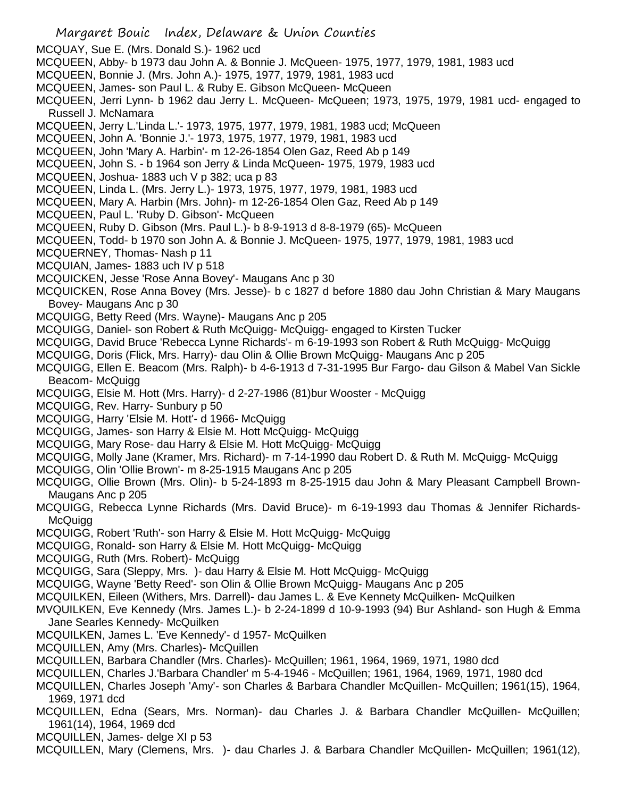Margaret Bouic Index, Delaware & Union Counties MCQUAY, Sue E. (Mrs. Donald S.)- 1962 ucd MCQUEEN, Abby- b 1973 dau John A. & Bonnie J. McQueen- 1975, 1977, 1979, 1981, 1983 ucd MCQUEEN, Bonnie J. (Mrs. John A.)- 1975, 1977, 1979, 1981, 1983 ucd MCQUEEN, James- son Paul L. & Ruby E. Gibson McQueen- McQueen MCQUEEN, Jerri Lynn- b 1962 dau Jerry L. McQueen- McQueen; 1973, 1975, 1979, 1981 ucd- engaged to Russell J. McNamara MCQUEEN, Jerry L.'Linda L.'- 1973, 1975, 1977, 1979, 1981, 1983 ucd; McQueen MCQUEEN, John A. 'Bonnie J.'- 1973, 1975, 1977, 1979, 1981, 1983 ucd MCQUEEN, John 'Mary A. Harbin'- m 12-26-1854 Olen Gaz, Reed Ab p 149 MCQUEEN, John S. - b 1964 son Jerry & Linda McQueen- 1975, 1979, 1983 ucd MCQUEEN, Joshua- 1883 uch V p 382; uca p 83 MCQUEEN, Linda L. (Mrs. Jerry L.)- 1973, 1975, 1977, 1979, 1981, 1983 ucd MCQUEEN, Mary A. Harbin (Mrs. John)- m 12-26-1854 Olen Gaz, Reed Ab p 149 MCQUEEN, Paul L. 'Ruby D. Gibson'- McQueen MCQUEEN, Ruby D. Gibson (Mrs. Paul L.)- b 8-9-1913 d 8-8-1979 (65)- McQueen MCQUEEN, Todd- b 1970 son John A. & Bonnie J. McQueen- 1975, 1977, 1979, 1981, 1983 ucd MCQUERNEY, Thomas- Nash p 11 MCQUIAN, James- 1883 uch IV p 518 MCQUICKEN, Jesse 'Rose Anna Bovey'- Maugans Anc p 30 MCQUICKEN, Rose Anna Bovey (Mrs. Jesse)- b c 1827 d before 1880 dau John Christian & Mary Maugans Bovey- Maugans Anc p 30 MCQUIGG, Betty Reed (Mrs. Wayne)- Maugans Anc p 205 MCQUIGG, Daniel- son Robert & Ruth McQuigg- McQuigg- engaged to Kirsten Tucker MCQUIGG, David Bruce 'Rebecca Lynne Richards'- m 6-19-1993 son Robert & Ruth McQuigg- McQuigg MCQUIGG, Doris (Flick, Mrs. Harry)- dau Olin & Ollie Brown McQuigg- Maugans Anc p 205 MCQUIGG, Ellen E. Beacom (Mrs. Ralph)- b 4-6-1913 d 7-31-1995 Bur Fargo- dau Gilson & Mabel Van Sickle Beacom- McQuigg MCQUIGG, Elsie M. Hott (Mrs. Harry)- d 2-27-1986 (81)bur Wooster - McQuigg MCQUIGG, Rev. Harry- Sunbury p 50 MCQUIGG, Harry 'Elsie M. Hott'- d 1966- McQuigg MCQUIGG, James- son Harry & Elsie M. Hott McQuigg- McQuigg MCQUIGG, Mary Rose- dau Harry & Elsie M. Hott McQuigg- McQuigg MCQUIGG, Molly Jane (Kramer, Mrs. Richard)- m 7-14-1990 dau Robert D. & Ruth M. McQuigg- McQuigg MCQUIGG, Olin 'Ollie Brown'- m 8-25-1915 Maugans Anc p 205 MCQUIGG, Ollie Brown (Mrs. Olin)- b 5-24-1893 m 8-25-1915 dau John & Mary Pleasant Campbell Brown-Maugans Anc p 205 MCQUIGG, Rebecca Lynne Richards (Mrs. David Bruce)- m 6-19-1993 dau Thomas & Jennifer Richards-**McQuigg** MCQUIGG, Robert 'Ruth'- son Harry & Elsie M. Hott McQuigg- McQuigg MCQUIGG, Ronald- son Harry & Elsie M. Hott McQuigg- McQuigg MCQUIGG, Ruth (Mrs. Robert)- McQuigg MCQUIGG, Sara (Sleppy, Mrs. )- dau Harry & Elsie M. Hott McQuigg- McQuigg MCQUIGG, Wayne 'Betty Reed'- son Olin & Ollie Brown McQuigg- Maugans Anc p 205 MCQUILKEN, Eileen (Withers, Mrs. Darrell)- dau James L. & Eve Kennety McQuilken- McQuilken MVQUILKEN, Eve Kennedy (Mrs. James L.)- b 2-24-1899 d 10-9-1993 (94) Bur Ashland- son Hugh & Emma Jane Searles Kennedy- McQuilken MCQUILKEN, James L. 'Eve Kennedy'- d 1957- McQuilken MCQUILLEN, Amy (Mrs. Charles)- McQuillen MCQUILLEN, Barbara Chandler (Mrs. Charles)- McQuillen; 1961, 1964, 1969, 1971, 1980 dcd MCQUILLEN, Charles J.'Barbara Chandler' m 5-4-1946 - McQuillen; 1961, 1964, 1969, 1971, 1980 dcd MCQUILLEN, Charles Joseph 'Amy'- son Charles & Barbara Chandler McQuillen- McQuillen; 1961(15), 1964, 1969, 1971 dcd MCQUILLEN, Edna (Sears, Mrs. Norman)- dau Charles J. & Barbara Chandler McQuillen- McQuillen; 1961(14), 1964, 1969 dcd MCQUILLEN, James- delge XI p 53 MCQUILLEN, Mary (Clemens, Mrs. )- dau Charles J. & Barbara Chandler McQuillen- McQuillen; 1961(12),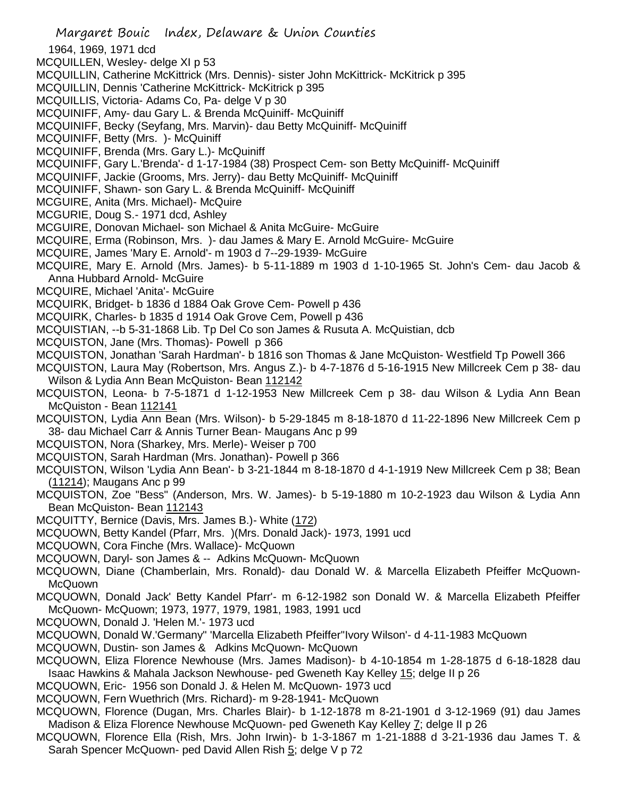- Margaret Bouic Index, Delaware & Union Counties
- 1964, 1969, 1971 dcd
- MCQUILLEN, Wesley- delge XI p 53
- MCQUILLIN, Catherine McKittrick (Mrs. Dennis)- sister John McKittrick- McKitrick p 395
- MCQUILLIN, Dennis 'Catherine McKittrick- McKitrick p 395
- MCQUILLIS, Victoria- Adams Co, Pa- delge V p 30
- MCQUINIFF, Amy- dau Gary L. & Brenda McQuiniff- McQuiniff
- MCQUINIFF, Becky (Seyfang, Mrs. Marvin)- dau Betty McQuiniff- McQuiniff
- MCQUINIFF, Betty (Mrs. )- McQuiniff
- MCQUINIFF, Brenda (Mrs. Gary L.)- McQuiniff
- MCQUINIFF, Gary L.'Brenda'- d 1-17-1984 (38) Prospect Cem- son Betty McQuiniff- McQuiniff
- MCQUINIFF, Jackie (Grooms, Mrs. Jerry)- dau Betty McQuiniff- McQuiniff
- MCQUINIFF, Shawn- son Gary L. & Brenda McQuiniff- McQuiniff
- MCGUIRE, Anita (Mrs. Michael)- McQuire
- MCGURIE, Doug S.- 1971 dcd, Ashley
- MCGUIRE, Donovan Michael- son Michael & Anita McGuire- McGuire
- MCQUIRE, Erma (Robinson, Mrs. )- dau James & Mary E. Arnold McGuire- McGuire
- MCQUIRE, James 'Mary E. Arnold'- m 1903 d 7--29-1939- McGuire
- MCQUIRE, Mary E. Arnold (Mrs. James)- b 5-11-1889 m 1903 d 1-10-1965 St. John's Cem- dau Jacob & Anna Hubbard Arnold- McGuire
- MCQUIRE, Michael 'Anita'- McGuire
- MCQUIRK, Bridget- b 1836 d 1884 Oak Grove Cem- Powell p 436
- MCQUIRK, Charles- b 1835 d 1914 Oak Grove Cem, Powell p 436
- MCQUISTIAN, --b 5-31-1868 Lib. Tp Del Co son James & Rusuta A. McQuistian, dcb
- MCQUISTON, Jane (Mrs. Thomas)- Powell p 366
- MCQUISTON, Jonathan 'Sarah Hardman'- b 1816 son Thomas & Jane McQuiston- Westfield Tp Powell 366
- MCQUISTON, Laura May (Robertson, Mrs. Angus Z.)- b 4-7-1876 d 5-16-1915 New Millcreek Cem p 38- dau Wilson & Lydia Ann Bean McQuiston- Bean 112142
- MCQUISTON, Leona- b 7-5-1871 d 1-12-1953 New Millcreek Cem p 38- dau Wilson & Lydia Ann Bean McQuiston - Bean 112141
- MCQUISTON, Lydia Ann Bean (Mrs. Wilson)- b 5-29-1845 m 8-18-1870 d 11-22-1896 New Millcreek Cem p 38- dau Michael Carr & Annis Turner Bean- Maugans Anc p 99
- MCQUISTON, Nora (Sharkey, Mrs. Merle)- Weiser p 700
- MCQUISTON, Sarah Hardman (Mrs. Jonathan)- Powell p 366
- MCQUISTON, Wilson 'Lydia Ann Bean'- b 3-21-1844 m 8-18-1870 d 4-1-1919 New Millcreek Cem p 38; Bean (11214); Maugans Anc p 99
- MCQUISTON, Zoe "Bess" (Anderson, Mrs. W. James)- b 5-19-1880 m 10-2-1923 dau Wilson & Lydia Ann Bean McQuiston- Bean 112143
- MCQUITTY, Bernice (Davis, Mrs. James B.)- White (172)
- MCQUOWN, Betty Kandel (Pfarr, Mrs. )(Mrs. Donald Jack)- 1973, 1991 ucd
- MCQUOWN, Cora Finche (Mrs. Wallace)- McQuown
- MCQUOWN, Daryl- son James & -- Adkins McQuown- McQuown
- MCQUOWN, Diane (Chamberlain, Mrs. Ronald)- dau Donald W. & Marcella Elizabeth Pfeiffer McQuown-McQuown
- MCQUOWN, Donald Jack' Betty Kandel Pfarr'- m 6-12-1982 son Donald W. & Marcella Elizabeth Pfeiffer McQuown- McQuown; 1973, 1977, 1979, 1981, 1983, 1991 ucd
- MCQUOWN, Donald J. 'Helen M.'- 1973 ucd
- MCQUOWN, Donald W.'Germany" 'Marcella Elizabeth Pfeiffer''Ivory Wilson'- d 4-11-1983 McQuown
- MCQUOWN, Dustin- son James & Adkins McQuown- McQuown
- MCQUOWN, Eliza Florence Newhouse (Mrs. James Madison)- b 4-10-1854 m 1-28-1875 d 6-18-1828 dau Isaac Hawkins & Mahala Jackson Newhouse- ped Gweneth Kay Kelley 15; delge II p 26
- MCQUOWN, Eric- 1956 son Donald J. & Helen M. McQuown- 1973 ucd
- MCQUOWN, Fern Wuethrich (Mrs. Richard)- m 9-28-1941- McQuown
- MCQUOWN, Florence (Dugan, Mrs. Charles Blair)- b 1-12-1878 m 8-21-1901 d 3-12-1969 (91) dau James Madison & Eliza Florence Newhouse McQuown- ped Gweneth Kay Kelley 7; delge II p 26
- MCQUOWN, Florence Ella (Rish, Mrs. John Irwin)- b 1-3-1867 m 1-21-1888 d 3-21-1936 dau James T. & Sarah Spencer McQuown- ped David Allen Rish 5; delge V p 72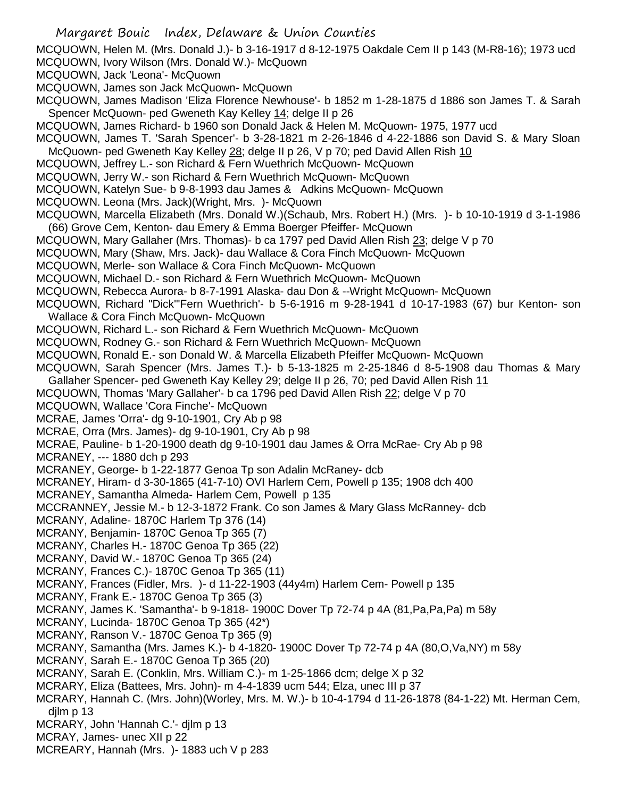Margaret Bouic Index, Delaware & Union Counties MCQUOWN, Helen M. (Mrs. Donald J.)- b 3-16-1917 d 8-12-1975 Oakdale Cem II p 143 (M-R8-16); 1973 ucd MCQUOWN, Ivory Wilson (Mrs. Donald W.)- McQuown MCQUOWN, Jack 'Leona'- McQuown MCQUOWN, James son Jack McQuown- McQuown MCQUOWN, James Madison 'Eliza Florence Newhouse'- b 1852 m 1-28-1875 d 1886 son James T. & Sarah Spencer McQuown- ped Gweneth Kay Kelley 14; delge II p 26 MCQUOWN, James Richard- b 1960 son Donald Jack & Helen M. McQuown- 1975, 1977 ucd MCQUOWN, James T. 'Sarah Spencer'- b 3-28-1821 m 2-26-1846 d 4-22-1886 son David S. & Mary Sloan McQuown- ped Gweneth Kay Kelley 28; delge II p 26, V p 70; ped David Allen Rish 10 MCQUOWN, Jeffrey L.- son Richard & Fern Wuethrich McQuown- McQuown MCQUOWN, Jerry W.- son Richard & Fern Wuethrich McQuown- McQuown MCQUOWN, Katelyn Sue- b 9-8-1993 dau James & Adkins McQuown- McQuown MCQUOWN. Leona (Mrs. Jack)(Wright, Mrs. )- McQuown MCQUOWN, Marcella Elizabeth (Mrs. Donald W.)(Schaub, Mrs. Robert H.) (Mrs. )- b 10-10-1919 d 3-1-1986 (66) Grove Cem, Kenton- dau Emery & Emma Boerger Pfeiffer- McQuown MCQUOWN, Mary Gallaher (Mrs. Thomas)- b ca 1797 ped David Allen Rish 23; delge V p 70 MCQUOWN, Mary (Shaw, Mrs. Jack)- dau Wallace & Cora Finch McQuown- McQuown MCQUOWN, Merle- son Wallace & Cora Finch McQuown- McQuown MCQUOWN, Michael D.- son Richard & Fern Wuethrich McQuown- McQuown MCQUOWN, Rebecca Aurora- b 8-7-1991 Alaska- dau Don & --Wright McQuown- McQuown MCQUOWN, Richard "Dick"'Fern Wuethrich'- b 5-6-1916 m 9-28-1941 d 10-17-1983 (67) bur Kenton- son Wallace & Cora Finch McQuown- McQuown MCQUOWN, Richard L.- son Richard & Fern Wuethrich McQuown- McQuown MCQUOWN, Rodney G.- son Richard & Fern Wuethrich McQuown- McQuown MCQUOWN, Ronald E.- son Donald W. & Marcella Elizabeth Pfeiffer McQuown- McQuown MCQUOWN, Sarah Spencer (Mrs. James T.)- b 5-13-1825 m 2-25-1846 d 8-5-1908 dau Thomas & Mary Gallaher Spencer- ped Gweneth Kay Kelley 29; delge II p 26, 70; ped David Allen Rish 11 MCQUOWN, Thomas 'Mary Gallaher'- b ca 1796 ped David Allen Rish 22; delge V p 70 MCQUOWN, Wallace 'Cora Finche'- McQuown MCRAE, James 'Orra'- dg 9-10-1901, Cry Ab p 98 MCRAE, Orra (Mrs. James)- dg 9-10-1901, Cry Ab p 98 MCRAE, Pauline- b 1-20-1900 death dg 9-10-1901 dau James & Orra McRae- Cry Ab p 98 MCRANEY, --- 1880 dch p 293 MCRANEY, George- b 1-22-1877 Genoa Tp son Adalin McRaney- dcb MCRANEY, Hiram- d 3-30-1865 (41-7-10) OVI Harlem Cem, Powell p 135; 1908 dch 400 MCRANEY, Samantha Almeda- Harlem Cem, Powell p 135 MCCRANNEY, Jessie M.- b 12-3-1872 Frank. Co son James & Mary Glass McRanney- dcb MCRANY, Adaline- 1870C Harlem Tp 376 (14) MCRANY, Benjamin- 1870C Genoa Tp 365 (7) MCRANY, Charles H.- 1870C Genoa Tp 365 (22) MCRANY, David W.- 1870C Genoa Tp 365 (24) MCRANY, Frances C.)- 1870C Genoa Tp 365 (11) MCRANY, Frances (Fidler, Mrs. )- d 11-22-1903 (44y4m) Harlem Cem- Powell p 135 MCRANY, Frank E.- 1870C Genoa Tp 365 (3) MCRANY, James K. 'Samantha'- b 9-1818- 1900C Dover Tp 72-74 p 4A (81,Pa,Pa,Pa) m 58y MCRANY, Lucinda- 1870C Genoa Tp 365 (42\*) MCRANY, Ranson V.- 1870C Genoa Tp 365 (9) MCRANY, Samantha (Mrs. James K.)- b 4-1820- 1900C Dover Tp 72-74 p 4A (80,O,Va,NY) m 58y MCRANY, Sarah E.- 1870C Genoa Tp 365 (20) MCRANY, Sarah E. (Conklin, Mrs. William C.)- m 1-25-1866 dcm; delge X p 32 MCRARY, Eliza (Battees, Mrs. John)- m 4-4-1839 ucm 544; Elza, unec III p 37 MCRARY, Hannah C. (Mrs. John)(Worley, Mrs. M. W.)- b 10-4-1794 d 11-26-1878 (84-1-22) Mt. Herman Cem, djlm p 13 MCRARY, John 'Hannah C.'- djlm p 13 MCRAY, James- unec XII p 22 MCREARY, Hannah (Mrs. )- 1883 uch V p 283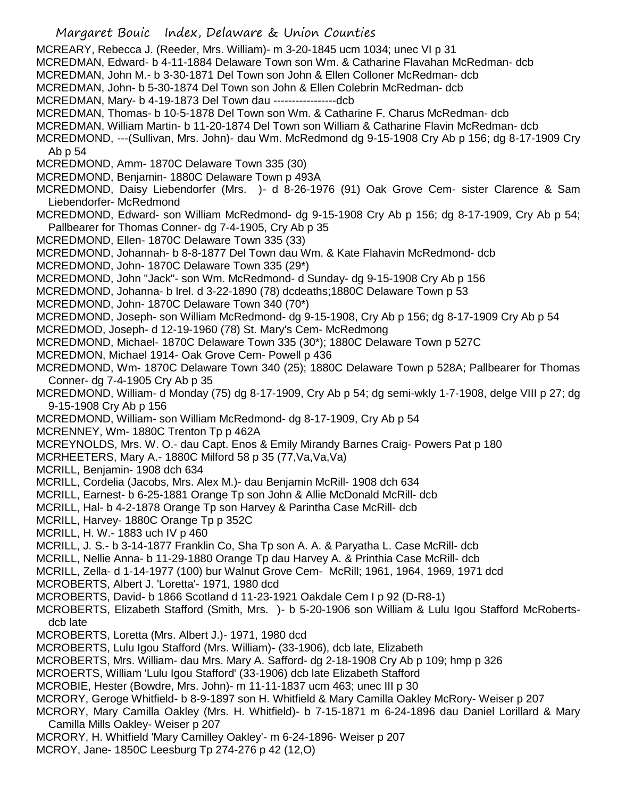Margaret Bouic Index, Delaware & Union Counties MCREARY, Rebecca J. (Reeder, Mrs. William)- m 3-20-1845 ucm 1034; unec VI p 31 MCREDMAN, Edward- b 4-11-1884 Delaware Town son Wm. & Catharine Flavahan McRedman- dcb MCREDMAN, John M.- b 3-30-1871 Del Town son John & Ellen Colloner McRedman- dcb MCREDMAN, John- b 5-30-1874 Del Town son John & Ellen Colebrin McRedman- dcb MCREDMAN, Mary- b 4-19-1873 Del Town dau -----------------dcb MCREDMAN, Thomas- b 10-5-1878 Del Town son Wm. & Catharine F. Charus McRedman- dcb MCREDMAN, William Martin- b 11-20-1874 Del Town son William & Catharine Flavin McRedman- dcb MCREDMOND, ---(Sullivan, Mrs. John)- dau Wm. McRedmond dg 9-15-1908 Cry Ab p 156; dg 8-17-1909 Cry Ab p 54 MCREDMOND, Amm- 1870C Delaware Town 335 (30) MCREDMOND, Benjamin- 1880C Delaware Town p 493A MCREDMOND, Daisy Liebendorfer (Mrs. )- d 8-26-1976 (91) Oak Grove Cem- sister Clarence & Sam Liebendorfer- McRedmond MCREDMOND, Edward- son William McRedmond- dg 9-15-1908 Cry Ab p 156; dg 8-17-1909, Cry Ab p 54; Pallbearer for Thomas Conner- dg 7-4-1905, Cry Ab p 35 MCREDMOND, Ellen- 1870C Delaware Town 335 (33) MCREDMOND, Johannah- b 8-8-1877 Del Town dau Wm. & Kate Flahavin McRedmond- dcb MCREDMOND, John- 1870C Delaware Town 335 (29\*) MCREDMOND, John "Jack"- son Wm. McRedmond- d Sunday- dg 9-15-1908 Cry Ab p 156 MCREDMOND, Johanna- b Irel. d 3-22-1890 (78) dcdeaths;1880C Delaware Town p 53 MCREDMOND, John- 1870C Delaware Town 340 (70\*) MCREDMOND, Joseph- son William McRedmond- dg 9-15-1908, Cry Ab p 156; dg 8-17-1909 Cry Ab p 54 MCREDMOD, Joseph- d 12-19-1960 (78) St. Mary's Cem- McRedmong MCREDMOND, Michael- 1870C Delaware Town 335 (30\*); 1880C Delaware Town p 527C MCREDMON, Michael 1914- Oak Grove Cem- Powell p 436 MCREDMOND, Wm- 1870C Delaware Town 340 (25); 1880C Delaware Town p 528A; Pallbearer for Thomas Conner- dg 7-4-1905 Cry Ab p 35 MCREDMOND, William- d Monday (75) dg 8-17-1909, Cry Ab p 54; dg semi-wkly 1-7-1908, delge VIII p 27; dg 9-15-1908 Cry Ab p 156 MCREDMOND, William- son William McRedmond- dg 8-17-1909, Cry Ab p 54 MCRENNEY, Wm- 1880C Trenton Tp p 462A MCREYNOLDS, Mrs. W. O.- dau Capt. Enos & Emily Mirandy Barnes Craig- Powers Pat p 180 MCRHEETERS, Mary A.- 1880C Milford 58 p 35 (77,Va,Va,Va) MCRILL, Benjamin- 1908 dch 634 MCRILL, Cordelia (Jacobs, Mrs. Alex M.)- dau Benjamin McRill- 1908 dch 634 MCRILL, Earnest- b 6-25-1881 Orange Tp son John & Allie McDonald McRill- dcb MCRILL, Hal- b 4-2-1878 Orange Tp son Harvey & Parintha Case McRill- dcb MCRILL, Harvey- 1880C Orange Tp p 352C MCRILL, H. W.- 1883 uch IV p 460 MCRILL, J. S.- b 3-14-1877 Franklin Co, Sha Tp son A. A. & Paryatha L. Case McRill- dcb MCRILL, Nellie Anna- b 11-29-1880 Orange Tp dau Harvey A. & Printhia Case McRill- dcb MCRILL, Zella- d 1-14-1977 (100) bur Walnut Grove Cem- McRill; 1961, 1964, 1969, 1971 dcd MCROBERTS, Albert J. 'Loretta'- 1971, 1980 dcd MCROBERTS, David- b 1866 Scotland d 11-23-1921 Oakdale Cem I p 92 (D-R8-1) MCROBERTS, Elizabeth Stafford (Smith, Mrs. )- b 5-20-1906 son William & Lulu Igou Stafford McRobertsdcb late MCROBERTS, Loretta (Mrs. Albert J.)- 1971, 1980 dcd MCROBERTS, Lulu Igou Stafford (Mrs. William)- (33-1906), dcb late, Elizabeth MCROBERTS, Mrs. William- dau Mrs. Mary A. Safford- dg 2-18-1908 Cry Ab p 109; hmp p 326 MCROERTS, William 'Lulu Igou Stafford' (33-1906) dcb late Elizabeth Stafford MCROBIE, Hester (Bowdre, Mrs. John)- m 11-11-1837 ucm 463; unec III p 30 MCRORY, Geroge Whitfield- b 8-9-1897 son H. Whitfield & Mary Camilla Oakley McRory- Weiser p 207 MCRORY, Mary Camilla Oakley (Mrs. H. Whitfield)- b 7-15-1871 m 6-24-1896 dau Daniel Lorillard & Mary Camilla Mills Oakley- Weiser p 207 MCRORY, H. Whitfield 'Mary Camilley Oakley'- m 6-24-1896- Weiser p 207 MCROY, Jane- 1850C Leesburg Tp 274-276 p 42 (12,O)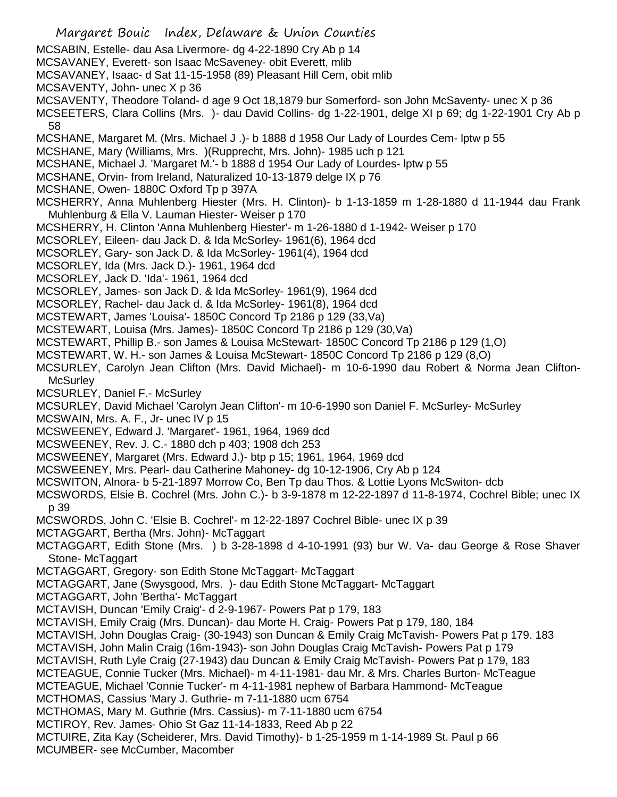Margaret Bouic Index, Delaware & Union Counties MCSABIN, Estelle- dau Asa Livermore- dg 4-22-1890 Cry Ab p 14 MCSAVANEY, Everett- son Isaac McSaveney- obit Everett, mlib MCSAVANEY, Isaac- d Sat 11-15-1958 (89) Pleasant Hill Cem, obit mlib MCSAVENTY, John- unec X p 36 MCSAVENTY, Theodore Toland- d age 9 Oct 18,1879 bur Somerford- son John McSaventy- unec X p 36 MCSEETERS, Clara Collins (Mrs. )- dau David Collins- dg 1-22-1901, delge XI p 69; dg 1-22-1901 Cry Ab p 58 MCSHANE, Margaret M. (Mrs. Michael J .)- b 1888 d 1958 Our Lady of Lourdes Cem- lptw p 55 MCSHANE, Mary (Williams, Mrs. )(Rupprecht, Mrs. John)- 1985 uch p 121 MCSHANE, Michael J. 'Margaret M.'- b 1888 d 1954 Our Lady of Lourdes- lptw p 55 MCSHANE, Orvin- from Ireland, Naturalized 10-13-1879 delge IX p 76 MCSHANE, Owen- 1880C Oxford Tp p 397A MCSHERRY, Anna Muhlenberg Hiester (Mrs. H. Clinton)- b 1-13-1859 m 1-28-1880 d 11-1944 dau Frank Muhlenburg & Ella V. Lauman Hiester- Weiser p 170 MCSHERRY, H. Clinton 'Anna Muhlenberg Hiester'- m 1-26-1880 d 1-1942- Weiser p 170 MCSORLEY, Eileen- dau Jack D. & Ida McSorley- 1961(6), 1964 dcd MCSORLEY, Gary- son Jack D. & Ida McSorley- 1961(4), 1964 dcd MCSORLEY, Ida (Mrs. Jack D.)- 1961, 1964 dcd MCSORLEY, Jack D. 'Ida'- 1961, 1964 dcd MCSORLEY, James- son Jack D. & Ida McSorley- 1961(9), 1964 dcd MCSORLEY, Rachel- dau Jack d. & Ida McSorley- 1961(8), 1964 dcd MCSTEWART, James 'Louisa'- 1850C Concord Tp 2186 p 129 (33,Va) MCSTEWART, Louisa (Mrs. James)- 1850C Concord Tp 2186 p 129 (30,Va) MCSTEWART, Phillip B.- son James & Louisa McStewart- 1850C Concord Tp 2186 p 129 (1,O) MCSTEWART, W. H.- son James & Louisa McStewart- 1850C Concord Tp 2186 p 129 (8,O) MCSURLEY, Carolyn Jean Clifton (Mrs. David Michael)- m 10-6-1990 dau Robert & Norma Jean Clifton-**McSurley** MCSURLEY, Daniel F.- McSurley MCSURLEY, David Michael 'Carolyn Jean Clifton'- m 10-6-1990 son Daniel F. McSurley- McSurley MCSWAIN, Mrs. A. F., Jr- unec IV p 15 MCSWEENEY, Edward J. 'Margaret'- 1961, 1964, 1969 dcd MCSWEENEY, Rev. J. C.- 1880 dch p 403; 1908 dch 253 MCSWEENEY, Margaret (Mrs. Edward J.)- btp p 15; 1961, 1964, 1969 dcd MCSWEENEY, Mrs. Pearl- dau Catherine Mahoney- dg 10-12-1906, Cry Ab p 124 MCSWITON, Alnora- b 5-21-1897 Morrow Co, Ben Tp dau Thos. & Lottie Lyons McSwiton- dcb MCSWORDS, Elsie B. Cochrel (Mrs. John C.)- b 3-9-1878 m 12-22-1897 d 11-8-1974, Cochrel Bible; unec IX p 39 MCSWORDS, John C. 'Elsie B. Cochrel'- m 12-22-1897 Cochrel Bible- unec IX p 39 MCTAGGART, Bertha (Mrs. John)- McTaggart MCTAGGART, Edith Stone (Mrs. ) b 3-28-1898 d 4-10-1991 (93) bur W. Va- dau George & Rose Shaver Stone- McTaggart MCTAGGART, Gregory- son Edith Stone McTaggart- McTaggart MCTAGGART, Jane (Swysgood, Mrs. )- dau Edith Stone McTaggart- McTaggart MCTAGGART, John 'Bertha'- McTaggart MCTAVISH, Duncan 'Emily Craig'- d 2-9-1967- Powers Pat p 179, 183 MCTAVISH, Emily Craig (Mrs. Duncan)- dau Morte H. Craig- Powers Pat p 179, 180, 184 MCTAVISH, John Douglas Craig- (30-1943) son Duncan & Emily Craig McTavish- Powers Pat p 179. 183 MCTAVISH, John Malin Craig (16m-1943)- son John Douglas Craig McTavish- Powers Pat p 179 MCTAVISH, Ruth Lyle Craig (27-1943) dau Duncan & Emily Craig McTavish- Powers Pat p 179, 183 MCTEAGUE, Connie Tucker (Mrs. Michael)- m 4-11-1981- dau Mr. & Mrs. Charles Burton- McTeague MCTEAGUE, Michael 'Connie Tucker'- m 4-11-1981 nephew of Barbara Hammond- McTeague MCTHOMAS, Cassius 'Mary J. Guthrie- m 7-11-1880 ucm 6754 MCTHOMAS, Mary M. Guthrie (Mrs. Cassius)- m 7-11-1880 ucm 6754 MCTIROY, Rev. James- Ohio St Gaz 11-14-1833, Reed Ab p 22 MCTUIRE, Zita Kay (Scheiderer, Mrs. David Timothy)- b 1-25-1959 m 1-14-1989 St. Paul p 66 MCUMBER- see McCumber, Macomber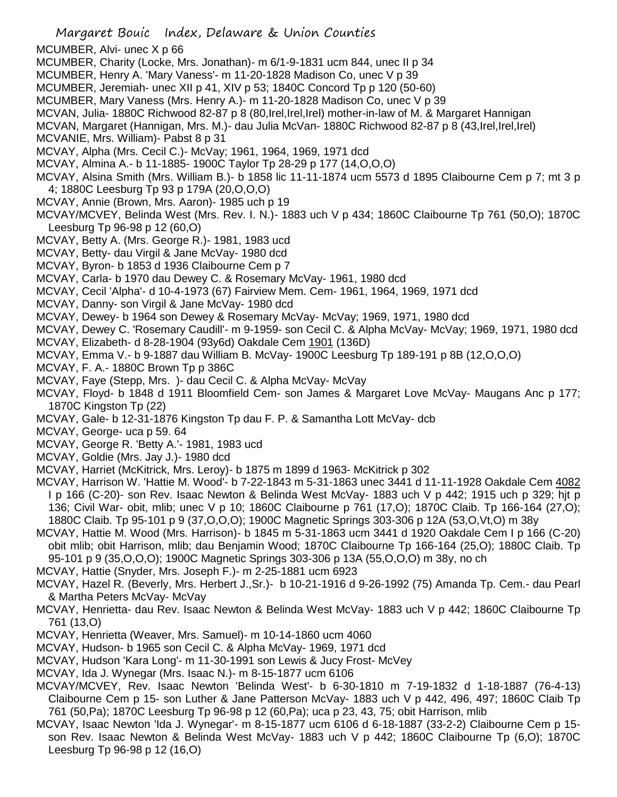- MCUMBER, Alvi- unec X p 66
- MCUMBER, Charity (Locke, Mrs. Jonathan)- m 6/1-9-1831 ucm 844, unec II p 34
- MCUMBER, Henry A. 'Mary Vaness'- m 11-20-1828 Madison Co, unec V p 39
- MCUMBER, Jeremiah- unec XII p 41, XIV p 53; 1840C Concord Tp p 120 (50-60)
- MCUMBER, Mary Vaness (Mrs. Henry A.)- m 11-20-1828 Madison Co, unec V p 39
- MCVAN, Julia- 1880C Richwood 82-87 p 8 (80,Irel,Irel,Irel) mother-in-law of M. & Margaret Hannigan

MCVAN, Margaret (Hannigan, Mrs. M.)- dau Julia McVan- 1880C Richwood 82-87 p 8 (43,Irel,Irel,Irel)

- MCVANIE, Mrs. William)- Pabst 8 p 31
- MCVAY, Alpha (Mrs. Cecil C.)- McVay; 1961, 1964, 1969, 1971 dcd
- MCVAY, Almina A.- b 11-1885- 1900C Taylor Tp 28-29 p 177 (14,O,O,O)
- MCVAY, Alsina Smith (Mrs. William B.)- b 1858 lic 11-11-1874 ucm 5573 d 1895 Claibourne Cem p 7; mt 3 p 4; 1880C Leesburg Tp 93 p 179A (20,O,O,O)
- MCVAY, Annie (Brown, Mrs. Aaron)- 1985 uch p 19
- MCVAY/MCVEY, Belinda West (Mrs. Rev. I. N.)- 1883 uch V p 434; 1860C Claibourne Tp 761 (50,O); 1870C Leesburg Tp 96-98 p 12 (60,O)
- MCVAY, Betty A. (Mrs. George R.)- 1981, 1983 ucd
- MCVAY, Betty- dau Virgil & Jane McVay- 1980 dcd
- MCVAY, Byron- b 1853 d 1936 Claibourne Cem p 7
- MCVAY, Carla- b 1970 dau Dewey C. & Rosemary McVay- 1961, 1980 dcd
- MCVAY, Cecil 'Alpha'- d 10-4-1973 (67) Fairview Mem. Cem- 1961, 1964, 1969, 1971 dcd
- MCVAY, Danny- son Virgil & Jane McVay- 1980 dcd
- MCVAY, Dewey- b 1964 son Dewey & Rosemary McVay- McVay; 1969, 1971, 1980 dcd
- MCVAY, Dewey C. 'Rosemary Caudill'- m 9-1959- son Cecil C. & Alpha McVay- McVay; 1969, 1971, 1980 dcd
- MCVAY, Elizabeth- d 8-28-1904 (93y6d) Oakdale Cem 1901 (136D)
- MCVAY, Emma V.- b 9-1887 dau William B. McVay- 1900C Leesburg Tp 189-191 p 8B (12,O,O,O)
- MCVAY, F. A.- 1880C Brown Tp p 386C
- MCVAY, Faye (Stepp, Mrs. )- dau Cecil C. & Alpha McVay- McVay
- MCVAY, Floyd- b 1848 d 1911 Bloomfield Cem- son James & Margaret Love McVay- Maugans Anc p 177; 1870C Kingston Tp (22)
- MCVAY, Gale- b 12-31-1876 Kingston Tp dau F. P. & Samantha Lott McVay- dcb
- MCVAY, George- uca p 59. 64
- MCVAY, George R. 'Betty A.'- 1981, 1983 ucd
- MCVAY, Goldie (Mrs. Jay J.)- 1980 dcd
- MCVAY, Harriet (McKitrick, Mrs. Leroy)- b 1875 m 1899 d 1963- McKitrick p 302
- MCVAY, Harrison W. 'Hattie M. Wood'- b 7-22-1843 m 5-31-1863 unec 3441 d 11-11-1928 Oakdale Cem 4082 I p 166 (C-20)- son Rev. Isaac Newton & Belinda West McVay- 1883 uch V p 442; 1915 uch p 329; hjt p 136; Civil War- obit, mlib; unec V p 10; 1860C Claibourne p 761 (17,O); 1870C Claib. Tp 166-164 (27,O); 1880C Claib. Tp 95-101 p 9 (37,O,O,O); 1900C Magnetic Springs 303-306 p 12A (53,O,Vt,O) m 38y
- MCVAY, Hattie M. Wood (Mrs. Harrison)- b 1845 m 5-31-1863 ucm 3441 d 1920 Oakdale Cem I p 166 (C-20) obit mlib; obit Harrison, mlib; dau Benjamin Wood; 1870C Claibourne Tp 166-164 (25,O); 1880C Claib. Tp 95-101 p 9 (35,O,O,O); 1900C Magnetic Springs 303-306 p 13A (55,O,O,O) m 38y, no ch
- MCVAY, Hattie (Snyder, Mrs. Joseph F.)- m 2-25-1881 ucm 6923
- MCVAY, Hazel R. (Beverly, Mrs. Herbert J.,Sr.)- b 10-21-1916 d 9-26-1992 (75) Amanda Tp. Cem.- dau Pearl & Martha Peters McVay- McVay
- MCVAY, Henrietta- dau Rev. Isaac Newton & Belinda West McVay- 1883 uch V p 442; 1860C Claibourne Tp 761 (13,O)
- MCVAY, Henrietta (Weaver, Mrs. Samuel)- m 10-14-1860 ucm 4060
- MCVAY, Hudson- b 1965 son Cecil C. & Alpha McVay- 1969, 1971 dcd
- MCVAY, Hudson 'Kara Long'- m 11-30-1991 son Lewis & Jucy Frost- McVey
- MCVAY, Ida J. Wynegar (Mrs. Isaac N.)- m 8-15-1877 ucm 6106
- MCVAY/MCVEY, Rev. Isaac Newton 'Belinda West'- b 6-30-1810 m 7-19-1832 d 1-18-1887 (76-4-13) Claibourne Cem p 15- son Luther & Jane Patterson McVay- 1883 uch V p 442, 496, 497; 1860C Claib Tp 761 (50,Pa); 1870C Leesburg Tp 96-98 p 12 (60,Pa); uca p 23, 43, 75; obit Harrison, mlib
- MCVAY, Isaac Newton 'Ida J. Wynegar'- m 8-15-1877 ucm 6106 d 6-18-1887 (33-2-2) Claibourne Cem p 15 son Rev. Isaac Newton & Belinda West McVay- 1883 uch V p 442; 1860C Claibourne Tp (6,O); 1870C Leesburg Tp 96-98 p 12 (16,O)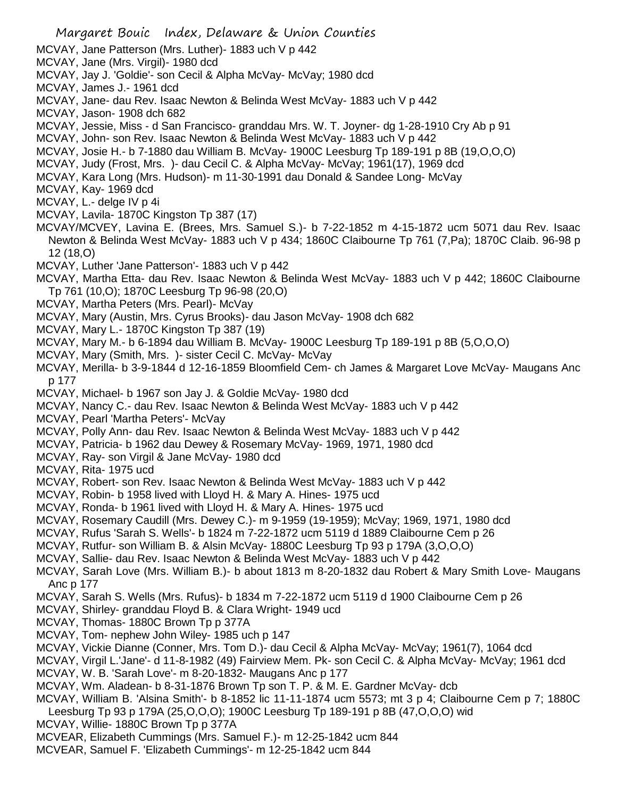MCVAY, Jane Patterson (Mrs. Luther)- 1883 uch V p 442

- MCVAY, Jane (Mrs. Virgil)- 1980 dcd
- MCVAY, Jay J. 'Goldie'- son Cecil & Alpha McVay- McVay; 1980 dcd
- MCVAY, James J.- 1961 dcd
- MCVAY, Jane- dau Rev. Isaac Newton & Belinda West McVay- 1883 uch V p 442
- MCVAY, Jason- 1908 dch 682
- MCVAY, Jessie, Miss d San Francisco- granddau Mrs. W. T. Joyner- dg 1-28-1910 Cry Ab p 91
- MCVAY, John- son Rev. Isaac Newton & Belinda West McVay- 1883 uch V p 442
- MCVAY, Josie H.- b 7-1880 dau William B. McVay- 1900C Leesburg Tp 189-191 p 8B (19,O,O,O)
- MCVAY, Judy (Frost, Mrs. )- dau Cecil C. & Alpha McVay- McVay; 1961(17), 1969 dcd
- MCVAY, Kara Long (Mrs. Hudson)- m 11-30-1991 dau Donald & Sandee Long- McVay

MCVAY, Kay- 1969 dcd

MCVAY, L.- delge IV p 4i

- MCVAY, Lavila- 1870C Kingston Tp 387 (17)
- MCVAY/MCVEY, Lavina E. (Brees, Mrs. Samuel S.)- b 7-22-1852 m 4-15-1872 ucm 5071 dau Rev. Isaac Newton & Belinda West McVay- 1883 uch V p 434; 1860C Claibourne Tp 761 (7,Pa); 1870C Claib. 96-98 p 12 (18,O)
- MCVAY, Luther 'Jane Patterson'- 1883 uch V p 442
- MCVAY, Martha Etta- dau Rev. Isaac Newton & Belinda West McVay- 1883 uch V p 442; 1860C Claibourne Tp 761 (10,O); 1870C Leesburg Tp 96-98 (20,O)
- MCVAY, Martha Peters (Mrs. Pearl)- McVay
- MCVAY, Mary (Austin, Mrs. Cyrus Brooks)- dau Jason McVay- 1908 dch 682
- MCVAY, Mary L.- 1870C Kingston Tp 387 (19)
- MCVAY, Mary M.- b 6-1894 dau William B. McVay- 1900C Leesburg Tp 189-191 p 8B (5,O,O,O)
- MCVAY, Mary (Smith, Mrs. )- sister Cecil C. McVay- McVay
- MCVAY, Merilla- b 3-9-1844 d 12-16-1859 Bloomfield Cem- ch James & Margaret Love McVay- Maugans Anc p 177
- MCVAY, Michael- b 1967 son Jay J. & Goldie McVay- 1980 dcd
- MCVAY, Nancy C.- dau Rev. Isaac Newton & Belinda West McVay- 1883 uch V p 442
- MCVAY, Pearl 'Martha Peters'- McVay
- MCVAY, Polly Ann- dau Rev. Isaac Newton & Belinda West McVay- 1883 uch V p 442
- MCVAY, Patricia- b 1962 dau Dewey & Rosemary McVay- 1969, 1971, 1980 dcd
- MCVAY, Ray- son Virgil & Jane McVay- 1980 dcd
- MCVAY, Rita- 1975 ucd
- MCVAY, Robert- son Rev. Isaac Newton & Belinda West McVay- 1883 uch V p 442
- MCVAY, Robin- b 1958 lived with Lloyd H. & Mary A. Hines- 1975 ucd
- MCVAY, Ronda- b 1961 lived with Lloyd H. & Mary A. Hines- 1975 ucd
- MCVAY, Rosemary Caudill (Mrs. Dewey C.)- m 9-1959 (19-1959); McVay; 1969, 1971, 1980 dcd
- MCVAY, Rufus 'Sarah S. Wells'- b 1824 m 7-22-1872 ucm 5119 d 1889 Claibourne Cem p 26
- MCVAY, Rutfur- son William B. & Alsin McVay- 1880C Leesburg Tp 93 p 179A (3,O,O,O)
- MCVAY, Sallie- dau Rev. Isaac Newton & Belinda West McVay- 1883 uch V p 442
- MCVAY, Sarah Love (Mrs. William B.)- b about 1813 m 8-20-1832 dau Robert & Mary Smith Love- Maugans Anc p 177
- MCVAY, Sarah S. Wells (Mrs. Rufus)- b 1834 m 7-22-1872 ucm 5119 d 1900 Claibourne Cem p 26
- MCVAY, Shirley- granddau Floyd B. & Clara Wright- 1949 ucd
- MCVAY, Thomas- 1880C Brown Tp p 377A
- MCVAY, Tom- nephew John Wiley- 1985 uch p 147
- MCVAY, Vickie Dianne (Conner, Mrs. Tom D.)- dau Cecil & Alpha McVay- McVay; 1961(7), 1064 dcd
- MCVAY, Virgil L.'Jane'- d 11-8-1982 (49) Fairview Mem. Pk- son Cecil C. & Alpha McVay- McVay; 1961 dcd
- MCVAY, W. B. 'Sarah Love'- m 8-20-1832- Maugans Anc p 177
- MCVAY, Wm. Aladean- b 8-31-1876 Brown Tp son T. P. & M. E. Gardner McVay- dcb
- MCVAY, William B. 'Alsina Smith'- b 8-1852 lic 11-11-1874 ucm 5573; mt 3 p 4; Claibourne Cem p 7; 1880C Leesburg Tp 93 p 179A (25,O,O,O); 1900C Leesburg Tp 189-191 p 8B (47,O,O,O) wid
- MCVAY, Willie- 1880C Brown Tp p 377A
- MCVEAR, Elizabeth Cummings (Mrs. Samuel F.)- m 12-25-1842 ucm 844
- MCVEAR, Samuel F. 'Elizabeth Cummings'- m 12-25-1842 ucm 844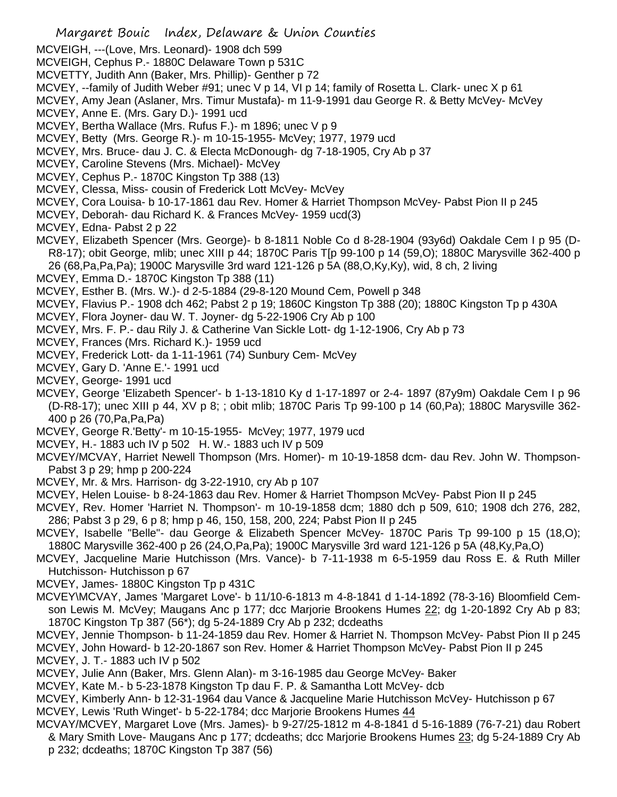- MCVEIGH, ---(Love, Mrs. Leonard)- 1908 dch 599
- MCVEIGH, Cephus P.- 1880C Delaware Town p 531C
- MCVETTY, Judith Ann (Baker, Mrs. Phillip)- Genther p 72
- MCVEY, --family of Judith Weber #91; unec V p 14, VI p 14; family of Rosetta L. Clark- unec X p 61
- MCVEY, Amy Jean (Aslaner, Mrs. Timur Mustafa)- m 11-9-1991 dau George R. & Betty McVey- McVey
- MCVEY, Anne E. (Mrs. Gary D.)- 1991 ucd
- MCVEY, Bertha Wallace (Mrs. Rufus F.)- m 1896; unec V p 9
- MCVEY, Betty (Mrs. George R.)- m 10-15-1955- McVey; 1977, 1979 ucd
- MCVEY, Mrs. Bruce- dau J. C. & Electa McDonough- dg 7-18-1905, Cry Ab p 37
- MCVEY, Caroline Stevens (Mrs. Michael)- McVey
- MCVEY, Cephus P.- 1870C Kingston Tp 388 (13)
- MCVEY, Clessa, Miss- cousin of Frederick Lott McVey- McVey
- MCVEY, Cora Louisa- b 10-17-1861 dau Rev. Homer & Harriet Thompson McVey- Pabst Pion II p 245
- MCVEY, Deborah- dau Richard K. & Frances McVey- 1959 ucd(3)
- MCVEY, Edna- Pabst 2 p 22
- MCVEY, Elizabeth Spencer (Mrs. George)- b 8-1811 Noble Co d 8-28-1904 (93y6d) Oakdale Cem I p 95 (D-R8-17); obit George, mlib; unec XIII p 44; 1870C Paris T[p 99-100 p 14 (59,O); 1880C Marysville 362-400 p 26 (68,Pa,Pa,Pa); 1900C Marysville 3rd ward 121-126 p 5A (88,O,Ky,Ky), wid, 8 ch, 2 living
- MCVEY, Emma D.- 1870C Kingston Tp 388 (11)
- MCVEY, Esther B. (Mrs. W.)- d 2-5-1884 (29-8-120 Mound Cem, Powell p 348
- MCVEY, Flavius P.- 1908 dch 462; Pabst 2 p 19; 1860C Kingston Tp 388 (20); 1880C Kingston Tp p 430A
- MCVEY, Flora Joyner- dau W. T. Joyner- dg 5-22-1906 Cry Ab p 100
- MCVEY, Mrs. F. P.- dau Rily J. & Catherine Van Sickle Lott- dg 1-12-1906, Cry Ab p 73
- MCVEY, Frances (Mrs. Richard K.)- 1959 ucd
- MCVEY, Frederick Lott- da 1-11-1961 (74) Sunbury Cem- McVey
- MCVEY, Gary D. 'Anne E.'- 1991 ucd
- MCVEY, George- 1991 ucd
- MCVEY, George 'Elizabeth Spencer'- b 1-13-1810 Ky d 1-17-1897 or 2-4- 1897 (87y9m) Oakdale Cem I p 96 (D-R8-17); unec XIII p 44, XV p 8; ; obit mlib; 1870C Paris Tp 99-100 p 14 (60,Pa); 1880C Marysville 362- 400 p 26 (70,Pa,Pa,Pa)
- MCVEY, George R.'Betty'- m 10-15-1955- McVey; 1977, 1979 ucd
- MCVEY, H.- 1883 uch IV p 502 H. W.- 1883 uch IV p 509
- MCVEY/MCVAY, Harriet Newell Thompson (Mrs. Homer)- m 10-19-1858 dcm- dau Rev. John W. Thompson-Pabst 3 p 29; hmp p 200-224
- MCVEY, Mr. & Mrs. Harrison- dg 3-22-1910, cry Ab p 107
- MCVEY, Helen Louise- b 8-24-1863 dau Rev. Homer & Harriet Thompson McVey- Pabst Pion II p 245
- MCVEY, Rev. Homer 'Harriet N. Thompson'- m 10-19-1858 dcm; 1880 dch p 509, 610; 1908 dch 276, 282, 286; Pabst 3 p 29, 6 p 8; hmp p 46, 150, 158, 200, 224; Pabst Pion II p 245
- MCVEY, Isabelle "Belle"- dau George & Elizabeth Spencer McVey- 1870C Paris Tp 99-100 p 15 (18,O); 1880C Marysville 362-400 p 26 (24,O,Pa,Pa); 1900C Marysville 3rd ward 121-126 p 5A (48,Ky,Pa,O)
- MCVEY, Jacqueline Marie Hutchisson (Mrs. Vance)- b 7-11-1938 m 6-5-1959 dau Ross E. & Ruth Miller Hutchisson- Hutchisson p 67
- MCVEY, James- 1880C Kingston Tp p 431C
- MCVEY\MCVAY, James 'Margaret Love'- b 11/10-6-1813 m 4-8-1841 d 1-14-1892 (78-3-16) Bloomfield Cemson Lewis M. McVey; Maugans Anc p 177; dcc Marjorie Brookens Humes 22; dg 1-20-1892 Cry Ab p 83; 1870C Kingston Tp 387 (56\*); dg 5-24-1889 Cry Ab p 232; dcdeaths
- MCVEY, Jennie Thompson- b 11-24-1859 dau Rev. Homer & Harriet N. Thompson McVey- Pabst Pion II p 245
- MCVEY, John Howard- b 12-20-1867 son Rev. Homer & Harriet Thompson McVey- Pabst Pion II p 245 MCVEY, J. T.- 1883 uch IV p 502
- MCVEY, Julie Ann (Baker, Mrs. Glenn Alan)- m 3-16-1985 dau George McVey- Baker
- MCVEY, Kate M.- b 5-23-1878 Kingston Tp dau F. P. & Samantha Lott McVey- dcb
- MCVEY, Kimberly Ann- b 12-31-1964 dau Vance & Jacqueline Marie Hutchisson McVey- Hutchisson p 67 MCVEY, Lewis 'Ruth Winget'- b 5-22-1784; dcc Marjorie Brookens Humes 44
- MCVAY/MCVEY, Margaret Love (Mrs. James)- b 9-27/25-1812 m 4-8-1841 d 5-16-1889 (76-7-21) dau Robert & Mary Smith Love- Maugans Anc p 177; dcdeaths; dcc Marjorie Brookens Humes 23; dg 5-24-1889 Cry Ab p 232; dcdeaths; 1870C Kingston Tp 387 (56)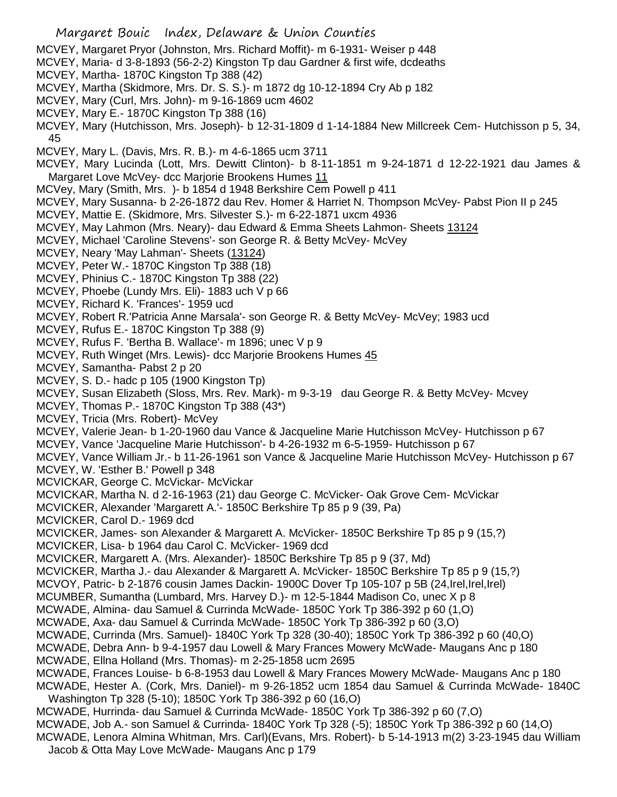- MCVEY, Margaret Pryor (Johnston, Mrs. Richard Moffit)- m 6-1931- Weiser p 448
- MCVEY, Maria- d 3-8-1893 (56-2-2) Kingston Tp dau Gardner & first wife, dcdeaths
- MCVEY, Martha- 1870C Kingston Tp 388 (42)
- MCVEY, Martha (Skidmore, Mrs. Dr. S. S.)- m 1872 dg 10-12-1894 Cry Ab p 182
- MCVEY, Mary (Curl, Mrs. John)- m 9-16-1869 ucm 4602
- MCVEY, Mary E.- 1870C Kingston Tp 388 (16)
- MCVEY, Mary (Hutchisson, Mrs. Joseph)- b 12-31-1809 d 1-14-1884 New Millcreek Cem- Hutchisson p 5, 34, 45
- MCVEY, Mary L. (Davis, Mrs. R. B.)- m 4-6-1865 ucm 3711
- MCVEY, Mary Lucinda (Lott, Mrs. Dewitt Clinton)- b 8-11-1851 m 9-24-1871 d 12-22-1921 dau James & Margaret Love McVey- dcc Marjorie Brookens Humes 11
- MCVey, Mary (Smith, Mrs. )- b 1854 d 1948 Berkshire Cem Powell p 411
- MCVEY, Mary Susanna- b 2-26-1872 dau Rev. Homer & Harriet N. Thompson McVey- Pabst Pion II p 245
- MCVEY, Mattie E. (Skidmore, Mrs. Silvester S.)- m 6-22-1871 uxcm 4936
- MCVEY, May Lahmon (Mrs. Neary)- dau Edward & Emma Sheets Lahmon- Sheets 13124
- MCVEY, Michael 'Caroline Stevens'- son George R. & Betty McVey- McVey
- MCVEY, Neary 'May Lahman'- Sheets (13124)
- MCVEY, Peter W.- 1870C Kingston Tp 388 (18)
- MCVEY, Phinius C.- 1870C Kingston Tp 388 (22)
- MCVEY, Phoebe (Lundy Mrs. Eli)- 1883 uch V p 66
- MCVEY, Richard K. 'Frances'- 1959 ucd
- MCVEY, Robert R.'Patricia Anne Marsala'- son George R. & Betty McVey- McVey; 1983 ucd
- MCVEY, Rufus E.- 1870C Kingston Tp 388 (9)
- MCVEY, Rufus F. 'Bertha B. Wallace'- m 1896; unec V p 9
- MCVEY, Ruth Winget (Mrs. Lewis)- dcc Marjorie Brookens Humes 45
- MCVEY, Samantha- Pabst 2 p 20
- MCVEY, S. D.- hadc p 105 (1900 Kingston Tp)
- MCVEY, Susan Elizabeth (Sloss, Mrs. Rev. Mark)- m 9-3-19 dau George R. & Betty McVey- Mcvey
- MCVEY, Thomas P.- 1870C Kingston Tp 388 (43\*)
- MCVEY, Tricia (Mrs. Robert)- McVey
- MCVEY, Valerie Jean- b 1-20-1960 dau Vance & Jacqueline Marie Hutchisson McVey- Hutchisson p 67
- MCVEY, Vance 'Jacqueline Marie Hutchisson'- b 4-26-1932 m 6-5-1959- Hutchisson p 67
- MCVEY, Vance William Jr.- b 11-26-1961 son Vance & Jacqueline Marie Hutchisson McVey- Hutchisson p 67
- MCVEY, W. 'Esther B.' Powell p 348
- MCVICKAR, George C. McVickar- McVickar
- MCVICKAR, Martha N. d 2-16-1963 (21) dau George C. McVicker- Oak Grove Cem- McVickar
- MCVICKER, Alexander 'Margarett A.'- 1850C Berkshire Tp 85 p 9 (39, Pa)
- MCVICKER, Carol D.- 1969 dcd
- MCVICKER, James- son Alexander & Margarett A. McVicker- 1850C Berkshire Tp 85 p 9 (15,?)
- MCVICKER, Lisa- b 1964 dau Carol C. McVicker- 1969 dcd
- MCVICKER, Margarett A. (Mrs. Alexander)- 1850C Berkshire Tp 85 p 9 (37, Md)
- MCVICKER, Martha J.- dau Alexander & Margarett A. McVicker- 1850C Berkshire Tp 85 p 9 (15,?)
- MCVOY, Patric- b 2-1876 cousin James Dackin- 1900C Dover Tp 105-107 p 5B (24,Irel,Irel,Irel)
- MCUMBER, Sumantha (Lumbard, Mrs. Harvey D.)- m 12-5-1844 Madison Co, unec X p 8
- MCWADE, Almina- dau Samuel & Currinda McWade- 1850C York Tp 386-392 p 60 (1,O)
- MCWADE, Axa- dau Samuel & Currinda McWade- 1850C York Tp 386-392 p 60 (3,O)
- MCWADE, Currinda (Mrs. Samuel)- 1840C York Tp 328 (30-40); 1850C York Tp 386-392 p 60 (40,O)
- MCWADE, Debra Ann- b 9-4-1957 dau Lowell & Mary Frances Mowery McWade- Maugans Anc p 180
- MCWADE, Ellna Holland (Mrs. Thomas)- m 2-25-1858 ucm 2695
- MCWADE, Frances Louise- b 6-8-1953 dau Lowell & Mary Frances Mowery McWade- Maugans Anc p 180
- MCWADE, Hester A. (Cork, Mrs. Daniel)- m 9-26-1852 ucm 1854 dau Samuel & Currinda McWade- 1840C Washington Tp 328 (5-10); 1850C York Tp 386-392 p 60 (16,O)
- MCWADE, Hurrinda- dau Samuel & Currinda McWade- 1850C York Tp 386-392 p 60 (7,O)
- MCWADE, Job A.- son Samuel & Currinda- 1840C York Tp 328 (-5); 1850C York Tp 386-392 p 60 (14,O)
- MCWADE, Lenora Almina Whitman, Mrs. Carl)(Evans, Mrs. Robert)- b 5-14-1913 m(2) 3-23-1945 dau William Jacob & Otta May Love McWade- Maugans Anc p 179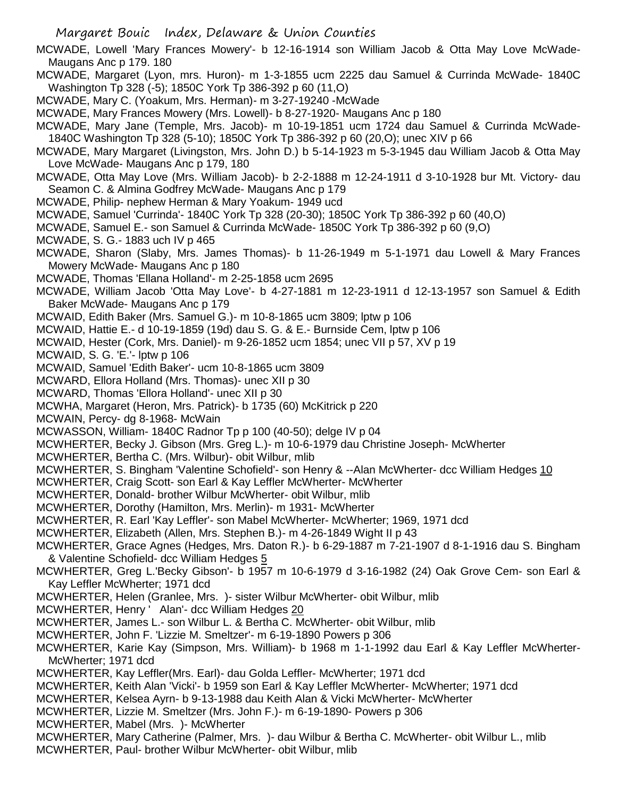Margaret Bouic Index, Delaware & Union Counties

- MCWADE, Lowell 'Mary Frances Mowery'- b 12-16-1914 son William Jacob & Otta May Love McWade-Maugans Anc p 179. 180
- MCWADE, Margaret (Lyon, mrs. Huron)- m 1-3-1855 ucm 2225 dau Samuel & Currinda McWade- 1840C Washington Tp 328 (-5); 1850C York Tp 386-392 p 60 (11,O)
- MCWADE, Mary C. (Yoakum, Mrs. Herman)- m 3-27-19240 -McWade
- MCWADE, Mary Frances Mowery (Mrs. Lowell)- b 8-27-1920- Maugans Anc p 180
- MCWADE, Mary Jane (Temple, Mrs. Jacob)- m 10-19-1851 ucm 1724 dau Samuel & Currinda McWade-1840C Washington Tp 328 (5-10); 1850C York Tp 386-392 p 60 (20,O); unec XIV p 66
- MCWADE, Mary Margaret (Livingston, Mrs. John D.) b 5-14-1923 m 5-3-1945 dau William Jacob & Otta May Love McWade- Maugans Anc p 179, 180
- MCWADE, Otta May Love (Mrs. William Jacob)- b 2-2-1888 m 12-24-1911 d 3-10-1928 bur Mt. Victory- dau Seamon C. & Almina Godfrey McWade- Maugans Anc p 179
- MCWADE, Philip- nephew Herman & Mary Yoakum- 1949 ucd
- MCWADE, Samuel 'Currinda'- 1840C York Tp 328 (20-30); 1850C York Tp 386-392 p 60 (40,O)
- MCWADE, Samuel E.- son Samuel & Currinda McWade- 1850C York Tp 386-392 p 60 (9,O)
- MCWADE, S. G.- 1883 uch IV p 465
- MCWADE, Sharon (Slaby, Mrs. James Thomas)- b 11-26-1949 m 5-1-1971 dau Lowell & Mary Frances Mowery McWade- Maugans Anc p 180
- MCWADE, Thomas 'Ellana Holland'- m 2-25-1858 ucm 2695
- MCWADE, William Jacob 'Otta May Love'- b 4-27-1881 m 12-23-1911 d 12-13-1957 son Samuel & Edith Baker McWade- Maugans Anc p 179
- MCWAID, Edith Baker (Mrs. Samuel G.)- m 10-8-1865 ucm 3809; lptw p 106
- MCWAID, Hattie E.- d 10-19-1859 (19d) dau S. G. & E.- Burnside Cem, lptw p 106
- MCWAID, Hester (Cork, Mrs. Daniel)- m 9-26-1852 ucm 1854; unec VII p 57, XV p 19
- MCWAID, S. G. 'E.'- lptw p 106
- MCWAID, Samuel 'Edith Baker'- ucm 10-8-1865 ucm 3809
- MCWARD, Ellora Holland (Mrs. Thomas)- unec XII p 30
- MCWARD, Thomas 'Ellora Holland'- unec XII p 30
- MCWHA, Margaret (Heron, Mrs. Patrick)- b 1735 (60) McKitrick p 220
- MCWAIN, Percy- dg 8-1968- McWain
- MCWASSON, William- 1840C Radnor Tp p 100 (40-50); delge IV p 04
- MCWHERTER, Becky J. Gibson (Mrs. Greg L.)- m 10-6-1979 dau Christine Joseph- McWherter
- MCWHERTER, Bertha C. (Mrs. Wilbur)- obit Wilbur, mlib
- MCWHERTER, S. Bingham 'Valentine Schofield'- son Henry & --Alan McWherter- dcc William Hedges 10
- MCWHERTER, Craig Scott- son Earl & Kay Leffler McWherter- McWherter
- MCWHERTER, Donald- brother Wilbur McWherter- obit Wilbur, mlib
- MCWHERTER, Dorothy (Hamilton, Mrs. Merlin)- m 1931- McWherter
- MCWHERTER, R. Earl 'Kay Leffler'- son Mabel McWherter- McWherter; 1969, 1971 dcd
- MCWHERTER, Elizabeth (Allen, Mrs. Stephen B.)- m 4-26-1849 Wight II p 43
- MCWHERTER, Grace Agnes (Hedges, Mrs. Daton R.)- b 6-29-1887 m 7-21-1907 d 8-1-1916 dau S. Bingham & Valentine Schofield- dcc William Hedges 5
- MCWHERTER, Greg L.'Becky Gibson'- b 1957 m 10-6-1979 d 3-16-1982 (24) Oak Grove Cem- son Earl & Kay Leffler McWherter; 1971 dcd
- MCWHERTER, Helen (Granlee, Mrs. )- sister Wilbur McWherter- obit Wilbur, mlib
- MCWHERTER, Henry ' Alan'- dcc William Hedges 20
- MCWHERTER, James L.- son Wilbur L. & Bertha C. McWherter- obit Wilbur, mlib
- MCWHERTER, John F. 'Lizzie M. Smeltzer'- m 6-19-1890 Powers p 306
- MCWHERTER, Karie Kay (Simpson, Mrs. William)- b 1968 m 1-1-1992 dau Earl & Kay Leffler McWherter-McWherter; 1971 dcd
- MCWHERTER, Kay Leffler(Mrs. Earl)- dau Golda Leffler- McWherter; 1971 dcd
- MCWHERTER, Keith Alan 'Vicki'- b 1959 son Earl & Kay Leffler McWherter- McWherter; 1971 dcd
- MCWHERTER, Kelsea Ayrn- b 9-13-1988 dau Keith Alan & Vicki McWherter- McWherter
- MCWHERTER, Lizzie M. Smeltzer (Mrs. John F.)- m 6-19-1890- Powers p 306
- MCWHERTER, Mabel (Mrs. )- McWherter
- MCWHERTER, Mary Catherine (Palmer, Mrs. )- dau Wilbur & Bertha C. McWherter- obit Wilbur L., mlib
- MCWHERTER, Paul- brother Wilbur McWherter- obit Wilbur, mlib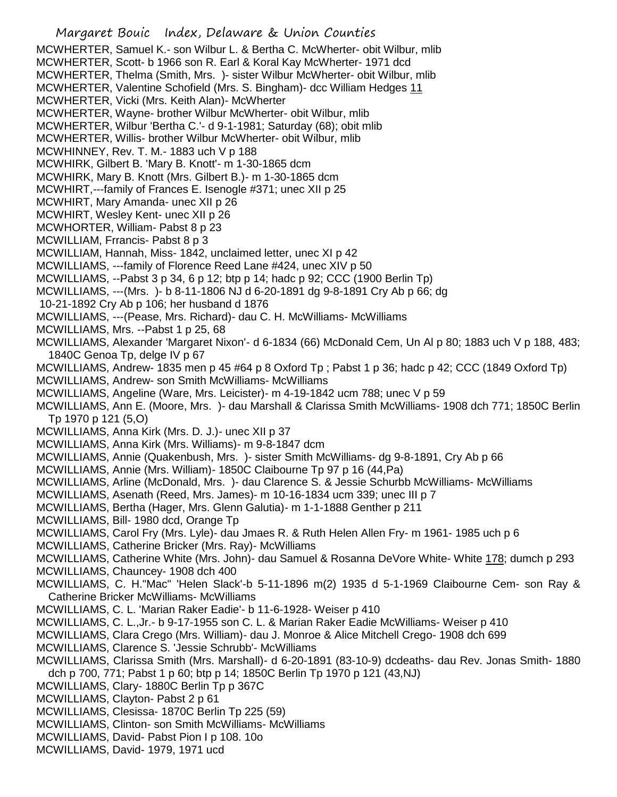Margaret Bouic Index, Delaware & Union Counties MCWHERTER, Samuel K.- son Wilbur L. & Bertha C. McWherter- obit Wilbur, mlib MCWHERTER, Scott- b 1966 son R. Earl & Koral Kay McWherter- 1971 dcd MCWHERTER, Thelma (Smith, Mrs. )- sister Wilbur McWherter- obit Wilbur, mlib MCWHERTER, Valentine Schofield (Mrs. S. Bingham)- dcc William Hedges 11 MCWHERTER, Vicki (Mrs. Keith Alan)- McWherter MCWHERTER, Wayne- brother Wilbur McWherter- obit Wilbur, mlib MCWHERTER, Wilbur 'Bertha C.'- d 9-1-1981; Saturday (68); obit mlib MCWHERTER, Willis- brother Wilbur McWherter- obit Wilbur, mlib MCWHINNEY, Rev. T. M.- 1883 uch V p 188 MCWHIRK, Gilbert B. 'Mary B. Knott'- m 1-30-1865 dcm MCWHIRK, Mary B. Knott (Mrs. Gilbert B.)- m 1-30-1865 dcm MCWHIRT,---family of Frances E. Isenogle #371; unec XII p 25 MCWHIRT, Mary Amanda- unec XII p 26 MCWHIRT, Wesley Kent- unec XII p 26 MCWHORTER, William- Pabst 8 p 23 MCWILLIAM, Frrancis- Pabst 8 p 3 MCWILLIAM, Hannah, Miss- 1842, unclaimed letter, unec XI p 42 MCWILLIAMS, ---family of Florence Reed Lane #424, unec XIV p 50 MCWILLIAMS, --Pabst 3 p 34, 6 p 12; btp p 14; hadc p 92; CCC (1900 Berlin Tp) MCWILLIAMS, ---(Mrs. )- b 8-11-1806 NJ d 6-20-1891 dg 9-8-1891 Cry Ab p 66; dg 10-21-1892 Cry Ab p 106; her husband d 1876 MCWILLIAMS, ---(Pease, Mrs. Richard)- dau C. H. McWilliams- McWilliams MCWILLIAMS, Mrs. --Pabst 1 p 25, 68 MCWILLIAMS, Alexander 'Margaret Nixon'- d 6-1834 (66) McDonald Cem, Un Al p 80; 1883 uch V p 188, 483; 1840C Genoa Tp, delge IV p 67 MCWILLIAMS, Andrew- 1835 men p 45 #64 p 8 Oxford Tp ; Pabst 1 p 36; hadc p 42; CCC (1849 Oxford Tp) MCWILLIAMS, Andrew- son Smith McWilliams- McWilliams MCWILLIAMS, Angeline (Ware, Mrs. Leicister)- m 4-19-1842 ucm 788; unec V p 59 MCWILLIAMS, Ann E. (Moore, Mrs. )- dau Marshall & Clarissa Smith McWilliams- 1908 dch 771; 1850C Berlin Tp 1970 p 121 (5,O) MCWILLIAMS, Anna Kirk (Mrs. D. J.)- unec XII p 37 MCWILLIAMS, Anna Kirk (Mrs. Williams)- m 9-8-1847 dcm MCWILLIAMS, Annie (Quakenbush, Mrs. )- sister Smith McWilliams- dg 9-8-1891, Cry Ab p 66 MCWILLIAMS, Annie (Mrs. William)- 1850C Claibourne Tp 97 p 16 (44,Pa) MCWILLIAMS, Arline (McDonald, Mrs. )- dau Clarence S. & Jessie Schurbb McWilliams- McWilliams MCWILLIAMS, Asenath (Reed, Mrs. James)- m 10-16-1834 ucm 339; unec III p 7 MCWILLIAMS, Bertha (Hager, Mrs. Glenn Galutia)- m 1-1-1888 Genther p 211 MCWILLIAMS, Bill- 1980 dcd, Orange Tp MCWILLIAMS, Carol Fry (Mrs. Lyle)- dau Jmaes R. & Ruth Helen Allen Fry- m 1961- 1985 uch p 6 MCWILLIAMS, Catherine Bricker (Mrs. Ray)- McWilliams MCWILLIAMS, Catherine White (Mrs. John)- dau Samuel & Rosanna DeVore White- White 178; dumch p 293 MCWILLIAMS, Chauncey- 1908 dch 400 MCWILLIAMS, C. H."Mac" 'Helen Slack'-b 5-11-1896 m(2) 1935 d 5-1-1969 Claibourne Cem- son Ray & Catherine Bricker McWilliams- McWilliams MCWILLIAMS, C. L. 'Marian Raker Eadie'- b 11-6-1928- Weiser p 410 MCWILLIAMS, C. L.,Jr.- b 9-17-1955 son C. L. & Marian Raker Eadie McWilliams- Weiser p 410 MCWILLIAMS, Clara Crego (Mrs. William)- dau J. Monroe & Alice Mitchell Crego- 1908 dch 699 MCWILLIAMS, Clarence S. 'Jessie Schrubb'- McWilliams MCWILLIAMS, Clarissa Smith (Mrs. Marshall)- d 6-20-1891 (83-10-9) dcdeaths- dau Rev. Jonas Smith- 1880 dch p 700, 771; Pabst 1 p 60; btp p 14; 1850C Berlin Tp 1970 p 121 (43,NJ) MCWILLIAMS, Clary- 1880C Berlin Tp p 367C MCWILLIAMS, Clayton- Pabst 2 p 61 MCWILLIAMS, Clesissa- 1870C Berlin Tp 225 (59) MCWILLIAMS, Clinton- son Smith McWilliams- McWilliams MCWILLIAMS, David- Pabst Pion I p 108. 10o MCWILLIAMS, David- 1979, 1971 ucd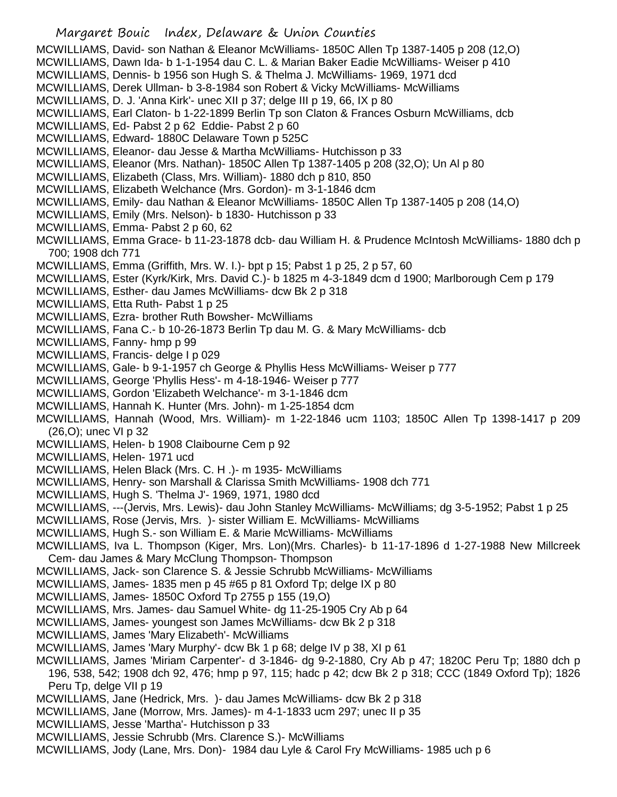- Margaret Bouic Index, Delaware & Union Counties MCWILLIAMS, David- son Nathan & Eleanor McWilliams- 1850C Allen Tp 1387-1405 p 208 (12,O) MCWILLIAMS, Dawn Ida- b 1-1-1954 dau C. L. & Marian Baker Eadie McWilliams- Weiser p 410 MCWILLIAMS, Dennis- b 1956 son Hugh S. & Thelma J. McWilliams- 1969, 1971 dcd MCWILLIAMS, Derek Ullman- b 3-8-1984 son Robert & Vicky McWilliams- McWilliams MCWILLIAMS, D. J. 'Anna Kirk'- unec XII p 37; delge III p 19, 66, IX p 80 MCWILLIAMS, Earl Claton- b 1-22-1899 Berlin Tp son Claton & Frances Osburn McWilliams, dcb MCWILLIAMS, Ed- Pabst 2 p 62 Eddie- Pabst 2 p 60 MCWILLIAMS, Edward- 1880C Delaware Town p 525C MCWILLIAMS, Eleanor- dau Jesse & Martha McWilliams- Hutchisson p 33 MCWILLIAMS, Eleanor (Mrs. Nathan)- 1850C Allen Tp 1387-1405 p 208 (32,O); Un Al p 80 MCWILLIAMS, Elizabeth (Class, Mrs. William)- 1880 dch p 810, 850 MCWILLIAMS, Elizabeth Welchance (Mrs. Gordon)- m 3-1-1846 dcm MCWILLIAMS, Emily- dau Nathan & Eleanor McWilliams- 1850C Allen Tp 1387-1405 p 208 (14,O) MCWILLIAMS, Emily (Mrs. Nelson)- b 1830- Hutchisson p 33 MCWILLIAMS, Emma- Pabst 2 p 60, 62 MCWILLIAMS, Emma Grace- b 11-23-1878 dcb- dau William H. & Prudence McIntosh McWilliams- 1880 dch p 700; 1908 dch 771 MCWILLIAMS, Emma (Griffith, Mrs. W. I.)- bpt p 15; Pabst 1 p 25, 2 p 57, 60 MCWILLIAMS, Ester (Kyrk/Kirk, Mrs. David C.)- b 1825 m 4-3-1849 dcm d 1900; Marlborough Cem p 179 MCWILLIAMS, Esther- dau James McWilliams- dcw Bk 2 p 318 MCWILLIAMS, Etta Ruth- Pabst 1 p 25 MCWILLIAMS, Ezra- brother Ruth Bowsher- McWilliams MCWILLIAMS, Fana C.- b 10-26-1873 Berlin Tp dau M. G. & Mary McWilliams- dcb MCWILLIAMS, Fanny- hmp p 99 MCWILLIAMS, Francis- delge I p 029 MCWILLIAMS, Gale- b 9-1-1957 ch George & Phyllis Hess McWilliams- Weiser p 777 MCWILLIAMS, George 'Phyllis Hess'- m 4-18-1946- Weiser p 777 MCWILLIAMS, Gordon 'Elizabeth Welchance'- m 3-1-1846 dcm MCWILLIAMS, Hannah K. Hunter (Mrs. John)- m 1-25-1854 dcm MCWILLIAMS, Hannah (Wood, Mrs. William)- m 1-22-1846 ucm 1103; 1850C Allen Tp 1398-1417 p 209 (26,O); unec VI p 32 MCWILLIAMS, Helen- b 1908 Claibourne Cem p 92 MCWILLIAMS, Helen- 1971 ucd MCWILLIAMS, Helen Black (Mrs. C. H .)- m 1935- McWilliams MCWILLIAMS, Henry- son Marshall & Clarissa Smith McWilliams- 1908 dch 771 MCWILLIAMS, Hugh S. 'Thelma J'- 1969, 1971, 1980 dcd MCWILLIAMS, ---(Jervis, Mrs. Lewis)- dau John Stanley McWilliams- McWilliams; dg 3-5-1952; Pabst 1 p 25 MCWILLIAMS, Rose (Jervis, Mrs. )- sister William E. McWilliams- McWilliams MCWILLIAMS, Hugh S.- son William E. & Marie McWilliams- McWilliams MCWILLIAMS, Iva L. Thompson (Kiger, Mrs. Lon)(Mrs. Charles)- b 11-17-1896 d 1-27-1988 New Millcreek Cem- dau James & Mary McClung Thompson- Thompson MCWILLIAMS, Jack- son Clarence S. & Jessie Schrubb McWilliams- McWilliams MCWILLIAMS, James- 1835 men p 45 #65 p 81 Oxford Tp; delge IX p 80 MCWILLIAMS, James- 1850C Oxford Tp 2755 p 155 (19,O) MCWILLIAMS, Mrs. James- dau Samuel White- dg 11-25-1905 Cry Ab p 64 MCWILLIAMS, James- youngest son James McWilliams- dcw Bk 2 p 318 MCWILLIAMS, James 'Mary Elizabeth'- McWilliams MCWILLIAMS, James 'Mary Murphy'- dcw Bk 1 p 68; delge IV p 38, XI p 61 MCWILLIAMS, James 'Miriam Carpenter'- d 3-1846- dg 9-2-1880, Cry Ab p 47; 1820C Peru Tp; 1880 dch p 196, 538, 542; 1908 dch 92, 476; hmp p 97, 115; hadc p 42; dcw Bk 2 p 318; CCC (1849 Oxford Tp); 1826 Peru Tp, delge VII p 19 MCWILLIAMS, Jane (Hedrick, Mrs. )- dau James McWilliams- dcw Bk 2 p 318 MCWILLIAMS, Jane (Morrow, Mrs. James)- m 4-1-1833 ucm 297; unec II p 35
- MCWILLIAMS, Jesse 'Martha'- Hutchisson p 33
- MCWILLIAMS, Jessie Schrubb (Mrs. Clarence S.)- McWilliams
- MCWILLIAMS, Jody (Lane, Mrs. Don)- 1984 dau Lyle & Carol Fry McWilliams- 1985 uch p 6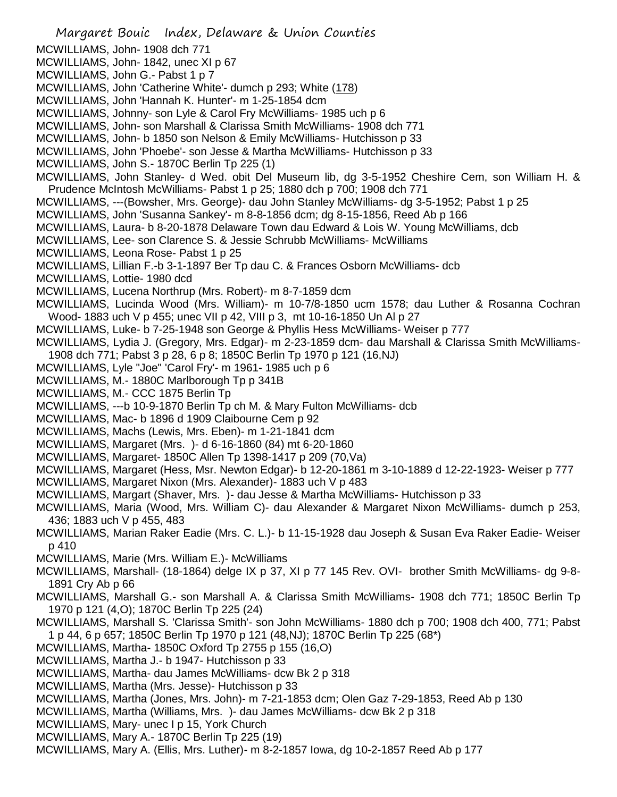- Margaret Bouic Index, Delaware & Union Counties MCWILLIAMS, John- 1908 dch 771 MCWILLIAMS, John- 1842, unec XI p 67 MCWILLIAMS, John G.- Pabst 1 p 7 MCWILLIAMS, John 'Catherine White'- dumch p 293; White (178) MCWILLIAMS, John 'Hannah K. Hunter'- m 1-25-1854 dcm MCWILLIAMS, Johnny- son Lyle & Carol Fry McWilliams- 1985 uch p 6 MCWILLIAMS, John- son Marshall & Clarissa Smith McWilliams- 1908 dch 771 MCWILLIAMS, John- b 1850 son Nelson & Emily McWilliams- Hutchisson p 33 MCWILLIAMS, John 'Phoebe'- son Jesse & Martha McWilliams- Hutchisson p 33 MCWILLIAMS, John S.- 1870C Berlin Tp 225 (1) MCWILLIAMS, John Stanley- d Wed. obit Del Museum lib, dg 3-5-1952 Cheshire Cem, son William H. & Prudence McIntosh McWilliams- Pabst 1 p 25; 1880 dch p 700; 1908 dch 771 MCWILLIAMS, ---(Bowsher, Mrs. George)- dau John Stanley McWilliams- dg 3-5-1952; Pabst 1 p 25 MCWILLIAMS, John 'Susanna Sankey'- m 8-8-1856 dcm; dg 8-15-1856, Reed Ab p 166 MCWILLIAMS, Laura- b 8-20-1878 Delaware Town dau Edward & Lois W. Young McWilliams, dcb MCWILLIAMS, Lee- son Clarence S. & Jessie Schrubb McWilliams- McWilliams MCWILLIAMS, Leona Rose- Pabst 1 p 25 MCWILLIAMS, Lillian F.-b 3-1-1897 Ber Tp dau C. & Frances Osborn McWilliams- dcb MCWILLIAMS, Lottie- 1980 dcd MCWILLIAMS, Lucena Northrup (Mrs. Robert)- m 8-7-1859 dcm MCWILLIAMS, Lucinda Wood (Mrs. William)- m 10-7/8-1850 ucm 1578; dau Luther & Rosanna Cochran Wood- 1883 uch V p 455; unec VII p 42, VIII p 3, mt 10-16-1850 Un Al p 27 MCWILLIAMS, Luke- b 7-25-1948 son George & Phyllis Hess McWilliams- Weiser p 777 MCWILLIAMS, Lydia J. (Gregory, Mrs. Edgar)- m 2-23-1859 dcm- dau Marshall & Clarissa Smith McWilliams-1908 dch 771; Pabst 3 p 28, 6 p 8; 1850C Berlin Tp 1970 p 121 (16,NJ) MCWILLIAMS, Lyle "Joe" 'Carol Fry'- m 1961- 1985 uch p 6 MCWILLIAMS, M.- 1880C Marlborough Tp p 341B MCWILLIAMS, M.- CCC 1875 Berlin Tp MCWILLIAMS, ---b 10-9-1870 Berlin Tp ch M. & Mary Fulton McWilliams- dcb MCWILLIAMS, Mac- b 1896 d 1909 Claibourne Cem p 92 MCWILLIAMS, Machs (Lewis, Mrs. Eben)- m 1-21-1841 dcm MCWILLIAMS, Margaret (Mrs. )- d 6-16-1860 (84) mt 6-20-1860 MCWILLIAMS, Margaret- 1850C Allen Tp 1398-1417 p 209 (70,Va) MCWILLIAMS, Margaret (Hess, Msr. Newton Edgar)- b 12-20-1861 m 3-10-1889 d 12-22-1923- Weiser p 777 MCWILLIAMS, Margaret Nixon (Mrs. Alexander)- 1883 uch V p 483 MCWILLIAMS, Margart (Shaver, Mrs. )- dau Jesse & Martha McWilliams- Hutchisson p 33 MCWILLIAMS, Maria (Wood, Mrs. William C)- dau Alexander & Margaret Nixon McWilliams- dumch p 253, 436; 1883 uch V p 455, 483 MCWILLIAMS, Marian Raker Eadie (Mrs. C. L.)- b 11-15-1928 dau Joseph & Susan Eva Raker Eadie- Weiser p 410 MCWILLIAMS, Marie (Mrs. William E.)- McWilliams MCWILLIAMS, Marshall- (18-1864) delge IX p 37, XI p 77 145 Rev. OVI- brother Smith McWilliams- dg 9-8- 1891 Cry Ab p 66 MCWILLIAMS, Marshall G.- son Marshall A. & Clarissa Smith McWilliams- 1908 dch 771; 1850C Berlin Tp 1970 p 121 (4,O); 1870C Berlin Tp 225 (24) MCWILLIAMS, Marshall S. 'Clarissa Smith'- son John McWilliams- 1880 dch p 700; 1908 dch 400, 771; Pabst 1 p 44, 6 p 657; 1850C Berlin Tp 1970 p 121 (48,NJ); 1870C Berlin Tp 225 (68\*) MCWILLIAMS, Martha- 1850C Oxford Tp 2755 p 155 (16,O) MCWILLIAMS, Martha J.- b 1947- Hutchisson p 33 MCWILLIAMS, Martha- dau James McWilliams- dcw Bk 2 p 318 MCWILLIAMS, Martha (Mrs. Jesse)- Hutchisson p 33 MCWILLIAMS, Martha (Jones, Mrs. John)- m 7-21-1853 dcm; Olen Gaz 7-29-1853, Reed Ab p 130 MCWILLIAMS, Martha (Williams, Mrs. )- dau James McWilliams- dcw Bk 2 p 318
- MCWILLIAMS, Mary- unec I p 15, York Church
- MCWILLIAMS, Mary A.- 1870C Berlin Tp 225 (19)
- MCWILLIAMS, Mary A. (Ellis, Mrs. Luther)- m 8-2-1857 Iowa, dg 10-2-1857 Reed Ab p 177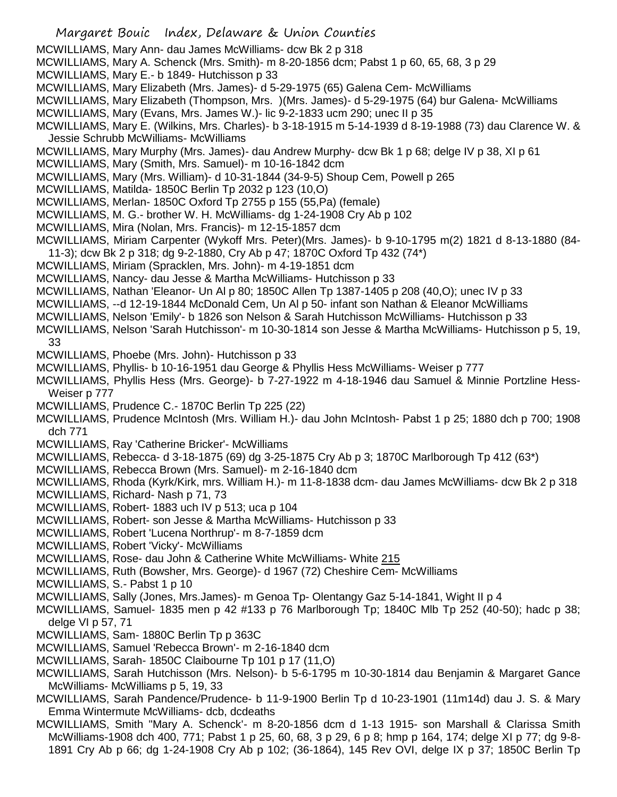- MCWILLIAMS, Mary Ann- dau James McWilliams- dcw Bk 2 p 318
- MCWILLIAMS, Mary A. Schenck (Mrs. Smith)- m 8-20-1856 dcm; Pabst 1 p 60, 65, 68, 3 p 29
- MCWILLIAMS, Mary E.- b 1849- Hutchisson p 33
- MCWILLIAMS, Mary Elizabeth (Mrs. James)- d 5-29-1975 (65) Galena Cem- McWilliams
- MCWILLIAMS, Mary Elizabeth (Thompson, Mrs. )(Mrs. James)- d 5-29-1975 (64) bur Galena- McWilliams
- MCWILLIAMS, Mary (Evans, Mrs. James W.)- lic 9-2-1833 ucm 290; unec II p 35
- MCWILLIAMS, Mary E. (Wilkins, Mrs. Charles)- b 3-18-1915 m 5-14-1939 d 8-19-1988 (73) dau Clarence W. & Jessie Schrubb McWilliams- McWilliams
- MCWILLIAMS, Mary Murphy (Mrs. James)- dau Andrew Murphy- dcw Bk 1 p 68; delge IV p 38, XI p 61
- MCWILLIAMS, Mary (Smith, Mrs. Samuel)- m 10-16-1842 dcm
- MCWILLIAMS, Mary (Mrs. William)- d 10-31-1844 (34-9-5) Shoup Cem, Powell p 265
- MCWILLIAMS, Matilda- 1850C Berlin Tp 2032 p 123 (10,O)
- MCWILLIAMS, Merlan- 1850C Oxford Tp 2755 p 155 (55,Pa) (female)
- MCWILLIAMS, M. G.- brother W. H. McWilliams- dg 1-24-1908 Cry Ab p 102
- MCWILLIAMS, Mira (Nolan, Mrs. Francis)- m 12-15-1857 dcm
- MCWILLIAMS, Miriam Carpenter (Wykoff Mrs. Peter)(Mrs. James)- b 9-10-1795 m(2) 1821 d 8-13-1880 (84- 11-3); dcw Bk 2 p 318; dg 9-2-1880, Cry Ab p 47; 1870C Oxford Tp 432 (74\*)
- MCWILLIAMS, Miriam (Spracklen, Mrs. John)- m 4-19-1851 dcm
- MCWILLIAMS, Nancy- dau Jesse & Martha McWilliams- Hutchisson p 33
- MCWILLIAMS, Nathan 'Eleanor- Un Al p 80; 1850C Allen Tp 1387-1405 p 208 (40,O); unec IV p 33
- MCWILLIAMS, --d 12-19-1844 McDonald Cem, Un Al p 50- infant son Nathan & Eleanor McWilliams
- MCWILLIAMS, Nelson 'Emily'- b 1826 son Nelson & Sarah Hutchisson McWilliams- Hutchisson p 33
- MCWILLIAMS, Nelson 'Sarah Hutchisson'- m 10-30-1814 son Jesse & Martha McWilliams- Hutchisson p 5, 19, 33
- MCWILLIAMS, Phoebe (Mrs. John)- Hutchisson p 33
- MCWILLIAMS, Phyllis- b 10-16-1951 dau George & Phyllis Hess McWilliams- Weiser p 777
- MCWILLIAMS, Phyllis Hess (Mrs. George)- b 7-27-1922 m 4-18-1946 dau Samuel & Minnie Portzline Hess-Weiser p 777
- MCWILLIAMS, Prudence C.- 1870C Berlin Tp 225 (22)
- MCWILLIAMS, Prudence McIntosh (Mrs. William H.)- dau John McIntosh- Pabst 1 p 25; 1880 dch p 700; 1908 dch 771
- MCWILLIAMS, Ray 'Catherine Bricker'- McWilliams
- MCWILLIAMS, Rebecca- d 3-18-1875 (69) dg 3-25-1875 Cry Ab p 3; 1870C Marlborough Tp 412 (63\*)
- MCWILLIAMS, Rebecca Brown (Mrs. Samuel)- m 2-16-1840 dcm
- MCWILLIAMS, Rhoda (Kyrk/Kirk, mrs. William H.)- m 11-8-1838 dcm- dau James McWilliams- dcw Bk 2 p 318
- MCWILLIAMS, Richard- Nash p 71, 73
- MCWILLIAMS, Robert- 1883 uch IV p 513; uca p 104
- MCWILLIAMS, Robert- son Jesse & Martha McWilliams- Hutchisson p 33
- MCWILLIAMS, Robert 'Lucena Northrup'- m 8-7-1859 dcm
- MCWILLIAMS, Robert 'Vicky'- McWilliams
- MCWILLIAMS, Rose- dau John & Catherine White McWilliams- White 215
- MCWILLIAMS, Ruth (Bowsher, Mrs. George)- d 1967 (72) Cheshire Cem- McWilliams
- MCWILLIAMS, S.- Pabst 1 p 10
- MCWILLIAMS, Sally (Jones, Mrs.James)- m Genoa Tp- Olentangy Gaz 5-14-1841, Wight II p 4
- MCWILLIAMS, Samuel- 1835 men p 42 #133 p 76 Marlborough Tp; 1840C Mlb Tp 252 (40-50); hadc p 38; delge VI p 57, 71
- MCWILLIAMS, Sam- 1880C Berlin Tp p 363C
- MCWILLIAMS, Samuel 'Rebecca Brown'- m 2-16-1840 dcm
- MCWILLIAMS, Sarah- 1850C Claibourne Tp 101 p 17 (11,O)
- MCWILLIAMS, Sarah Hutchisson (Mrs. Nelson)- b 5-6-1795 m 10-30-1814 dau Benjamin & Margaret Gance McWilliams- McWilliams p 5, 19, 33
- MCWILLIAMS, Sarah Pandence/Prudence- b 11-9-1900 Berlin Tp d 10-23-1901 (11m14d) dau J. S. & Mary Emma Wintermute McWilliams- dcb, dcdeaths
- MCWILLIAMS, Smith "Mary A. Schenck'- m 8-20-1856 dcm d 1-13 1915- son Marshall & Clarissa Smith McWilliams-1908 dch 400, 771; Pabst 1 p 25, 60, 68, 3 p 29, 6 p 8; hmp p 164, 174; delge XI p 77; dg 9-8- 1891 Cry Ab p 66; dg 1-24-1908 Cry Ab p 102; (36-1864), 145 Rev OVI, delge IX p 37; 1850C Berlin Tp